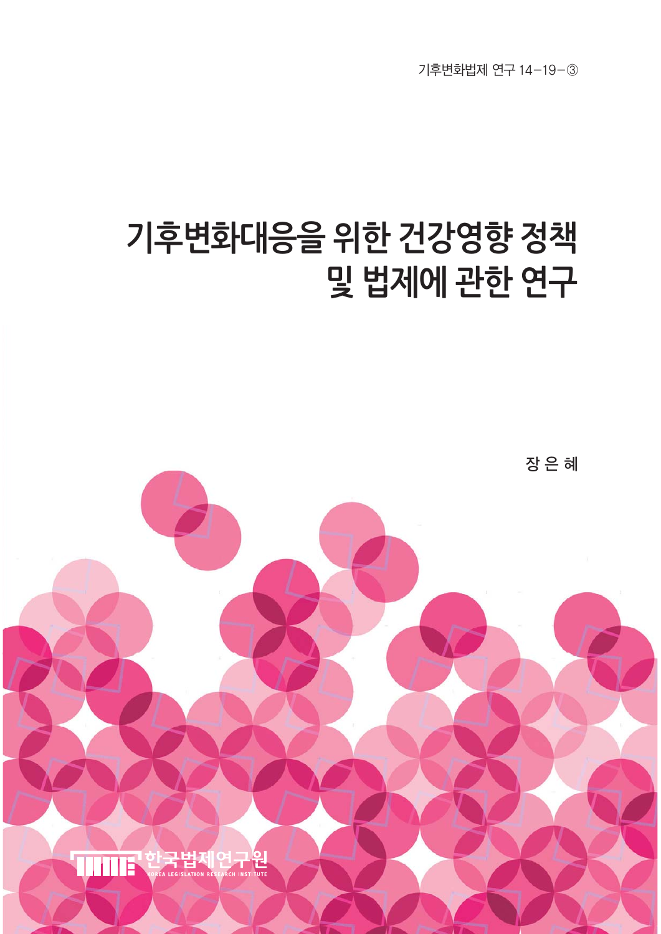기후변화법제 연구 14-19-③

# **기후변화대응을 위한 건강영향 정책 및 법제에 관한 연구**

장 은 혜

구원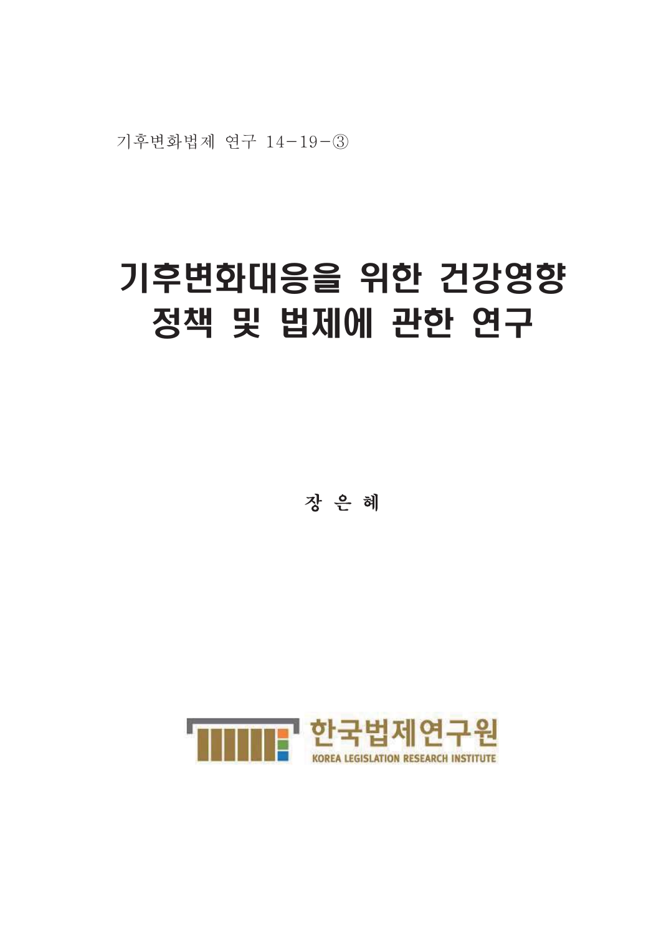기후변화법제 연구 14-19-3

# 기후변화대응을 위한 건강영향 정책 및 법제에 관한 연구

장은 혜

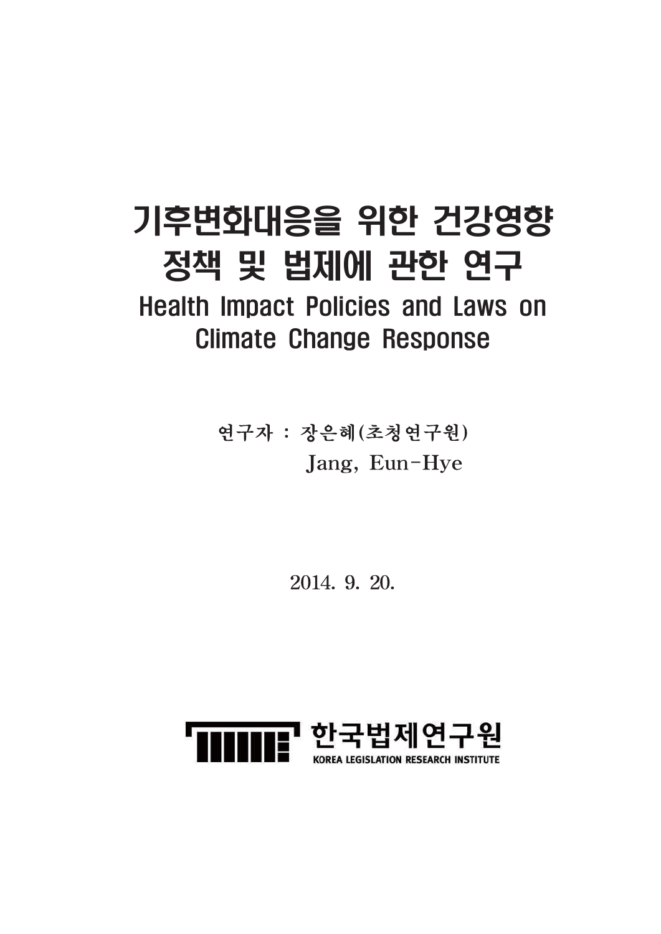## 기후변화대응을 위한 건강영향 정책 및 법제에 관한 연구

**Health Impact Policies and Laws on Climate Change Response** 

> 연구자 : 장은혜(초청연구원) Jang, Eun-Hye

> > 2014. 9. 20.

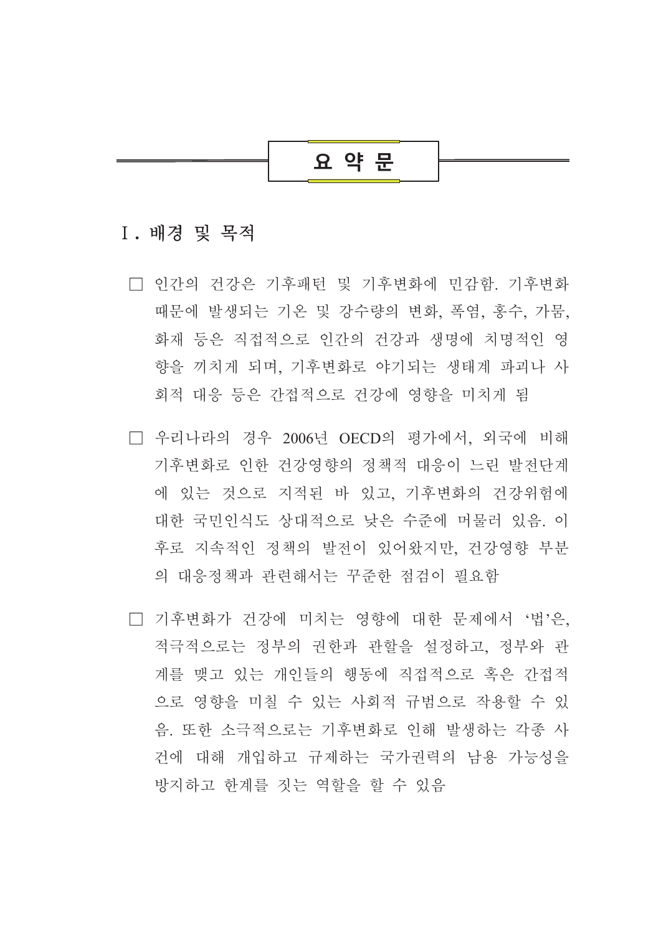

## I. 배경 및 목적

- □ 인간의 건강은 기후패턴 및 기후변화에 민감함. 기후변화 때문에 발생되는 기온 및 강수량의 변화, 폭염, 홍수, 가뭄, 화재 등은 직접적으로 인간의 건강과 생명에 치명적인 영 향을 끼치게 되며, 기후변화로 야기되는 생태계 파괴나 사 회적 대응 등은 간접적으로 건강에 영향을 미치게 됨
- □ 우리나라의 경우 2006년 OECD의 평가에서, 외국에 비해 기후변화로 이한 건강영향의 정책적 대응이 느린 발전단계 에 있는 것으로 지적된 바 있고, 기후변화의 건강위험에 대한 국민인식도 상대적으로 낮은 수준에 머물러 있음. 이 후로 지속적인 정책의 발전이 있어왔지만. 건강영향 부분 의 대응정책과 관련해서는 꾸준한 점검이 필요함
- □ 기후변화가 건강에 미치는 영향에 대한 문제에서 '법'은. 적극적으로는 정부의 권한과 관할을 설정하고, 정부와 관 계를 맺고 있는 개인들의 행동에 직접적으로 혹은 간접적 으로 영향을 미칠 수 있는 사회적 규범으로 작용할 수 있 음. 또한 소극적으로는 기후변화로 인해 발생하는 각종 사 건에 대해 개입하고 규제하는 국가권력의 남용 가능성을 방지하고 한계를 짓는 역할을 할 수 있음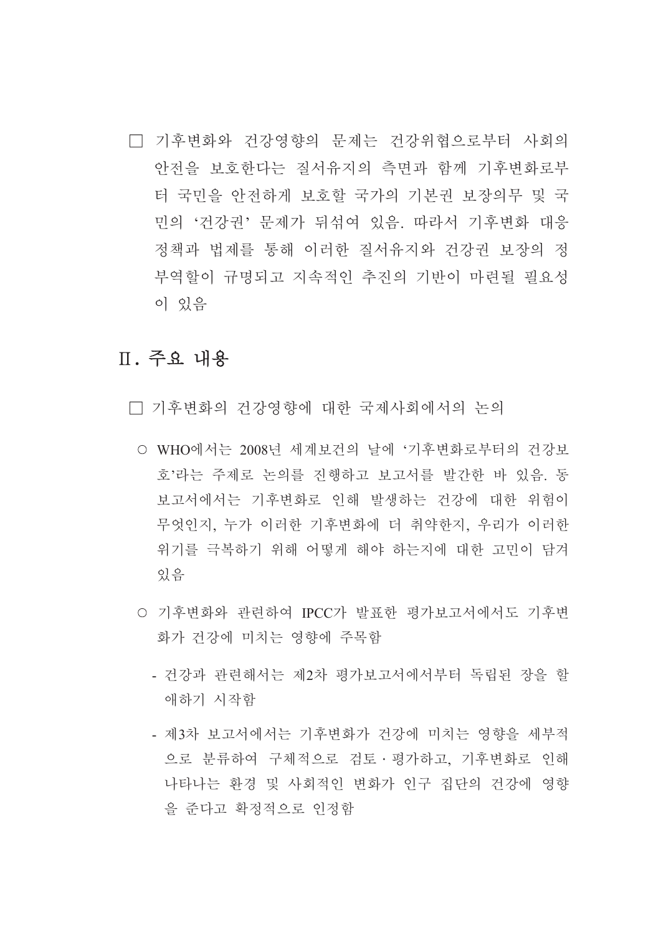□ 기후변화와 건강영향의 문제는 건강위협으로부터 사회의 안전을 보호하다는 질서유지의 측면과 함께 기후변화로부 터 국민을 안전하게 보호할 국가의 기본권 보장의무 및 국 민의 '건강권' 문제가 뒤섞여 있음. 따라서 기후변화 대응 정책과 법제를 통해 이러한 질서유지와 건강권 보장의 정 부역할이 규명되고 지속적인 추진의 기반이 마련될 필요성 이 있음

## Ⅱ. 주요 내용

□ 기후변화의 거강영향에 대한 국제사회에서의 논의

- WHO에서는 2008년 세계보건의 날에 '기후변화로부터의 건강보 호'라는 주제로 논의를 진행하고 보고서를 발간한 바 있음. 동 보고서에서는 기후변화로 인해 발생하는 건강에 대한 위험이 무엇인지. 누가 이러한 기후변화에 더 취약한지. 우리가 이러한 위기를 극복하기 위해 어떻게 해야 하는지에 대한 고민이 담겨 있음
- 기후변화와 관련하여 IPCC가 발표한 평가보고서에서도 기후변 화가 건강에 미치는 영향에 주목함
	- 건강과 관련해서는 제2차 평가보고서에서부터 독립된 장을 할 애하기 시작함
	- 제3차 보고서에서는 기후변화가 건강에 미치는 영향을 세부적 으로 분류하여 구체적으로 검토 · 평가하고, 기후변화로 인해 나타나는 환경 및 사회적인 변화가 인구 집단의 건강에 영향 을 준다고 확정적으로 인정함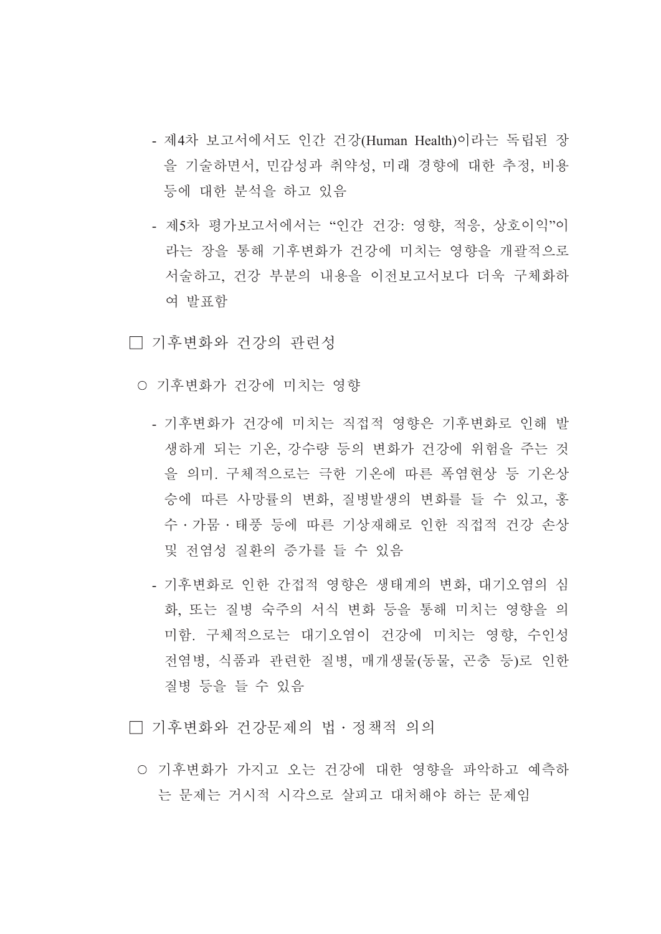- 제4차 보고서에서도 인간 건강(Human Health)이라는 독립된 장 을 기술하면서, 민감성과 취약성, 미래 경향에 대한 추정, 비용 등에 대한 분석을 하고 있음
- 제5차 평가보고서에서는 "인간 건강: 영향, 적응, 상호이익"이 라는 장을 통해 기후변화가 건강에 미치는 영향을 개괄적으로 서술하고 건강 부분의 내용을 이전보고서보다 더욱 구체화하 여 발표함
- □ 기후변화와 건강의 관련성
	- 기후변화가 건강에 미치는 영향
		- 기후변화가 건강에 미치는 직접적 영향은 기후변화로 인해 발 생하게 되는 기온, 강수량 등의 변화가 건강에 위험을 주는 것 을 의미. 구체적으로는 극한 기온에 따른 폭염현상 등 기온상 승에 따른 사망률의 변화, 질병발생의 변화를 들 수 있고, 홍 수 • 가뭄 • 태풍 등에 따른 기상재해로 인한 직접적 건강 손상 및 전염성 질환의 증가를 들 수 있음
		- 기후변화로 인한 간접적 영향은 생태계의 변화, 대기오염의 심 화, 또는 질병 숙주의 서식 변화 등을 통해 미치는 영향을 의 미함. 구체적으로는 대기오염이 건강에 미치는 영향, 수인성 전염병, 식품과 관련한 질병, 매개생물(동물, 곤충 등)로 인한 질병 등을 들 수 있음

□ 기후변화와 건강문제의 법 · 정책적 의의

○ 기후변화가 가지고 오는 건강에 대한 영향을 파악하고 예측하 는 문제는 거시적 시각으로 살피고 대처해야 하는 문제임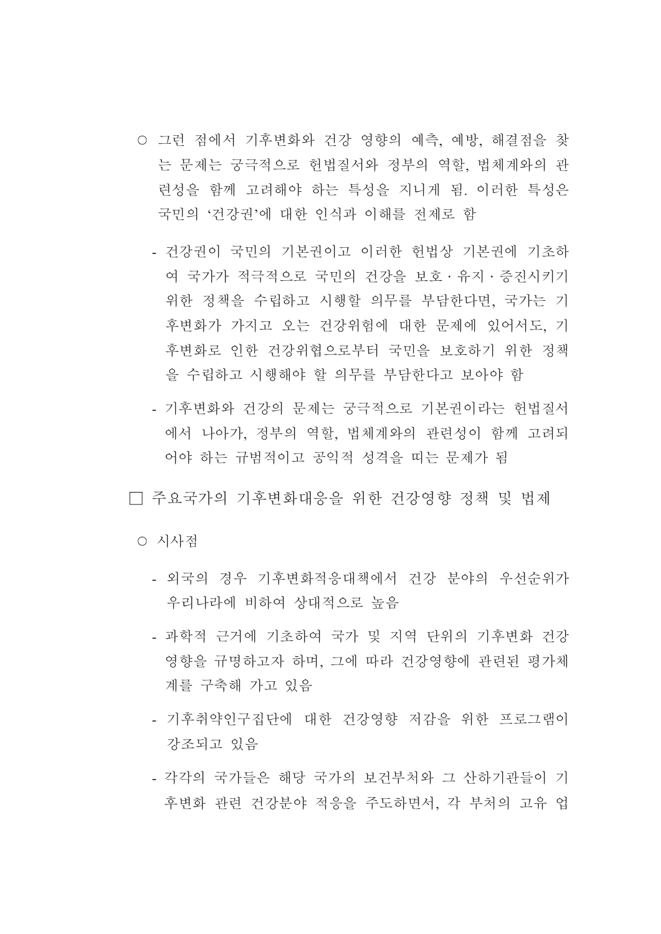- 그런 점에서 기후변화와 건강 영향의 예측, 예방, 해결점을 찾 는 문제는 궁극적으로 헌법질서와 정부의 역할, 법체계와의 관 려성을 함께 고려해야 하는 특성을 지니게 됨. 이러한 특성은 국민의 '건강권'에 대한 인식과 이해를 전제로 함
	- 건강권이 국민의 기본권이고 이러한 헌법상 기본권에 기초하 여 국가가 적극적으로 국민의 건강을 보호 · 유지 · 증진시키기 위한 정책을 수립하고 시행할 의무를 부담한다면, 국가는 기 후변화가 가지고 오는 건강위험에 대한 문제에 있어서도, 기 후변화로 인한 건강위협으로부터 국민을 보호하기 위한 정책 을 수립하고 시행해야 할 의무를 부담한다고 보아야 함
	- 기후변화와 건강의 문제는 궁극적으로 기본권이라는 헌법질서 에서 나아가, 정부의 역할, 법체계와의 관련성이 함께 고려되 어야 하는 규범적이고 공익적 성격을 띠는 문제가 됨

□ 주요국가의 기후변화대응을 위한 건강영향 정책 및 법제

○ 시사젂

- 외국의 경우 기후변화적응대책에서 건강 분야의 우선순위가 우리나라에 비하여 상대적으로 높음
- 과학적 근거에 기초하여 국가 및 지역 다위의 기후변화 건강 영향을 규명하고자 하며, 그에 따라 건강영향에 관련된 평가체 계를 구축해 가고 있음
- 기후취약인구집단에 대한 건강영향 저감을 위한 프로그램이 강조되고 있음
- 각각의 국가들은 해당 국가의 보건부처와 그 산하기관들이 기 후변화 관련 건강분야 적응을 주도하면서. 각 부처의 고유 업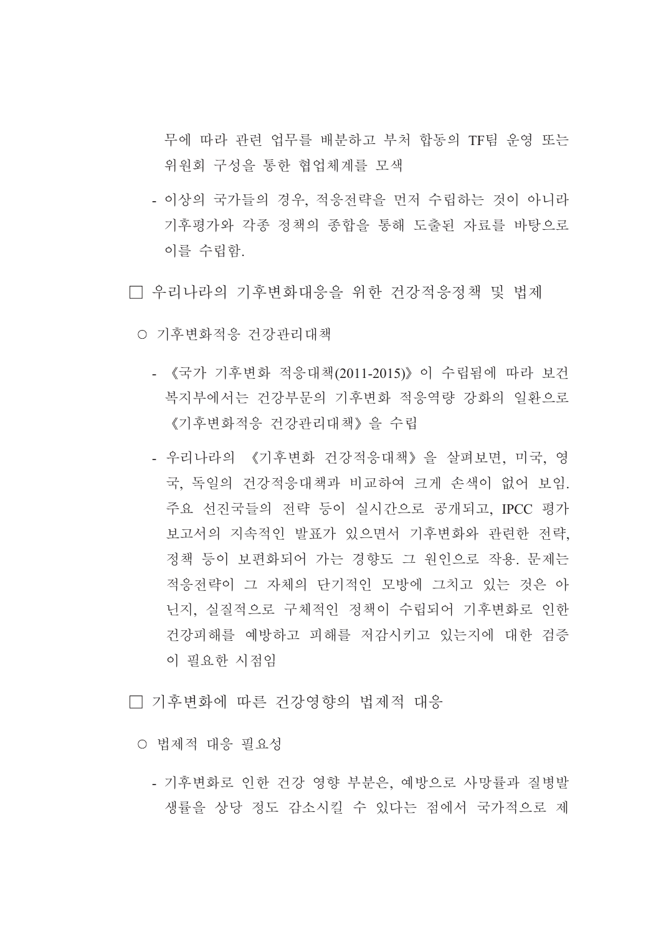무에 따라 관련 업무를 배분하고 부처 합동의 TF팀 운영 또는 위워회 구성을 통한 협업체계를 모색

- 이상의 국가들의 경우, 적응전략을 먼저 수립하는 것이 아니라 기후평가와 각종 정책의 종합을 통해 도출된 자료를 바탕으로 이를 수립함.

□ 우리나라의 기후변화대응을 위한 건강적응정책 및 법제

- 기후변화적응 건강관리대책
	- 《국가 기후변화 적응대책(2011-2015)》이 수립됨에 따라 보건 복지부에서는 건강부문의 기후변화 적응역량 강화의 일환으로 《기후변화적응 건강관리대책》 을 수립
	- 우리나라의 《기후변화 건강적응대책》을 살펴보면, 미국, 영 국, 독일의 건강적응대책과 비교하여 크게 손색이 없어 보임. 주요 선진국들의 전략 등이 실시간으로 공개되고, IPCC 평가 보고서의 지속적인 발표가 있으면서 기후변화와 관련한 전략, 정책 등이 보편화되어 가는 경향도 그 원인으로 작용. 문제는 적응전략이 그 자체의 단기적인 모방에 그치고 있는 것은 아 닌지, 실질적으로 구체적인 정책이 수립되어 기후변화로 인한 건강피해를 예방하고 피해를 저감시키고 있는지에 대한 검증 이 필요한 시점임

□ 기후변화에 따른 건강영향의 법제적 대응

○ 법제적 대응 필요성

- 기후변화로 인한 건강 영향 부분은, 예방으로 사망률과 질병발 생률을 상당 정도 감소시킬 수 있다는 점에서 국가적으로 제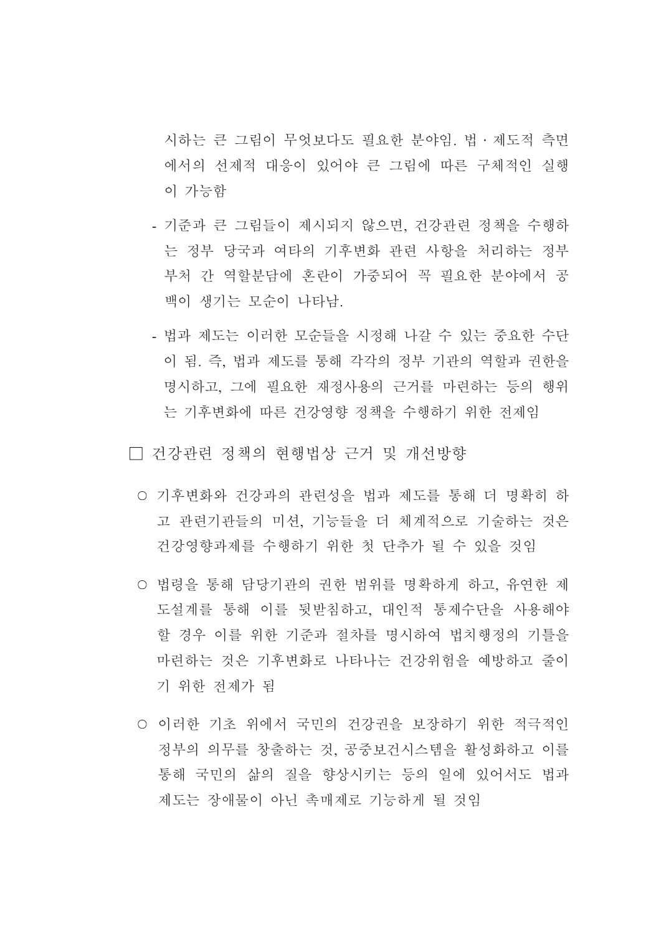시하는 큰 그림이 무엇보다도 필요한 분야임. 법 · 제도적 측면 에서의 선제적 대응이 있어야 큰 그림에 따른 구체적인 실행 이 가능함

- 기준과 큰 그림들이 제시되지 않으면, 건강관련 정책을 수행하 는 정부 당국과 여타의 기후변화 관련 사항을 처리하는 정부 부처 간 역할부담에 혼란이 가중되어 꼭 필요한 부야에서 공 백이 생기는 모수이 나타남.
- 법과 제도는 이러한 모순들을 시정해 나갈 수 있는 중요한 수단 이 됨. 즉, 법과 제도를 통해 각각의 정부 기관의 역할과 권한을 명시하고, 그에 필요한 재정사용의 근거를 마련하는 등의 행위 는 기후변화에 따른 건강영향 정책을 수행하기 위한 전제임

□ 건강관련 정책의 현행법상 근거 및 개선방향

- 기후변화와 건강과의 관련성을 법과 제도를 통해 더 명확히 하 고 관련기관들의 미션, 기능들을 더 체계적으로 기술하는 것은 건강영향과제를 수행하기 위한 첫 단추가 될 수 있을 것임
- 법령을 통해 담당기관의 권한 범위를 명확하게 하고, 유연한 제 도설계를 통해 이를 뒷받침하고, 대인적 통제수단을 사용해야 할 경우 이를 위한 기준과 절차를 명시하여 법치행정의 기틀을 마련하는 것은 기후변화로 나타나는 건강위험을 예방하고 줄이 기 위한 저제가 됨
- 이러한 기초 위에서 국민의 건강권을 보장하기 위한 적극적인 정부의 의무를 창출하는 것. 공중보거시스템을 활성화하고 이를 통해 국민의 삶의 질을 향상시키는 등의 일에 있어서도 법과 제도는 장애물이 아닌 촉매제로 기능하게 될 것임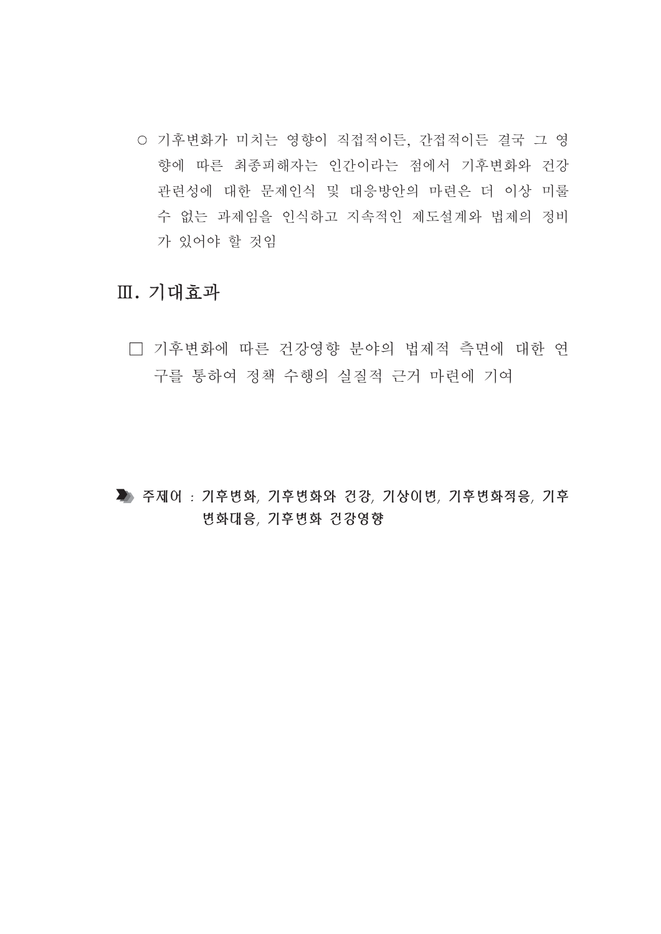○ 기후변화가 미치는 영향이 직접적이든, 간접적이든 결국 그 영 향에 따른 최종피해자는 인간이라는 점에서 기후변화와 건강 관련성에 대한 문제인식 및 대응방안의 마련은 더 이상 미룰 수 없는 과제임을 인식하고 지속적인 제도설계와 법제의 정비 가 있어야 할 것임

## Ⅲ. 기대효과

□ 기후변화에 따른 건강영향 분야의 법제적 측면에 대한 연 구를 통하여 정책 수행의 실질적 근거 마련에 기여

▶ 주제어: 기후변화, 기후변화와 건강, 기상이변, 기후변화적응, 기후 변화대응, 기후변화 건강영향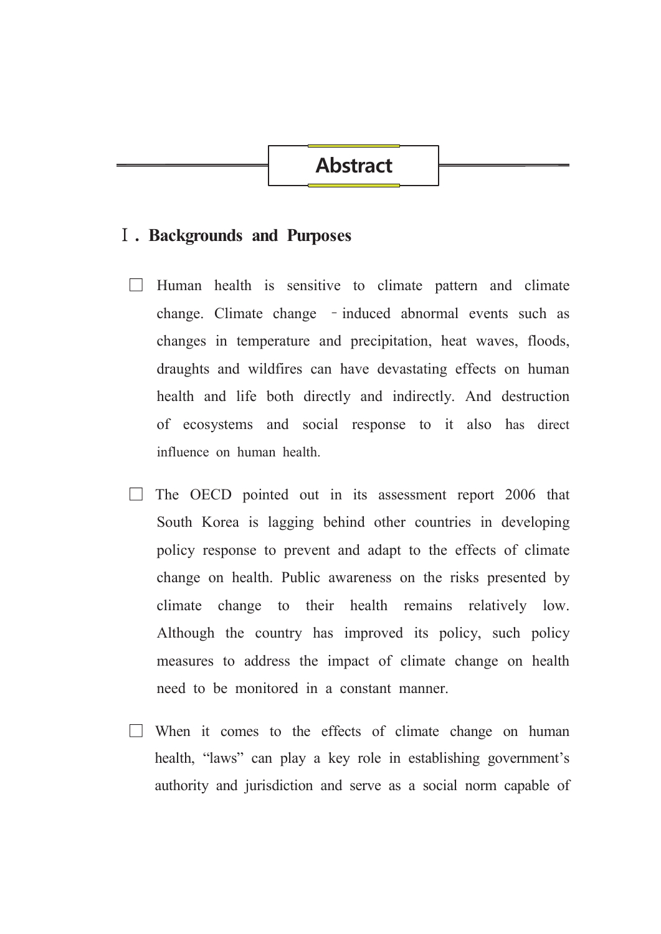## **Abstract**

#### **I**. Backgrounds and Purposes

- $\Box$  Human health is sensitive to climate pattern and climate change. Climate change - induced abnormal events such as changes in temperature and precipitation, heat waves, floods, draughts and wildfires can have devastating effects on human health and life both directly and indirectly. And destruction of ecosystems and social response to it also has direct influence on human health
- $\Box$  The OECD pointed out in its assessment report 2006 that South Korea is lagging behind other countries in developing policy response to prevent and adapt to the effects of climate change on health. Public awareness on the risks presented by climate change to their health remains relatively low. Although the country has improved its policy, such policy measures to address the impact of climate change on health need to be monitored in a constant manner.
- $\Box$  When it comes to the effects of climate change on human health, "laws" can play a key role in establishing government's authority and jurisdiction and serve as a social norm capable of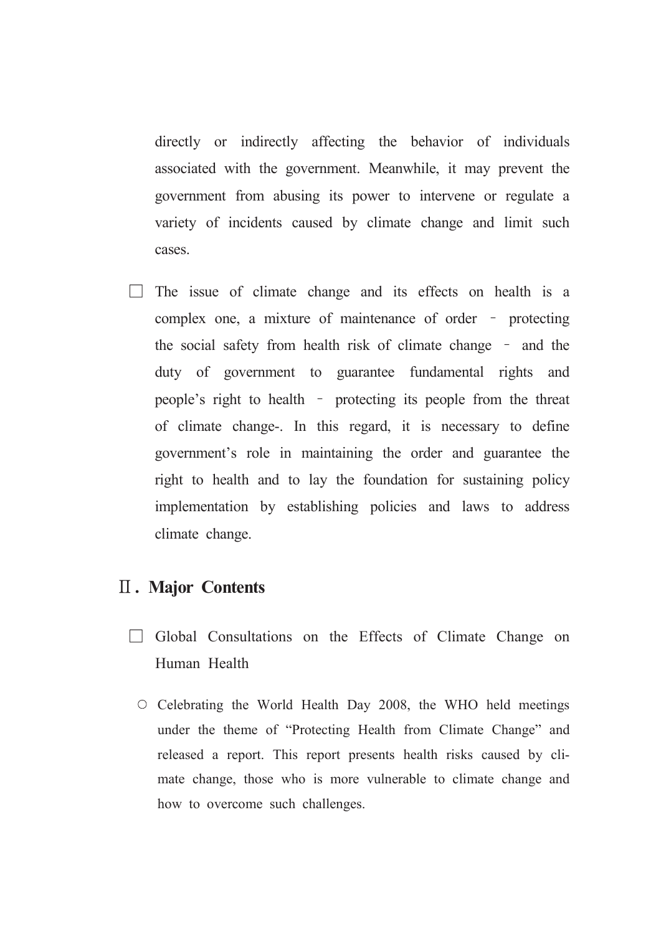directly or indirectly affecting the behavior of individuals associated with the government. Meanwhile, it may prevent the government from abusing its power to intervene or regulate a variety of incidents caused by climate change and limit such cases.

 $\Box$  The issue of climate change and its effects on health is a complex one, a mixture of maintenance of order - protecting the social safety from health risk of climate change - and the duty of government to guarantee fundamental rights and people's right to health - protecting its people from the threat of climate change-. In this regard, it is necessary to define government's role in maintaining the order and guarantee the right to health and to lay the foundation for sustaining policy implementation by establishing policies and laws to address climate change.

### **II. Major Contents**

- $\Box$  Global Consultations on the Effects of Climate Change on Human Health
	- $\circ$  Celebrating the World Health Day 2008, the WHO held meetings under the theme of "Protecting Health from Climate Change" and released a report. This report presents health risks caused by climate change, those who is more vulnerable to climate change and how to overcome such challenges.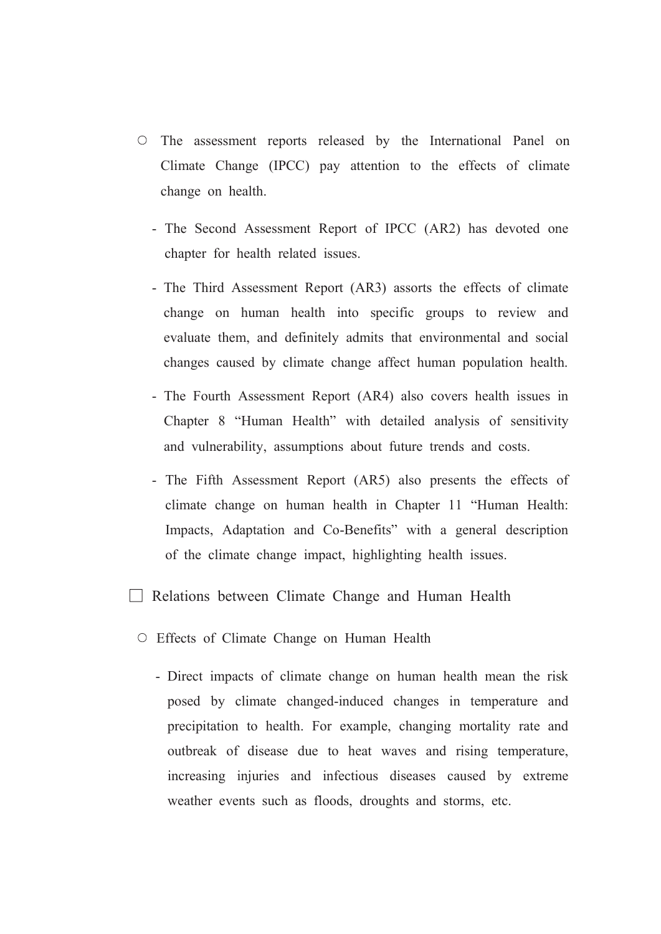- O The assessment reports released by the International Panel on Climate Change (IPCC) pay attention to the effects of climate change on health.
	- The Second Assessment Report of IPCC (AR2) has devoted one chapter for health related issues.
	- The Third Assessment Report (AR3) assorts the effects of climate change on human health into specific groups to review and evaluate them, and definitely admits that environmental and social changes caused by climate change affect human population health.
	- The Fourth Assessment Report (AR4) also covers health issues in Chapter 8 "Human Health" with detailed analysis of sensitivity and vulnerability, assumptions about future trends and costs.
	- The Fifth Assessment Report (AR5) also presents the effects of climate change on human health in Chapter 11 "Human Health: Impacts, Adaptation and Co-Benefits" with a general description of the climate change impact, highlighting health issues.
- Relations between Climate Change and Human Health
	- Effects of Climate Change on Human Health
		- Direct impacts of climate change on human health mean the risk posed by climate changed-induced changes in temperature and precipitation to health. For example, changing mortality rate and outbreak of disease due to heat waves and rising temperature, increasing injuries and infectious diseases caused by extreme weather events such as floods, droughts and storms, etc.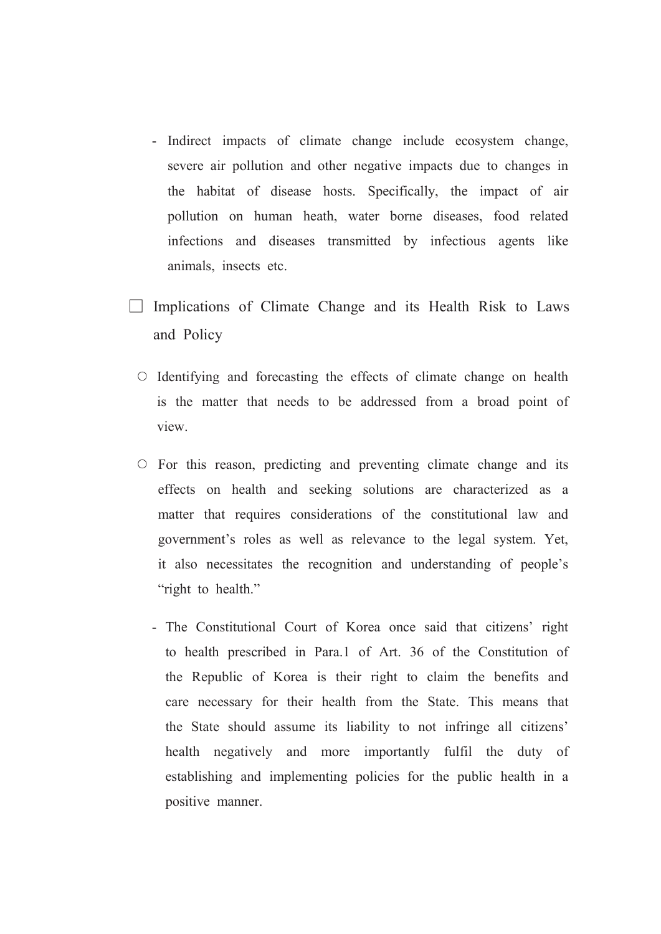- Indirect impacts of climate change include ecosystem change, severe air pollution and other negative impacts due to changes in the habitat of disease hosts. Specifically, the impact of air pollution on human heath, water borne diseases, food related infections and diseases transmitted by infectious agents like animals, insects etc.
- $\Box$  Implications of Climate Change and its Health Risk to Laws and Policy
	- O Identifying and forecasting the effects of climate change on health is the matter that needs to be addressed from a broad point of view.
	- $\circ$  For this reason, predicting and preventing climate change and its effects on health and seeking solutions are characterized as a matter that requires considerations of the constitutional law and government's roles as well as relevance to the legal system. Yet, it also necessitates the recognition and understanding of people's "right to health."
		- The Constitutional Court of Korea once said that citizens' right to health prescribed in Para.1 of Art. 36 of the Constitution of the Republic of Korea is their right to claim the benefits and care necessary for their health from the State. This means that the State should assume its liability to not infringe all citizens' health negatively and more importantly fulfil the duty of establishing and implementing policies for the public health in a positive manner.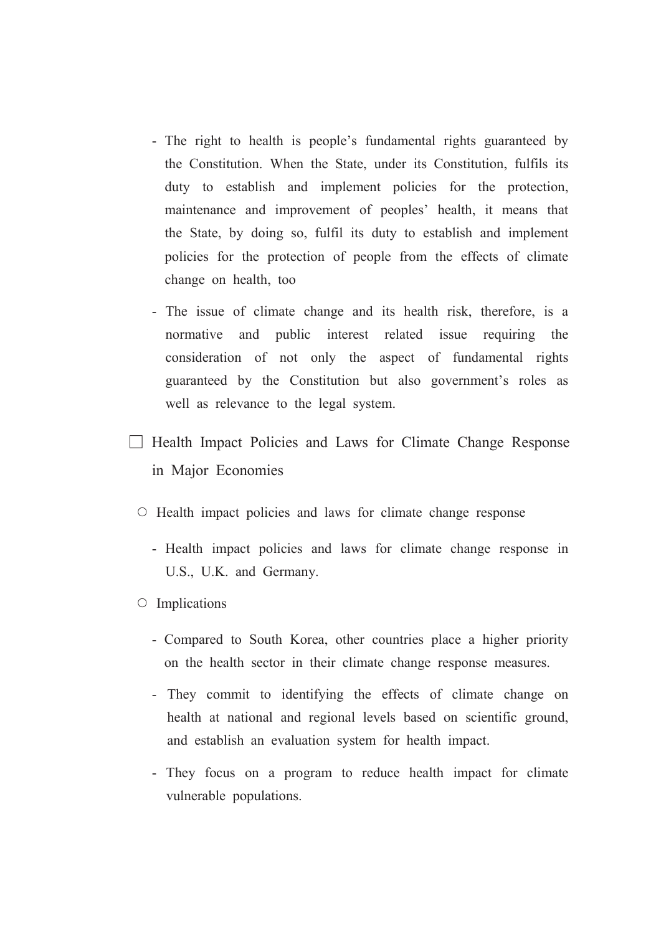- The right to health is people's fundamental rights guaranteed by the Constitution. When the State, under its Constitution, fulfils its duty to establish and implement policies for the protection, maintenance and improvement of peoples' health, it means that the State, by doing so, fulfil its duty to establish and implement policies for the protection of people from the effects of climate change on health, too
- The issue of climate change and its health risk, therefore, is a normative and public interest related issue requiring the consideration of not only the aspect of fundamental rights guaranteed by the Constitution but also government's roles as well as relevance to the legal system.
- $\Box$  Health Impact Policies and Laws for Climate Change Response in Major Economies
	- Health impact policies and laws for climate change response
		- Health impact policies and laws for climate change response in U.S., U.K. and Germany.
	- $\circ$  Implications
		- Compared to South Korea, other countries place a higher priority on the health sector in their climate change response measures.
		- They commit to identifying the effects of climate change on health at national and regional levels based on scientific ground, and establish an evaluation system for health impact.
		- They focus on a program to reduce health impact for climate vulnerable populations.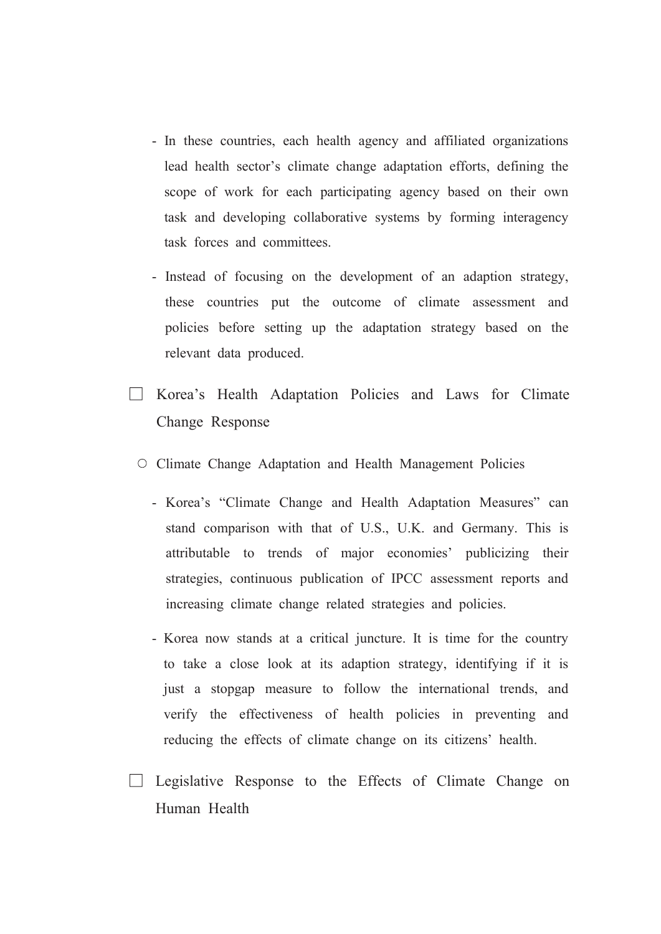- In these countries, each health agency and affiliated organizations lead health sector's climate change adaptation efforts, defining the scope of work for each participating agency based on their own task and developing collaborative systems by forming interagency task forces and committees.
- Instead of focusing on the development of an adaption strategy, these countries put the outcome of climate assessment and policies before setting up the adaptation strategy based on the relevant data produced.
- □ Korea's Health Adaptation Policies and Laws for Climate Change Response
	- O Climate Change Adaptation and Health Management Policies
		- Korea's "Climate Change and Health Adaptation Measures" can stand comparison with that of U.S., U.K. and Germany. This is attributable to trends of major economies' publicizing their strategies, continuous publication of IPCC assessment reports and increasing climate change related strategies and policies.
		- Korea now stands at a critical juncture. It is time for the country to take a close look at its adaption strategy, identifying if it is just a stopgap measure to follow the international trends, and verify the effectiveness of health policies in preventing and reducing the effects of climate change on its citizens' health.
- $\Box$  Legislative Response to the Effects of Climate Change on Human Health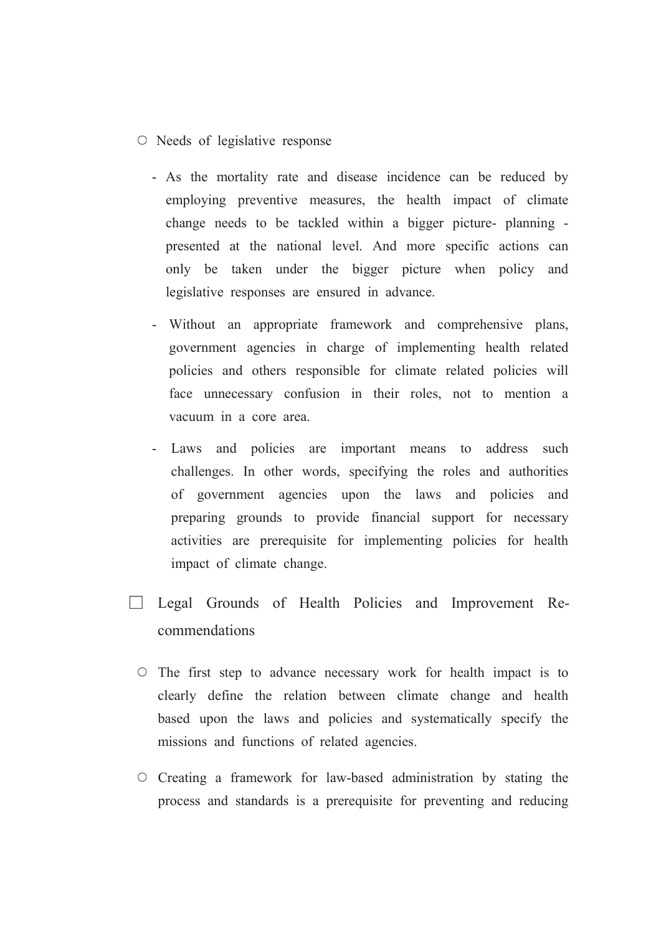- $\circ$  Needs of legislative response
	- As the mortality rate and disease incidence can be reduced by employing preventive measures, the health impact of climate change needs to be tackled within a bigger picture- planning presented at the national level. And more specific actions can only be taken under the bigger picture when policy and legislative responses are ensured in advance.
	- Without an appropriate framework and comprehensive plans. government agencies in charge of implementing health related policies and others responsible for climate related policies will face unnecessary confusion in their roles, not to mention a vacuum in a core area.
	- Laws and policies are important means to address such challenges. In other words, specifying the roles and authorities of government agencies upon the laws and policies and preparing grounds to provide financial support for necessary activities are prerequisite for implementing policies for health impact of climate change.
- **Example 2** Legal Grounds of Health Policies and Improvement Recommendations
	- $\circ$  The first step to advance necessary work for health impact is to clearly define the relation between climate change and health based upon the laws and policies and systematically specify the missions and functions of related agencies.
	- $\circ$  Creating a framework for law-based administration by stating the process and standards is a prerequisite for preventing and reducing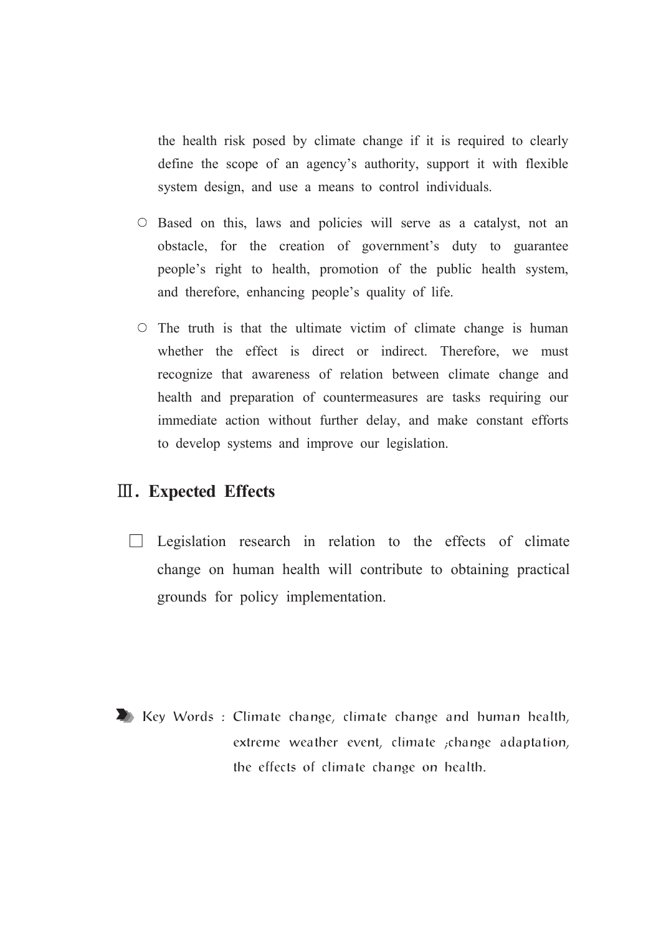the health risk posed by climate change if it is required to clearly define the scope of an agency's authority, support it with flexible system design, and use a means to control individuals.

- $\circ$  Based on this, laws and policies will serve as a catalyst, not an obstacle, for the creation of government's duty to guarantee people's right to health, promotion of the public health system, and therefore, enhancing people's quality of life.
- $\circ$  The truth is that the ultimate victim of climate change is human whether the effect is direct or indirect. Therefore, we must recognize that awareness of relation between climate change and health and preparation of countermeasures are tasks requiring our immediate action without further delay, and make constant efforts to develop systems and improve our legislation.

## **III.** Expected Effects

 $\Box$  Legislation research in relation to the effects of climate change on human health will contribute to obtaining practical grounds for policy implementation.

EXECUTE: Climate change, climate change and human health, extreme weather event, climate ; change adaptation, the effects of climate change on health.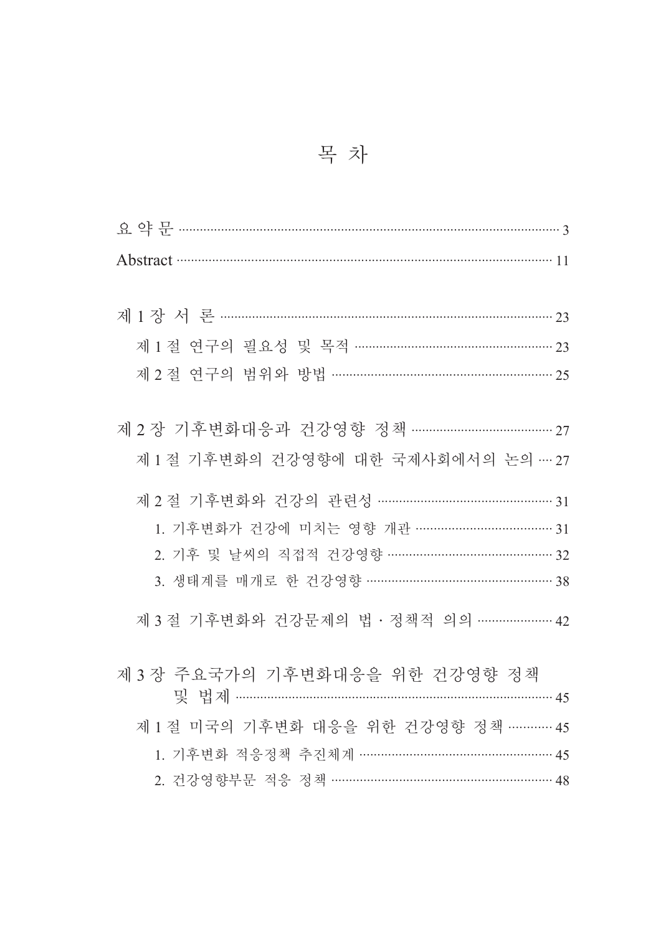| 제 1 절 연구의 필요성 및 목적 …………………………………………… 23 |
|-----------------------------------------|
| 제 2 절 연구의 범위와 방법 ………………………………………………… 25 |
|                                         |
| 제 2 장 기후변화대응과 건강영향 정책 ………………………………… 27  |
| 제 1 절 기후변화의 건강영향에 대한 국제사회에서의 논의 … 27    |
| 제 2 절 기후변화와 건강의 관련성 ………………………………………… 31 |
| 1. 기후변화가 건강에 미치는 영향 개관 ……………………………… 31  |
| 2. 기후 및 날씨의 직접적 건강영향 ……………………………………… 32 |
| 3. 생태계를 매개로 한 건강영향 …………………………………………… 38 |
|                                         |
| 제 3 절 기후변화와 건강문제의 법 · 정책적 의의 ………………… 42 |
| 제 3 장 주요국가의 기후변화대응을 위한 건강영향 정책          |
|                                         |
| 제 1 절 미국의 기후변화 대응을 위한 건강영향 정책 ………… 45   |
| 1. 기후변화 적응정책 추진체계 …………………………………………… 45  |
| 2. 건강영향부문 적응 정책 …………………………………………………… 48 |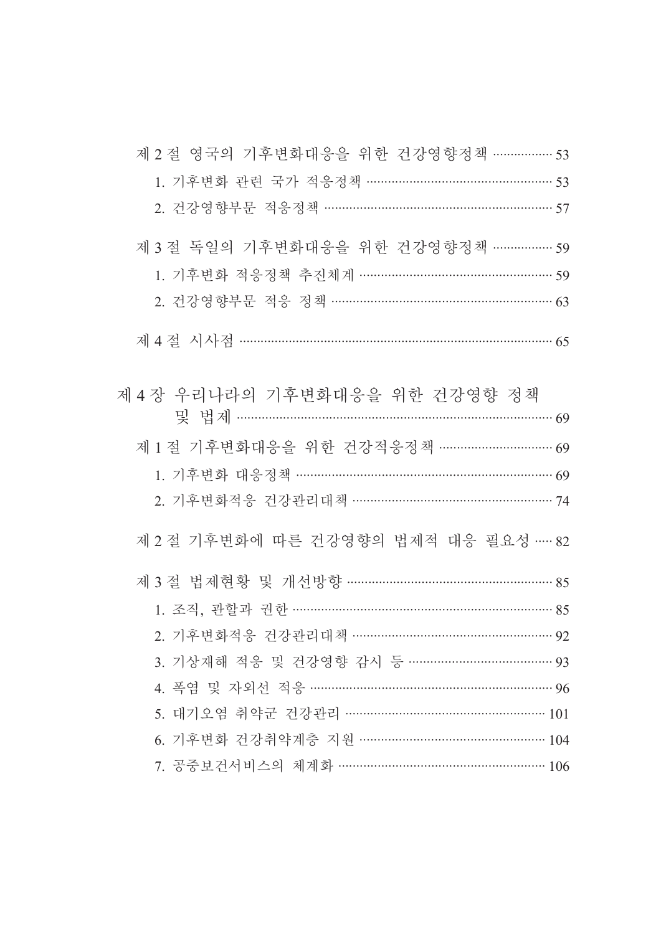| 제 2 절 영국의 기후변화대응을 위한 건강영향정책 ……………… 53   |  |
|-----------------------------------------|--|
| 1. 기후변화 관련 국가 적응정책 ………………………………………… 53  |  |
| 2. 건강영향부문 적응정책 ………………………………………………… 57   |  |
| 제 3 절 독일의 기후변화대응을 위한 건강영향정책 ……………… 59   |  |
| 1. 기후변화 적응정책 추진체계 …………………………………………… 59  |  |
| 2. 건강영향부문 적응 정책 ………………………………………………… 63  |  |
|                                         |  |
| 제 4 장 우리나라의 기후변화대응을 위한 건강영향 정책          |  |
|                                         |  |
| 제 1 절 기후변화대응을 위한 건강적응정책 …………………………… 69  |  |
| 1. 기후변화 대응정책 ………………………………………………………… 69  |  |
| 2. 기후변화적응 건강관리대책 …………………………………………… 74   |  |
| 제 2 절 기후변화에 따른 건강영향의 법제적 대응 필요성 …… 82   |  |
| 제 3 절 법제현황 및 개선방향 ……………………………………………… 85 |  |
| 1. 조직, 관할과 권한 ………………………………………………………… 85 |  |
| 2. 기후변화적응 건강관리대책 ……………………………………………… 92  |  |
| 3. 기상재해 적응 및 건강영향 감시 등 ………………………………… 93 |  |
| 4. 폭염 및 자외선 적응 ……………………………………………………… 96 |  |
| 5. 대기오염 취약군 건강관리 ……………………………………………… 101 |  |
| 6. 기후변화 건강취약계층 지원 …………………………………………… 104 |  |
| 7. 공중보건서비스의 체계화 ………………………………………………… 106 |  |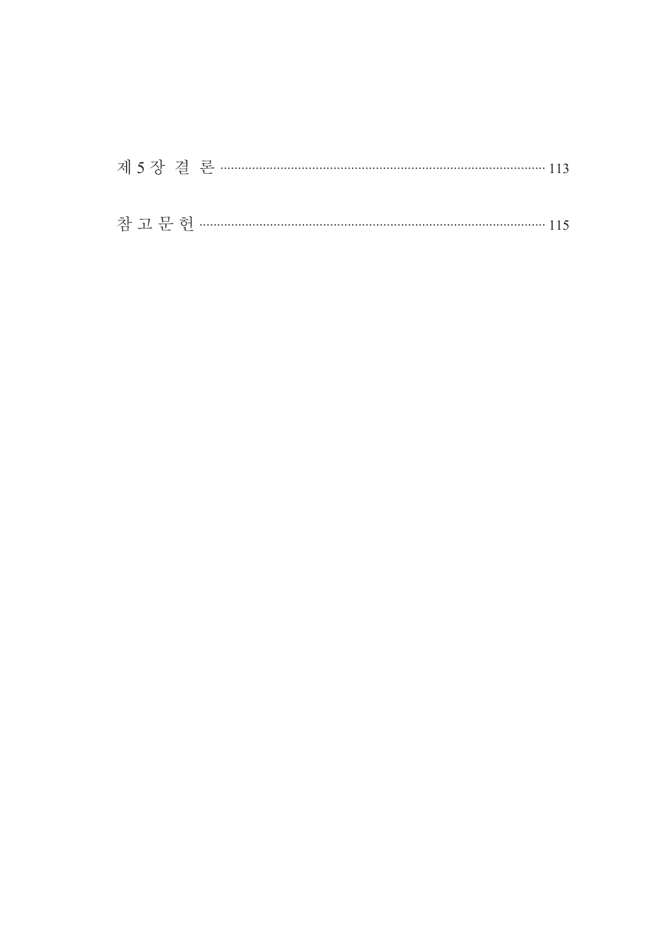| 제 5장 결 론 ………………………………………………………………………………… 113 |  |  |  |
|----------------------------------------------|--|--|--|
|                                              |  |  |  |
|                                              |  |  |  |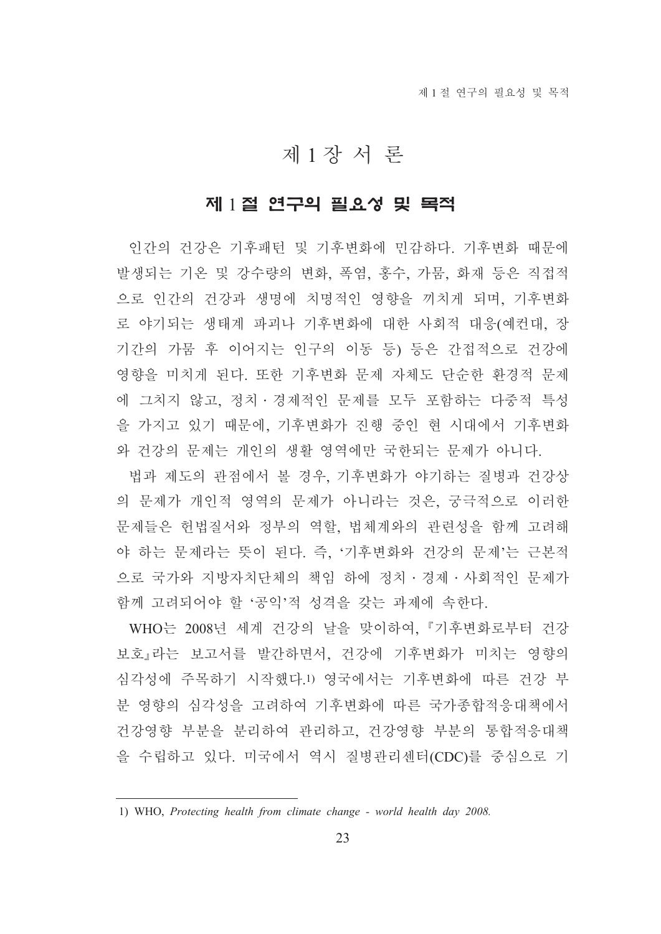## 제1장서론

## 제 1절 연구의 필요성 및 목적

인간의 건강은 기후패턴 및 기후변화에 민감하다. 기후변화 때문에 발생되는 기온 및 강수량의 변화, 폭염, 홍수, 가뭄, 화재 등은 직접적 으로 인간의 건강과 생명에 치명적인 영향을 끼치게 되며, 기후변화 로 야기되는 생태계 파괴나 기후변화에 대한 사회적 대응(예컨대, 장 기간의 가뭄 후 이어지는 인구의 이동 등) 등은 간접적으로 건강에 영향을 미치게 된다. 또한 기후변화 문제 자체도 단순한 환경적 문제 에 그치지 않고, 정치 · 경제적인 문제를 모두 포함하는 다중적 특성 을 가지고 있기 때문에, 기후변화가 진행 중인 현 시대에서 기후변화 와 건강의 문제는 개인의 생활 영역에만 국한되는 문제가 아니다.

법과 제도의 관점에서 볼 경우, 기후변화가 야기하는 질병과 건강상 의 문제가 개인적 영역의 문제가 아니라는 것은, 궁극적으로 이러한 문제들은 헌법질서와 정부의 역할. 법체계와의 관련성을 함께 고려해 야 하는 문제라는 뜻이 된다. 즉. '기후변화와 건강의 문제'는 근본적 으로 국가와 지방자치단체의 책임 하에 정치 · 경제 · 사회적인 문제가 함께 고려되어야 할 '공익'적 성격을 갖는 과제에 속하다.

WHO는 2008년 세계 건강의 날을 맞이하여, 『기후변화로부터 건강 보호』라는 보고서를 발간하면서, 건강에 기후변화가 미치는 영향의 심각성에 주목하기 시작했다.!) 영국에서는 기후변화에 따른 건강 부 분 영향의 심각성을 고려하여 기후변화에 따른 국가종합적응대책에서 건강영향 부분을 분리하여 관리하고, 건강영향 부분의 통합적응대책 을 수립하고 있다. 미국에서 역시 질병관리센터(CDC)를 중심으로 기

<sup>1)</sup> WHO, Protecting health from climate change - world health day 2008.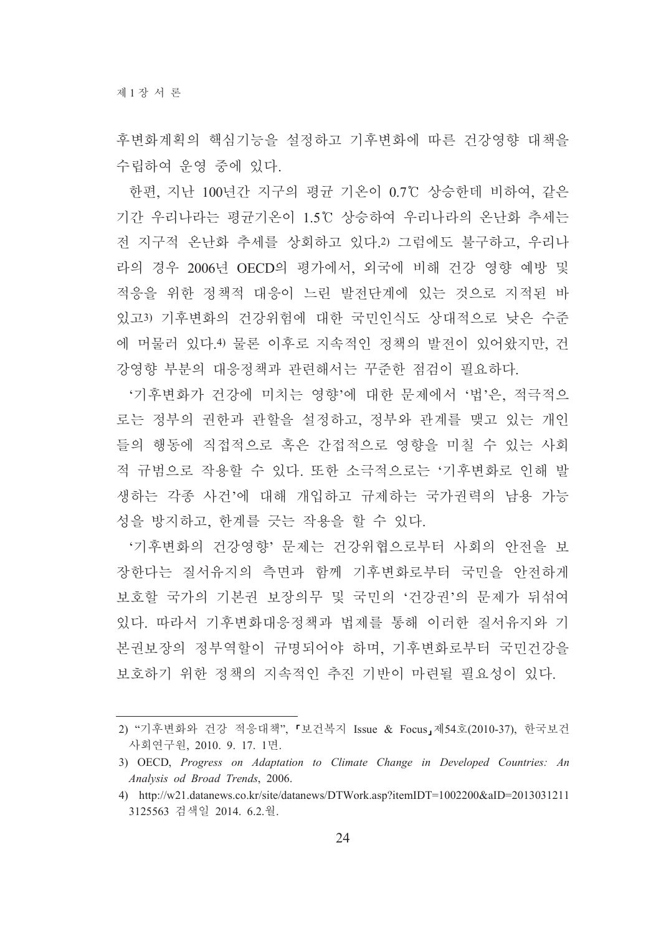후변화계획의 핵심기능을 설정하고 기후변화에 따른 건강영향 대책을 수립하여 우영 중에 있다.

한편, 지난 100년간 지구의 평균 기온이 0.7℃ 상승한데 비하여, 같은 기간 우리나라는 평균기온이 1.5℃ 상승하여 우리나라의 온난화 추세는 전 지구적 온난화 추세를 상회하고 있다.2) 그럼에도 불구하고, 우리나 라의 경우 2006년 OECD의 평가에서, 외국에 비해 건강 영향 예방 및 적응을 위한 정책적 대응이 느린 발전단계에 있는 것으로 지적된 바 있고3) 기후변화의 건강위험에 대한 국민인식도 상대적으로 낮은 수준 에 머물러 있다.4) 물론 이후로 지속적인 정책의 발전이 있어왔지만, 건 강영향 부분의 대응정책과 관련해서는 꾸준한 점검이 필요하다.

'기후변화가 건강에 미치는 영향'에 대한 문제에서 '법'은, 적극적으 로는 정부의 권한과 관할을 설정하고, 정부와 관계를 맺고 있는 개인 들의 행동에 직접적으로 혹은 간접적으로 영향을 미칠 수 있는 사회 적 규범으로 작용할 수 있다. 또한 소극적으로는 '기후변화로 인해 발 생하는 각종 사건'에 대해 개입하고 규제하는 국가권력의 남용 가능 성을 방지하고, 한계를 긋는 작용을 할 수 있다.

'기후변화의 건강영향' 문제는 건강위협으로부터 사회의 안전을 보 장한다는 질서유지의 측면과 함께 기후변화로부터 국민을 안전하게 보호할 국가의 기본권 보장의무 및 국민의 '건강권'의 문제가 뒤섞여 있다. 따라서 기후변화대응정책과 법제를 통해 이러한 질서유지와 기 본권보장의 정부역할이 규명되어야 하며, 기후변화로부터 국민건강을 보호하기 위한 정책의 지속적인 추진 기반이 마련될 필요성이 있다.

<sup>2) &</sup>quot;기후변화와 건강 적응대책", 「보건복지 Issue & Focus」제54호(2010-37), 한국보건 사회연구원, 2010. 9. 17. 1면.

<sup>3)</sup> OECD, Progress on Adaptation to Climate Change in Developed Countries: An Analysis od Broad Trends, 2006.

<sup>4)</sup> http://w21.datanews.co.kr/site/datanews/DTWork.asp?itemIDT=1002200&aID=2013031211 3125563 검색일 2014. 6.2.월.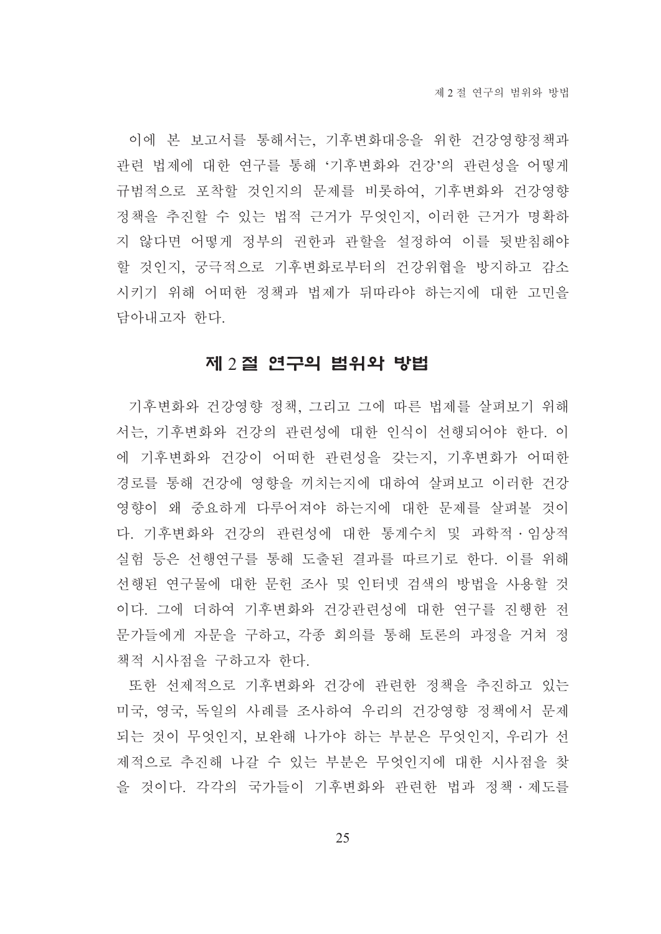이에 본 보고서를 통해서는, 기후변화대응을 위한 건강영향정책과 관련 법제에 대한 연구를 통해 '기후변화와 건강'의 관련성을 어떻게 규범적으로 포착할 것인지의 문제를 비롯하여, 기후변화와 건강영향 정책을 추진할 수 있는 법적 근거가 무엇인지, 이러한 근거가 명확하 지 않다면 어떻게 정부의 권한과 관할을 설정하여 이를 뒷받침해야 할 것인지, 궁극적으로 기후변화로부터의 건강위협을 방지하고 감소 시키기 위해 어떠한 정책과 법제가 뒤따라야 하는지에 대한 고민을 담아내고자 한다.

### 제 2절 연구의 범위와 방법

기후변화와 건강영향 정책. 그리고 그에 따른 법제를 살펴보기 위해 서는, 기후변화와 건강의 관련성에 대한 인식이 선행되어야 한다. 이 에 기후변화와 건강이 어떠한 관련성을 갖는지, 기후변화가 어떠한 경로를 통해 건강에 영향을 끼치는지에 대하여 살펴보고 이러한 건강 영향이 왜 중요하게 다루어져야 하는지에 대한 문제를 살펴볼 것이 다. 기후변화와 건강의 관련성에 대한 통계수치 및 과학적 · 임상적 실험 등은 선행연구를 통해 도출된 결과를 따르기로 한다. 이를 위해 선행된 연구물에 대한 문헌 조사 및 인터넷 검색의 방법을 사용할 것 이다. 그에 더하여 기후변화와 건강관련성에 대한 연구를 진행한 전 문가들에게 자문을 구하고, 각종 회의를 통해 토론의 과정을 거쳐 정 책적 시사점을 구하고자 한다.

또한 선제적으로 기후변화와 건강에 관련한 정책을 추진하고 있는 미국, 영국, 독일의 사례를 조사하여 우리의 건강영향 정책에서 문제 되는 것이 무엇인지, 보완해 나가야 하는 부분은 무엇인지, 우리가 선 제적으로 추진해 나갈 수 있는 부분은 무엇인지에 대한 시사점을 찾 을 것이다. 각각의 국가들이 기후변화와 관련한 법과 정책ㆍ제도를

25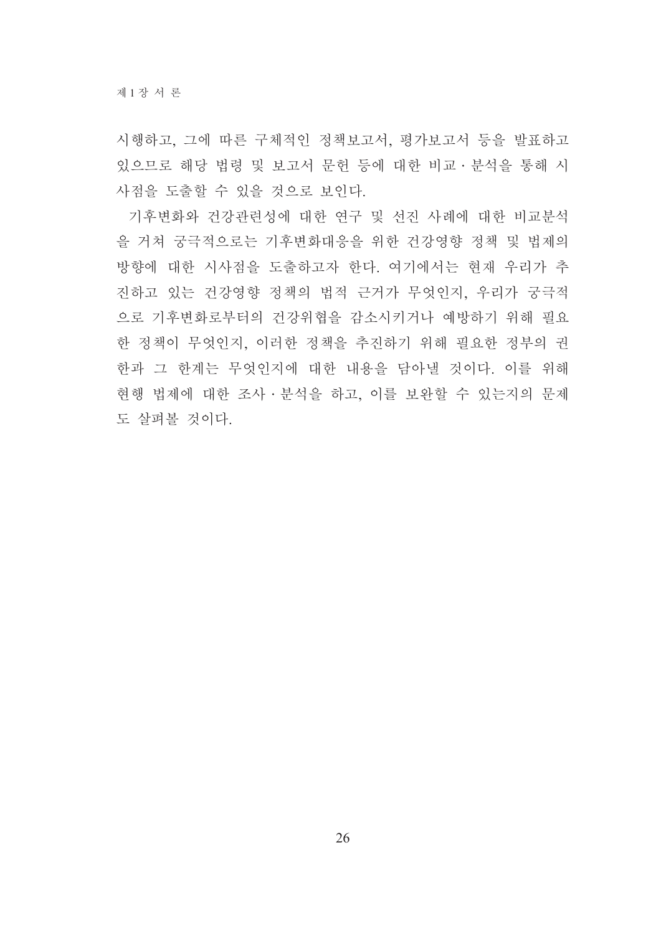시행하고, 그에 따른 구체적인 정책보고서, 평가보고서 등을 발표하고 있으므로 해당 법령 및 보고서 문헌 등에 대한 비교 · 분석을 통해 시 사점을 도출할 수 있을 것으로 보인다.

기후변화와 건강관련성에 대한 연구 및 선진 사례에 대한 비교분석 을 거쳐 궁극적으로는 기후변화대응을 위한 건강영향 정책 및 법제의 방향에 대한 시사점을 도출하고자 한다. 여기에서는 현재 우리가 추 진하고 있는 건강영향 정책의 법적 근거가 무엇인지, 우리가 궁극적 으로 기후변화로부터의 건강위협을 감소시키거나 예방하기 위해 필요 한 정책이 무엇인지, 이러한 정책을 추진하기 위해 필요한 정부의 권 한과 그 한계는 무엇인지에 대한 내용을 담아낼 것이다. 이를 위해 현행 법제에 대한 조사 · 분석을 하고, 이를 보완할 수 있는지의 문제 도 살펴볼 것이다.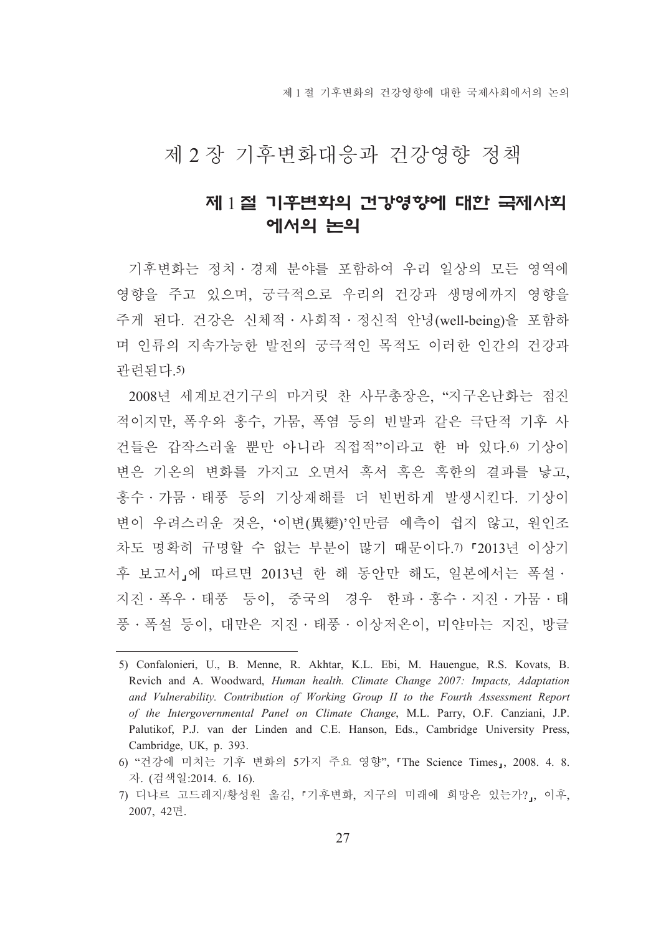제 1 절 기후변화의 건강영향에 대한 국제사회에서의 논의

## 제 2 장 기후변화대응과 건강영향 정책

## 제 1절 기후변화의 건강영향에 대한 국제사회 에서의 논의

기후변화는 정치 • 경제 분야를 포함하여 우리 일상의 모든 영역에 영향을 주고 있으며, 궁극적으로 우리의 건강과 생명에까지 영향을 주게 된다. 건강은 신체적 · 사회적 · 정신적 안녕(well-being)을 포함하 며 인류의 지속가능한 발전의 궁극적인 목적도 이러한 인간의 건강과 관련되다 5)

2008년 세계보건기구의 마거릿 찬 사무총장은, "지구온난화는 점진 적이지만, 폭우와 홍수, 가뭄, 폭염 등의 빈발과 같은 극단적 기후 사 건들은 갑작스러울 뿐만 아니라 직접적"이라고 한 바 있다.0 기상이 변은 기온의 변화를 가지고 오면서 혹서 혹은 혹한의 결과를 낳고. 홍수·가뭄·태풍 등의 기상재해를 더 빈번하게 발생시킨다. 기상이 변이 우려스러운 것은, '이변(異變)'인만큼 예측이 쉽지 않고, 원인조 차도 명확히 규명할 수 없는 부분이 많기 때문이다.7)「2013년 이상기 후 보고서,에 따르면 2013년 한 해 동안만 해도, 일본에서는 폭설· 지진·폭우·태풍 등이, 중국의 경우 한파·홍수·지진·가뭄·태 풍·폭설 등이, 대만은 지진·태풍·이상저온이, 미얀마는 지진, 방글

<sup>5)</sup> Confalonieri, U., B. Menne, R. Akhtar, K.L. Ebi, M. Hauengue, R.S. Kovats, B. Revich and A. Woodward, Human health. Climate Change 2007: Impacts, Adaptation and Vulnerability. Contribution of Working Group II to the Fourth Assessment Report of the Intergovernmental Panel on Climate Change, M.L. Parry, O.F. Canziani, J.P. Palutikof, P.J. van der Linden and C.E. Hanson, Eds., Cambridge University Press, Cambridge, UK, p. 393.

<sup>6) &</sup>quot;건강에 미치는 기후 변화의 5가지 주요 영향". 「The Science Times」, 2008. 4. 8. 자. (검색일:2014. 6. 16).

<sup>7)</sup> 디냐르 고드레지/황성원 옮김, 『기후변화, 지구의 미래에 희망은 있는가?』, 이후, 2007, 42면.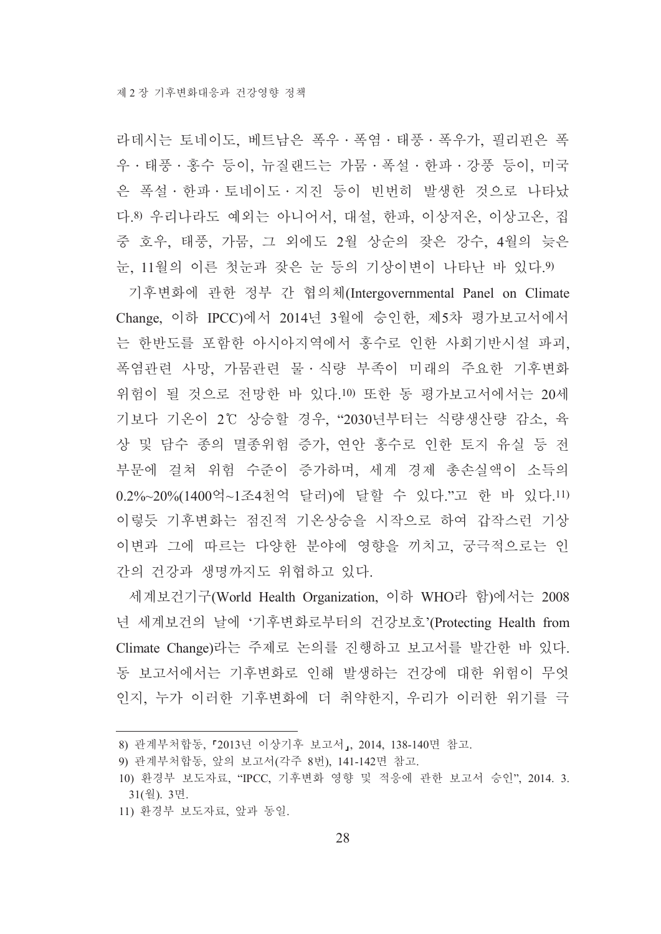라데시는 토네이도 베트남은 폭우 · 폭염 · 태풍 · 폭우가 필리핀은 폭 우·태풍·홍수 등이, 뉴질랜드는 가뭄·폭설·한파·강풍 등이, 미국 은 폭설·한파·토네이도·지진 등이 빈번히 발생한 것으로 나타났 다.8) 우리나라도 예외는 아니어서, 대설, 한파, 이상저온, 이상고온, 집 중 호우, 태풍, 가뭄, 그 외에도 2월 상순의 잦은 강수, 4월의 늦은 눈, 11월의 이른 첫눈과 잦은 눈 등의 기상이변이 나타난 바 있다.9)

기후변화에 관한 정부 간 협의체(Intergovernmental Panel on Climate Change, 이하 IPCC)에서 2014년 3월에 승인한, 제5차 평가보고서에서 는 한반도를 포함한 아시아지역에서 홍수로 인한 사회기반시설 파괴, 폭염관련 사망, 가뭄관련 물 · 식량 부족이 미래의 주요한 기후변화 위험이 될 것으로 전망한 바 있다.10) 또한 동 평가보고서에서는 20세 기보다 기온이 2℃ 상승할 경우, "2030년부터는 식량생산량 감소, 육 상 및 담수 종의 멸종위험 증가, 연안 홍수로 인한 토지 유실 등 전 부문에 걸쳐 위험 수준이 증가하며, 세계 경제 총손실액이 소득의 0.2%~20%(1400억~1조4천억 달러)에 달할 수 있다."고 한 바 있다.11) 이렇듯 기후변화는 점진적 기온상승을 시작으로 하여 갑작스런 기상 이변과 그에 따르는 다양한 분야에 영향을 끼치고, 궁극적으로는 인 간의 건강과 생명까지도 위협하고 있다.

세계보건기구(World Health Organization, 이하 WHO라 함)에서는 2008 년 세계보건의 날에 '기후변화로부터의 건강보호'(Protecting Health from Climate Change)라는 주제로 논의를 진행하고 보고서를 발간한 바 있다. 동 보고서에서는 기후변화로 인해 발생하는 건강에 대한 위험이 무엇 인지, 누가 이러한 기후변화에 더 취약한지, 우리가 이러한 위기를 극

11) 환경부 보도자료, 앞과 동일.

<sup>8)</sup> 관계부처합동, 『2013년 이상기후 보고서』, 2014, 138-140면 참고.

<sup>9)</sup> 관계부처합동, 앞의 보고서(각주 8번), 141-142면 참고,

<sup>10)</sup> 환경부 보도자료, "IPCC, 기후변화 영향 및 적응에 관한 보고서 승인", 2014. 3. 31(월). 3면.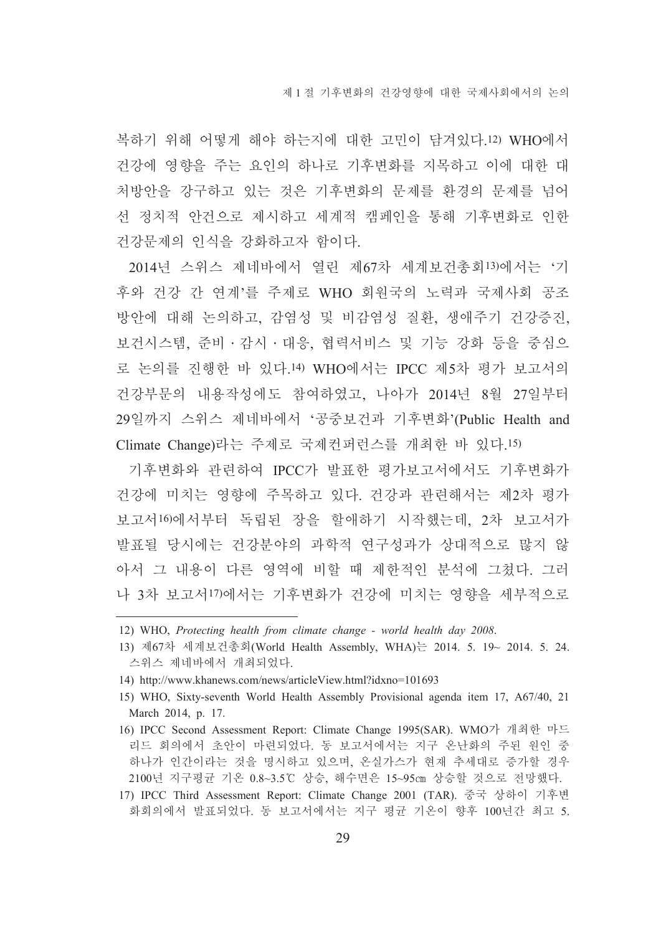복하기 위해 어떻게 해야 하는지에 대한 고민이 담겨있다.12) WHO에서 건강에 영향을 주는 요인의 하나로 기후변화를 지목하고 이에 대한 대 처방안을 강구하고 있는 것은 기후변화의 문제를 환경의 문제를 넘어 선 정치적 안건으로 제시하고 세계적 캠페인을 통해 기후변화로 인한 건강문제의 인식을 강화하고자 함이다.

2014년 스위스 제네바에서 열린 제67차 세계보건총회13)에서는 '기 후와 건강 간 연계'를 주제로 WHO 회원국의 노력과 국제사회 공조 방안에 대해 논의하고, 감염성 및 비감염성 질환, 생애주기 건강증진, 보건시스템, 준비·감시·대응, 협력서비스 및 기능 강화 등을 중심으 로 논의를 진행한 바 있다.14) WHO에서는 IPCC 제5차 평가 보고서의 건강부문의 내용작성에도 참여하였고, 나아가 2014년 8월 27일부터 29일까지 스위스 제네바에서 '공중보건과 기후변화'(Public Health and Climate Change)라는 주제로 국제컨퍼런스를 개최한 바 있다.15)

기후변화와 관련하여 IPCC가 발표한 평가보고서에서도 기후변화가 건강에 미치는 영향에 주목하고 있다. 건강과 관련해서는 제2차 평가 보고서16)에서부터 독립된 장을 할애하기 시작했는데, 2차 보고서가 발표될 당시에는 건강분야의 과학적 연구성과가 상대적으로 많지 않 아서 그 내용이 다른 영역에 비할 때 제한적인 분석에 그쳤다. 그러 나 3차 보고서!7)에서는 기후변화가 건강에 미치는 영향을 세부적으로

- 16) IPCC Second Assessment Report: Climate Change 1995(SAR). WMO가 개최한 마드 리드 회의에서 초안이 마련되었다. 동 보고서에서는 지구 온난화의 주된 원인 중 하나가 인간이라는 것을 명시하고 있으며, 온실가스가 현재 추세대로 증가할 경우 2100년 지구평균 기온 0.8~3.5℃ 상승, 해수면은 15~95cm 상승할 것으로 전망했다.
- 17) IPCC Third Assessment Report: Climate Change 2001 (TAR). 중국 상하이 기후변 화회의에서 발표되었다. 동 보고서에서는 지구 평균 기온이 향후 100년간 최고 5.

<sup>12)</sup> WHO, Protecting health from climate change - world health day 2008.

<sup>13)</sup> 제67차 세계보건총회(World Health Assembly, WHA)는 2014. 5. 19~ 2014. 5. 24. 스위스 제네바에서 개최되었다.

<sup>14)</sup> http://www.khanews.com/news/articleView.html?idxno=101693

<sup>15)</sup> WHO, Sixty-seventh World Health Assembly Provisional agenda item 17, A67/40, 21 March 2014, p. 17.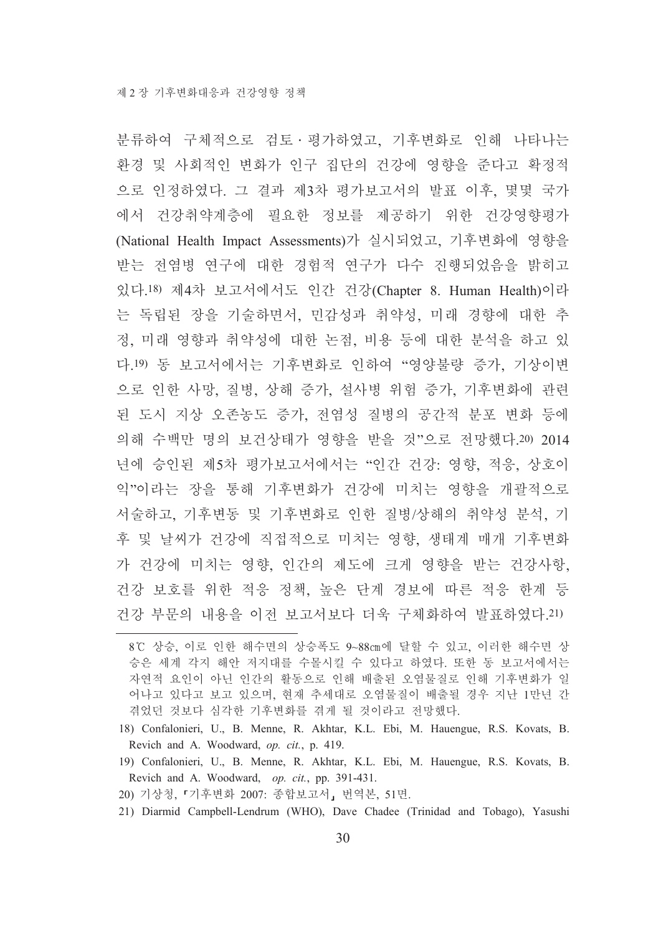분류하여 구체적으로 검토 ·평가하였고, 기후변화로 인해 나타나는 환경 및 사회적인 변화가 인구 집단의 건강에 영향을 준다고 확정적 으로 인정하였다. 그 결과 제3차 평가보고서의 발표 이후. 몇몇 국가 에서 건강취약계층에 필요한 정보를 제공하기 위한 건강영향평가 (National Health Impact Assessments)가 실시되었고, 기후변화에 영향을 받는 전염병 연구에 대한 경험적 연구가 다수 진행되었음을 밝히고 있다.18) 제4차 보고서에서도 인간 건강(Chapter 8. Human Health)이라 는 독립된 장을 기술하면서, 민감성과 취약성, 미래 경향에 대한 추 정, 미래 영향과 취약성에 대한 논점, 비용 등에 대한 분석을 하고 있 다.19) 동 보고서에서는 기후변화로 인하여 "영양불량 증가, 기상이변 으로 인한 사망, 질병, 상해 증가, 설사병 위험 증가, 기후변화에 관련 된 도시 지상 오존농도 증가, 전염성 질병의 공간적 분포 변화 등에 의해 수백만 명의 보건상태가 영향을 받을 것"으로 전망했다.20) 2014 년에 승인된 제5차 평가보고서에서는 "인간 건강: 영향, 적응, 상호이 익"이라는 장을 통해 기후변화가 건강에 미치는 영향을 개괄적으로 서술하고, 기후변동 및 기후변화로 인한 질병/상해의 취약성 분석, 기 후 및 날씨가 건강에 직접적으로 미치는 영향, 생태계 매개 기후변화 가 건강에 미치는 영향, 인간의 제도에 크게 영향을 받는 건강사항, 건강 보호를 위한 적응 정책, 높은 단계 경보에 따른 적응 한계 등 건강 부문의 내용을 이전 보고서보다 더욱 구체화하여 발표하였다. 21)

- 18) Confalonieri, U., B. Menne, R. Akhtar, K.L. Ebi, M. Hauengue, R.S. Kovats, B. Revich and A. Woodward, op. cit., p. 419.
- 19) Confalonieri, U., B. Menne, R. Akhtar, K.L. Ebi, M. Hauengue, R.S. Kovats, B. Revich and A. Woodward, op. cit., pp. 391-431.
- 20) 기상청, 『기후변화 2007: 종합보고서』 번역본, 51면.
- 21) Diarmid Campbell-Lendrum (WHO), Dave Chadee (Trinidad and Tobago), Yasushi

<sup>8℃</sup> 상승, 이로 인한 해수면의 상승폭도 9~88cm에 달할 수 있고, 이러한 해수면 상 승은 세계 각지 해안 저지대를 수몰시킬 수 있다고 하였다. 또한 동 보고서에서는 자연적 요인이 아닌 인간의 활동으로 인해 배출된 오염물질로 인해 기후변화가 일 어나고 있다고 보고 있으며, 현재 추세대로 오염물질이 배출될 경우 지난 1만년 간 겪었던 것보다 심각한 기후변화를 겪게 될 것이라고 전망했다.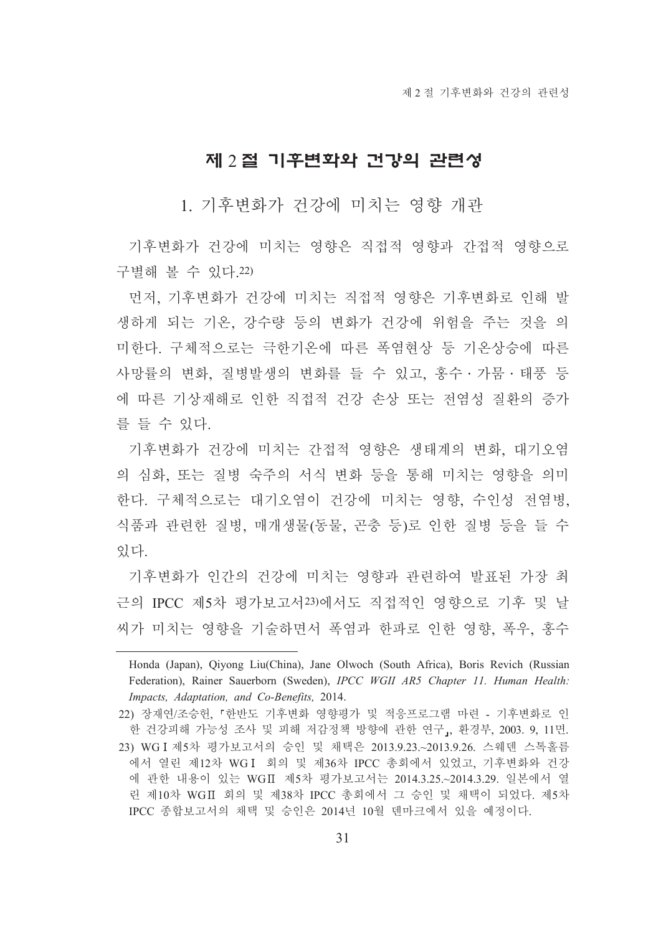#### 제 2절 기후변화와 건강의 관련성

1. 기후변화가 건강에 미치는 영향 개관

기후변화가 건강에 미치는 영향은 직접적 영향과 간접적 영향으로 구별해 볼 수 있다.22)

먼저, 기후변화가 건강에 미치는 직접적 영향은 기후변화로 인해 발 생하게 되는 기온, 강수량 등의 변화가 건강에 위험을 주는 것을 의 미한다. 구체적으로는 극한기온에 따른 폭염현상 등 기온상승에 따른 사망률의 변화, 질병발생의 변화를 들 수 있고, 홍수 · 가뭄 · 태풍 등 에 따른 기상재해로 인한 직접적 건강 손상 또는 전염성 질환의 증가 를 들 수 있다.

기후변화가 건강에 미치는 간접적 영향은 생태계의 변화, 대기오염 의 심화, 또는 질병 숙주의 서식 변화 등을 통해 미치는 영향을 의미 한다. 구체적으로는 대기오염이 건강에 미치는 영향, 수인성 전염병, 식품과 관련한 질병, 매개생물(동물, 곤충 등)로 인한 질병 등을 들 수 있다.

기후변화가 인간의 건강에 미치는 영향과 관련하여 발표된 가장 최 근의 IPCC 제5차 평가보고서23)에서도 직접적인 영향으로 기후 및 날 씨가 미치는 영향을 기술하면서 폭염과 한파로 인한 영향, 폭우, 홍수

Honda (Japan), Qiyong Liu(China), Jane Olwoch (South Africa), Boris Revich (Russian Federation), Rainer Sauerborn (Sweden), IPCC WGII AR5 Chapter 11. Human Health: Impacts, Adaptation, and Co-Benefits, 2014.

<sup>22)</sup> 장재연/조승헌. 『한반도 기후변화 영향평가 및 적응프로그램 마련 - 기후변화로 인 한 건강피해 가능성 조사 및 피해 저감정책 방향에 관한 연구』, 환경부, 2003. 9, 11면. 23) WG I 제5차 평가보고서의 승인 및 채택은 2013.9.23.~2013.9.26. 스웨덴 스톡홀름 에서 열린 제12차 WGI 회의 및 제36차 IPCC 총회에서 있었고, 기후변화와 건강 에 관한 내용이 있는 WGII 제5차 평가보고서는 2014.3.25.~2014.3.29. 일본에서 열 린 제10차 WGII 회의 및 제38차 IPCC 총회에서 그 승인 및 채택이 되었다. 제5차 IPCC 종합보고서의 채택 및 승인은 2014년 10월 덴마크에서 있을 예정이다.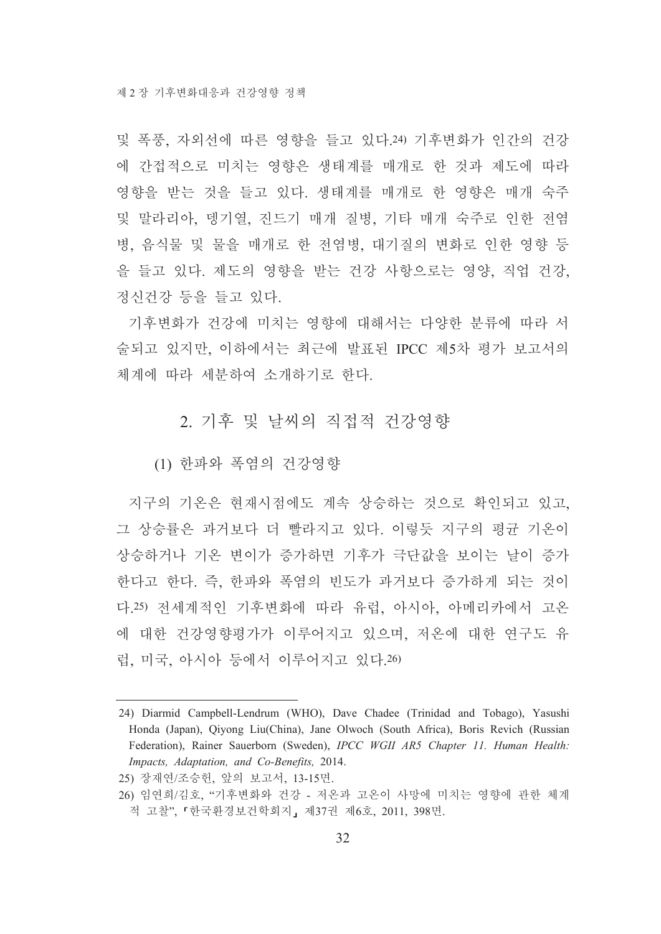및 폭풍, 자외선에 따른 영향을 들고 있다.24) 기후변화가 인간의 건강 에 간접적으로 미치는 영향은 생태계를 매개로 한 것과 제도에 따라 영향을 받는 것을 들고 있다. 생태계를 매개로 한 영향은 매개 숙주 및 말라리아, 뎅기열, 진드기 매개 질병, 기타 매개 숙주로 인한 전염 병, 음식물 및 물을 매개로 한 전염병, 대기질의 변화로 인한 영향 등 을 들고 있다. 제도의 영향을 받는 건강 사항으로는 영양, 직업 건강, 정신건강 등을 들고 있다.

기후변화가 건강에 미치는 영향에 대해서는 다양한 분류에 따라 서 술되고 있지만, 이하에서는 최근에 발표된 IPCC 제5차 평가 보고서의 체계에 따라 세부하여 소개하기로 하다.

#### 2. 기후 및 날씨의 직접적 건강영향

(1) 한파와 폭염의 건강영향

지구의 기온은 현재시점에도 계속 상승하는 것으로 확인되고 있고. 그 상승률은 과거보다 더 빨라지고 있다. 이렇듯 지구의 평규 기온이 상승하거나 기온 변이가 증가하면 기후가 극단값을 보이는 날이 증가 한다고 한다. 즉, 한파와 폭염의 빈도가 과거보다 증가하게 되는 것이 다.25) 전세계적인 기후변화에 따라 유럽, 아시아, 아메리카에서 고온 에 대한 건강영향평가가 이루어지고 있으며, 저온에 대한 연구도 유 럽, 미국, 아시아 등에서 이루어지고 있다.26)

<sup>24)</sup> Diarmid Campbell-Lendrum (WHO), Dave Chadee (Trinidad and Tobago), Yasushi Honda (Japan), Qiyong Liu(China), Jane Olwoch (South Africa), Boris Revich (Russian Federation), Rainer Sauerborn (Sweden), IPCC WGII AR5 Chapter 11. Human Health: Impacts, Adaptation, and Co-Benefits, 2014.

<sup>25)</sup> 장재연/조승헌, 앞의 보고서, 13-15면.

<sup>26)</sup> 임연희/김호. "기후변화와 건강 - 저온과 고온이 사망에 미치는 영향에 관한 체계 적 고찰", 『한국환경보건학회지』 제37권 제6호, 2011, 398면.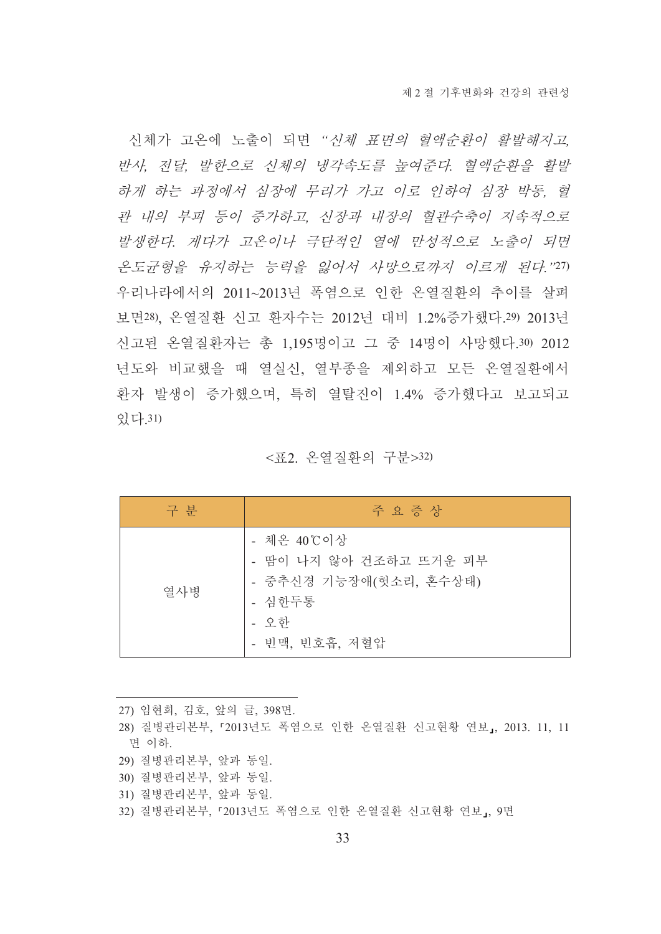신체가 고온에 노출이 되면 "신체 표면의 혈액순환이 활발해지고 반사, 전달, 발한으로 신체의 냉각속도를 높여준다. 혈액순환을 활발 하게 하는 과정에서 심장에 무리가 가고 이로 인하여 심장 박동, 혈 관 내의 부피 등이 증가하고, 신장과 내장의 혈관수축이 지속적으로 발생한다. 게다가 고온이나 극단적인 열에 만성적으로 노출이 되면 온도균형을 유지하는 능력을 잃어서 사망으로까지 이르게 된다."27) 우리나라에서의 2011~2013년 폭염으로 인한 온열질환의 추이를 살펴 보면28), 온열질환 신고 환자수는 2012년 대비 1.2%증가했다.29) 2013년 신고된 온열질환자는 총 1.195명이고 그 중 14명이 사망했다.30) 2012 년도와 비교했을 때 열실신, 열부종을 제외하고 모든 온열질환에서 환자 발생이 증가했으며, 특히 열탈진이 1.4% 증가했다고 보고되고 있다 31)

<퓨2 온열질화의 구분>32)

| 구 분 | 주 요 증 상                                                                                            |
|-----|----------------------------------------------------------------------------------------------------|
| 열사병 | - 체온 40℃이상<br>- 땀이 나지 않아 건조하고 뜨거운 피부<br>- 중추신경 기능장애(헛소리, 혼수상태)<br>- 심한두통<br>- 오한<br>- 빈맥, 빈호흡, 저혈압 |

- 27) 임현희, 김호, 앞의 글, 398면.
- 28) 질병관리본부, 「2013년도 폭염으로 인한 온열질환 신고현황 연보」, 2013. 11, 11 면 이하.
- 29) 질병관리본부, 앞과 동일.
- 30) 질병관리본부, 앞과 동일.
- 31) 질병관리본부, 앞과 동일.
- 32) 질병관리본부, 『2013년도 폭염으로 인한 온열질환 신고현황 연보』, 9면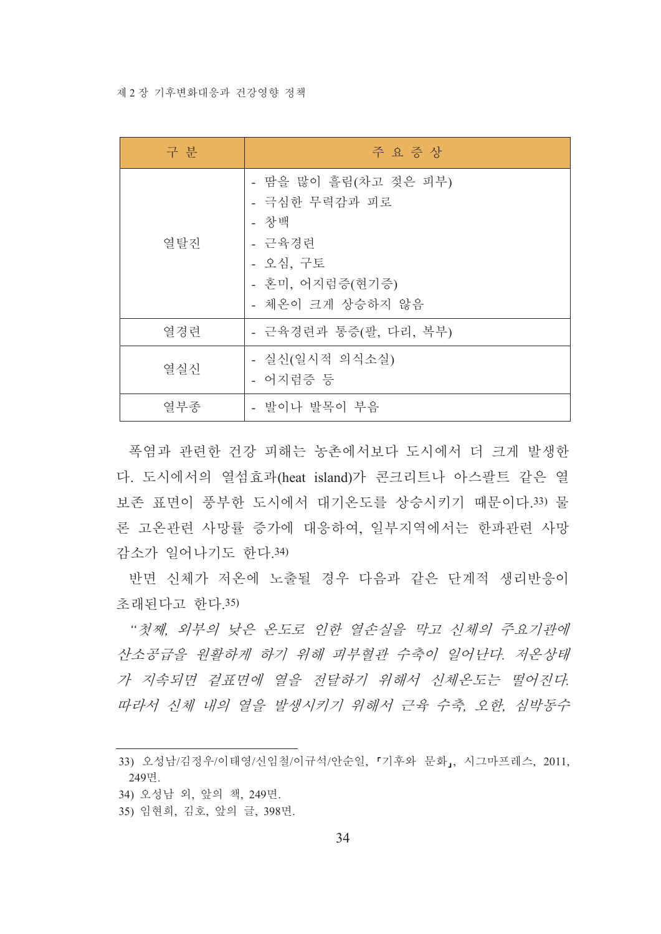#### 제 2장 기후변화대응과 건강영향 정책

| 구 분                 | 주 요 증 상                                                                                                    |  |  |
|---------------------|------------------------------------------------------------------------------------------------------------|--|--|
| 열탈진                 | - 땀을 많이 흘림(차고 젖은 피부)<br>- 극심한 무력감과 피로<br>- 창백<br>- 근육경련<br>- 오심, 구토<br>- 혼미, 어지럼증(현기증)<br>- 체온이 크게 상승하지 않음 |  |  |
| 열경련                 | - 근육경련과 통증(팔, 다리, 복부)                                                                                      |  |  |
| 열실신                 | - 실신(일시적 의식소실)<br>- 어지럼증 등                                                                                 |  |  |
| - 발이나 발목이 부음<br>열부종 |                                                                                                            |  |  |

폭염과 관련한 건강 피해는 농촌에서보다 도시에서 더 크게 발생한 다. 도시에서의 열섬효과(heat island)가 콘크리트나 아스팔트 같은 열 보존 표면이 풍부한 도시에서 대기온도를 상승시키기 때문이다.33) 물 론 고온과려 사망률 증가에 대응하여 일부지역에서는 한파과려 사망 감소가 일어나기도 하다 34)

반면 신체가 저온에 노출될 경우 다음과 같은 단계적 생리반응이 초래된다고 하다 35)

"첫째, 외부의 낮은 온도로 인한 열손실을 막고 신체의 주요기관에 산소공급을 워활하게 하기 위해 피부혈관 수축이 일어난다. 저온상태 가 지속되면 겉표면에 열을 전달하기 위해서 신체온도는 떨어진다. 따라서 신체 내의 열을 발생시키기 위해서 근육 수축 오한, 심박동수

<sup>33)</sup> 오성남/김정우/이태영/신임철/이규석/안순일, 「기후와 문화」, 시그마프레스, 2011, 249면.

<sup>34)</sup> 오성남 외, 앞의 책, 249면.

<sup>35)</sup> 임현희, 김호, 앞의 글, 398면.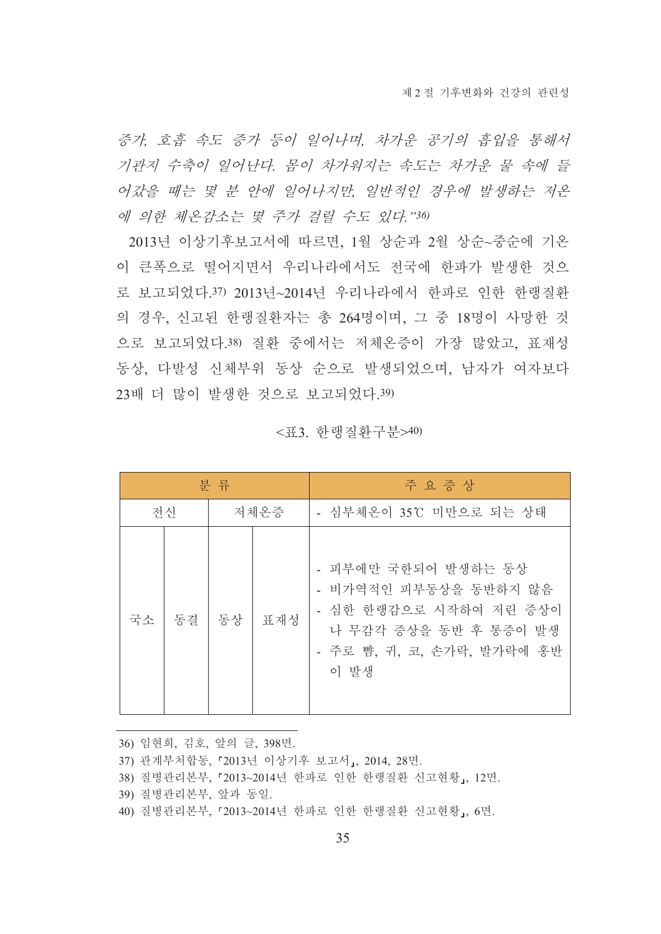증가, 호흡 속도 증가 등이 일어나며, 차가운 공기의 흡입을 통해서 기관지 수축이 일어난다. 몸이 차가워지는 속도는 차가운 물 속에 들 어갔을 때는 몇 분 안에 일어나지만, 일반적인 경우에 발생하는 저온 에 의한 체온감소는 몇 주가 걸릴 수도 있다."36)

2013년 이상기후보고서에 따르면, 1월 상순과 2월 상순~중순에 기온 이 큰폭으로 떨어지면서 우리나라에서도 전국에 한파가 발생한 것으 로 보고되었다.37) 2013년~2014년 우리나라에서 한파로 인한 한랭질환 의 경우, 신고된 한랭질환자는 총 264명이며, 그 중 18명이 사망한 것 으로 보고되었다.38) 질환 중에서는 저체온증이 가장 많았고, 표재성 동상, 다발성 신체부위 동상 순으로 발생되었으며, 남자가 여자보다 23배 더 많이 발생한 것으로 보고되었다.39)

| 분 류 |    |      |     | 주 요 증 상                                                                                                                               |
|-----|----|------|-----|---------------------------------------------------------------------------------------------------------------------------------------|
| 전신  |    | 저체온증 |     | - 심부체온이 35℃ 미만으로 되는 상태                                                                                                                |
| 국소  | 동결 | 동상   | 표재성 | - 피부에만 국한되어 발생하는 동상<br>- 비가역적인 피부동상을 동반하지 않음<br>- 심한 한랭감으로 시작하여 저린 증상이<br>나 무감각 증상을 동반 후 통증이 발생<br>- 주로 뺨, 귀, 코, 손가락, 발가락에 홍반<br>이 발생 |

<퓨3 하랭질화구부>40)

36) 임현희, 김호, 앞의 글, 398면.

37) 관계부처합동, 『2013년 이상기후 보고서』, 2014, 28면.

38) 질병관리본부, 『2013~2014년 한파로 인한 한랭질환 신고현황, 12면.

39) 질병관리본부, 앞과 동일.

40) 질병관리본부, 『2013~2014년 한파로 인한 한랭질환 신고현황』, 6면.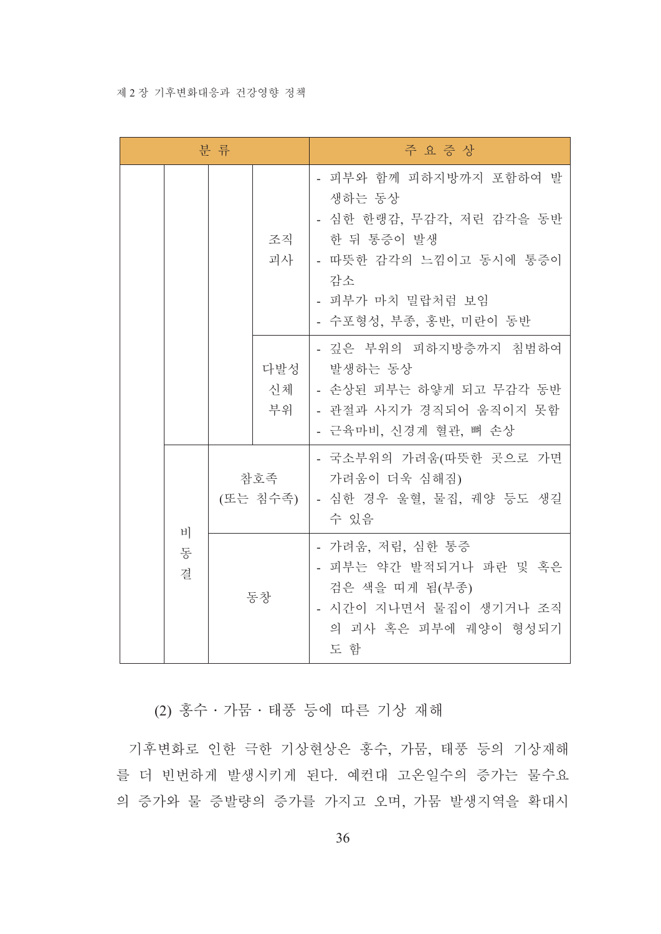#### 제 2 장 기후변화대응과 건강영향 정책

| 분 류 |        |                 |                 | 주 요 증 상                                                                                                                                                  |
|-----|--------|-----------------|-----------------|----------------------------------------------------------------------------------------------------------------------------------------------------------|
|     |        |                 | 조직<br>괴사        | - 피부와 함께 피하지방까지 포함하여 발<br>생하는 동상<br>- 심한 한랭감, 무감각, 저린 감각을 동반<br>한 뒤 통증이 발생<br>- 따뜻한 감각의 느낌이고 동시에 통증이<br>감소<br>- 피부가 마치 밀랍처럼 보임<br>- 수포형성, 부종, 홍반, 미란이 동반 |
|     |        |                 | 다발성<br>신체<br>부위 | - 깊은 부위의 피하지방층까지 침범하여<br>발생하는 동상<br>│ - 손상된 피부는 하얗게 되고 무감각 동반<br>- 관절과 사지가 경직되어 움직이지 못함<br>- 근육마비, 신경계 혈관, 뼈 손상                                          |
|     | 비      | 참호족<br>(또는 침수족) |                 | - 국소부위의 가려움(따뜻한 곳으로 가면<br>가려움이 더욱 심해짐)<br>  - 심한 경우 울혈, 물집, 궤양 등도 생길<br>수 있음                                                                             |
|     | 동<br>결 | 동창              |                 | - 가려움, 저림, 심한 통증<br>- 피부는 약간 발적되거나 파란 및 혹은<br>검은 색을 띠게 됨(부종)<br>- 시간이 지나면서 물집이 생기거나 조직<br>의 괴사 혹은 피부에 궤양이 형성되기<br>도 함                                    |

(2) 홍수 · 가뭄 · 태풍 등에 따른 기상 재해

기후변화로 인한 극한 기상현상은 홍수, 가뭄, 태풍 등의 기상재해 를 더 빈번하게 발생시키게 된다. 예컨대 고온일수의 증가는 물수요 의 증가와 물 증발량의 증가를 가지고 오며, 가뭄 발생지역을 확대시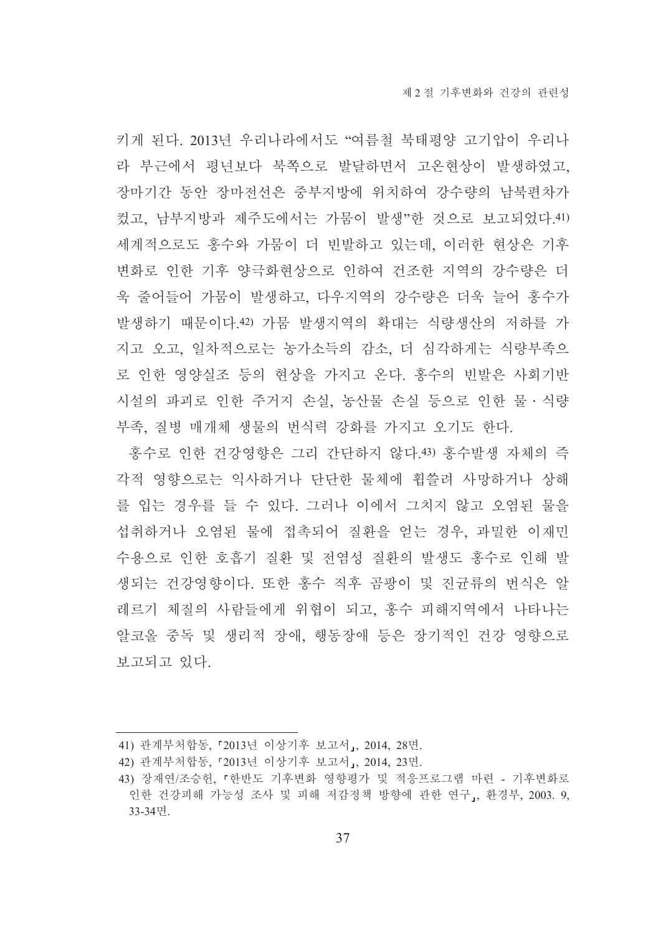키게 된다. 2013년 우리나라에서도 "여름철 북태평양 고기압이 우리나 라 부근에서 평년보다 북쪽으로 발달하면서 고온현상이 발생하였고. 장마기간 동안 장마전선은 중부지방에 위치하여 강수량의 남북편차가 컸고, 남부지방과 제주도에서는 가뭄이 발생"한 것으로 보고되었다. 41) 세계적으로도 홍수와 가뭄이 더 빈발하고 있는데, 이러한 현상은 기후 변화로 인한 기후 양극화현상으로 인하여 건조한 지역의 강수량은 더 욱 줄어들어 가뭄이 발생하고, 다우지역의 강수량은 더욱 늘어 홍수가 발생하기 때문이다.42) 가뭄 발생지역의 확대는 식량생산의 저하를 가 지고 오고, 일차적으로는 농가소득의 감소, 더 심각하게는 식량부족으 로 인한 영양실조 등의 현상을 가지고 온다. 홍수의 빈발은 사회기반 시설의 파괴로 인한 주거지 손실, 농산물 손실 등으로 인한 물ㆍ식량 부족, 질병 매개체 생물의 번식력 강화를 가지고 오기도 한다.

홍수로 인한 건강영향은 그리 간단하지 않다.43) 홍수발생 자체의 즉 각적 영향으로는 익사하거나 단단한 물체에 휩쓸려 사망하거나 상해 를 입는 경우를 들 수 있다. 그러나 이에서 그치지 않고 오염된 물을 섭취하거나 오염된 물에 접촉되어 질화을 얻는 경우. 과밀한 이재민 수용으로 인한 호흡기 질환 및 전염성 질환의 발생도 홍수로 인해 발 생되는 건강영향이다. 또한 홍수 직후 곰팡이 및 진균류의 번식은 알 레르기 체질의 사람들에게 위협이 되고, 홍수 피해지역에서 나타나는 알코올 중독 및 생리적 장애, 행동장애 등은 장기적인 건강 영향으로 보고되고 있다.

<sup>41)</sup> 관계부처합동, 『2013년 이상기후 보고서』, 2014, 28면.

<sup>42)</sup> 관계부처합동, 『2013년 이상기후 보고서』, 2014, 23면.

<sup>43)</sup> 장재연/조승헌, 『한반도 기후변화 영향평가 및 적응프로그램 마련 - 기후변화로 인한 건강피해 가능성 조사 및 피해 저감정책 방향에 관한 연구」, 환경부, 2003. 9, 33-34면.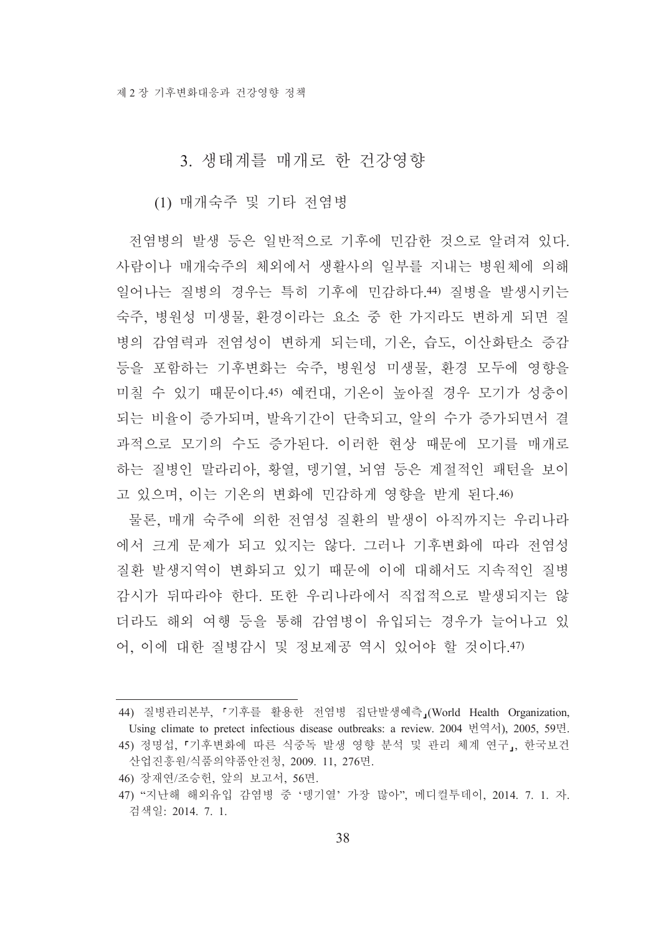#### 3. 생태계를 매개로 한 건강영향

#### (1) 매개숙주 및 기타 전염병

전염병의 발생 등은 일반적으로 기후에 민감한 것으로 알려져 있다. 사람이나 매개숙주의 체외에서 생활사의 일부를 지내는 병원체에 의해 일어나는 질병의 경우는 특히 기후에 민감하다.40 질병을 발생시키는 숙주, 병원성 미생물, 환경이라는 요소 중 한 가지라도 변하게 되면 질 병의 감염력과 전염성이 변하게 되는데, 기온, 습도, 이산화탄소 증감 등을 포함하는 기후변화는 숙주, 병원성 미생물, 환경 모두에 영향을 미칠 수 있기 때문이다.45) 예컨대, 기온이 높아질 경우 모기가 성충이 되는 비율이 증가되며, 발육기간이 단축되고, 알의 수가 증가되면서 결 과적으로 모기의 수도 증가된다. 이러한 현상 때문에 모기를 매개로 하는 질병인 말라리아, 황열, 뎅기열, 뇌염 등은 계절적인 패턴을 보이 고 있으며, 이는 기온의 변화에 민감하게 영향을 받게 된다.46)

물론, 매개 숙주에 의한 전염성 질환의 발생이 아직까지는 우리나라 에서 크게 문제가 되고 있지는 않다. 그러나 기후변화에 따라 전염성 질환 발생지역이 변화되고 있기 때문에 이에 대해서도 지속적인 질병 감시가 뒤따라야 한다. 또한 우리나라에서 직접적으로 발생되지는 않 더라도 해외 여행 등을 통해 감염병이 유입되는 경우가 늘어나고 있 어, 이에 대한 질병감시 및 정보제공 역시 있어야 할 것이다.47)

46) 장재연/조승헌, 앞의 보고서, 56면.

<sup>44)</sup> 질병관리본부, 『기후를 활용한 전염병 집단발생예측』(World Health Organization, Using climate to pretect infectious disease outbreaks: a review. 2004 번역서), 2005, 59면.

<sup>45)</sup> 정명섭, 『기후변화에 따른 식중독 발생 영향 분석 및 관리 체계 연구』, 한국보건 산업진흥워/식품의약품안전청, 2009, 11, 276면,

<sup>47) &</sup>quot;지난해 해외유입 감염병 중 '뎅기열' 가장 많아", 메디컬투데이, 2014. 7. 1. 자. 검색일: 2014. 7. 1.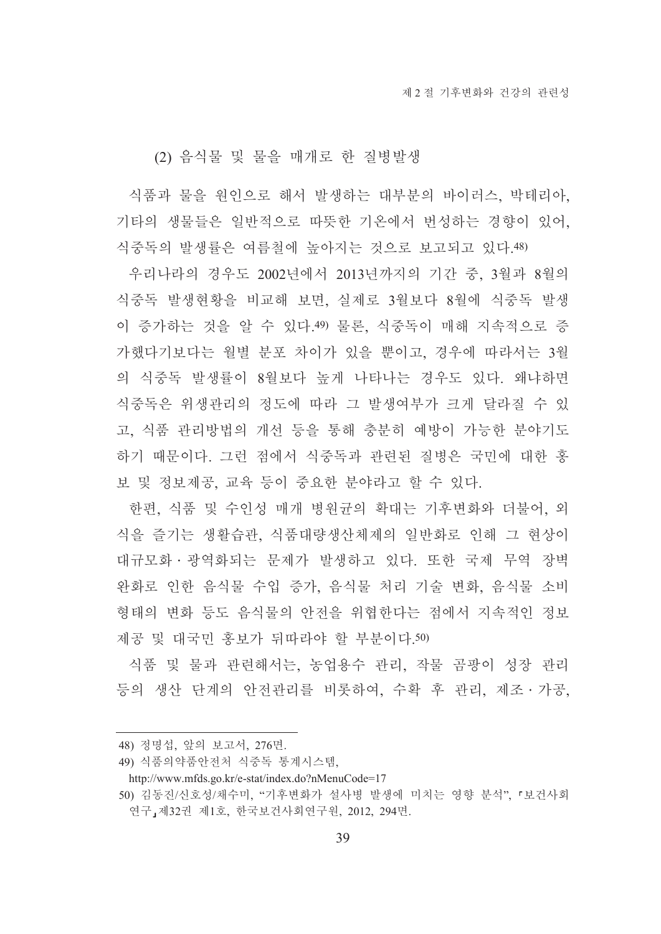#### (2) 음식물 및 물을 매개로 한 질병발생

식품과 물을 원인으로 해서 발생하는 대부분의 바이러스, 박테리아, 기타의 생물들은 일반적으로 따뜻한 기온에서 번성하는 경향이 있어. 식중독의 발생률은 여름철에 높아지는 것으로 보고되고 있다.48)

우리나라의 경우도 2002년에서 2013년까지의 기간 중, 3월과 8월의 식중독 발생현황을 비교해 보면, 실제로 3월보다 8월에 식중독 발생 이 증가하는 것을 알 수 있다.49) 물론, 식중독이 매해 지속적으로 증 가했다기보다는 월별 분포 차이가 있을 뿐이고, 경우에 따라서는 3월 의 식중독 발생률이 8월보다 높게 나타나는 경우도 있다. 왜냐하면 식중독은 위생관리의 정도에 따라 그 발생여부가 크게 달라질 수 있 고, 식품 관리방법의 개선 등을 통해 충분히 예방이 가능한 분야기도 하기 때문이다. 그런 점에서 식중독과 관련된 질병은 국민에 대한 홍 보 및 정보제공, 교육 등이 중요한 분야라고 할 수 있다.

한편, 식품 및 수인성 매개 병원균의 확대는 기후변화와 더불어, 외 식을 즐기는 생활습관. 식품대량생산체제의 일반화로 인해 그 현상이 대규모화 · 광역화되는 문제가 발생하고 있다. 또한 국제 무역 장벽 완화로 인한 음식물 수입 증가, 음식물 처리 기술 변화, 음식물 소비 형태의 변화 등도 음식물의 안전을 위협한다는 점에서 지속적인 정보 제공 및 대국민 홍보가 뒤따라야 할 부분이다.50)

식품 및 물과 관련해서는, 농업용수 관리, 작물 곰팡이 성장 관리 등의 생산 단계의 안전관리를 비롯하여, 수확 후 관리, 제조 · 가공,

<sup>48)</sup> 정명섭, 앞의 보고서, 276면.

<sup>49)</sup> 식품의약품안전처 식중독 통계시스템.

http://www.mfds.go.kr/e-stat/index.do?nMenuCode=17

<sup>50)</sup> 김동진/신호성/채수미, "기후변화가 설사병 발생에 미치는 영향 분석", 「보건사회 연구, 제32권 제1호, 한국보건사회연구원, 2012, 294면.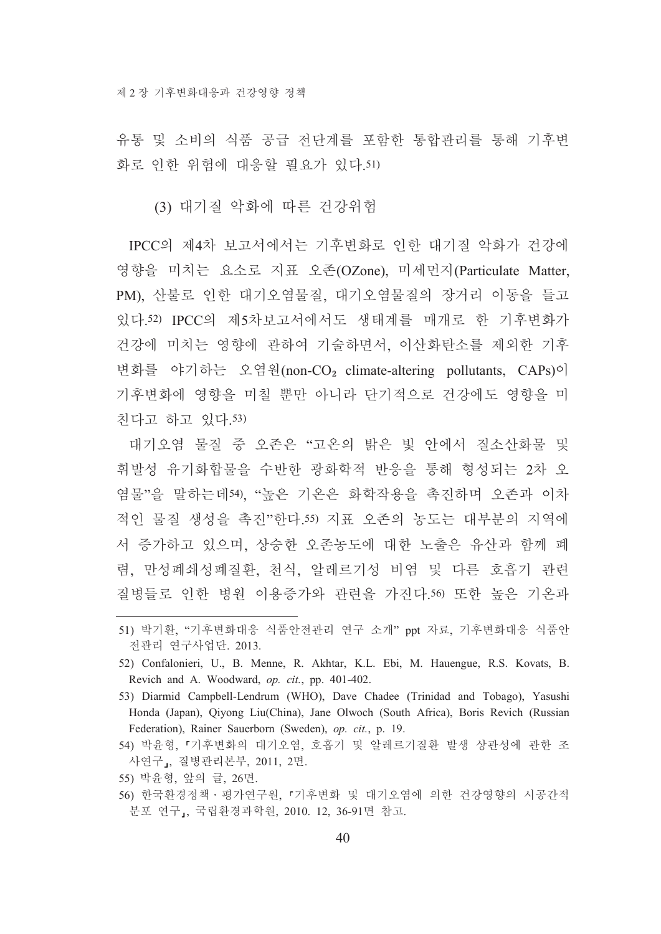유통 및 소비의 식품 공급 전단계를 포함한 통합관리를 통해 기후변 화로 인한 위험에 대응할 필요가 있다.51)

(3) 대기질 악화에 따른 건강위험

IPCC의 제4차 보고서에서는 기후변화로 인한 대기질 악화가 건강에 영향을 미치는 요소로 지표 오존(OZone), 미세먼지(Particulate Matter, PM). 산불로 인한 대기오염물질. 대기오염물질의 장거리 이동을 들고 있다.52) IPCC의 제5차보고서에서도 생태계를 매개로 한 기후변화가 건강에 미치는 영향에 관하여 기술하면서, 이산화탄소를 제외한 기후 변화를 야기하는 오염원(non-CO<sub>2</sub> climate-altering pollutants, CAPs)이 기후변화에 영향을 미칠 뿐만 아니라 단기적으로 건강에도 영향을 미 친다고 하고 있다.53)

대기오염 물질 중 오존은 "고온의 밝은 빛 안에서 질소산화물 및 휘발성 유기화합물을 수반한 광화학적 반응을 통해 형성되는 2차 오 염물"을 말하는데54). "높은 기온은 화학작용을 촉진하며 오존과 이차 적인 물질 생성을 촉진"한다.55) 지표 오존의 농도는 대부분의 지역에 서 증가하고 있으며, 상승한 오존농도에 대한 노출은 유산과 함께 폐 렴, 만성폐쇄성폐질환, 천식, 알레르기성 비염 및 다른 호흡기 관련 질병들로 인한 병원 이용증가와 관련을 가진다.50 또한 높은 기온과

- 52) Confalonieri, U., B. Menne, R. Akhtar, K.L. Ebi, M. Hauengue, R.S. Kovats, B. Revich and A. Woodward, op. cit., pp. 401-402.
- 53) Diarmid Campbell-Lendrum (WHO), Dave Chadee (Trinidad and Tobago), Yasushi Honda (Japan), Oivong Liu(China), Jane Olwoch (South Africa), Boris Revich (Russian Federation), Rainer Sauerborn (Sweden), op. cit., p. 19.
- 54) 박윤형, 『기후변화의 대기오염, 호흡기 및 알레르기질환 발생 상관성에 관한 조 사연구, 질병관리본부, 2011, 2면,
- 55) 박윤형, 앞의 글, 26면.
- 56) 한국환경정책 · 평가연구원, 『기후변화 및 대기오염에 의한 건강영향의 시공간적 분포 연구」, 국립환경과학원, 2010. 12, 36-91면 참고.

<sup>51)</sup> 박기환, "기후변화대응 식품안전관리 연구 소개" ppt 자료, 기후변화대응 식품안 전관리 연구사업단. 2013.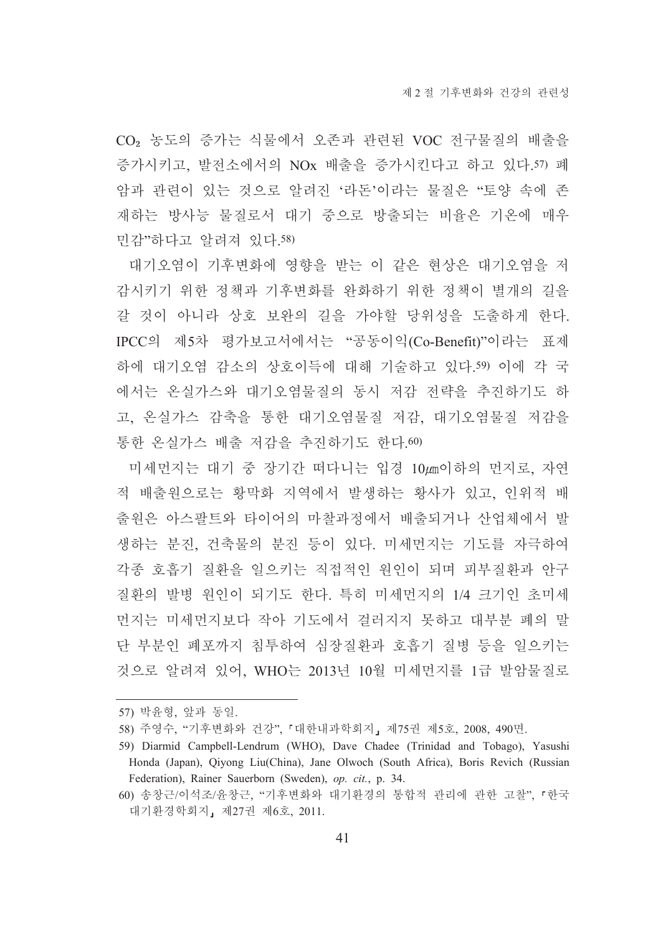CO<sub>2</sub> 농도의 증가는 식물에서 오존과 관련된 VOC 전구물질의 배출을 증가시키고, 발전소에서의 NOx 배출을 증가시킨다고 하고 있다.57) 폐 암과 관련이 있는 것으로 알려진 '라돈'이라는 물질은 "토양 속에 존 재하는 방사능 물질로서 대기 중으로 방출되는 비율은 기온에 매우 민감"하다고 알려져 있다.58)

대기오염이 기후변화에 영향을 받는 이 같은 현상은 대기오염을 저 감시키기 위한 정책과 기후변화를 완화하기 위한 정책이 별개의 길을 갈 것이 아니라 상호 보완의 길을 가야할 당위성을 도출하게 한다. IPCC의 제5차 평가보고서에서는 "공동이익(Co-Benefit)"이라는 표제 하에 대기오염 감소의 상호이득에 대해 기술하고 있다.59) 이에 각 국 에서는 온실가스와 대기오염물질의 동시 저감 전략을 추진하기도 하 고, 온실가스 감축을 통한 대기오염물질 저감, 대기오염물질 저감을 통한 온실가스 배출 저감을 추진하기도 한다.60)

미세먼지는 대기 중 장기간 떠다니는 입경 10*u*m이하의 먼지로, 자연 적 배출워으로는 황막화 지역에서 발생하는 황사가 있고, 인위적 배 출원은 아스팔트와 타이어의 마찰과정에서 배출되거나 산업체에서 발 생하는 분진, 건축물의 분진 등이 있다. 미세먼지는 기도를 자극하여 각종 호흡기 질환을 일으키는 직접적인 원인이 되며 피부질환과 안구 질환의 발병 원인이 되기도 한다. 특히 미세먼지의 1/4 크기인 초미세 먼지는 미세먼지보다 작아 기도에서 걸러지지 못하고 대부분 폐의 말 단 부분인 폐포까지 침투하여 심장질환과 호흡기 질병 등을 일으키는 것으로 알려져 있어. WHO는 2013년 10월 미세먼지를 1급 발암물질로

<sup>57)</sup> 박윤형, 앞과 동일.

<sup>58)</sup> 주영수, "기후변화와 건강", 『대한내과학회지』 제75권 제5호, 2008, 490면.

<sup>59)</sup> Diarmid Campbell-Lendrum (WHO), Dave Chadee (Trinidad and Tobago), Yasushi Honda (Japan), Qiyong Liu(China), Jane Olwoch (South Africa), Boris Revich (Russian Federation), Rainer Sauerborn (Sweden), op. cit., p. 34.

<sup>60)</sup> 송창근/이석조/유창근, "기후변화와 대기환경의 통합적 관리에 관한 고찰", 『한국 대기환경학회지, 제27권 제6호, 2011.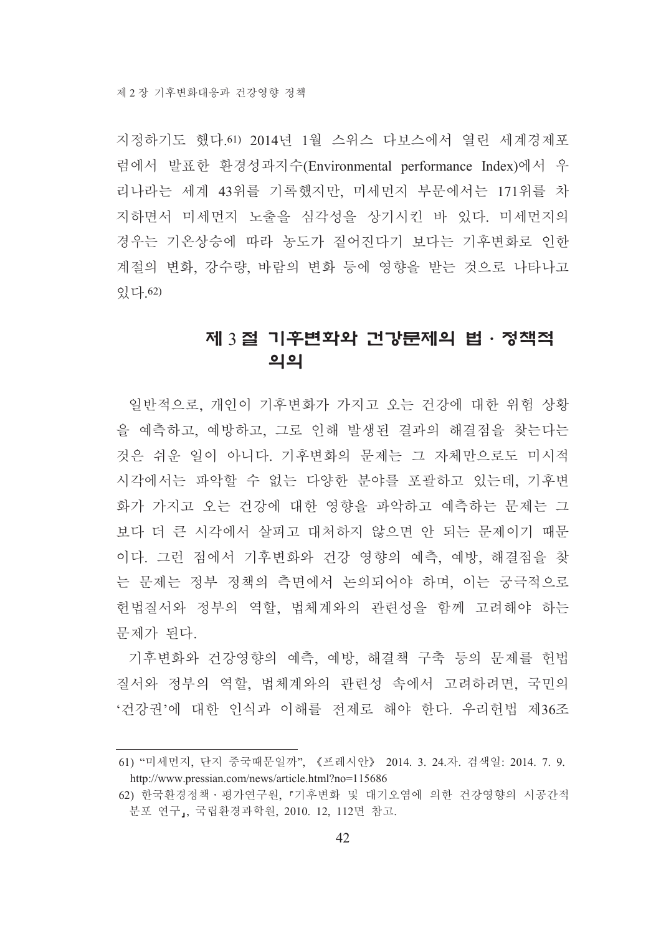지정하기도 했다. 61) 2014년 1월 스위스 다보스에서 열린 세계경제포 럼에서 발표한 환경성과지수(Environmental performance Index)에서 우 리나라는 세계 43위를 기록했지만, 미세먼지 부문에서는 171위를 차 지하면서 미세먼지 노출을 심각성을 상기시킨 바 있다. 미세먼지의 경우는 기온상승에 따라 농도가 짙어진다기 보다는 기후변화로 인한 계절의 변화, 강수량, 바람의 변화 등에 영향을 받는 것으로 나타나고 있다. 62)

## 제 3 절 기후변화와 건강문제의 법·정책적 의의

일반적으로, 개인이 기후변화가 가지고 오는 건강에 대한 위험 상황 을 예측하고, 예방하고, 그로 인해 발생된 결과의 해결점을 찾는다는 것은 쉬운 일이 아니다. 기후변화의 문제는 그 자체만으로도 미시적 시각에서는 파악할 수 없는 다양한 부야를 포괄하고 있는데. 기후변 화가 가지고 오는 거강에 대한 영향을 파악하고 예측하는 문제는 그 보다 더 큰 시각에서 살피고 대처하지 않으면 안 되는 문제이기 때문 이다. 그런 점에서 기후변화와 건강 영향의 예측, 예방, 해결점을 찾 는 문제는 정부 정책의 측면에서 논의되어야 하며, 이는 궁극적으로 헌법질서와 정부의 역할, 법체계와의 관련성을 함께 고려해야 하는 문제가 된다.

기후변화와 건강영향의 예측, 예방, 해결책 구축 등의 문제를 헌법 질서와 정부의 역할, 법체계와의 관련성 속에서 고려하려면, 국민의 '건강권'에 대한 인식과 이해를 전제로 해야 한다. 우리헌법 제36조

<sup>61) &</sup>quot;미세먼지, 단지 중국때문일까", 《프레시안》 2014. 3. 24.자. 검색일: 2014. 7. 9. http://www.pressian.com/news/article.html?no=115686

<sup>62)</sup> 한국환경정책 · 평가연구원, 『기후변화 및 대기오염에 의한 건강영향의 시공간적 분포 연구」, 국립환경과학원, 2010. 12, 112면 참고.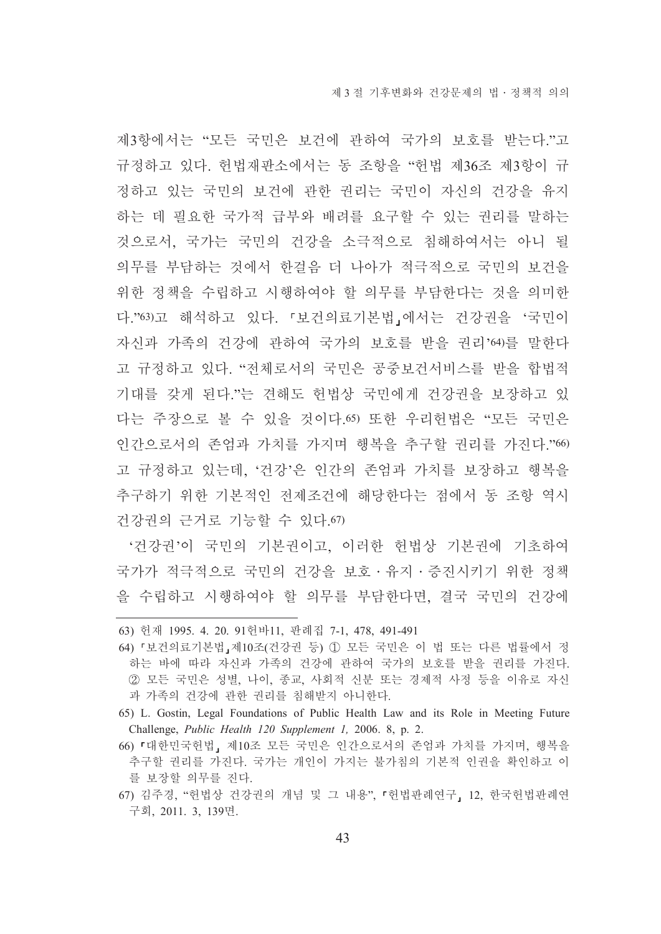제3항에서는 "모든 국민은 보건에 관하여 국가의 보호를 받는다."고 규정하고 있다. 헌법재판소에서는 동 조항을 "헌법 제36조 제3항이 규 정하고 있는 국민의 보건에 관한 권리는 국민이 자신의 건강을 유지 하는 데 필요한 국가적 급부와 배려를 요구할 수 있는 권리를 말하는 것으로서, 국가는 국민의 건강을 소극적으로 침해하여서는 아니 될 의무를 부담하는 것에서 한걸음 더 나아가 적극적으로 국민의 보건을 위한 정책을 수립하고 시행하여야 할 의무를 부담한다는 것을 의미한 다."63)고 해석하고 있다. 「보건의료기본법」에서는 건강권을'국민이 자신과 가족의 건강에 관하여 국가의 보호를 받을 권리'64)를 말한다 고 규정하고 있다. "전체로서의 국민은 공중보건서비스를 받을 합법적 기대를 갖게 된다."는 견해도 헌법상 국민에게 건강권을 보장하고 있 다는 주장으로 볼 수 있을 것이다 65) 또한 우리허법은 "모든 국민은 인간으로서의 존엄과 가치를 가지며 행복을 추구할 권리를 가지다."66) 고 규정하고 있는데. '건강'은 인간의 존엄과 가치를 보장하고 행복을 추구하기 위한 기본적인 전제조건에 해당한다는 점에서 동 조항 역시 건강권의 근거로 기능할 수 있다.67)

'건강권'이 국민의 기본권이고, 이러한 헌법상 기본권에 기초하여 국가가 적극적으로 국민의 건강을 보호 · 유지 · 증진시키기 위한 정책 을 수립하고 시행하여야 할 의무를 부담한다면, 결국 국민의 건강에

<sup>63)</sup> 헌재 1995. 4. 20. 91헌바11, 판례집 7-1, 478, 491-491

<sup>64) 『</sup>보건의료기본법』제10조(건강권 등) ① 모든 국민은 이 법 또는 다른 법률에서 정 하는 바에 따라 자신과 가족의 건강에 관하여 국가의 보호를 받을 권리를 가진다. ② 모든 국민은 성별, 나이, 종교, 사회적 신분 또는 경제적 사정 등을 이유로 자신 과 가족의 건강에 관한 권리를 침해받지 아니한다.

<sup>65)</sup> L. Gostin, Legal Foundations of Public Health Law and its Role in Meeting Future Challenge, Public Health 120 Supplement 1, 2006. 8, p. 2.

<sup>66) 「</sup>대한민국헌법」 제10조 모든 국민은 인간으로서의 존엄과 가치를 가지며, 행복을 추구할 권리를 가진다. 국가는 개인이 가지는 불가침의 기본적 인권을 확인하고 이 를 보장할 의무를 진다.

<sup>67)</sup> 김주경, "헌법상 건강권의 개념 및 그 내용", 『헌법판례연구, 12, 한국헌법판례연 구회, 2011. 3, 139면.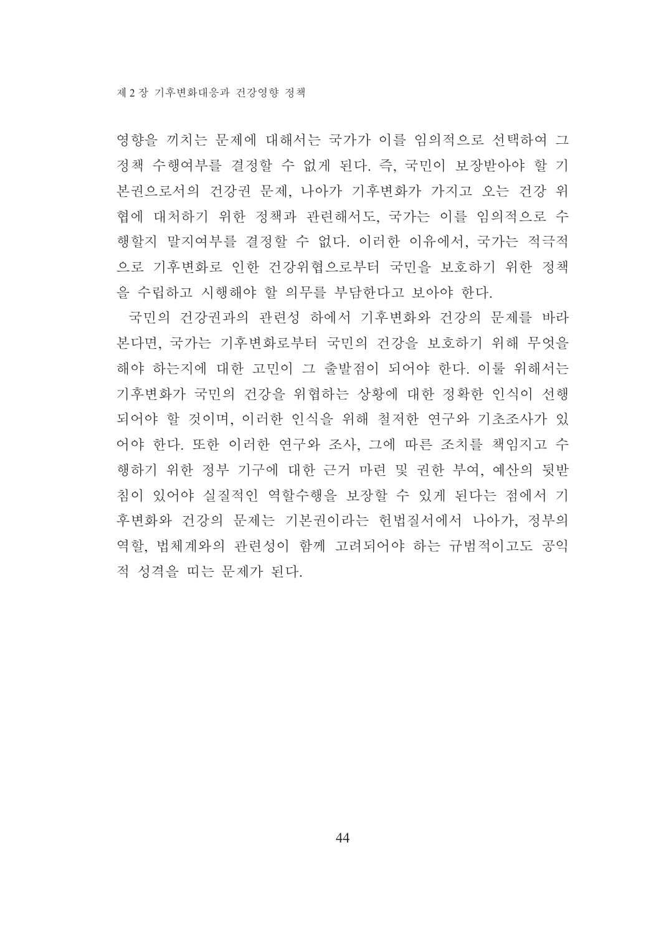영향을 끼치는 문제에 대해서는 국가가 이를 임의적으로 선택하여 그 정책 수행여부를 결정할 수 없게 된다. 즉, 국민이 보장받아야 할 기 본권으로서의 건강권 문제, 나아가 기후변화가 가지고 오는 건강 위 협에 대처하기 위한 정책과 관련해서도, 국가는 이를 임의적으로 수 행할지 말지여부를 결정할 수 없다. 이러한 이유에서, 국가는 적극적 으로 기후변화로 인한 건강위협으로부터 국민을 보호하기 위한 정책 을 수립하고 시행해야 할 의무를 부담한다고 보아야 한다.

국민의 건강권과의 관련성 하에서 기후변화와 건강의 문제를 바라 본다면, 국가는 기후변화로부터 국민의 건강을 보호하기 위해 무엇을 해야 하는지에 대한 고민이 그 출발점이 되어야 한다. 이룰 위해서는 기후변화가 국민의 건강을 위협하는 상황에 대한 정확한 인식이 선행 되어야 할 것이며, 이러한 인식을 위해 철저한 연구와 기초조사가 있 어야 한다. 또한 이러한 연구와 조사, 그에 따른 조치를 책임지고 수 행하기 위한 정부 기구에 대한 근거 마련 및 권한 부여, 예산의 뒷받 침이 있어야 실질적인 역할수행을 보장할 수 있게 된다는 점에서 기 후변화와 건강의 문제는 기본권이라는 헌법질서에서 나아가. 정부의 역할, 법체계와의 관련성이 함께 고려되어야 하는 규범적이고도 공익 적 성격을 띠는 문제가 된다.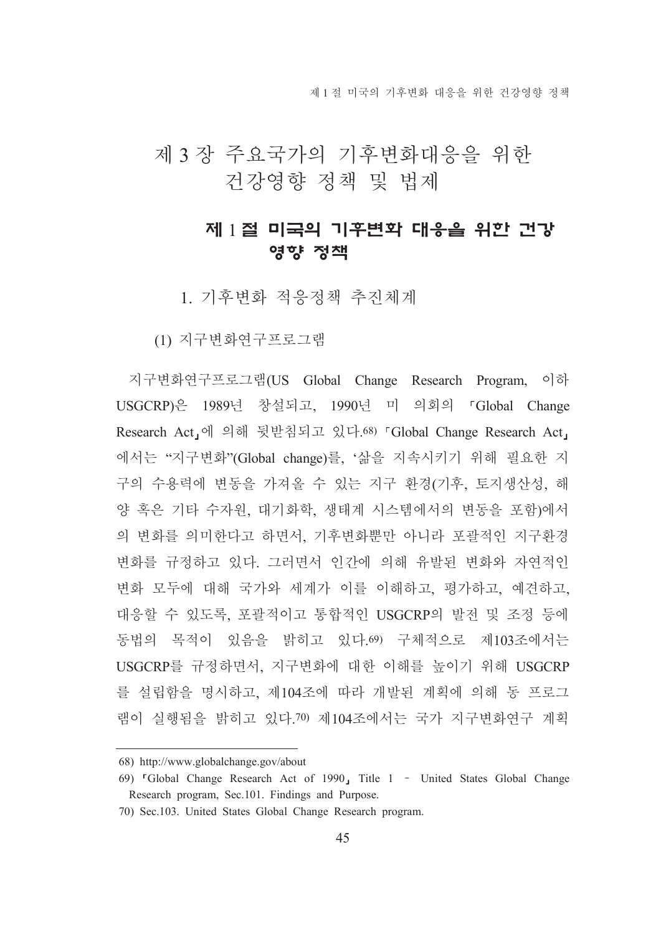제 1 절 미국의 기후변화 대응을 위하 거강영향 정책

# 제 3 장 주요국가의 기후변화대응을 위한 건강영향 정책 및 법제

# 제 1절 미국의 기후변화 대응을 위한 건강 영향 정책

1 기후변화 적응정책 추진체계

(1) 지구변화연구프로그램

지구변화연구프로그램(US Global Change Research Program, 이하 USGCRP)은 1989년 창설되고, 1990년 미 의회의 「Global Change Research Act」에 의해 뒷받침되고 있다.<sup>68)</sup> 「Global Change Research Act」 에서는 "지구변화"(Global change)를, '삶을 지속시키기 위해 필요한 지 구의 수용력에 변동을 가져올 수 있는 지구 환경(기후, 토지생산성, 해 양 혹은 기타 수자원, 대기화학, 생태계 시스템에서의 변동을 포함)에서 의 변화를 의미한다고 하면서, 기후변화뿐만 아니라 포괄적인 지구환경 변화를 규정하고 있다. 그러면서 인간에 의해 유발된 변화와 자연적인 변화 모두에 대해 국가와 세계가 이를 이해하고, 평가하고, 예견하고, 대응할 수 있도록, 포괄적이고 통합적인 USGCRP의 발전 및 조정 등에 동법의 목적이 있음을 밝히고 있다.69) 구체적으로 제103조에서는 USGCRP를 규정하면서, 지구변화에 대한 이해를 높이기 위해 USGCRP 를 설립함을 명시하고, 제104조에 따라 개발된 계획에 의해 동 프로그 램이 실행됨을 밝히고 있다.70) 제104조에서는 국가 지구변화여구 계획

<sup>68)</sup> http://www.globalchange.gov/about

<sup>69) &</sup>lt;sup>r</sup>Global Change Research Act of 1990, Title 1 - United States Global Change Research program, Sec.101. Findings and Purpose.

<sup>70)</sup> Sec.103. United States Global Change Research program.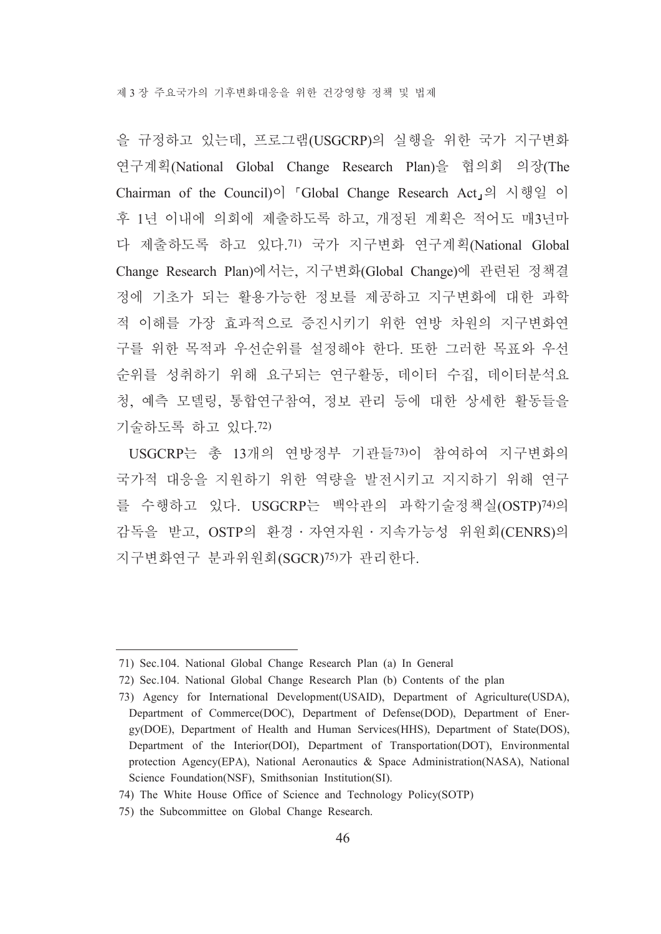을 규정하고 있는데, 프로그램(USGCRP)의 실행을 위한 국가 지구변화 연구계획(National Global Change Research Plan)을 협의회 의장(The Chairman of the Council)이 「Global Change Research Act」의 시행일 이 후 1년 이내에 의회에 제출하도록 하고, 개정된 계획은 적어도 매3년마 다 제출하도록 하고 있다.71) 국가 지구변화 연구계획(National Global Change Research Plan)에서는, 지구변화(Global Change)에 관련된 정책결 정에 기초가 되는 활용가능한 정보를 제공하고 지구변화에 대한 과학 적 이해를 가장 효과적으로 증진시키기 위한 여방 차워의 지구변화여 구를 위한 목적과 우선순위를 설정해야 한다. 또한 그러한 목표와 우선 순위를 성취하기 위해 요구되는 연구활동, 데이터 수집, 데이터분석요 청, 예측 모델링, 통합연구참여, 정보 관리 등에 대한 상세한 활동들을 기술하도록 하고 있다. 72)

USGCRP는 총 13개의 연방정부 기관들73)이 참여하여 지구변화의 국가적 대응을 지워하기 위한 역량을 발전시키고 지지하기 위해 여구 를 수행하고 있다. USGCRP는 백악관의 과학기술정책실(OSTP)74)의 감독을 받고, OSTP의 환경 · 자연자원 · 지속가능성 위원회(CENRS)의 지구변화연구 분과위원회(SGCR)<sup>75)</sup>가 관리한다.

<sup>71)</sup> Sec.104. National Global Change Research Plan (a) In General

<sup>72)</sup> Sec.104. National Global Change Research Plan (b) Contents of the plan

<sup>73)</sup> Agency for International Development(USAID), Department of Agriculture(USDA), Department of Commerce(DOC), Department of Defense(DOD), Department of Energy(DOE), Department of Health and Human Services(HHS), Department of State(DOS), Department of the Interior(DOI), Department of Transportation(DOT), Environmental protection Agency(EPA), National Aeronautics & Space Administration(NASA), National Science Foundation(NSF), Smithsonian Institution(SI).

<sup>74)</sup> The White House Office of Science and Technology Policy(SOTP)

<sup>75)</sup> the Subcommittee on Global Change Research.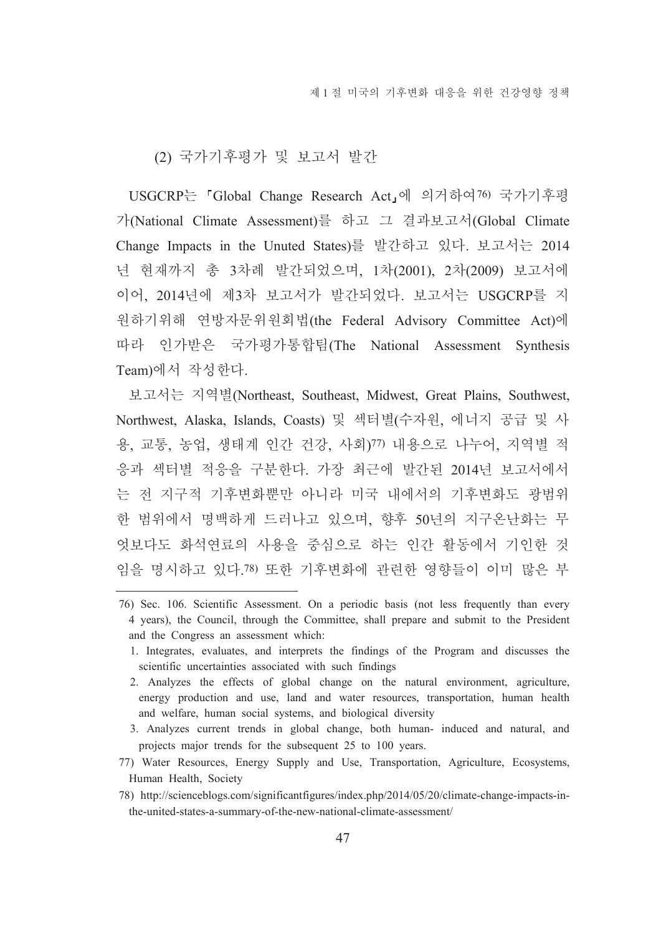#### (2) 국가기후평가 및 보고서 발간

USGCRP는 「Global Change Research Act」에 의거하여76) 국가기후평 가(National Climate Assessment)를 하고 그 결과보고서(Global Climate Change Impacts in the Unuted States)를 발간하고 있다. 보고서는 2014 년 현재까지 총 3차례 발간되었으며, 1차(2001), 2차(2009) 보고서에 이어, 2014년에 제3차 보고서가 발간되었다. 보고서는 USGCRP를 지 원하기위해 연방자문위원회법(the Federal Advisory Committee Act)에 따라 인가받은 국가평가통합팀(The National Assessment Synthesis Team)에서 작성한다.

보고서는 지역별(Northeast, Southeast, Midwest, Great Plains, Southwest, Northwest, Alaska, Islands, Coasts) 및 섹터별(수자원, 에너지 공급 및 사 용, 교통, 농업, 생태계 인간 건강, 사회)77) 내용으로 나누어, 지역별 적 응과 섹터별 적응을 구부하다. 가장 최근에 발간된 2014년 보고서에서 는 전 지구적 기후변화뿐만 아니라 미국 내에서의 기후변화도 광범위 한 범위에서 명백하게 드러나고 있으며, 향후 50년의 지구온난화는 무 엇보다도 화석여료의 사용을 중심으로 하는 인간 활동에서 기인한 것 임을 명시하고 있다. 78) 또한 기후변화에 관련한 영향들이 이미 많은 부

<sup>76)</sup> Sec. 106. Scientific Assessment. On a periodic basis (not less frequently than every 4 years), the Council, through the Committee, shall prepare and submit to the President and the Congress an assessment which:

<sup>1.</sup> Integrates, evaluates, and interprets the findings of the Program and discusses the scientific uncertainties associated with such findings

<sup>2.</sup> Analyzes the effects of global change on the natural environment, agriculture, energy production and use, land and water resources, transportation, human health and welfare, human social systems, and biological diversity

<sup>3.</sup> Analyzes current trends in global change, both human- induced and natural, and projects major trends for the subsequent 25 to 100 years.

<sup>77)</sup> Water Resources, Energy Supply and Use, Transportation, Agriculture, Ecosystems, Human Health, Society

<sup>78)</sup> http://scienceblogs.com/significantfigures/index.php/2014/05/20/climate-change-impacts-inthe-united-states-a-summary-of-the-new-national-climate-assessment/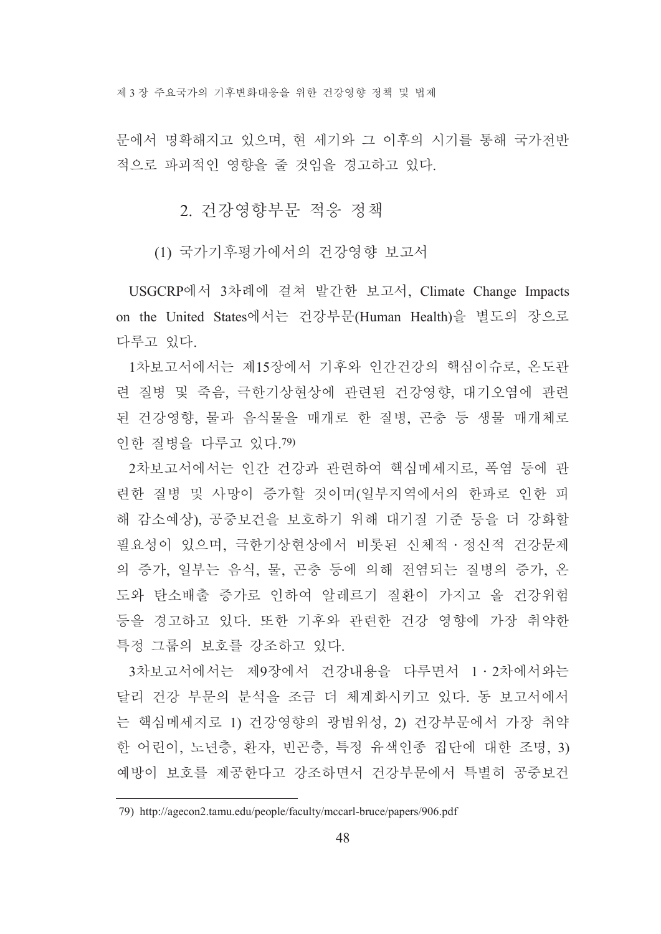제 3 장 주요국가의 기후변화대응을 위한 건강영향 정책 및 법제

문에서 명확해지고 있으며, 현 세기와 그 이후의 시기를 통해 국가전반 적으로 파괴적인 영향을 줄 것임을 경고하고 있다.

### 2. 건강영향부문 적응 정책

(1) 국가기후평가에서의 건강영향 보고서

USGCRP에서 3차례에 걸쳐 발간한 보고서, Climate Change Impacts on the United States에서는 건강부문(Human Health)을 별도의 장으로 다루고 있다.

1차보고서에서는 제15장에서 기후와 인간건강의 핵심이슈로, 온도관 런 질병 및 죽음, 극한기상현상에 관련된 건강영향, 대기오염에 관련 된 건강영향, 물과 음식물을 매개로 한 질병, 곤충 등 생물 매개체로 인한 질병을 다루고 있다. 79)

2차보고서에서는 인간 건강과 관련하여 핵심메세지로, 폭염 등에 관 련한 질병 및 사망이 증가할 것이며(일부지역에서의 한파로 인한 피 해 감소예상), 공중보건을 보호하기 위해 대기질 기준 등을 더 강화할 필요성이 있으며, 극한기상현상에서 비롯된 신체적 · 정신적 건강문제 의 증가, 일부는 음식, 물, 곤충 등에 의해 전염되는 질병의 증가, 온 도와 탄소배출 증가로 인하여 알레르기 질환이 가지고 올 건강위험 등을 경고하고 있다. 또한 기후와 관련한 건강 영향에 가장 취약한 특정 그룹의 보호를 강조하고 있다.

3차보고서에서는 제9장에서 건강내용을 다루면서 1·2차에서와는 달리 건강 부문의 분석을 조금 더 체계화시키고 있다. 동 보고서에서 는 핵심메세지로 1) 건강영향의 광범위성, 2) 건강부문에서 가장 취약 한 어린이, 노년층, 환자, 빈곤층, 특정 유색인종 집단에 대한 조명, 3) 예방이 보호를 제공한다고 강조하면서 건강부문에서 특별히 공중보건

<sup>79)</sup> http://agecon2.tamu.edu/people/faculty/mccarl-bruce/papers/906.pdf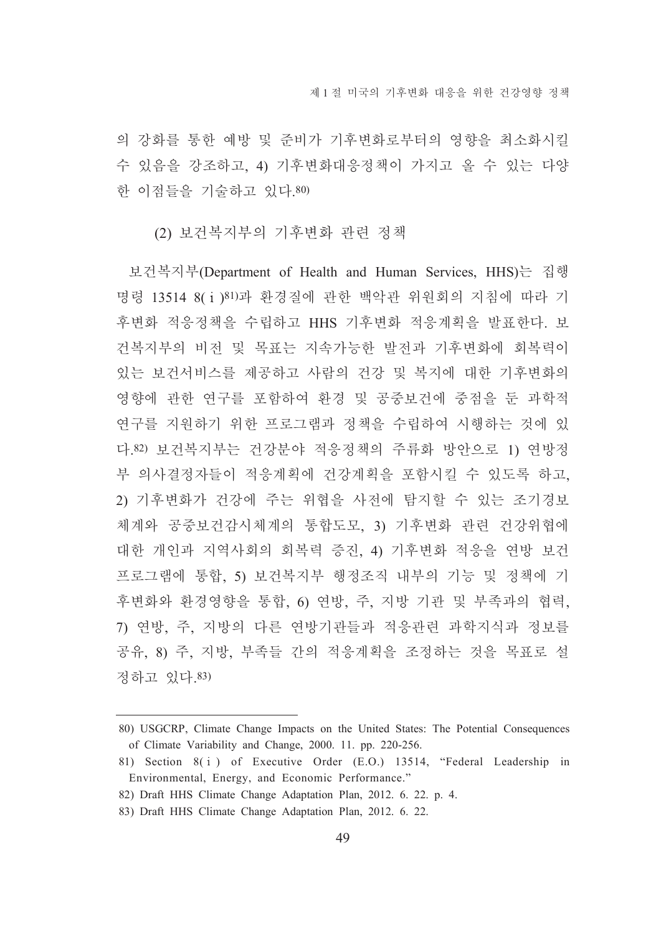의 강화를 통한 예방 및 주비가 기후변화로부터의 영향을 최소화시킬 수 있음을 강조하고, 4) 기후변화대응정책이 가지고 올 수 있는 다양 한 이점들을 기술하고 있다.80)

(2) 보건복지부의 기후변화 관련 정책

보건복지부(Department of Health and Human Services, HHS)는 집행 명령 13514 8(i) 81)과 환경질에 관한 백악관 위원회의 지침에 따라 기 후변화 적응정책을 수립하고 HHS 기후변화 적응계획을 발표한다. 보 건복지부의 비전 및 목표는 지속가능한 발전과 기후변화에 회복력이 있는 보건서비스를 제공하고 사람의 건강 및 복지에 대한 기후변화의 영향에 관한 연구를 포함하여 환경 및 공중보건에 중점을 둔 과학적 연구를 지원하기 위한 프로그램과 정책을 수립하여 시행하는 것에 있 다.82) 보건복지부는 건강분야 적응정책의 주류화 방안으로 1) 연방정 부 의사결정자들이 적응계획에 건강계획을 포함시킬 수 있도록 하고, 2) 기후변화가 건강에 주는 위협을 사전에 탐지할 수 있는 조기경보 체계와 공중보건감시체계의 통합도모, 3) 기후변화 관련 건강위협에 대한 개인과 지역사회의 회복력 증진, 4) 기후변화 적응을 연방 보건 프로그램에 통합. 5) 보건복지부 행정조직 내부의 기능 및 정책에 기 후변화와 환경영향을 통합, 6) 연방, 주, 지방 기관 및 부족과의 협력, 7) 연방, 주, 지방의 다른 연방기관들과 적응관련 과학지식과 정보를 공유. 8) 주. 지방. 부족들 간의 적응계획을 조정하는 것을 목표로 설 정하고 있다.83)

<sup>80)</sup> USGCRP, Climate Change Impacts on the United States: The Potential Consequences of Climate Variability and Change, 2000. 11. pp. 220-256.

<sup>81)</sup> Section 8(i) of Executive Order (E.O.) 13514, "Federal Leadership in Environmental, Energy, and Economic Performance."

<sup>82)</sup> Draft HHS Climate Change Adaptation Plan, 2012. 6. 22. p. 4.

<sup>83)</sup> Draft HHS Climate Change Adaptation Plan, 2012. 6. 22.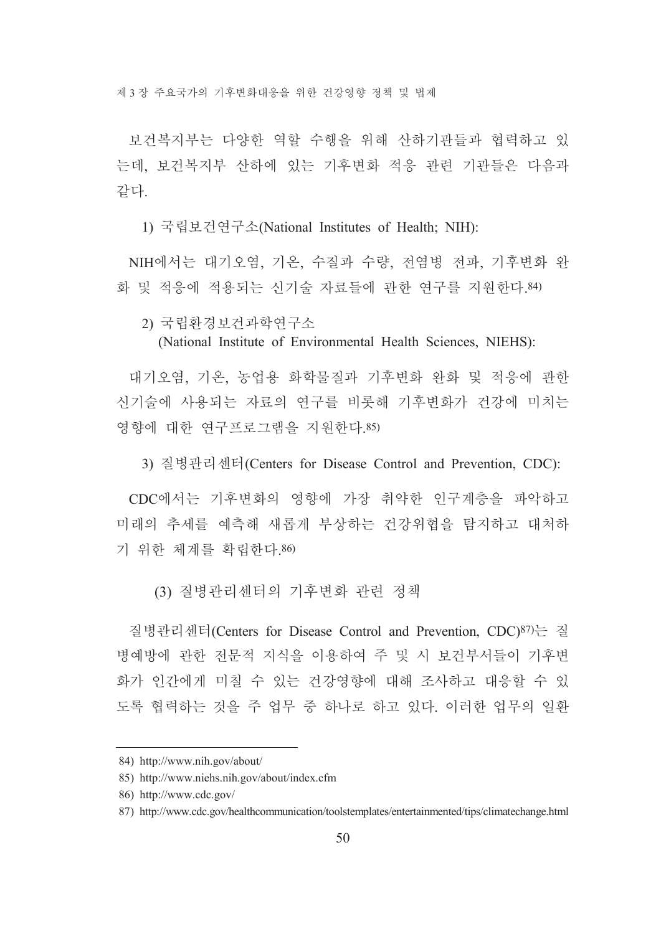제 3장 주요국가의 기후변화대응을 위한 건강영향 정책 및 법제

보건복지부는 다양한 역할 수행을 위해 산하기관들과 협력하고 있 는데, 보거복지부 산하에 있는 기후변화 적응 관련 기관들은 다음과 같다

1) 국립보건연구소(National Institutes of Health; NIH):

NIH에서는 대기오염, 기온, 수질과 수량, 전염병 전파, 기후변화 완 화 및 적응에 적용되는 신기술 자료들에 관한 연구를 지원한다. 84)

2) 국립화경보건과학연구소

(National Institute of Environmental Health Sciences, NIEHS):

대기오염, 기온, 농업용 화학물질과 기후변화 와화 및 적응에 과한 신기술에 사용되는 자료의 여구를 비롯해 기후변화가 건강에 미치는 영향에 대한 연구프로그램을 지원한다.85)

3) 질병관리센터(Centers for Disease Control and Prevention, CDC):

CDC에서는 기후변화의 영향에 가장 취약한 인구계층을 파악하고 미래의 추세를 예측해 새롭게 부상하는 건강위협을 탐지하고 대처하 기 위한 체계를 확립한다.86)

(3) 질병관리센터의 기후변화 관련 정책

질병관리센터(Centers for Disease Control and Prevention, CDC)87)는 질 병예방에 관한 전문적 지식을 이용하여 주 및 시 보건부서들이 기후변 화가 인간에게 미칠 수 있는 건강영향에 대해 조사하고 대응할 수 있 도록 협력하는 것을 주 업무 중 하나로 하고 있다. 이러한 업무의 일화

<sup>84)</sup> http://www.nih.gov/about/

<sup>85)</sup> http://www.niehs.nih.gov/about/index.cfm

<sup>86)</sup> http://www.cdc.gov/

<sup>87)</sup> http://www.cdc.gov/healthcommunication/toolstemplates/entertainmented/tips/climatechange.html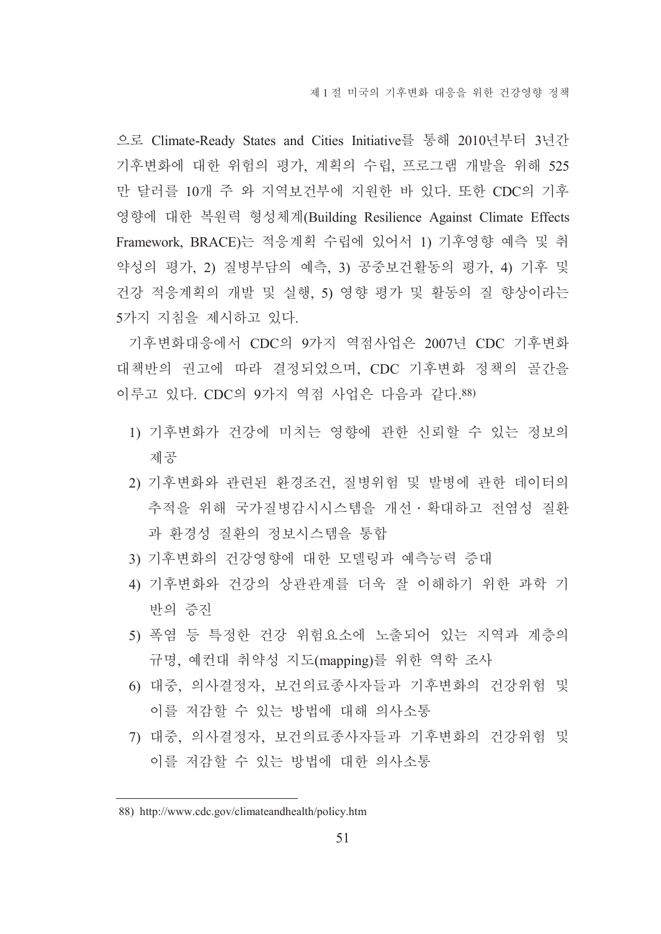으로 Climate-Ready States and Cities Initiative를 통해 2010년부터 3년간 기후변화에 대한 위험의 평가, 계획의 수립, 프로그램 개발을 위해 525 만 달러를 10개 주 와 지역보건부에 지원한 바 있다. 또한 CDC의 기후 영향에 대한 복원력 형성체계(Building Resilience Against Climate Effects Framework, BRACE)는 적응계획 수립에 있어서 1) 기후영향 예측 및 취 약성의 평가, 2) 질병부담의 예측, 3) 공중보건활동의 평가, 4) 기후 및 건강 적응계획의 개발 및 실행, 5) 영향 평가 및 활동의 질 향상이라는 5가지 지침을 제시하고 있다.

기후변화대응에서 CDC의 9가지 역점사업은 2007년 CDC 기후변화 대책반의 권고에 따라 결정되었으며, CDC 기후변화 정책의 골간을 이루고 있다. CDC의 9가지 역점 사업은 다음과 같다.88)

- 1) 기후변화가 건강에 미치는 영향에 관한 신뢰할 수 있는 정보의 제공
- 2) 기후변화와 관련된 환경조건, 질병위험 및 발병에 관한 데이터의 추적을 위해 국가질병감시시스템을 개선 • 확대하고 전염성 질환 과 환경성 질환의 정보시스템을 통합
- 3) 기후변화의 건강영향에 대한 모델링과 예측능력 증대
- 4) 기후변화와 건강의 상관관계를 더욱 잘 이해하기 위한 과학 기 반의 증지
- 5) 폭염 등 특정한 건강 위험요소에 노출되어 있는 지역과 계층의 규명, 예컨대 취약성 지도(mapping)를 위한 역학 조사
- 6) 대중, 의사결정자, 보건의료종사자들과 기후변화의 건강위험 및 이를 저감할 수 있는 방법에 대해 의사소통
- 7) 대중, 의사결정자, 보건의료종사자들과 기후변화의 건강위험 및 이를 저감할 수 있는 방법에 대한 의사소통

<sup>88)</sup> http://www.cdc.gov/climateandhealth/policy.htm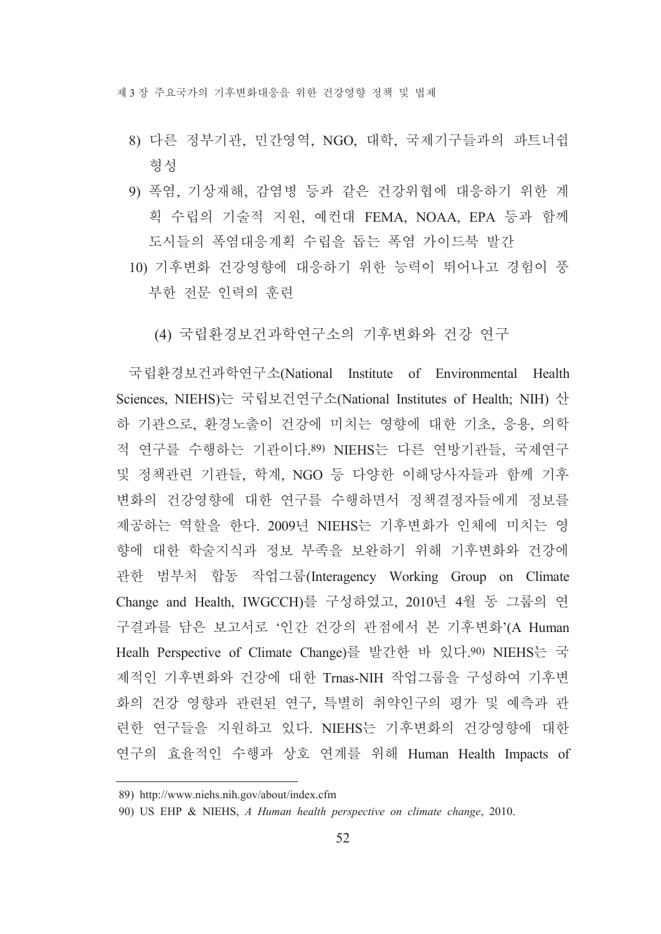- 8) 다른 정부기관, 민간영역, NGO, 대학, 국제기구들과의 파트너쉽 형성
- 9) 폭염, 기상재해, 감염병 등과 같은 건강위협에 대응하기 위한 계 획 수립의 기술적 지원, 예컨대 FEMA, NOAA, EPA 등과 함께 도시들의 폭염대응계획 수립을 돕는 폭염 가이드북 발간
- 10) 기후변화 건강영향에 대응하기 위한 능력이 뛰어나고 경험이 풍 부한 전문 인력의 훈련
	- (4) 국립화경보거과학여구소의 기후변화와 건강 여구

국립환경보건과학연구소(National Institute of Environmental Health Sciences, NIEHS)는 국립보건연구소(National Institutes of Health; NIH) 산 하 기관으로, 환경노출이 건강에 미치는 영향에 대한 기초, 응용, 의학 적 연구를 수행하는 기관이다.89) NIEHS는 다른 연방기관들, 국제연구 및 정책관련 기관들, 학계, NGO 등 다양한 이해당사자들과 함께 기후 변화의 건강영향에 대한 연구를 수행하면서 정책결정자들에게 정보를 제공하는 역할을 한다. 2009년 NIEHS는 기후변화가 인체에 미치는 영 향에 대한 학술지식과 정보 부족을 보완하기 위해 기후변화와 건강에 관한 범부처 합동 작업그룹(Interagency Working Group on Climate Change and Health, IWGCCH)를 구성하였고, 2010년 4월 동 그룹의 연 구결과를 담은 보고서로 '인간 건강의 관점에서 본 기후변화'(A Human Healh Perspective of Climate Change)를 발간한 바 있다.90) NIEHS는 국 제적인 기후변화와 건강에 대한 Trnas-NIH 작업그룹을 구성하여 기후변 화의 건강 영향과 관련된 연구. 특별히 취약인구의 평가 및 예측과 관 련한 연구들을 지원하고 있다. NIEHS는 기후변화의 건강영향에 대한 연구의 효율적인 수행과 상호 연계를 위해 Human Health Impacts of

<sup>89)</sup> http://www.niehs.nih.gov/about/index.cfm

<sup>90)</sup> US EHP & NIEHS, A Human health perspective on climate change, 2010.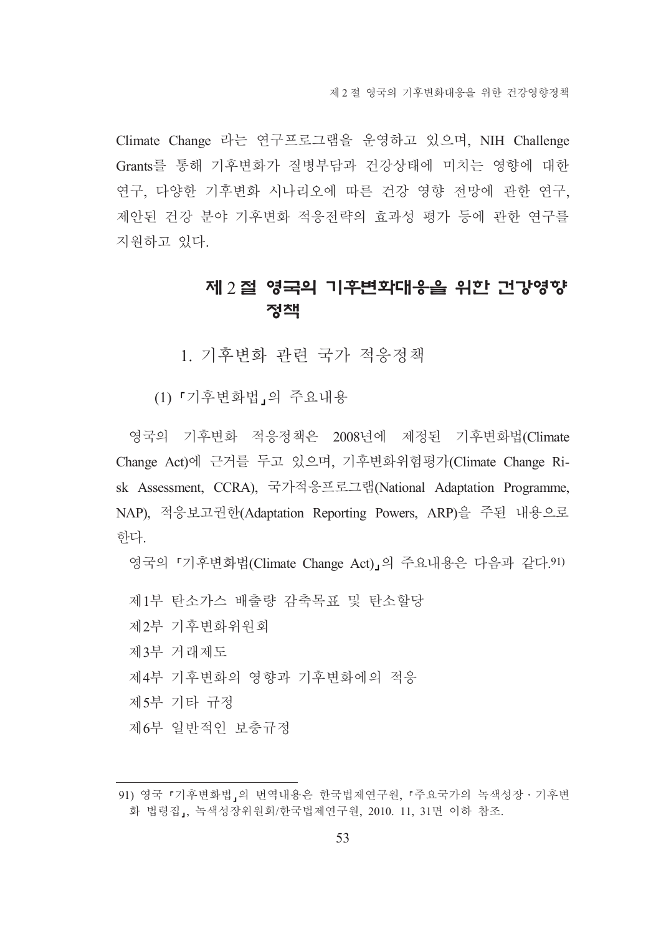제 2 절 영국의 기후변화대응을 위한 건강영향정책

Climate Change 라는 연구프로그램을 운영하고 있으며, NIH Challenge Grants를 통해 기후변화가 질병부담과 건강상태에 미치는 영향에 대한 연구, 다양한 기후변화 시나리오에 따른 건강 영향 전망에 관한 연구, 제안된 건강 분야 기후변화 적응전략의 효과성 평가 등에 관한 연구를 지워하고 있다.

# 제 2 절 영국의 기후변화대응을 위한 건강영향 정책

1. 기후변화 관련 국가 적응정책

(1) 「기후변화법」의 주요내용

영국의 기후변화 적응정책은 2008년에 제정된 기후변화법(Climate Change Act)에 근거를 두고 있으며, 기후변화위험평가(Climate Change Risk Assessment, CCRA), 국가적응프로그램(National Adaptation Programme, NAP), 적응보고권한(Adaptation Reporting Powers, ARP)을 주된 내용으로 한다.

영국의 「기후변화법(Climate Change Act)」의 주요내용은 다음과 같다 91)

- 제1부 탄소가스 배출량 감축목표 및 탄소할당
- 제2부 기후변화위워회
- 제3부 거래제도
- 제4부 기후변화의 영향과 기후변화에의 적응
- 제5부 기타 규정
- 제6부 일반적인 보충규정

<sup>91)</sup> 영국 『기후변화법,의 번역내용은 한국법제연구원, 『주요국가의 녹색성장 · 기후변 화 법령집」, 녹색성장위원회/한국법제연구원, 2010. 11, 31면 이하 참조.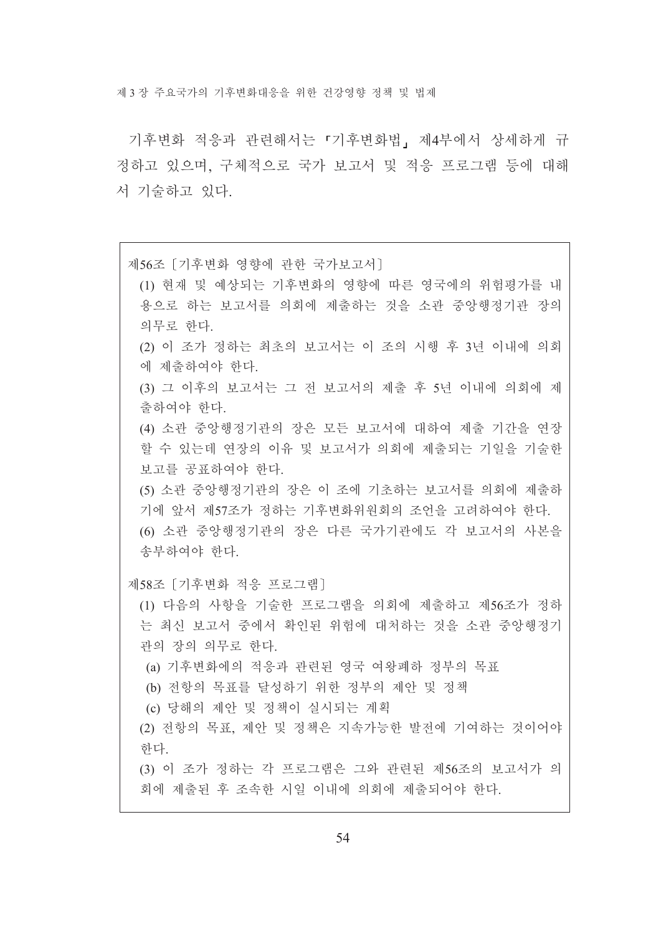제 3 장 주요국가의 기후변화대응을 위한 건강영향 정책 및 법제

기후변화 적응과 관련해서는 「기후변화법」 제4부에서 상세하게 규 정하고 있으며, 구체적으로 국가 보고서 및 적응 프로그램 등에 대해 서 기술하고 있다.

제56조 [기후변화 영향에 관한 국가보고서]

(1) 현재 및 예상되는 기후변화의 영향에 따른 영국에의 위험평가를 내 용으로 하는 보고서를 의회에 제출하는 것을 소관 중앙행정기관 장의 의무로 하다.

(2) 이 조가 정하는 최초의 보고서는 이 조의 시행 후 3년 이내에 의회 에 제출하여야 한다.

(3) 그 이후의 보고서는 그 전 보고서의 제출 후 5년 이내에 의회에 제 출하여야 하다

(4) 소관 중앙행정기관의 장은 모든 보고서에 대하여 제출 기간을 연장 할 수 있는데 연장의 이유 및 보고서가 의회에 제출되는 기일을 기술한 보고를 공표하여야 한다.

(5) 소관 중앙행정기관의 장은 이 조에 기초하는 보고서를 의회에 제출하 기에 앞서 제57조가 정하는 기후변화위원회의 조언을 고려하여야 한다. (6) 소관 중앙행정기관의 장은 다른 국가기관에도 각 보고서의 사본을 송부하여야 한다.

제58조 [기후변화 적응 프로그램]

(1) 다음의 사항을 기술한 프로그램을 의회에 제출하고 제56조가 정하 는 최신 보고서 중에서 확인된 위험에 대처하는 것을 소관 중앙행정기 관의 장의 의무로 한다.

(a) 기후변화에의 적응과 관련된 영국 여왕폐하 정부의 목표

(b) 전항의 목표를 달성하기 위한 정부의 제안 및 정책

(c) 당해의 제안 및 정책이 실시되는 계획

(2) 전항의 목표, 제안 및 정책은 지속가능한 발전에 기여하는 것이어야 한다.

(3) 이 조가 정하는 각 프로그램은 그와 관련된 제56조의 보고서가 의 회에 제출된 후 조속한 시일 이내에 의회에 제출되어야 한다.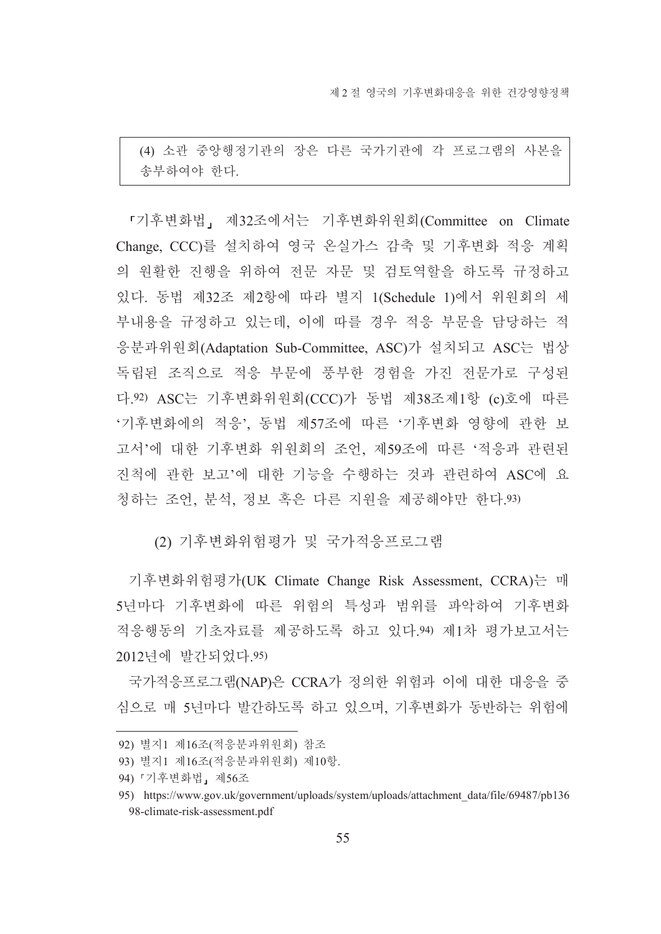(4) 소관 중앙행정기관의 장은 다른 국가기관에 각 프로그램의 사본을 송부하여야 한다.

「기후변화법」 제32조에서는 기후변화위원회(Committee on Climate Change, CCC)를 설치하여 영국 온실가스 감축 및 기후변화 적응 계획 의 원활한 진행을 위하여 전문 자문 및 검토역할을 하도록 규정하고 있다. 동법 제32조 제2항에 따라 별지 1(Schedule 1)에서 위원회의 세 부내용을 규정하고 있는데, 이에 따를 경우 적응 부문을 담당하는 적 응분과위원회(Adaptation Sub-Committee, ASC)가 설치되고 ASC는 법상 독립된 조직으로 적응 부문에 풍부한 경험을 가진 전문가로 구성된 다.92) ASC는 기후변화위원회(CCC)가 동법 제38조제1항 (c)호에 따른 '기후변화에의 적응', 동법 제57조에 따른 '기후변화 영향에 관한 보 고서'에 대한 기후변화 위원회의 조언, 제59조에 따른 '적응과 관련된 진척에 관한 보고'에 대한 기능을 수행하는 것과 관련하여 ASC에 요 청하는 조언, 분석, 정보 혹은 다른 지원을 제공해야만 한다.93)

(2) 기후변화위험평가 및 국가적응프로그램

기후변화위험평가(UK Climate Change Risk Assessment, CCRA)는 매 5년마다 기후변화에 따른 위험의 특성과 범위를 파악하여 기후변화 적응행동의 기초자료를 제공하도록 하고 있다.94) 제1차 평가보고서는 2012년에 발간되었다. 95)

국가적응프로그램(NAP)은 CCRA가 정의한 위험과 이에 대한 대응을 중 심으로 매 5년마다 발간하도록 하고 있으며, 기후변화가 동반하는 위험에

<sup>92)</sup> 별지1 제16조(적응분과위원회) 참조

<sup>93)</sup> 별지1 제16조(적응분과위워회) 제10항.

<sup>94) 『</sup>기후변화법』제56조

<sup>95)</sup> https://www.gov.uk/government/uploads/system/uploads/attachment\_data/file/69487/pb136 98-climate-risk-assessment.pdf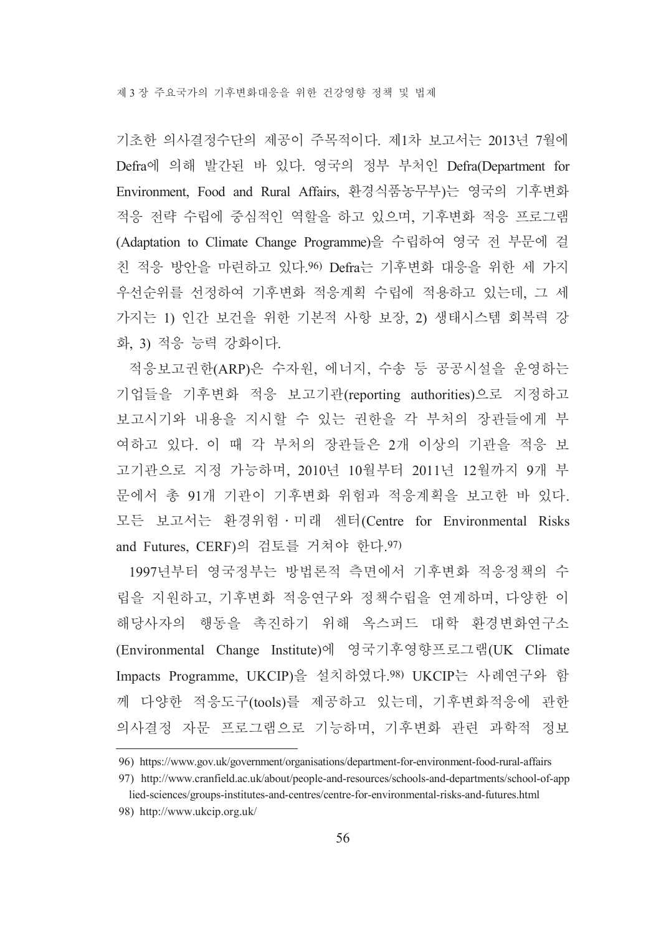기초한 의사결정수단의 제공이 주목적이다. 제1차 보고서는 2013년 7월에 Defra에 의해 발간된 바 있다. 영국의 정부 부처인 Defra(Department for Environment, Food and Rural Affairs, 환경식품농무부)는 영국의 기후변화 적응 전략 수립에 중심적인 역할을 하고 있으며, 기후변화 적응 프로그램 (Adaptation to Climate Change Programme)을 수립하여 영국 전 부문에 걸 친 적응 방안을 마련하고 있다.96) Defra는 기후변화 대응을 위한 세 가지 우선순위를 선정하여 기후변화 적응계획 수립에 적용하고 있는데, 그 세 가지는 1) 인간 보건을 위한 기본적 사항 보장, 2) 생태시스템 회복력 강 화, 3) 적응 능력 강화이다.

적응보고권한(ARP)은 수자원, 에너지, 수송 등 공공시설을 운영하는 기업들을 기후변화 적응 보고기관(reporting authorities)으로 지정하고 보고시기와 내용을 지시할 수 있는 권한을 각 부처의 장관들에게 부 여하고 있다. 이 때 각 부처의 장관들은 2개 이상의 기관을 적응 보 고기관으로 지정 가능하며, 2010년 10월부터 2011년 12월까지 9개 부 문에서 총 91개 기관이 기후변화 위험과 적응계획을 보고한 바 있다. 모든 보고서는 환경위험 · 미래 센터(Centre for Environmental Risks and Futures, CERF)의 검토를 거쳐야 한다. 97)

1997년부터 영국정부는 방법론적 측면에서 기후변화 적응정책의 수 립을 지원하고, 기후변화 적응연구와 정책수립을 연계하며, 다양한 이 해당사자의 행동을 촉진하기 위해 옥스퍼드 대학 환경변화연구소 (Environmental Change Institute)에 영국기후영향프로그램(UK Climate Impacts Programme, UKCIP)을 설치하였다.98) UKCIP는 사례연구와 함 께 다양한 적응도구(tools)를 제공하고 있는데, 기후변화적응에 관한 의사결정 자문 프로그램으로 기능하며, 기후변화 관련 과학적 정보

<sup>96)</sup> https://www.gov.uk/government/organisations/department-for-environment-food-rural-affairs

<sup>97)</sup> http://www.cranfield.ac.uk/about/people-and-resources/schools-and-departments/school-of-app lied-sciences/groups-institutes-and-centres/centre-for-environmental-risks-and-futures.html

<sup>98)</sup> http://www.ukcip.org.uk/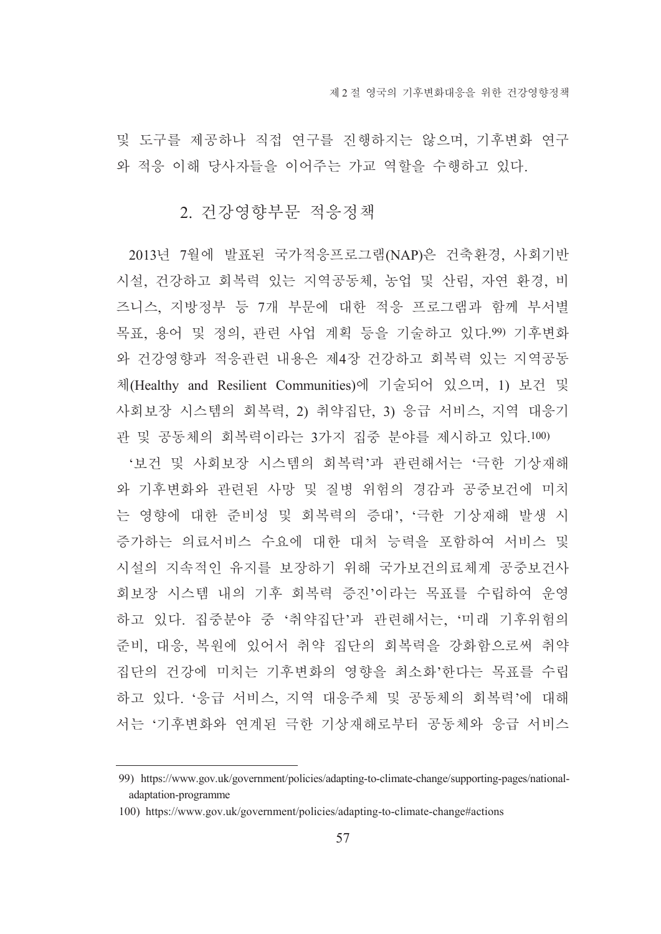및 도구를 제공하나 직접 연구를 진행하지는 않으며, 기후변화 연구 와 적응 이해 당사자들을 이어주는 가교 역할을 수행하고 있다.

#### 2. 건강영향부문 적응정책

2013년 7월에 발표된 국가적응프로그램(NAP)은 건축환경, 사회기반 시설, 건강하고 회복력 있는 지역공동체, 농업 및 산림, 자연 환경, 비 즈니스, 지방정부 등 7개 부문에 대한 적응 프로그램과 함께 부서별 목표, 용어 및 정의, 관련 사업 계획 등을 기술하고 있다.99) 기후변화 와 건강영향과 적응관련 내용은 제4장 건강하고 회복력 있는 지역공동 체(Healthy and Resilient Communities)에 기술되어 있으며, 1) 보건 및 사회보장 시스템의 회복력, 2) 취약집단, 3) 응급 서비스, 지역 대응기 관 및 공동체의 회복력이라는 3가지 집중 분야를 제시하고 있다.100)

'보건 및 사회보장 시스템의 회복력'과 관련해서는 '극한 기상재해 와 기후변화와 관련된 사망 및 질병 위험의 경감과 공중보건에 미치 는 영향에 대한 준비성 및 회복력의 증대'. '극한 기상재해 발생 시 증가하는 의료서비스 수요에 대한 대처 능력을 포함하여 서비스 및 시설의 지속적인 유지를 보장하기 위해 국가보건의료체계 공중보건사 회보장 시스템 내의 기후 회복력 증진'이라는 목표를 수립하여 운영 하고 있다. 집중분야 중 '취약집단'과 관련해서는, '미래 기후위험의 준비, 대응, 복원에 있어서 취약 집단의 회복력을 강화함으로써 취약 집단의 건강에 미치는 기후변화의 영향을 최소화'한다는 목표를 수립 하고 있다. '응급 서비스, 지역 대응주체 및 공동체의 회복력'에 대해 서는 '기후변화와 연계된 극한 기상재해로부터 공동체와 응급 서비스

<sup>99)</sup> https://www.gov.uk/government/policies/adapting-to-climate-change/supporting-pages/nationaladaptation-programme

<sup>100)</sup> https://www.gov.uk/government/policies/adapting-to-climate-change#actions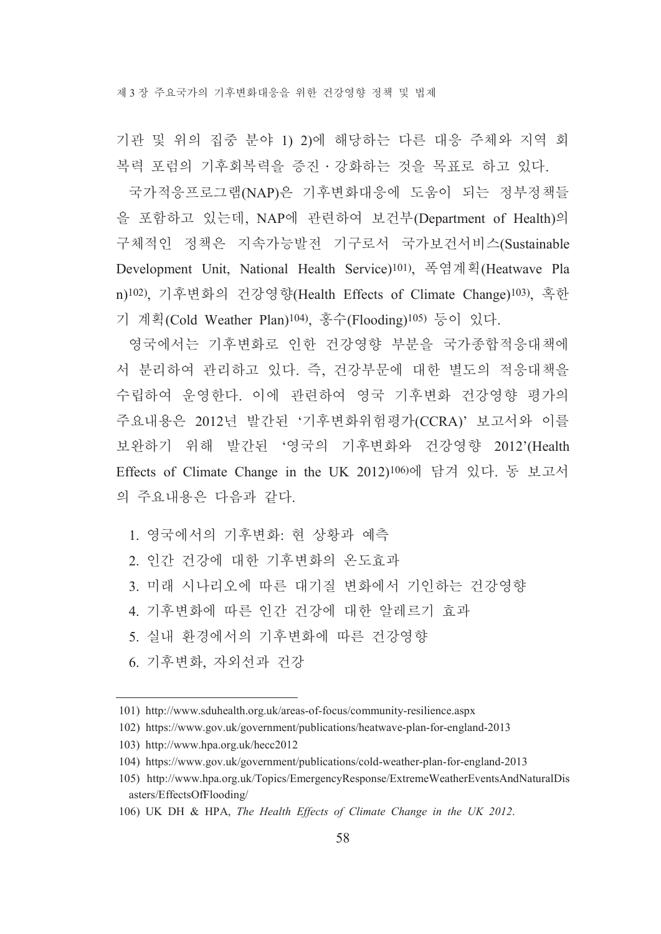제 3장 주요국가의 기후변화대응을 위한 건강영향 정책 및 법제

기관 및 위의 집중 분야 1) 2)에 해당하는 다른 대응 주체와 지역 회 복력 포럼의 기후회복력을 증진 · 강화하는 것을 목표로 하고 있다.

국가적응프로그램(NAP)은 기후변화대응에 도움이 되는 정부정책들 을 포함하고 있는데, NAP에 관련하여 보건부(Department of Health)의 구체적인 정책은 지속가능발전 기구로서 국가보건서비스(Sustainable Development Unit, National Health Service)<sup>101</sup>), 폭염계획(Heatwave Pla n)<sup>102</sup>). 기후변화의 건강영향(Health Effects of Climate Change)<sup>103</sup>), 혹한 기 계획(Cold Weather Plan)<sup>104</sup>), 홍수(Flooding)<sup>105)</sup> 등이 있다.

영국에서는 기후변화로 인한 건강영향 부분을 국가종합적응대책에 서 분리하여 관리하고 있다. 즉, 건강부문에 대한 별도의 적응대책을 수립하여 우영하다. 이에 관련하여 영국 기후변화 건강영향 평가의 주요내용은 2012년 발간된 '기후변화위험평가(CCRA)' 보고서와 이를 보완하기 위해 발간된 '영국의 기후변화와 건강영향 2012'(Health Effects of Climate Change in the UK 2012)<sup>106)</sup>에 담겨 있다. 동 보고서 의 주요내용은 다음과 같다.

1. 영국에서의 기후변화: 현 상황과 예측

- 2. 인간 건강에 대한 기후변화의 온도효과
- 3. 미래 시나리오에 따른 대기질 변화에서 기인하는 건강영향
- 4. 기후변화에 따른 인간 건강에 대한 알레르기 효과

5. 실내 환경에서의 기후변화에 따른 건강영향

6. 기후변화, 자외선과 건강

<sup>101)</sup> http://www.sduhealth.org.uk/areas-of-focus/community-resilience.aspx

<sup>102)</sup> https://www.gov.uk/government/publications/heatwave-plan-for-england-2013

<sup>103)</sup> http://www.hpa.org.uk/hecc2012

<sup>104)</sup> https://www.gov.uk/government/publications/cold-weather-plan-for-england-2013

<sup>105)</sup> http://www.hpa.org.uk/Topics/EmergencyResponse/ExtremeWeatherEventsAndNaturalDis asters/EffectsOfFlooding/

<sup>106)</sup> UK DH & HPA, The Health Effects of Climate Change in the UK 2012.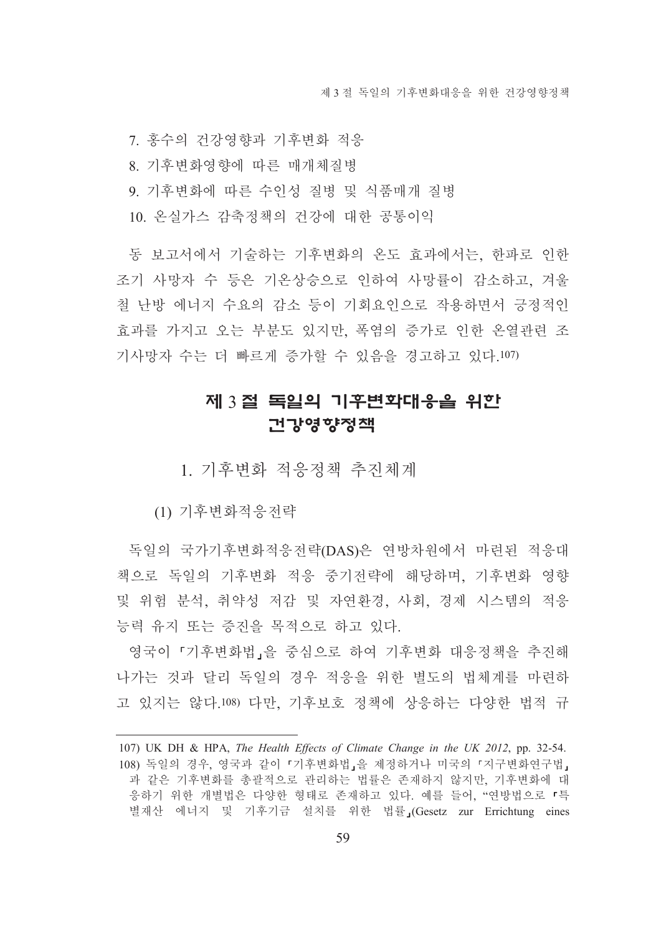7. 홍수의 건강영향과 기후변화 적응

8. 기후변화영향에 따른 매개체질병

9. 기후변화에 따른 수인성 질병 및 식품매개 질병

10. 온실가스 감축정책의 건강에 대한 공통이익

동 보고서에서 기술하는 기후변화의 온도 효과에서는, 한파로 인한 조기 사망자 수 등은 기온상승으로 인하여 사망률이 감소하고 겨울 철 난방 에너지 수요의 감소 등이 기회요인으로 작용하면서 긍정적인 효과를 가지고 오는 부분도 있지만, 폭염의 증가로 인한 온열관련 조 기사망자 수는 더 빠르게 증가할 수 있음을 경고하고 있다.107)

# 제 3절 독일의 기후변화대응을 위한 건강영향정책

1. 기후변화 적응정책 추진체계

(1) 기후변화적응전략

독일의 국가기후변화적응전략(DAS)은 연방차원에서 마련된 적응대 책으로 독일의 기후변화 적응 중기전략에 해당하며, 기후변화 영향 및 위험 분석, 취약성 저감 및 자연환경, 사회, 경제 시스템의 적응 능력 유지 또는 증진을 목적으로 하고 있다.

영국이 『기후변화법』을 중심으로 하여 기후변화 대응정책을 추진해 나가는 것과 달리 독일의 경우 적응을 위한 별도의 법체계를 마련하 고 있지는 않다 108) 다만 기후보호 정책에 상응하는 다양한 법적 규

<sup>107)</sup> UK DH & HPA, The Health Effects of Climate Change in the UK 2012, pp. 32-54. 108) 독일의 경우, 영국과 같이 『기후변화법』을 제정하거나 미국의 『지구변화연구법』 과 같은 기후변화를 총괄적으로 관리하는 법률은 존재하지 않지만, 기후변화에 대 응하기 위한 개별법은 다양한 형태로 존재하고 있다. 예를 들어, "연방법으로 「특 별재산 에너지 및 기후기금 설치를 위한 법률』(Gesetz zur Errichtung eines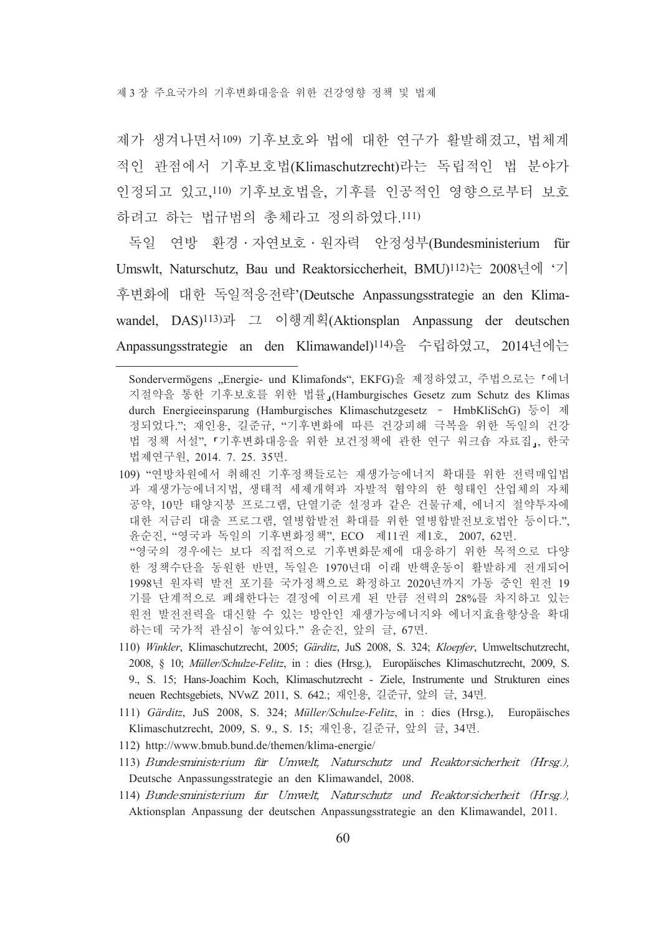제 3 장 주요국가의 기후변화대응을 위한 건강영향 정책 및 법제

제가 생겨나면서109) 기후보호와 법에 대한 연구가 활발해졌고, 법체계 적인 관점에서 기후보호법(Klimaschutzrecht)라는 독립적인 법 분야가 인정되고 있고,110) 기후보호법을, 기후를 인공적인 영향으로부터 보호 하려고 하는 법규범의 총체라고 정의하였다. 111)

독일 연방 환경·자연보호·원자력 안정성부(Bundesministerium für Umswlt, Naturschutz, Bau und Reaktorsiccherheit, BMU)<sup>112</sup>)는 2008년에 '기 후변화에 대한 독일적응전략'(Deutsche Anpassungsstrategie an den Klimawandel, DAS)<sup>113</sup>)과 그 이행계획(Aktionsplan Anpassung der deutschen Anpassungsstrategie an den Klimawandel)<sup>114)</sup>을 수립하였고, 2014년에는

- 109) "연방차원에서 취해진 기후정책들로는 재생가능에너지 확대를 위한 전력매입법 과 재생가능에너지법, 생태적 세제개혁과 자발적 협약의 한 형태인 산업체의 자체 공약, 10만 태양지붕 프로그램, 단열기준 설정과 같은 건물규제, 에너지 절약투자에 대한 저금리 대출 프로그램, 열병합발전 확대를 위한 열병합발전보호법안 등이다.", 윤순진, "영국과 독일의 기후변화정책", ECO 제11권 제1호, 2007, 62면. "영국의 경우에는 보다 직접적으로 기후변화문제에 대응하기 위한 목적으로 다양 한 정책수단을 동원한 반면, 독일은 1970년대 이래 반핵운동이 활발하게 전개되어 1998년 원자력 발전 포기를 국가정책으로 확정하고 2020년까지 가동 중인 원전 19 기를 단계적으로 폐쇄한다는 결정에 이르게 된 만큼 전력의 28%를 차지하고 있는 원전 발전전력을 대신할 수 있는 방안인 재생가능에너지와 에너지효율향상을 확대 하는데 국가적 관심이 놓여있다." 윤순진, 앞의 글, 67면.
- 110) Winkler, Klimaschutzrecht, 2005; Gärditz, JuS 2008, S. 324; Kloepfer, Umweltschutzrecht, 2008, § 10; *Müller/Schulze-Felitz*, in : dies (Hrsg.), Europäisches Klimaschutzrecht, 2009, S. 9., S. 15; Hans-Joachim Koch, Klimaschutzrecht - Ziele, Instrumente und Strukturen eines neuen Rechtsgebiets, NVwZ 2011, S. 642.; 재인용, 길준규, 앞의 글, 34면.
- 111) Gärditz, JuS 2008, S. 324; Müller/Schulze-Felitz, in : dies (Hrsg.), Europäisches Klimaschutzrecht, 2009, S. 9., S. 15; 재인용, 길준규, 앞의 글, 34면.
- 112) http://www.bmub.bund.de/themen/klima-energie/
- 113) Bundesministerium für Umwelt, Naturschutz und Reaktorsicherheit (Hrsg.), Deutsche Anpassungsstrategie an den Klimawandel, 2008.
- 114) Bundesministerium fur Umwelt, Naturschutz und Reaktorsicherheit (Hrsg.), Aktionsplan Anpassung der deutschen Anpassungsstrategie an den Klimawandel, 2011.

Sondervermögens "Energie- und Klimafonds", EKFG)을 제정하였고, 주법으로는 「에너 지절약을 통한 기후보호를 위한 법률 (Hamburgisches Gesetz zum Schutz des Klimas durch Energieeinsparung (Hamburgisches Klimaschutzgesetz - HmbKliSchG) 등이 제 정되었다.", 재인용, 길준규, "기후변화에 따른 건강피해 극복을 위한 독일의 건강 법 정책 서설",『기후변화대응을 위한 보건정책에 관한 연구 워크숍 자료집」, 한국 법제연구원, 2014. 7. 25. 35면.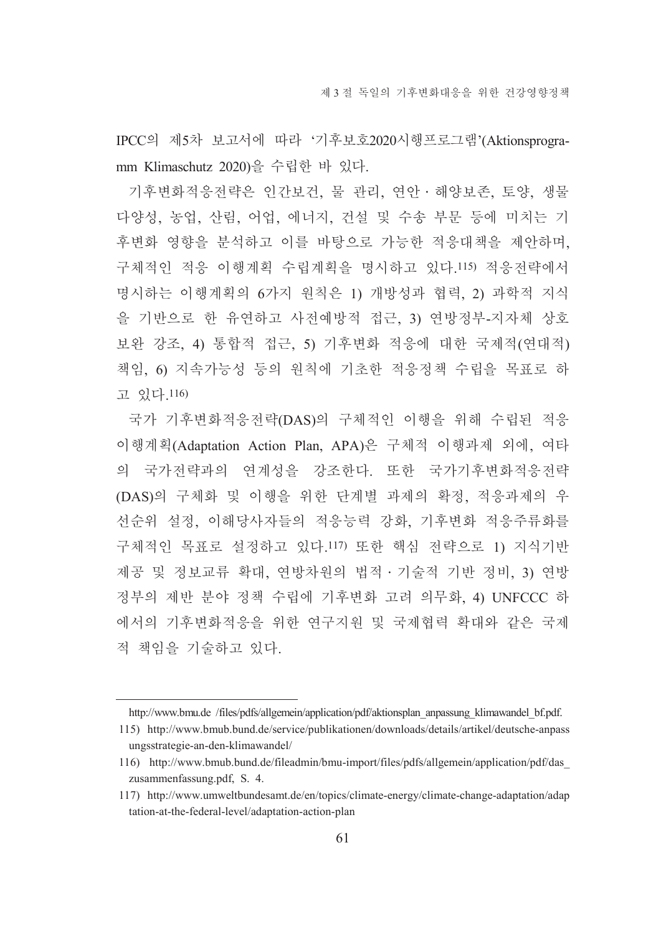IPCC의 제5차 보고서에 따라 '기후보호2020시행프로그램'(Aktionsprogramm Klimaschutz 2020)을 수립한 바 있다.

기후변화적응전략은 인간보건 물 관리 연안 해양보존 토양 생물 다양성, 농업, 산림, 어업, 에너지, 건설 및 수송 부문 등에 미치는 기 후변화 영향을 부석하고 이를 바탕으로 가능한 적응대책을 제안하며. 구체적인 적응 이행계획 수립계획을 명시하고 있다.115) 적응전략에서 명시하는 이행계획의 6가지 워칙은 1) 개방성과 협력, 2) 과학적 지식 을 기반으로 한 유연하고 사전예방적 접근, 3) 연방정부-지자체 상호 보완 강조, 4) 통합적 접근, 5) 기후변화 적응에 대한 국제적(연대적) 책임. 6) 지속가능성 등의 워칙에 기초한 적응정책 수립을 목표로 하 고 있다.116)

국가 기후변화적응전략(DAS)의 구체적인 이행을 위해 수립된 적응 이행계획(Adaptation Action Plan, APA)은 구체적 이행과제 외에, 여타 의 국가전략과의 연계성을 강조한다. 또한 국가기후변화적응전략 (DAS)의 구체화 및 이행을 위한 단계별 과제의 확정, 적응과제의 우 선순위 설정, 이해당사자들의 적응능력 강화, 기후변화 적응주류화를 구체적인 목표로 설정하고 있다.117) 또한 핵심 전략으로 1) 지식기반 제공 및 정보교류 확대, 연방차원의 법적 · 기술적 기반 정비, 3) 연방 정부의 제반 분야 정책 수립에 기후변화 고려 의무화, 4) UNFCCC 하 에서의 기후변화적응을 위한 연구지원 및 국제협력 확대와 같은 국제 적 책임을 기술하고 있다.

http://www.bmu.de /files/pdfs/allgemein/application/pdf/aktionsplan\_anpassung\_klimawandel\_bf.pdf.

<sup>115)</sup> http://www.bmub.bund.de/service/publikationen/downloads/details/artikel/deutsche-anpass ungsstrategie-an-den-klimawandel/

<sup>116)</sup> http://www.bmub.bund.de/fileadmin/bmu-import/files/pdfs/allgemein/application/pdf/das zusammenfassung.pdf, S. 4.

<sup>117)</sup> http://www.umweltbundesamt.de/en/topics/climate-energy/climate-change-adaptation/adap tation-at-the-federal-level/adaptation-action-plan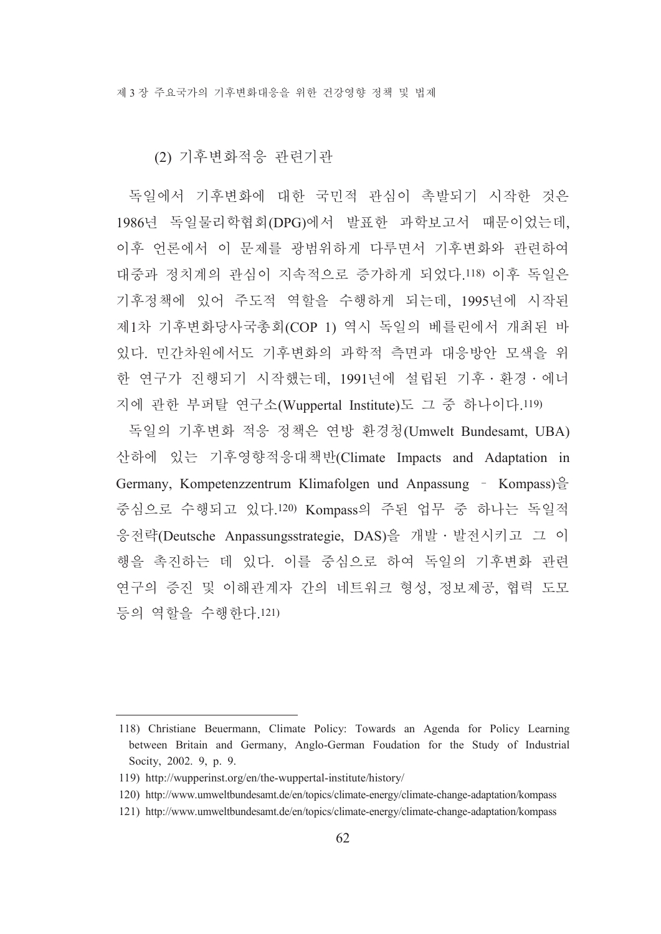#### (2) 기후변화적응 관련기관

독일에서 기후변화에 대한 국민적 관심이 촉발되기 시작한 것은 1986년 독일물리학협회(DPG)에서 발표한 과학보고서 때문이었는데, 이후 언론에서 이 문제를 광범위하게 다루면서 기후변화와 관련하여 대중과 정치계의 관심이 지속적으로 증가하게 되었다.118) 이후 독일은 기후정책에 있어 주도적 역할을 수행하게 되는데, 1995년에 시작된 제1차 기후변화당사국총회(COP 1) 역시 독일의 베를린에서 개최된 바 있다. 민간차원에서도 기후변화의 과학적 측면과 대응방안 모색을 위 한 연구가 진행되기 시작했는데, 1991년에 설립된 기후 · 환경 · 에너 지에 관한 부퍼탈 연구소(Wuppertal Institute)도 그 중 하나이다.119)

독일의 기후변화 적응 정책은 연방 환경청(Umwelt Bundesamt, UBA) 산하에 있는 기후영향적응대책반(Climate Impacts and Adaptation in Germany, Kompetenzzentrum Klimafolgen und Anpassung – Kompass $)\frac{\delta}{\epsilon}$ 중심으로 수행되고 있다.120) Kompass의 주된 업무 중 하나는 독일적 응전략(Deutsche Anpassungsstrategie, DAS)을 개발 · 발전시키고 그 이 행을 촉진하는 데 있다. 이를 중심으로 하여 독일의 기후변화 관련 연구의 증진 및 이해관계자 간의 네트워크 형성, 정보제공, 협력 도모 등의 역할을 수행하다 121)

<sup>118)</sup> Christiane Beuermann, Climate Policy: Towards an Agenda for Policy Learning between Britain and Germany, Anglo-German Foudation for the Study of Industrial Socity, 2002. 9, p. 9.

<sup>119)</sup> http://wupperinst.org/en/the-wuppertal-institute/history/

<sup>120)</sup> http://www.umweltbundesamt.de/en/topics/climate-energy/climate-change-adaptation/kompass

<sup>121)</sup> http://www.umweltbundesamt.de/en/topics/climate-energy/climate-change-adaptation/kompass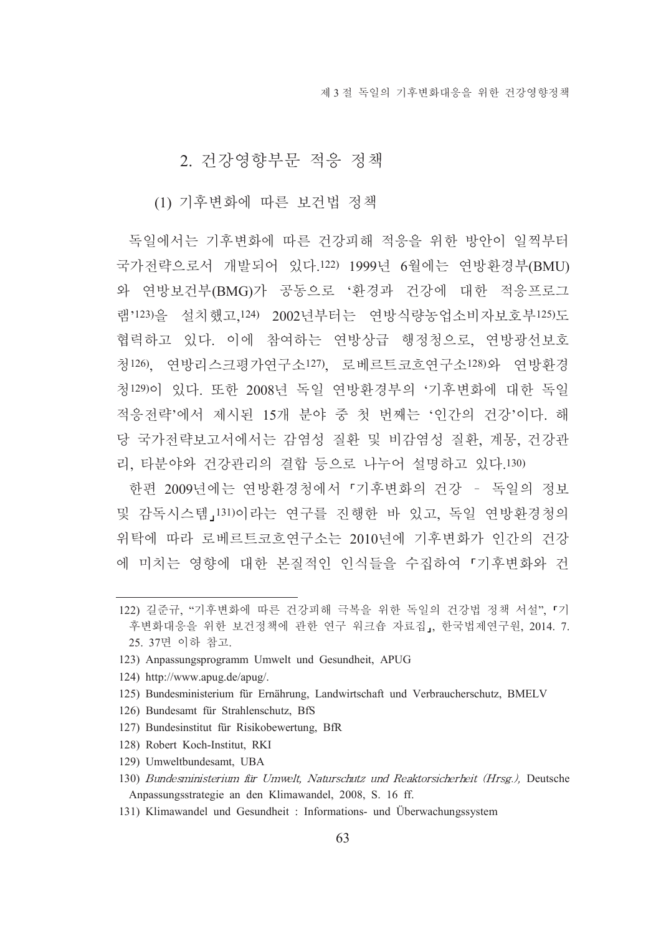## 2. 건강영향부무 적응 정책

(1) 기후변화에 따른 보건법 정책

독일에서는 기후변화에 따른 건강피해 적응을 위한 방안이 일찍부터 국가전략으로서 개발되어 있다.122) 1999년 6월에는 연방환경부(BMU) 와 연방보건부(BMG)가 공동으로 '환경과 건강에 대한 적응프로그 램'123)을 설치했고,124) 2002년부터는 연방식량농업소비자보호부125)도 협력하고 있다. 이에 참여하는 여방상급 행정청으로, 여방광선보호 청126) 여방리스크평가여구소127) 로베르트코흐여구소128)와 여방화경 청129)이 있다. 또한 2008년 독일 연방환경부의 '기후변화에 대한 독일 적응전략'에서 제시된 15개 분야 중 첫 번째는 '인간의 건강'이다. 해 당 국가전략보고서에서는 감염성 질환 및 비감염성 질환, 계몽, 건강관 리, 타분야와 건강관리의 결합 등으로 나누어 설명하고 있다.130)

한편 2009년에는 연방환경청에서 「기후변화의 건강 - 독일의 정보 및 감독시스템 [131)이라는 연구를 진행한 바 있고, 독일 연방환경청의 위탁에 따라 로베르트코흐연구소는 2010년에 기후변화가 인간의 건강 에 미치는 영향에 대한 본질적인 인식들을 수집하여 「기후변화와 건

- 127) Bundesinstitut für Risikobewertung, BfR
- 128) Robert Koch-Institut, RKI
- 129) Umweltbundesamt. UBA
- 130) Bundesministerium für Umwelt, Naturschutz und Reaktorsicherheit (Hrsg.), Deutsche Anpassungsstrategie an den Klimawandel, 2008, S. 16 ff.
- 131) Klimawandel und Gesundheit : Informations- und Überwachungssystem

<sup>122)</sup> 길준규, "기후변화에 따른 건강피해 극복을 위한 독일의 건강법 정책 서설", 「기 후변화대응을 위한 보건정책에 관한 연구 워크숍 자료집, 한국법제연구원, 2014. 7. 25. 37면 이하 참고.

<sup>123)</sup> Anpassungsprogramm Umwelt und Gesundheit, APUG

<sup>124)</sup> http://www.apug.de/apug/.

<sup>125)</sup> Bundesministerium für Ernährung, Landwirtschaft und Verbraucherschutz, BMELV

<sup>126)</sup> Bundesamt für Strahlenschutz, BfS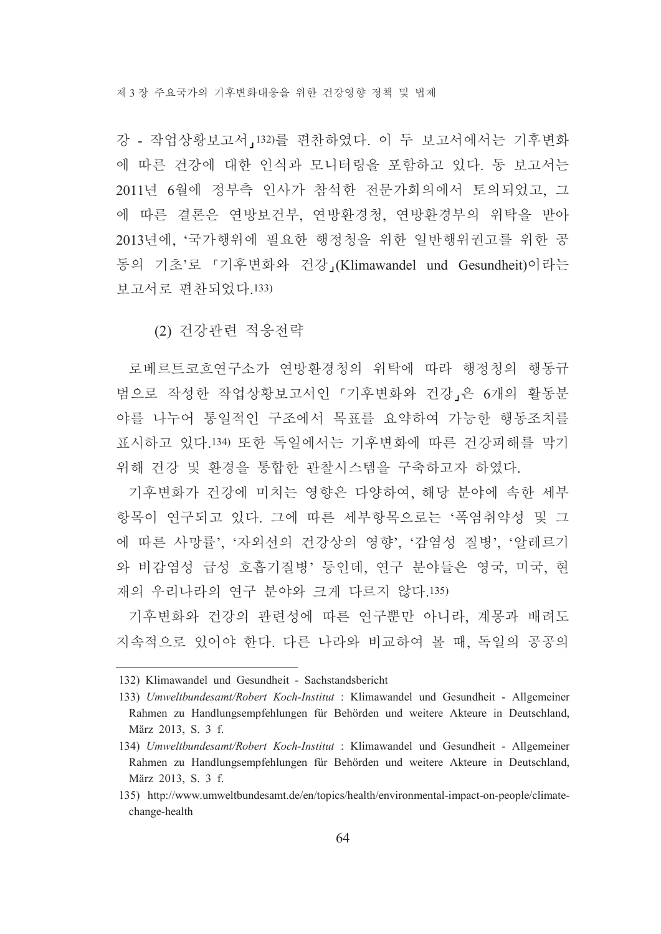강 - 작업상황보고서, 132)를 편찬하였다. 이 두 보고서에서는 기후변화 에 따른 건강에 대한 인식과 모니터링을 포함하고 있다. 동 보고서는 2011년 6월에 정부측 인사가 참석한 전문가회의에서 토의되었고, 그 에 따른 결론은 연방보건부, 연방환경청, 연방환경부의 위탁을 받아 2013년에. '국가행위에 필요한 행정청을 위한 일반행위권고를 위한 공 동의 기초'로 『기후변화와 건강』(Klimawandel und Gesundheit)이라는 보고서로 편차되었다. 133)

(2) 건강관련 적응전략

로베르트코흐연구소가 연방환경청의 위탁에 따라 행정청의 행동규 범으로 작성한 작업상황보고서인 「기후변화와 건강」은 6개의 활동분 야를 나누어 통일적인 구조에서 목표를 요약하여 가능한 행동조치를 표시하고 있다 134) 또한 독일에서는 기후변화에 따른 거강피해를 막기 위해 건강 및 화경을 통합한 관찰시스템을 구축하고자 하였다.

기후변화가 건강에 미치는 영향은 다양하여, 해당 분야에 속한 세부 항목이 여구되고 있다. 그에 따른 세부항목으로는 '폭염취약성 및 그 에 따른 사망률' '자외선의 건강상의 영향' '감염성 질병' '알레르기 와 비감염성 급성 호흡기질병' 등인데, 연구 분야들은 영국, 미국, 현 재의 우리나라의 여구 부야와 크게 다르지 않다 135)

기후변화와 건강의 관련성에 따른 연구뿐만 아니라, 계몽과 배려도 지속적으로 있어야 한다. 다른 나라와 비교하여 볼 때, 독일의 공공의

<sup>132)</sup> Klimawandel und Gesundheit - Sachstandsbericht

<sup>133)</sup> Umweltbundesamt/Robert Koch-Institut : Klimawandel und Gesundheit - Allgemeiner Rahmen zu Handlungsempfehlungen für Behörden und weitere Akteure in Deutschland, März 2013, S. 3 f.

<sup>134)</sup> Umweltbundesamt/Robert Koch-Institut : Klimawandel und Gesundheit - Allgemeiner Rahmen zu Handlungsempfehlungen für Behörden und weitere Akteure in Deutschland, März 2013, S. 3 f.

<sup>135)</sup> http://www.umweltbundesamt.de/en/topics/health/environmental-impact-on-people/climatechange-health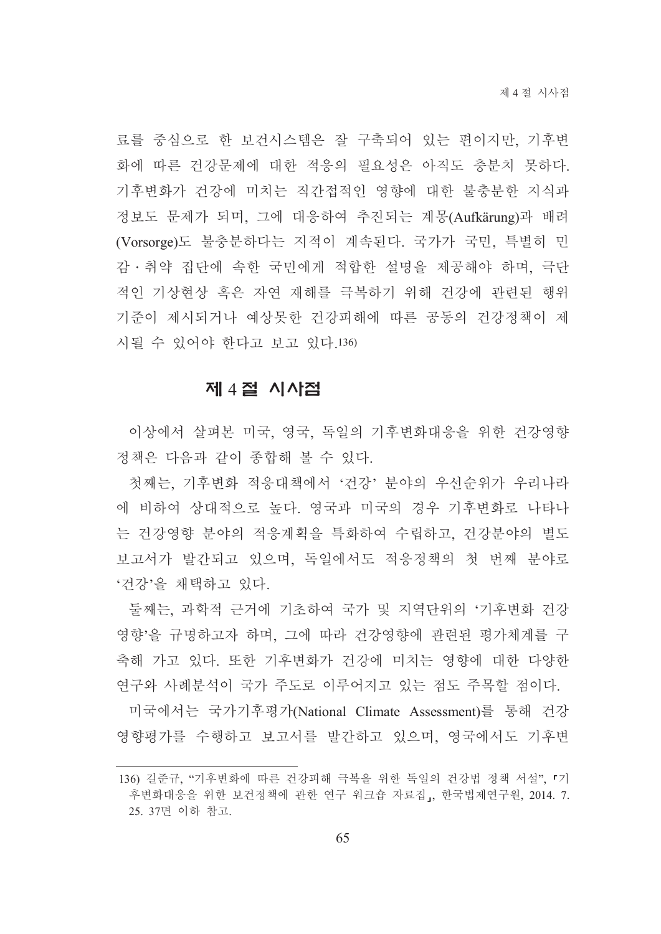료를 중심으로 한 보건시스템은 잘 구축되어 있는 편이지만, 기후변 화에 따른 건강문제에 대한 적응의 필요성은 아직도 충분치 못하다. 기후변화가 건강에 미치는 직간접적인 영향에 대한 불충분한 지식과 정보도 문제가 되며, 그에 대응하여 추진되는 계몽(Aufkärung)과 배려 (Vorsorge)도 불충분하다는 지적이 계속된다. 국가가 국민, 특별히 민 감ㆍ취약 집단에 속한 국민에게 적합한 설명을 제공해야 하며, 극단 적인 기상현상 혹은 자연 재해를 극복하기 위해 건강에 관련된 행위 기준이 제시되거나 예상못한 건강피해에 따른 공동의 건강정책이 제 시될 수 있어야 한다고 보고 있다.136)

### 제 4절 시사점

이상에서 살펴본 미국, 영국, 독일의 기후변화대응을 위한 건강영향 정책은 다음과 같이 종합해 볼 수 있다.

첫째는, 기후변화 적응대책에서 '건강' 분야의 우선순위가 우리나라 에 비하여 상대적으로 높다. 영국과 미국의 경우 기후변화로 나타나 는 건강영향 분야의 적응계획을 특화하여 수립하고, 건강분야의 별도 보고서가 발간되고 있으며, 독일에서도 적응정책의 첫 번째 부야로 '건강'을 채택하고 있다.

둘째는, 과학적 근거에 기초하여 국가 및 지역단위의 '기후변화 건강 영향'을 규명하고자 하며, 그에 따라 건강영향에 관련된 평가체계를 구 축해 가고 있다. 또한 기후변화가 건강에 미치는 영향에 대한 다양한 연구와 사례분석이 국가 주도로 이루어지고 있는 점도 주목할 점이다.

미국에서는 국가기후평가(National Climate Assessment)를 통해 거강 영향평가를 수행하고 보고서를 발간하고 있으며, 영국에서도 기후변

<sup>136)</sup> 길준규, "기후변화에 따른 건강피해 극복을 위한 독일의 건강법 정책 서설", 「기 후변화대응을 위한 보건정책에 관한 연구 워크숍 자료집,, 한국법제연구원, 2014. 7. 25. 37면 이하 참고.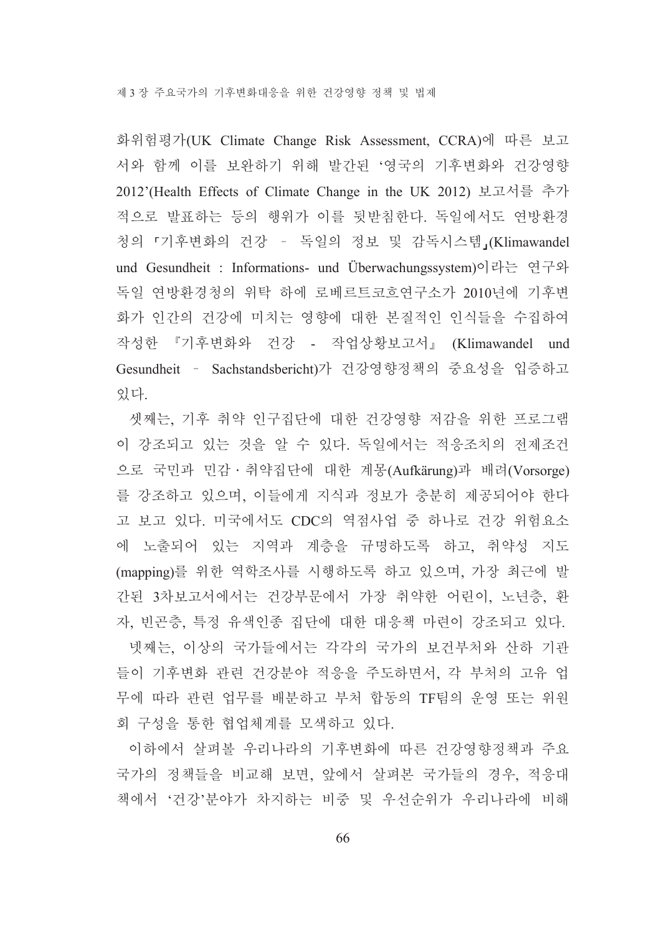화위험평가(UK Climate Change Risk Assessment, CCRA)에 따른 보고 서와 함께 이를 보완하기 위해 발간된 '영국의 기후변화와 건강영향 2012'(Health Effects of Climate Change in the UK 2012) 보고서를 추가 적으로 발표하는 등의 행위가 이를 뒷받침한다. 독일에서도 연방환경 청의 「기후변화의 건강 - 독일의 정보 및 감독시스템」(Klimawandel und Gesundheit : Informations- und Überwachungssystem)이라는 연구와 독일 연방환경청의 위탁 하에 로베르트코흐연구소가 2010년에 기후변 화가 인간의 건강에 미치는 영향에 대한 본질적인 인식들을 수집하여 작성한 『기후변화와 건강 - 작업상황보고서』 (Klimawandel und Gesundheit - Sachstandsbericht)가 건강영향정책의 중요성을 입증하고 있다.

셋째는, 기후 취약 인구집단에 대한 건강영향 저감을 위한 프로그램 이 강조되고 있는 것을 알 수 있다. 독일에서는 적응조치의 전제조건 으로 국민과 민감·취약집단에 대한 계몽(Aufkärung)과 배려(Vorsorge) 를 강조하고 있으며, 이들에게 지식과 정보가 충분히 제공되어야 한다 고 보고 있다. 미국에서도 CDC의 역점사업 중 하나로 건강 위험요소 에 노출되어 있는 지역과 계층을 규명하도록 하고, 취약성 지도 (mapping)를 위한 역학조사를 시행하도록 하고 있으며, 가장 최근에 발 간된 3차보고서에서는 건강부문에서 가장 취약한 어린이, 노년층, 환 자, 빈곤층, 특정 유색인종 집단에 대한 대응책 마련이 강조되고 있다.

넷째는, 이상의 국가들에서는 각각의 국가의 보건부처와 산하 기관 들이 기후변화 관련 건강분야 적응을 주도하면서. 각 부처의 고유 업 무에 따라 관련 업무를 배분하고 부처 합동의 TF팀의 운영 또는 위원 회 구성을 통한 협업체계를 모색하고 있다.

이하에서 살펴볼 우리나라의 기후변화에 따른 건강영향정책과 주요 국가의 정책들을 비교해 보면, 앞에서 살펴본 국가들의 경우, 적응대 책에서 '건강'분야가 차지하는 비중 및 우선순위가 우리나라에 비해

66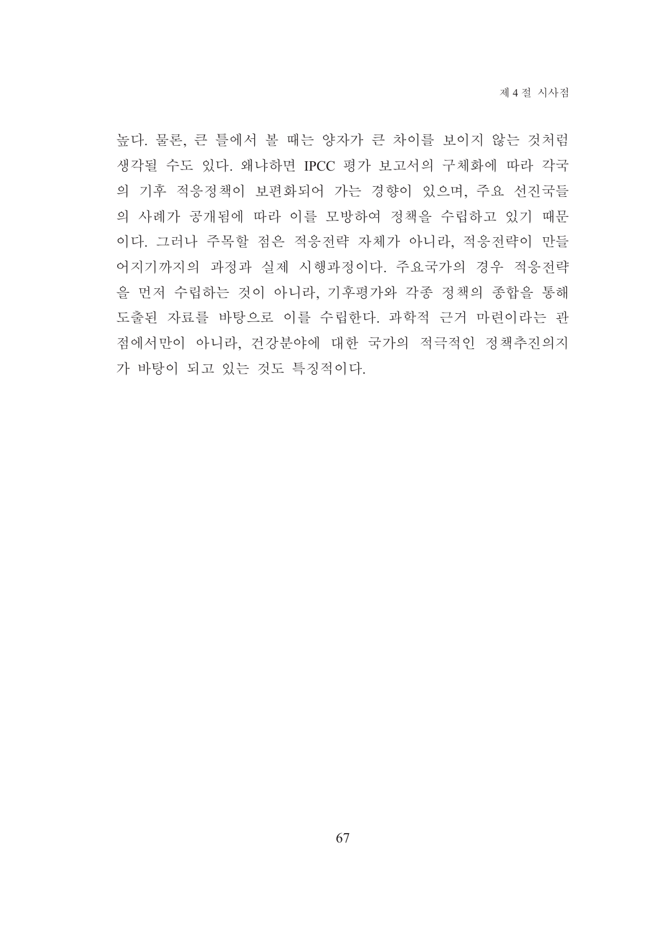높다. 물론, 큰 틀에서 볼 때는 양자가 큰 차이를 보이지 않는 것처럼 생각될 수도 있다. 왜냐하면 IPCC 평가 보고서의 구체화에 따라 각국 의 기후 적응정책이 보편화되어 가는 경향이 있으며, 주요 선진국들 의 사례가 공개됨에 따라 이를 모방하여 정책을 수립하고 있기 때문 이다. 그러나 주목할 점은 적응전략 자체가 아니라, 적응전략이 만들 어지기까지의 과정과 실제 시행과정이다. 주요국가의 경우 적응전략 을 먼저 수립하는 것이 아니라, 기후평가와 각종 정책의 종합을 통해 도출된 자료를 바탕으로 이를 수립한다. 과학적 근거 마련이라는 관 점에서만이 아니라, 건강분야에 대한 국가의 적극적인 정책추진의지 가 바탕이 되고 있는 것도 특징적이다.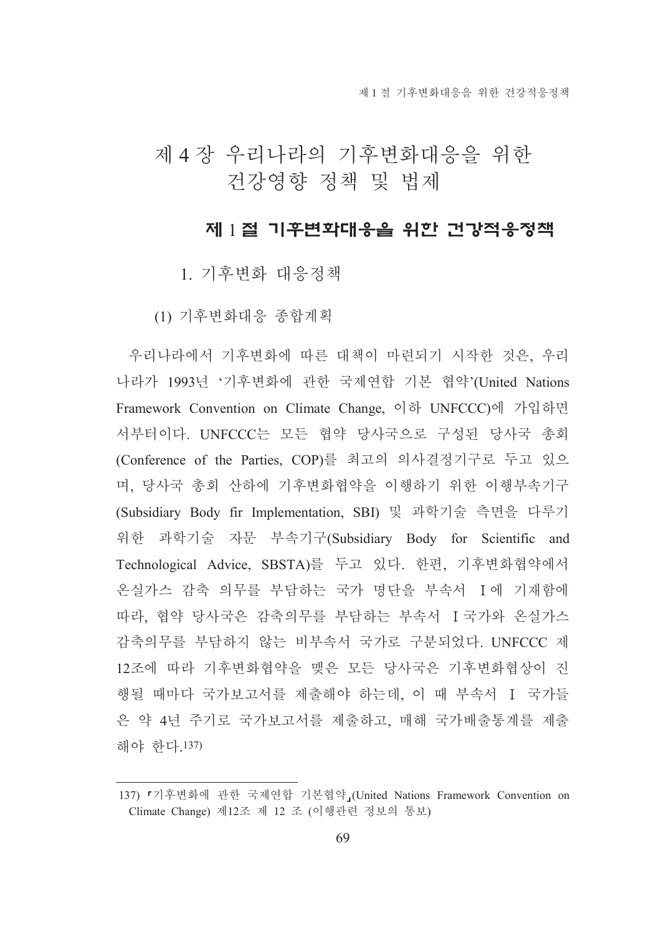# 제 4 장 우리나라의 기후변화대응을 위한 건강영향 정책 및 법제

#### 제 1절 기후변화대응을 위한 건강적응정책

1. 기후변화 대응정책

(1) 기후변화대응 종합계획

우리나라에서 기후변화에 따른 대책이 마련되기 시작한 것은, 우리 나라가 1993년 '기후변화에 관한 국제연합 기본 협약'(United Nations Framework Convention on Climate Change. 이하 UNFCCC)에 가입하면 서부터이다. UNFCCC는 모든 협약 당사국으로 구성된 당사국 총회 (Conference of the Parties, COP)를 최고의 의사결정기구로 두고 있으 며, 당사국 총회 산하에 기후변화협약을 이행하기 위한 이행부속기구 (Subsidiary Body fir Implementation, SBI) 및 과학기술 측면을 다루기 위한 과학기술 자문 부속기구(Subsidiary Body for Scientific and Technological Advice, SBSTA)를 두고 있다. 한편, 기후변화협약에서 온실가스 감축 의무를 부담하는 국가 명단을 부속서 I에 기재함에 따라, 협약 당사국은 감축의무를 부담하는 부속서 I 국가와 온실가스 감축의무를 부담하지 않는 비부속서 국가로 구분되었다. UNFCCC 제 12조에 따라 기후변화협약을 맺은 모든 당사국은 기후변화협상이 진 행될 때마다 국가보고서를 제출해야 하는데. 이 때 부속서 I 국가들 은 약 4년 주기로 국가보고서를 제출하고, 매해 국가배출통계를 제출 해야 한다.137)

<sup>137) 「</sup>기후변화에 관한 국제연합 기본협약」(United Nations Framework Convention on Climate Change) 제12조 제 12 조 (이행관련 정보의 통보)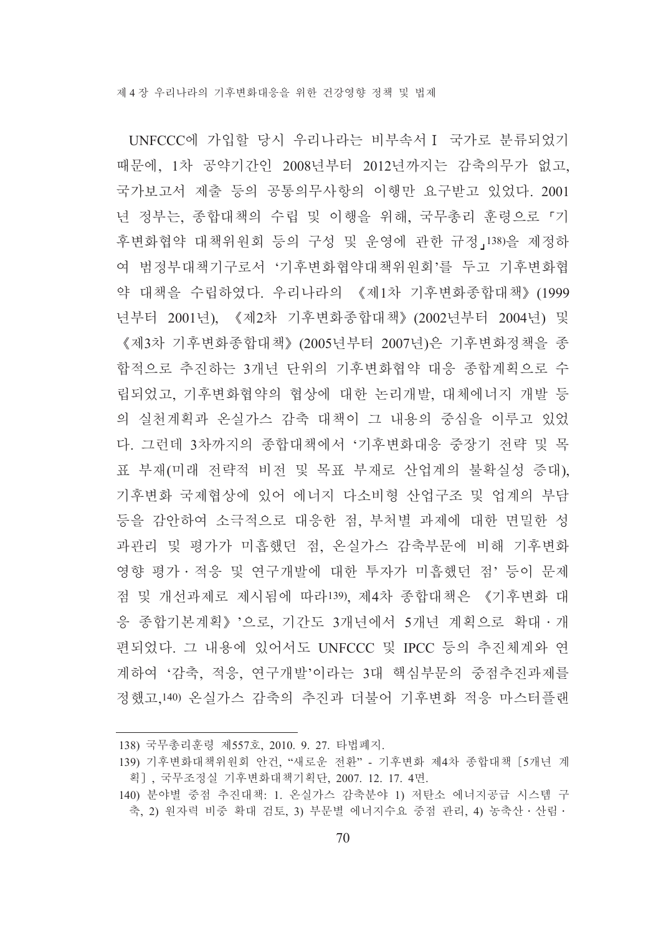UNFCCC에 가입할 당시 우리나라는 비부속서 I 국가로 분류되었기 때문에, 1차 공약기간인 2008년부터 2012년까지는 감축의무가 없고, 국가보고서 제출 등의 공통의무사항의 이행만 요구받고 있었다. 2001 년 정부는, 종합대책의 수립 및 이행을 위해, 국무총리 훈령으로 「기 후변화협약 대책위원회 등의 구성 및 운영에 관한 규정」138)을 제정하 여 범정부대책기구로서 '기후변화협약대책위원회'를 두고 기후변화협 약 대책을 수립하였다. 우리나라의 《제1차 기후변화종합대책》(1999 년부터 2001년), 《제2차 기후변화종합대책》(2002년부터 2004년) 및 《제3차 기후변화종합대책》(2005년부터 2007년)은 기후변화정책을 종 합적으로 추진하는 3개년 단위의 기후변화협약 대응 종합계획으로 수 립되었고, 기후변화협약의 협상에 대한 논리개발, 대체에너지 개발 등 의 실천계획과 온실가스 감축 대책이 그 내용의 중심을 이루고 있었 다. 그러데 3차까지의 종합대책에서 '기후변화대응 중장기 전략 및 목 표 부재(미래 전략적 비전 및 목표 부재로 산업계의 불확실성 증대). 기후변화 국제협상에 있어 에너지 다소비형 산업구조 및 업계의 부담 등을 감안하여 소극적으로 대응한 점, 부처별 과제에 대한 면밀한 성 과관리 및 평가가 미흡했던 점, 온실가스 감축부문에 비해 기후변화 영향 평가 • 적응 및 연구개발에 대한 투자가 미흡했던 점' 등이 문제 점 및 개선과제로 제시됨에 따라139) 제4차 종합대책은 《기후변화 대 응 종합기본계획》'으로, 기간도 3개년에서 5개년 계획으로 확대 · 개 편되었다. 그 내용에 있어서도 UNFCCC 및 IPCC 등의 추진체계와 연 계하여 '감축, 적응, 연구개발'이라는 3대 핵심부문의 중점추진과제를 정했고,140) 온실가스 감축의 추진과 더불어 기후변화 적응 마스터플랜

<sup>138)</sup> 국무총리훈령 제557호, 2010. 9. 27. 타법폐지.

<sup>139)</sup> 기후변화대책위원회 안건, "새로운 전환" - 기후변화 제4차 종합대책 [5개년 계 획], 국무조정실 기후변화대책기획단, 2007. 12. 17. 4면.

<sup>140)</sup> 분야별 중점 추진대책: 1. 온실가스 감축분야 1) 저탄소 에너지공급 시스템 구 축, 2) 원자력 비중 확대 검토, 3) 부문별 에너지수요 중점 관리, 4) 농축산 · 산림 ·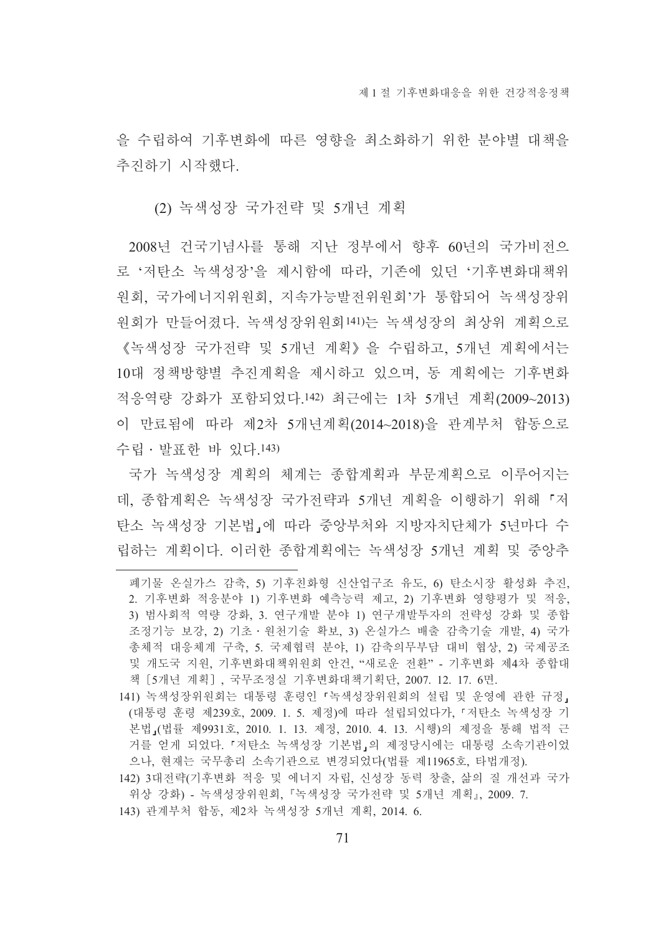을 수립하여 기후변화에 따른 영향을 최소화하기 위한 부야별 대책을 추진하기 시작했다.

(2) 녹색성장 국가전략 및 5개년 계획

2008년 건국기념사를 통해 지난 정부에서 향후 60년의 국가비전으 로 '저탄소 녹색성장'을 제시함에 따라, 기존에 있던 '기후변화대책위 워회. 국가에너지위워회. 지속가능발저위워회'가 통합되어 녹색성장위 워회가 만들어졌다. 녹색성장위워회141)는 녹색성장의 최상위 계획으로 《녹색성장 국가전략 및 5개년 계획》을 수립하고, 5개년 계획에서는 10대 정책방향별 추진계획을 제시하고 있으며, 동 계획에는 기후변화 적응역량 강화가 포함되었다.142) 최근에는 1차 5개년 계획(2009~2013) 이 만료됨에 따라 제2차 5개년계획(2014~2018)을 관계부처 합동으로 수립 · 발표한 바 있다.143)

국가 녹색성장 계획의 체계는 종합계획과 부문계획으로 이루어지는 데. 종합계획은 녹색성장 국가전략과 5개년 계획을 이행하기 위해 「저 탄소 녹색성장 기본법 에 따라 중앙부처와 지방자치단체가 5년마다 수 립하는 계획이다. 이러한 종합계획에는 녹색성장 5개년 계획 및 중앙추

143) 관계부처 합동, 제2차 녹색성장 5개년 계획, 2014. 6.

폐기물 온실가스 감축, 5) 기후친화형 신산업구조 유도, 6) 탄소시장 활성화 추진, 2. 기후변화 적응분야 1) 기후변화 예측능력 제고, 2) 기후변화 영향평가 및 적응, 3) 범사회적 역량 강화, 3. 연구개발 분야 1) 연구개발투자의 전략성 강화 및 종합 조정기능 보강, 2) 기초·원천기술 확보, 3) 온실가스 배출 감축기술 개발, 4) 국가 총체적 대응체계 구축, 5. 국제협력 분야, 1) 감축의무부담 대비 협상, 2) 국제공조 및 개도국 지원, 기후변화대책위원회 안건, "새로운 전환" - 기후변화 제4차 종합대 책 [5개년 계획], 국무조정실 기후변화대책기획단, 2007. 12. 17. 6면.

<sup>141)</sup> 녹색성장위원회는 대통령 훈령인 『녹색성장위원회의 설립 및 운영에 관한 규정』 (대통령 훈령 제239호, 2009, 1, 5, 제정)에 따라 설립되었다가, 『저탄소 녹색성장 기 본법』(법률 제9931호, 2010. 1. 13. 제정, 2010. 4. 13. 시행)의 제정을 통해 법적 근 거를 얻게 되었다. 『저탄소 녹색성장 기본법』의 제정당시에는 대통령 소속기관이었 으나. 현재는 국무총리 소속기관으로 변경되었다(법률 제11965호, 타법개정).

<sup>142) 3</sup>대전략(기후변화 적응 및 에너지 자립, 신성장 동력 창출, 삶의 질 개선과 국가 위상 강화) - 녹색성장위원회, 『녹색성장 국가전략 및 5개년 계획』, 2009. 7.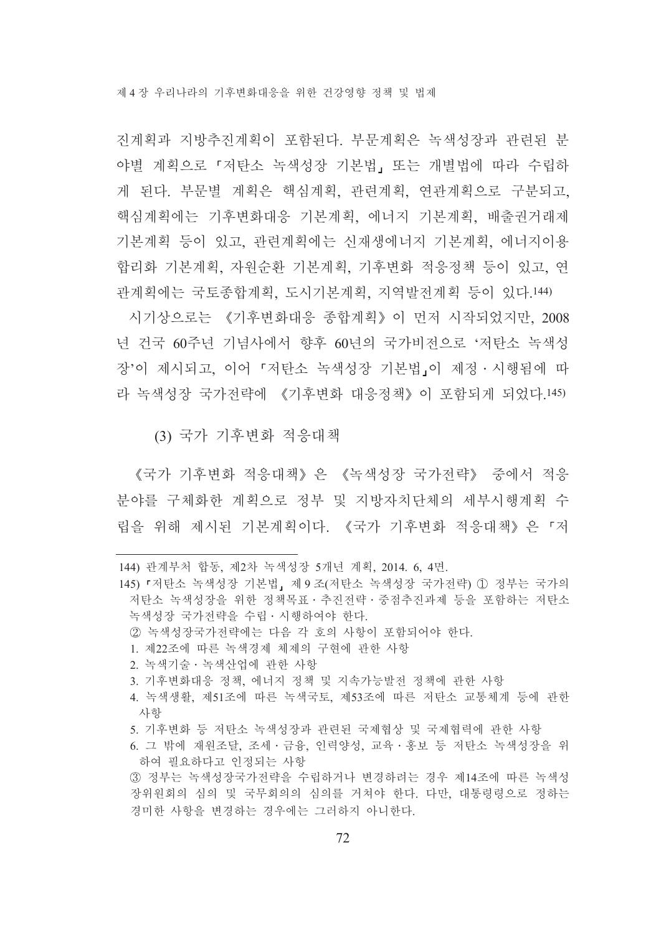제 4 장 우리나라의 기후변화대응을 위하 거강영향 정책 및 법제

진계획과 지방추진계획이 포함된다. 부문계획은 녹색성장과 관련된 분 야별 계획으로 『저탄소 녹색성장 기본법』 또는 개별법에 따라 수립하 게 된다. 부문별 계획은 핵심계획, 관련계획, 연관계획으로 구분되고, 핵심계획에는 기후변화대응 기본계획, 에너지 기본계획, 배출권거래제 기본계획 등이 있고, 관련계획에는 신재생에너지 기본계획, 에너지이용 합리화 기본계획, 자원순환 기본계획, 기후변화 적응정책 등이 있고, 연 관계획에는 국토종합계획, 도시기본계획, 지역발전계획 등이 있다.144)

시기상으로는 《기후변화대응 종합계획》이 먼저 시작되었지만, 2008 년 건국 60주년 기념사에서 향후 60년의 국가비전으로 '저탄소 녹색성 장'이 제시되고, 이어 「저탄소 녹색성장 기본법」이 제정·시행됨에 따 라 녹색성장 국가전략에 《기후변화 대응정책》이 포함되게 되었다.145)

(3) 국가 기후변화 적응대책

《국가 기후변화 적응대책》은 《녹색성장 국가전략》 중에서 적응 분야를 구체화한 계획으로 정부 및 지방자치단체의 세부시행계획 수 립을 위해 제시된 기본계획이다. 《국가 기후변화 적응대책》은『저

- 5. 기후변화 등 저탄소 녹색성장과 관련된 국제협상 및 국제협력에 관한 사항
- 6. 그 밖에 재원조달, 조세 · 금융, 인력양성, 교육 · 홍보 등 저탄소 녹색성장을 위 하여 필요하다고 인정되는 사항

<sup>144)</sup> 관계부처 합동, 제2차 녹색성장 5개년 계획, 2014. 6, 4면.

<sup>145) 『</sup>저탄소 녹색성장 기본법』제 9 조(저탄소 녹색성장 국가전략) ① 정부는 국가의 저탄소 녹색성장을 위한 정책목표 · 추진전략 · 중점추진과제 등을 포함하는 저탄소 녹색성장 국가전략을 수립 · 시행하여야 한다

② 녹색성장국가전략에는 다음 각 호의 사항이 포함되어야 한다.

<sup>1.</sup> 제22조에 따른 녹색경제 체제의 구현에 관한 사항

<sup>2.</sup> 녹색기술 · 녹색산업에 관한 사항

<sup>3.</sup> 기후변화대응 정책, 에너지 정책 및 지속가능발전 정책에 관한 사항

<sup>4.</sup> 녹색생활, 제51조에 따른 녹색국토, 제53조에 따른 저탄소 교통체계 등에 관한 사항

<sup>3)</sup> 정부는 녹색성장국가전략을 수립하거나 변경하려는 경우 제14조에 따른 녹색성 장위원회의 심의 및 국무회의의 심의를 거쳐야 한다. 다만, 대통령령으로 정하는 경미한 사항을 변경하는 경우에는 그러하지 아니한다.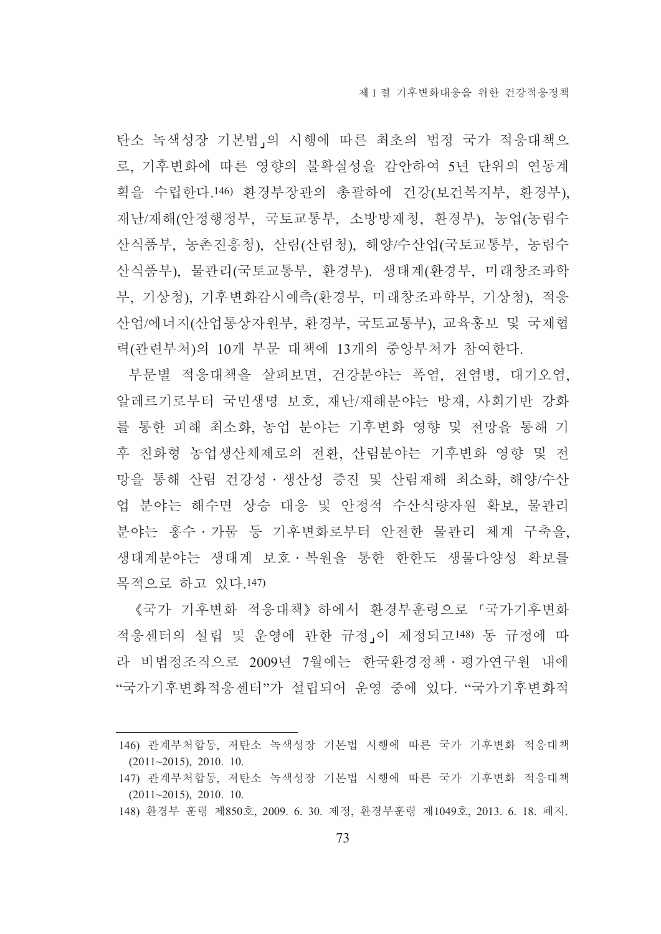탄소 녹색성장 기본법」의 시행에 따른 최초의 법정 국가 적응대책으 로, 기후변화에 따른 영향의 불확실성을 감안하여 5년 단위의 연동계 획을 수립한다.146) 환경부장관의 총괄하에 건강(보건복지부, 환경부), 재난/재해(안정행정부, 국토교통부, 소방방재청, 환경부), 농업(농림수 산식품부, 농촌진흥청), 산림(산림청), 해양/수산업(국토교통부, 농림수 산식품부), 물관리(국토교통부, 환경부). 생태계(환경부, 미래창조과학 부, 기상청), 기후변화감시예측(환경부, 미래창조과학부, 기상청), 적응 산업/에너지(산업통상자원부, 환경부, 국토교통부), 교육홍보 및 국제협 력(관련부처)의 10개 부문 대책에 13개의 중앙부처가 참여한다.

부문별 적응대책을 살펴보면, 건강분야는 폭염, 전염병, 대기오염, 알레르기로부터 국민생명 보호, 재난/재해분야는 방재, 사회기반 강화 를 통한 피해 최소화, 농업 분야는 기후변화 영향 및 전망을 통해 기 후 친화형 농업생산체제로의 전환, 산림분야는 기후변화 영향 및 전 망을 통해 산림 건강성 · 생산성 증진 및 산림재해 최소화, 해양/수산 업 분야는 해수면 상승 대응 및 안정적 수산식량자원 확보, 물관리 부야는 홍수 · 가뭄 등 기후변화로부터 안전한 물관리 체계 구축을, 생태계분야는 생태계 보호 · 복원을 통한 한한도 생물다양성 확보를 목적으로 하고 있다.147)

《국가 기후변화 적응대책》 하에서 화경부후령으로 『국가기후변화 적응센터의 설립 및 운영에 관한 규정」이 제정되고148) 동 규정에 따 라 비법정조직으로 2009년 7월에는 한국환경정책 · 평가연구원 내에 "국가기후변화적응센터"가 설립되어 운영 중에 있다. "국가기후변화적

<sup>146)</sup> 관계부처합동, 저탄소 녹색성장 기본법 시행에 따른 국가 기후변화 적응대책  $(2011 \sim 2015)$ , 2010, 10.

<sup>147)</sup> 관계부처합동, 저탄소 녹색성장 기본법 시행에 따른 국가 기후변화 적응대책  $(2011~2015)$ , 2010. 10.

<sup>148)</sup> 환경부 훈령 제850호, 2009. 6. 30. 제정, 환경부훈령 제1049호, 2013. 6. 18. 폐지.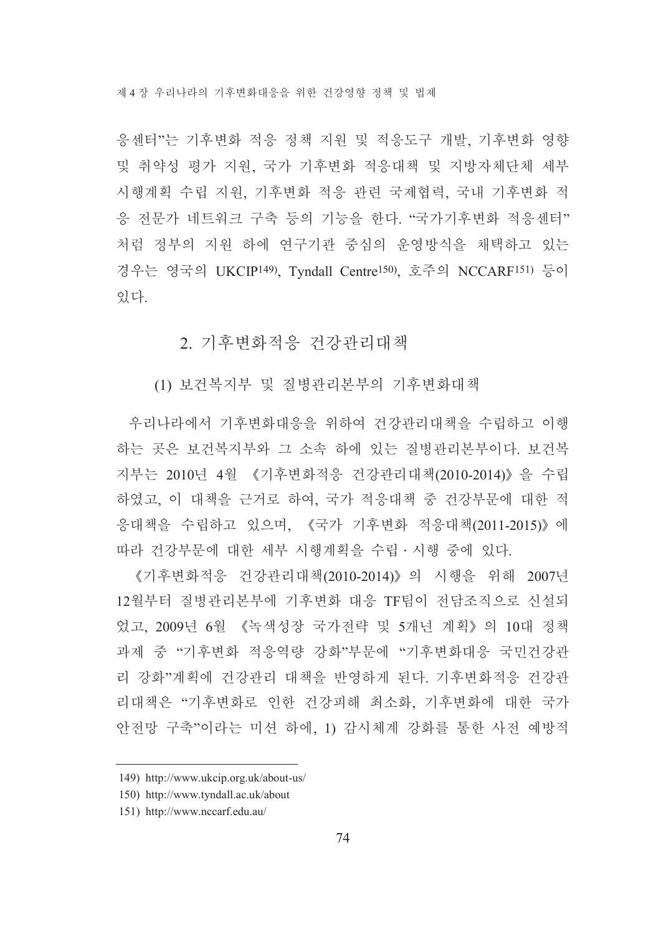제 4 장 우리나라의 기후변화대응을 위한 건강영향 정책 및 법제

응센터"는 기후변화 적응 정책 지원 및 적응도구 개발, 기후변화 영향 및 취약성 평가 지원, 국가 기후변화 적응대책 및 지방자체단체 세부 시행계획 수립 지워, 기후변화 적응 관련 국제협력, 국내 기후변화 적 응 전문가 네트워크 구축 등의 기능을 한다. "국가기후변화 적응센터" 처럼 정부의 지원 하에 연구기관 중심의 운영방식을 채택하고 있는 경우는 영국의 UKCIP<sup>149</sup>). Tyndall Centre<sup>150</sup>). 호주의 NCCARF<sup>151)</sup> 등이 있다.

### 2. 기후변화적응 건강관리대책

(1) 보건복지부 및 질병관리본부의 기후변화대책

우리나라에서 기후변화대응을 위하여 건강관리대책을 수립하고 이행 하는 곳은 보건복지부와 그 소속 하에 있는 질병관리본부이다. 보건복 지부는 2010년 4월 《기후변화적응 건강관리대책(2010-2014)》 을 수립 하였고, 이 대책을 근거로 하여, 국가 적응대책 중 건강부문에 대한 적 응대책을 수립하고 있으며, 《국가 기후변화 적응대책(2011-2015)》에 따라 건강부문에 대한 세부 시행계획을 수립 · 시행 중에 있다.

《기후변화적응 건강관리대책(2010-2014)》의 시행을 위해 2007년 12월부터 질병관리본부에 기후변화 대응 TF팀이 전담조직으로 신설되 었고, 2009년 6월 《녹색성장 국가전략 및 5개년 계획》의 10대 정책 과제 중 "기후변화 적응역량 강화"부문에 "기후변화대응 국민건강관 리 강화"계획에 건강관리 대책을 반영하게 된다. 기후변화적응 건강관 리대책은 "기후변화로 인한 건강피해 최소화, 기후변화에 대한 국가 안전망 구축"이라는 미션 하에, 1) 감시체계 강화를 통한 사전 예방적

<sup>149)</sup> http://www.ukcip.org.uk/about-us/

<sup>150)</sup> http://www.tyndall.ac.uk/about

<sup>151)</sup> http://www.nccarf.edu.au/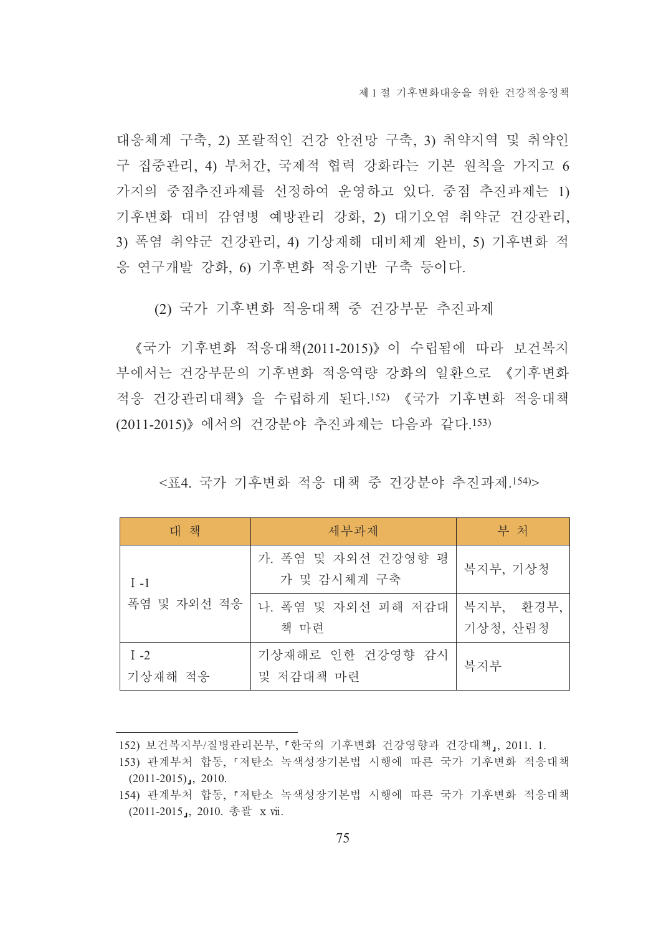대응체계 구축, 2) 포괄적인 건강 안전망 구축, 3) 취약지역 및 취약인 구 집중관리, 4) 부처간, 국제적 협력 강화라는 기본 원칙을 가지고 6 가지의 중점추진과제를 선정하여 운영하고 있다. 중점 추진과제는 1) 기후변화 대비 감염병 예방관리 강화, 2) 대기오염 취약군 건강관리, 3) 폭염 취약군 건강관리, 4) 기상재해 대비체계 완비, 5) 기후변화 적 응 연구개발 강화, 6) 기후변화 적응기반 구축 등이다.

(2) 국가 기후변화 적응대책 중 건강부문 추진과제

《국가 기후변화 적응대책(2011-2015)》이 수립됨에 따라 보건복지 부에서는 거강부문의 기후변화 적응역량 강화의 일화으로 《기후변화 적응 건강관리대책》을 수립하게 된다.152) 《국가 기후변화 적응대책 (2011-2015)》에서의 건강분야 추진과제는 다음과 같다.153)

대 책 부 처 세부과제 가. 폭염 및 자외선 건강영향 평 복지부, 기상청 가 및 감시체계 구축  $I - 1$ 폭염 및 자외선 적응 복지부, 환경부, 나 폭염 및 자외선 피해 저감대 책 마련 기상청, 산림청 기상재해로 인한 건강영향 감시  $I -2$ 복지부 기상재해 적응 및 저감대책 마련

<표4. 국가 기후변화 적응 대책 중 건강분야 추진과제.154)>

152) 보건복지부/질병관리본부, 『한국의 기후변화 건강영향과 건강대책』, 2011. 1.

<sup>153)</sup> 관계부처 합동, 『저탄소 녹색성장기본법 시행에 따른 국가 기후변화 적응대책  $(2011-2015)$ , 2010.

<sup>154)</sup> 관계부처 합동, 『저탄소 녹색성장기본법 시행에 따른 국가 기후변화 적응대책 (2011-2015, 2010. 총괄 x vii.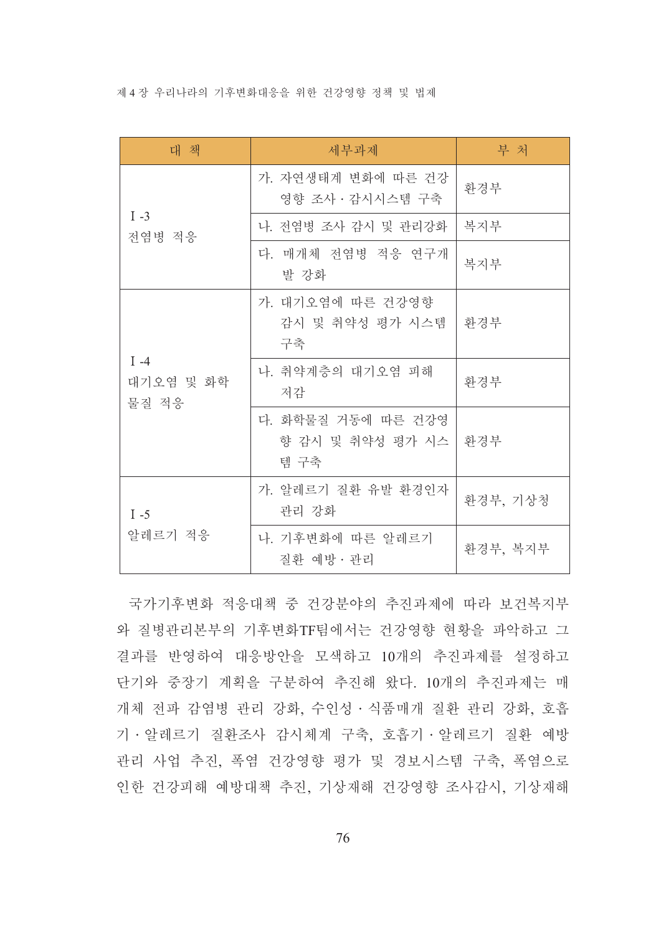제 4 장 우리나라의 기후변화대응을 위한 건강영향 정책 및 법제

| 대 책                          | 세부과제                                            | 부 처      |
|------------------------------|-------------------------------------------------|----------|
|                              | 가. 자연생태계 변화에 따른 건강<br>영향 조사 · 감시시스템 구축          | 환경부      |
| $I -3$<br>전염병 적응             | 나. 전염병 조사 감시 및 관리강화                             | 복지부      |
|                              | 다. 매개체 전염병 적응 연구개<br>발 강화                       | 복지부      |
|                              | 가. 대기오염에 따른 건강영향<br>감시 및 취약성 평가 시스템<br>구축       | 환경부      |
| $I -4$<br>대기오염 및 화학<br>물질 적응 | 나. 취약계층의 대기오염 피해<br>저감                          | 환경부      |
|                              | 다. 화학물질 거동에 따른 건강영<br>향 감시 및 취약성 평가 시스 <br>템 구축 | │ 화경부    |
| $I - 5$<br>알레르기 적응           | 가. 알레르기 질환 유발 환경인자<br>관리 강화                     | 환경부, 기상청 |
|                              | 나. 기후변화에 따른 알레르기<br>질환 예방 · 관리                  | 환경부, 복지부 |

국가기후변화 적응대책 중 건강분야의 추진과제에 따라 보건복지부 와 질병관리본부의 기후변화TF팀에서는 건강영향 현황을 파악하고 그 결과를 반영하여 대응방안을 모색하고 10개의 추진과제를 설정하고 단기와 중장기 계획을 구분하여 추진해 왔다. 10개의 추진과제는 매 개체 전파 감염병 관리 강화, 수인성 · 식품매개 질환 관리 강화, 호흡 기 · 알레르기 질환조사 감시체계 구축, 호흡기 · 알레르기 질환 예방 관리 사업 추진, 폭염 건강영향 평가 및 경보시스템 구축, 폭염으로 인한 건강피해 예방대책 추진, 기상재해 건강영향 조사감시, 기상재해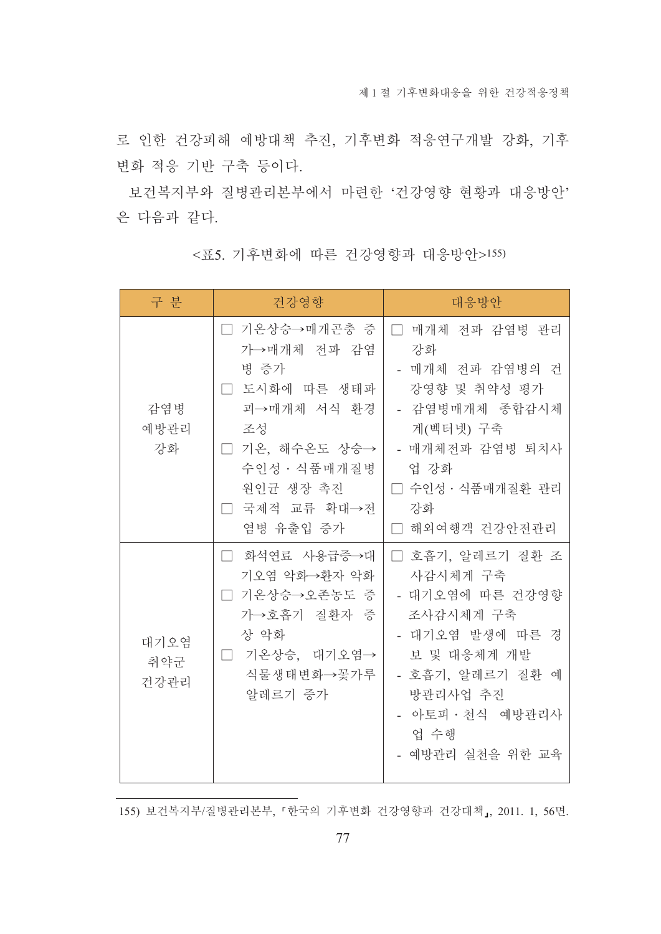로 인한 건강피해 예방대책 추진, 기후변화 적응연구개발 강화, 기후 변화 적응 기반 구축 등이다.

보건복지부와 질병관리본부에서 마련한 '건강영향 현황과 대응방안' 은 다음과 같다.

| 구 분                 | 건강영향                                                                                                                                                    | 대응방안                                                                                                                                                                         |
|---------------------|---------------------------------------------------------------------------------------------------------------------------------------------------------|------------------------------------------------------------------------------------------------------------------------------------------------------------------------------|
| 감염병<br>예방관리<br>강화   | □ 기온상승→매개곤충 증<br>가→매개체 전파 감염<br>병 증가<br>□ 도시화에 따른 생태파<br>괴→매개체 서식 환경<br>조성<br>□ 기온, 해수온도 상승→<br>수인성 · 식품매개질병<br>원인균 생장 촉진<br>□ 국제적 교류 확대→전<br>염병 유출입 증가 | □ 매개체 전파 감염병 관리<br>강화<br>- 매개체 전파 감염병의 건<br>강영향 및 취약성 평가<br>- 감염병매개체 종합감시체<br>계(벡터넷) 구축<br>- 매개체전파 감염병 퇴치사<br>업 강화<br>□ 수인성 • 식품매개질환 관리<br>강화<br>□ 해외여행객 건강안전관리              |
| 대기오염<br>취약군<br>건강관리 | 화석연료 사용급증→대<br>기오염 악화→환자 악화<br>기온상승→오존농도 증<br>가→호흡기 질환자 증<br>상 악화<br>기온상승, 대기오염→<br>$\Box$<br>식물생태변화→꽃가루<br>알레르기 증가                                     | □ 호흡기, 알레르기 질환 조<br>사감시체계 구축<br>- 대기오염에 따른 건강영향<br>조사감시체계 구축<br>- 대기오염 발생에 따른 경<br>보 및 대응체계 개발<br>- 호흡기, 알레르기 질환 예<br>방관리사업 추진<br>- 아토피·천식 예방관리사<br>업 수행<br>- 예방관리 실천을 위한 교육 |

<표5. 기후변화에 따른 건강영향과 대응방안>155)

155) 보건복지부/질병관리본부, 「한국의 기후변화 건강영향과 건강대책」, 2011. 1, 56면.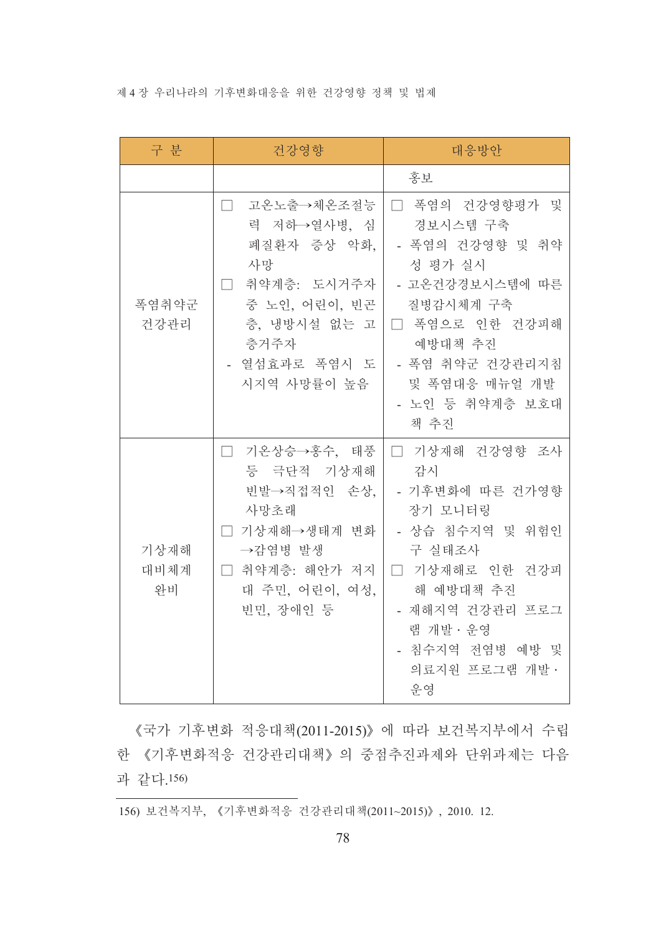### 제 4 장 우리나라의 기후변화대응을 위한 건강영향 정책 및 법제

| 구 분                | 건강영향                                                                                                                                                     | 대응방안                                                                                                                                                                                      |
|--------------------|----------------------------------------------------------------------------------------------------------------------------------------------------------|-------------------------------------------------------------------------------------------------------------------------------------------------------------------------------------------|
|                    |                                                                                                                                                          | 홍보                                                                                                                                                                                        |
| 폭염취약군<br>건강관리      | 고온노출→체온조절능<br>$\mathbb{R}$<br>력 저하→열사병, 심<br>폐질환자 증상 악화,<br>사망<br>□ 취약계층: 도시거주자<br>중 노인, 어린이, 빈곤<br>층, 냉방시설 없는 고<br>층거주자<br>- 열섬효과로 폭염시 도<br>시지역 사망률이 높음 | □ 폭염의 건강영향평가 및<br>경보시스템 구축<br>- 폭염의 건강영향 및 취약<br>성 평가 실시<br>- 고온건강경보시스템에 따른<br>질병감시체계 구축<br>□ 폭염으로 인한 건강피해<br>예방대책 추진<br>- 폭염 취약군 건강관리지침<br>및 폭염대응 매뉴얼 개발<br>- 노인 등 취약계층 보호대<br>책 추진      |
| 기상재해<br>대비체계<br>와비 | □ 기온상승→홍수, 태풍<br>등 극단적 기상재해<br>빈발→직접적인 손상,<br>사망초래<br>□ 기상재해→생태계 변화<br>→감염병 발생<br>□ 취약계층: 해안가 저지<br>대 주민, 어린이, 여성,<br>빈민, 장애인 등                          | □ 기상재해 건강영향 조사<br>감시<br>- 기후변화에 따른 건가영향<br>장기 모니터링<br>- 상습 침수지역 및 위험인<br>구 실태조사<br>□ 기상재해로 인한 건강피<br>해 예방대책 추진<br>- 재해지역 건강관리 프로그<br>램 개발 · 운영<br>- 침수지역 전염병 예방 및<br>의료지원 프로그램 개발 ·<br>운영 |

《국가 기후변화 적응대책(2011-2015)》에 따라 보건복지부에서 수립 한 《기후변화적응 건강관리대책》의 중점추진과제와 단위과제는 다음 과 같다.156)

156) 보건복지부, 《기후변화적응 건강관리대책(2011~2015)》, 2010. 12.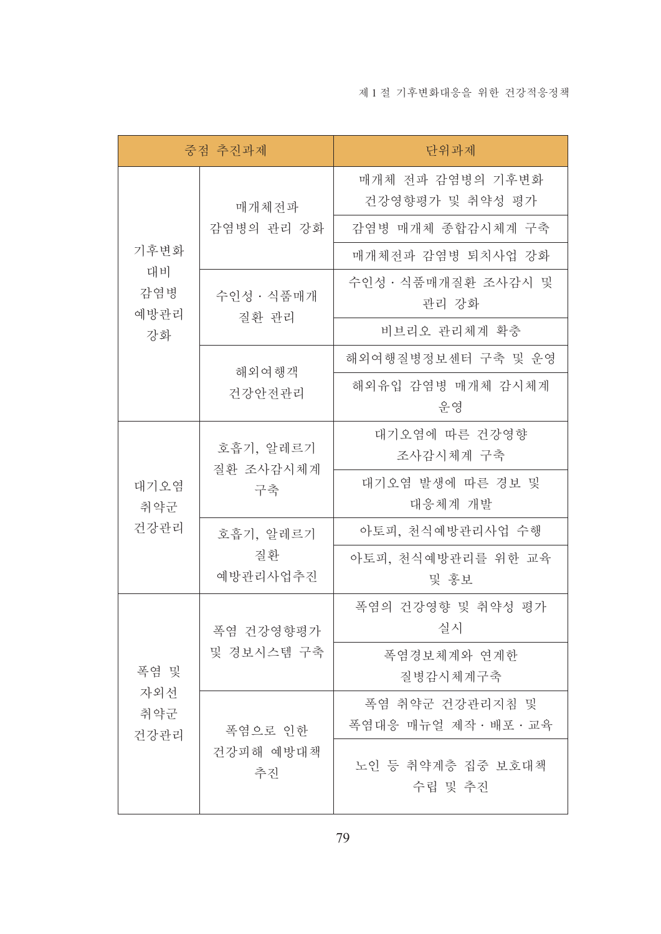| 중점 추진과제            |                     | 단위과제                                 |
|--------------------|---------------------|--------------------------------------|
|                    | 매개체전파               | 매개체 전파 감염병의 기후변화<br>건강영향평가 및 취약성 평가  |
|                    | 감염병의 관리 강화          | 감염병 매개체 종합감시체계 구축                    |
| 기후변화               |                     | 매개체전파 감염병 퇴치사업 강화                    |
| 대비<br>감염병<br>예방관리  | 수인성 · 식품매개<br>질환 관리 | 수인성 · 식품매개질환 조사감시 및<br>관리 강화         |
| 강화                 |                     | 비브리오 관리체계 확충                         |
|                    | 해외여행객               | 해외여행질병정보센터 구축 및 운영                   |
|                    | 건강안전관리              | 해외유입 감염병 매개체 감시체계<br>유영              |
|                    | 호흡기, 알레르기           | 대기오염에 따른 건강영향<br>조사감시체계 구축           |
| 대기오염<br>취약군        | 질환 조사감시체계<br>구축     | 대기오염 발생에 따른 경보 및<br>대응체계 개발          |
| 건강관리               | 호흡기, 알레르기           | 아토피, 천식예방관리사업 수행                     |
|                    | 질환<br>예방관리사업추진      | 아토피, 천식예방관리를 위한 교육<br>및 홍보           |
|                    | 폭염 건강영향평가           | 폭염의 건강영향 및 취약성 평가<br>실시              |
| 폭염 및               | 및 경보시스템 구축          | 폭염경보체계와 연계한<br>질병감시체계구축              |
| 자외선<br>취약군<br>건강관리 | 폭염으로 인한             | 폭염 취약군 건강관리지침 및<br>폭염대응 매뉴얼 제작·배포·교육 |
|                    | 건강피해 예방대책<br>추진     | 노인 등 취약계층 집중 보호대책<br>수립 및 추진         |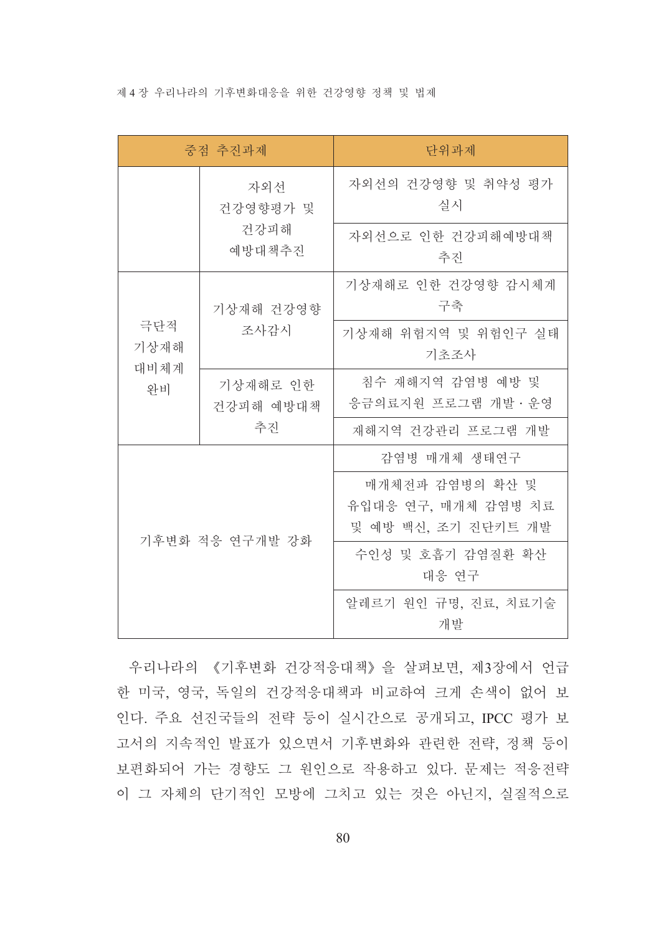#### 제 4 장 우리나라의 기후변화대응을 위한 건강영향 정책 및 법제

| 중점 추진과제         |                       | 단위과제                                                          |  |
|-----------------|-----------------------|---------------------------------------------------------------|--|
|                 | 자외선<br>건강영향평가 및       | 자외선의 건강영향 및 취약성 평가<br>실시                                      |  |
| 건강피해<br>예방대책추진  |                       | 자외선으로 인한 건강피해예방대책<br>추진                                       |  |
|                 | 기상재해 건강영향             | 기상재해로 인한 건강영향 감시체계<br>구축                                      |  |
| 기상재해<br>대비체계    | 극단적<br>조사감시           | 기상재해 위험지역 및 위험인구 실태<br>기초조사                                   |  |
| 와비              | 기상재해로 인한<br>건강피해 예방대책 | 침수 재해지역 감염병 예방 및<br>응금의료지원 프로그램 개발 · 운영                       |  |
|                 | 추진                    | 재해지역 건강관리 프로그램 개발                                             |  |
| 기후변화 적응 연구개발 강화 |                       | 감염병 매개체 생태연구                                                  |  |
|                 |                       | 매개체전파 감염병의 확산 및<br>유입대응 연구, 매개체 감염병 치료<br>및 예방 백신, 조기 진단키트 개발 |  |
|                 |                       | 수인성 및 호흡기 감염질환 확산<br>대응 연구                                    |  |
|                 |                       | 알레르기 원인 규명, 진료, 치료기술<br>개발                                    |  |

우리나라의 《기후변화 건강적응대책》을 살펴보면, 제3장에서 언급 한 미국, 영국, 독일의 건강적응대책과 비교하여 크게 손색이 없어 보 인다. 주요 선진국들의 전략 등이 실시간으로 공개되고, IPCC 평가 보 고서의 지속적인 발표가 있으면서 기후변화와 관련한 전략, 정책 등이 보편화되어 가는 경향도 그 원인으로 작용하고 있다. 문제는 적응전략 이 그 자체의 단기적인 모방에 그치고 있는 것은 아닌지, 실질적으로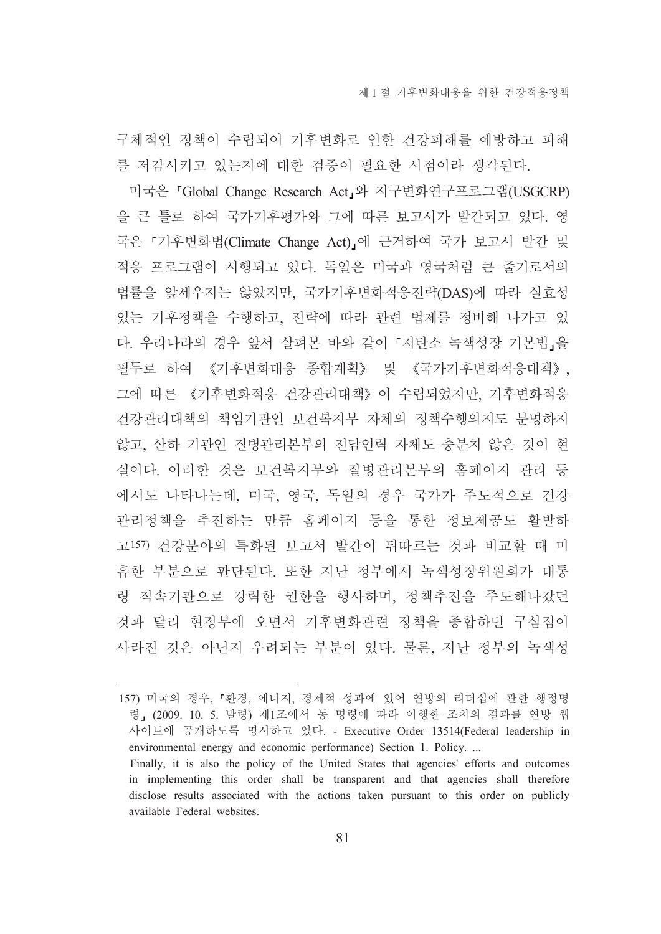구체적인 정책이 수립되어 기후변화로 인한 건강피해를 예방하고 피해 를 저감시키고 있는지에 대한 검증이 필요한 시점이라 생각된다.

미국은 「Global Change Research Act」와 지구변화연구프로그램(USGCRP) 을 큰 틀로 하여 국가기후평가와 그에 따른 보고서가 발간되고 있다. 영 국은 「기후변화법(Climate Change Act)」에 근거하여 국가 보고서 발간 및 적응 프로그램이 시행되고 있다. 독일은 미국과 영국처럼 큰 줄기로서의 법률을 앞세우지는 않았지만, 국가기후변화적응전략(DAS)에 따라 실효성 있는 기후정책을 수행하고, 전략에 따라 관련 법제를 정비해 나가고 있 다. 우리나라의 경우 앞서 살펴본 바와 같이 『저탄소 녹색성장 기본법』을 필두로 하여 《기후변화대응 종합계획》 및 《국가기후변화적응대책》, 그에 따른 《기후변화적응 건강관리대책》이 수립되었지만, 기후변화적응 건강관리대책의 책임기관인 보건복지부 자체의 정책수행의지도 분명하지 않고, 산하 기관인 질병관리본부의 전담인력 자체도 충분치 않은 것이 현 실이다. 이러한 것은 보건복지부와 질병관리본부의 홈페이지 관리 등 에서도 나타나는데, 미국, 영국, 독일의 경우 국가가 주도적으로 건강 관리정책을 추진하는 만큼 홈페이지 등을 통한 정보제공도 활발하 고157) 건강분야의 특화된 보고서 발간이 뒤따르는 것과 비교할 때 미 흡한 부분으로 판단된다. 또한 지난 정부에서 녹색성장위워회가 대통 령 직속기관으로 강력한 권한을 행사하며, 정책추진을 주도해나갔던 것과 달리 현정부에 오면서 기후변화관련 정책을 종합하던 구심점이 사라진 것은 아닌지 우려되는 부분이 있다. 물론, 지난 정부의 녹색성

<sup>157)</sup> 미국의 경우, 「환경, 에너지, 경제적 성과에 있어 연방의 리더십에 관한 행정명 령, (2009. 10. 5. 발령) 제1조에서 동 명령에 따라 이행한 조치의 결과를 연방 웹 사이트에 공개하도록 명시하고 있다. - Executive Order 13514(Federal leadership in environmental energy and economic performance) Section 1. Policy...

Finally, it is also the policy of the United States that agencies' efforts and outcomes in implementing this order shall be transparent and that agencies shall therefore disclose results associated with the actions taken pursuant to this order on publicly available Federal websites.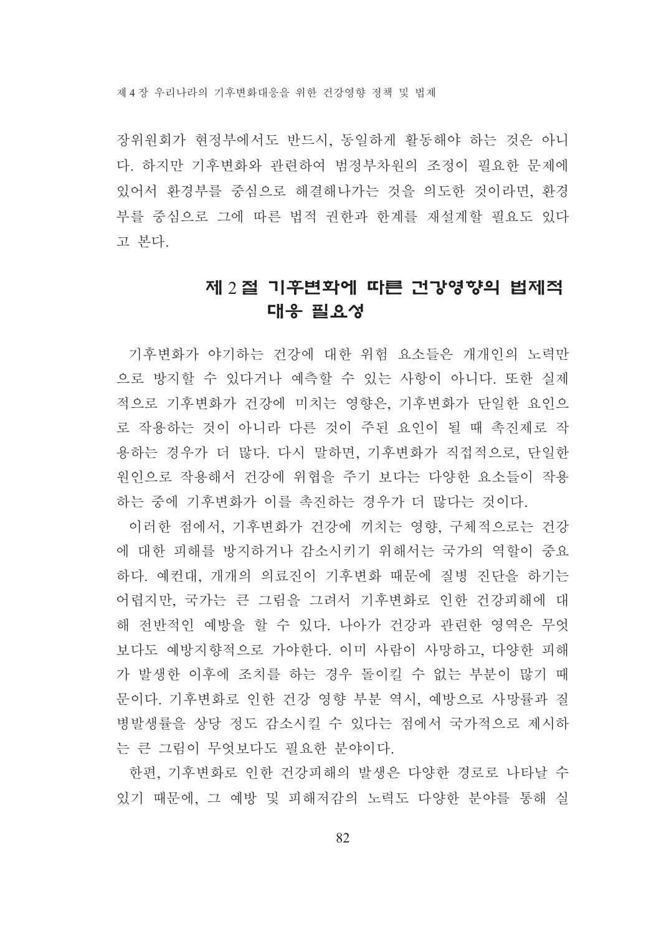제 4 장 우리나라의 기후변화대응을 위하 건강영향 정책 및 법제

장위원회가 현정부에서도 반드시. 동일하게 활동해야 하는 것은 아니 다. 하지만 기후변화와 관련하여 범정부차원의 조정이 필요한 문제에 있어서 환경부를 중심으로 해결해나가는 것을 의도한 것이라면, 환경 부를 중심으로 그에 따른 법적 권한과 한계를 재설계할 필요도 있다 고 본다.

# 제 2 절 기후변화에 따른 건강영향의 법제적 대응 필요성

기후변화가 야기하는 건강에 대한 위험 요소들은 개개인의 노력만 으로 방지할 수 있다거나 예측할 수 있는 사항이 아니다. 또한 실제 적으로 기후변화가 건강에 미치는 영향은, 기후변화가 단일한 요인으 로 작용하는 것이 아니라 다른 것이 주된 요인이 될 때 촉진제로 작 용하는 경우가 더 많다. 다시 말하면, 기후변화가 직접적으로, 단일한 원인으로 작용해서 건강에 위협을 주기 보다는 다양한 요소들이 작용 하는 중에 기후변화가 이를 촉진하는 경우가 더 많다는 것이다.

이러한 점에서, 기후변화가 건강에 끼치는 영향, 구체적으로는 건강 에 대한 피해를 방지하거나 감소시키기 위해서는 국가의 역할이 중요 하다. 예컨대. 개개의 의료진이 기후변화 때문에 질병 진단을 하기는 어렵지만, 국가는 큰 그림을 그려서 기후변화로 인한 건강피해에 대 해 전반적인 예방을 할 수 있다. 나아가 건강과 관련한 영역은 무엇 보다도 예방지향적으로 가야한다. 이미 사람이 사망하고, 다양한 피해 가 발생한 이후에 조치를 하는 경우 돌이킬 수 없는 부분이 많기 때 문이다. 기후변화로 인한 건강 영향 부분 역시, 예방으로 사망률과 질 병발생률을 상당 정도 감소시킬 수 있다는 점에서 국가적으로 제시하 는 큰 그림이 무엇보다도 필요한 분야이다.

한편, 기후변화로 인한 건강피해의 발생은 다양한 경로로 나타날 수 있기 때문에, 그 예방 및 피해저감의 노력도 다양한 분야를 통해 실

 $82$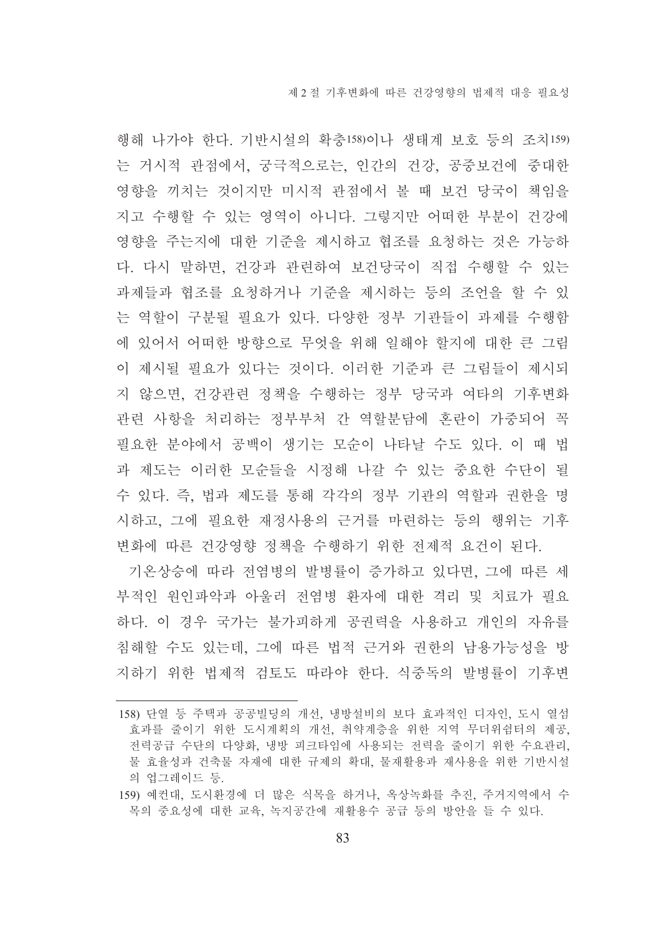행해 나가야 하다. 기반시설의 확충158)이나 생태계 보호 등의 조치159) 는 거시적 관점에서, 궁극적으로는, 인간의 건강, 공중보건에 중대한 영향을 끼치는 것이지만 미시적 관점에서 볼 때 보건 당국이 책임을 지고 수행할 수 있는 영역이 아니다. 그렇지만 어떠한 부분이 건강에 영향을 주는지에 대한 기준을 제시하고 협조를 요청하는 것은 가능하 다. 다시 말하면, 건강과 관련하여 보건당국이 직접 수행할 수 있는 과제들과 협조를 요청하거나 기준을 제시하는 등의 조언을 할 수 있 는 역할이 구분될 필요가 있다. 다양한 정부 기관들이 과제를 수행함 에 있어서 어떠한 방향으로 무엇을 위해 일해야 할지에 대한 큰 그림 이 제시될 필요가 있다는 것이다. 이러한 기준과 큰 그림들이 제시되 지 않으면, 건강관련 정책을 수행하는 정부 당국과 여타의 기후변화 관련 사항을 처리하는 정부부처 간 역할분담에 혼란이 가중되어 꼭 필요한 부야에서 공백이 생기는 모수이 나타날 수도 있다. 이 때 법 과 제도는 이러한 모순들을 시정해 나갈 수 있는 중요한 수단이 될 수 있다. 즉, 법과 제도를 통해 각각의 정부 기관의 역할과 권한을 명 시하고, 그에 필요한 재정사용의 근거를 마련하는 등의 행위는 기후 변화에 따른 건강영향 정책을 수행하기 위한 전제적 요건이 된다.

기온상승에 따라 전염병의 발병률이 증가하고 있다면. 그에 따른 세 부적인 원인파악과 아울러 전염병 환자에 대한 격리 및 치료가 필요 하다. 이 경우 국가는 불가피하게 공권력을 사용하고 개인의 자유를 침해할 수도 있는데, 그에 따른 법적 근거와 권한의 남용가능성을 방 지하기 위한 법제적 검토도 따라야 한다. 식중독의 발병률이 기후변

<sup>158)</sup> 단열 등 주택과 공공빌딩의 개선, 냉방설비의 보다 효과적인 디자인, 도시 열섬 효과를 줄이기 위한 도시계획의 개선, 취약계층을 위한 지역 무더위쉼터의 제공, 전력공급 수단의 다양화, 냉방 피크타임에 사용되는 전력을 줄이기 위한 수요관리, 물 효율성과 건축물 자재에 대한 규제의 확대. 물재활용과 재사용을 위한 기반시설 의 업그레이드 등.

<sup>159)</sup> 예컨대, 도시환경에 더 많은 식목을 하거나, 옥상녹화를 추진, 주거지역에서 수 목의 중요성에 대한 교육, 녹지공간에 재활용수 공급 등의 방안을 들 수 있다.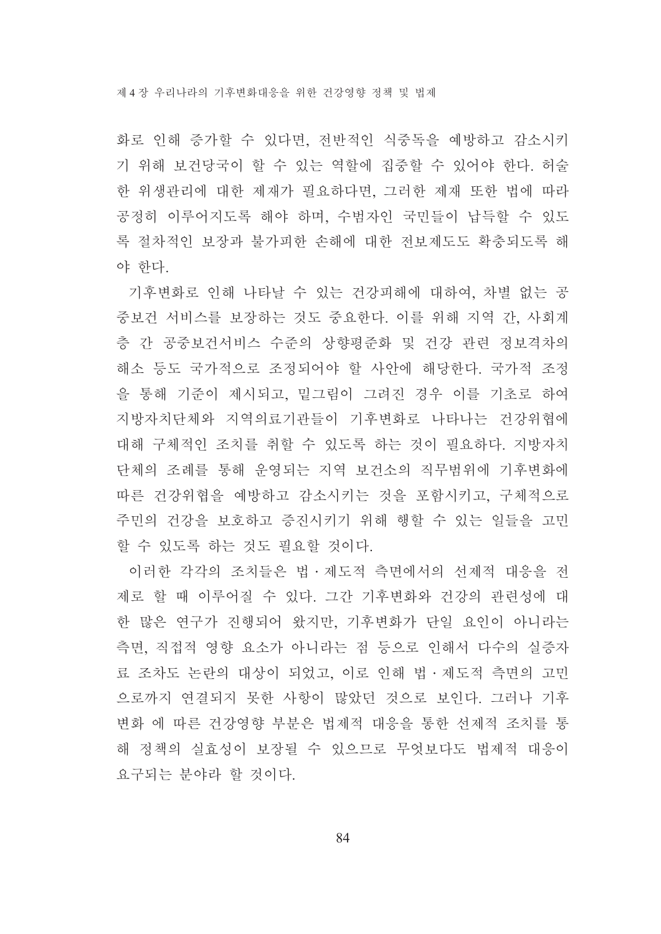제 4 장 우리나라의 기후변화대응을 위하 거강영향 정책 및 법제

화로 인해 증가할 수 있다면, 전반적인 식중독을 예방하고 감소시키 기 위해 보건당국이 할 수 있는 역할에 집중할 수 있어야 한다. 허술 한 위생관리에 대한 제재가 필요하다면, 그러한 제재 또한 법에 따라 공정히 이루어지도록 해야 하며, 수범자인 국민들이 납득할 수 있도 록 절차적인 보장과 불가피한 손해에 대한 전보제도도 확충되도록 해 야 한다.

기후변화로 인해 나타날 수 있는 건강피해에 대하여. 차별 없는 공 중보건 서비스를 보장하는 것도 중요한다. 이를 위해 지역 간, 사회계 층 간 공중보건서비스 수준의 상향평준화 및 건강 관련 정보격차의 해소 등도 국가적으로 조정되어야 할 사안에 해당한다. 국가적 조정 을 통해 기준이 제시되고, 밑그림이 그려진 경우 이를 기초로 하여 지방자치단체와 지역의료기관들이 기후변화로 나타나는 건강위협에 대해 구체적인 조치를 취할 수 있도록 하는 것이 필요하다. 지방자치 단체의 조례를 통해 운영되는 지역 보건소의 직무범위에 기후변화에 따른 건강위협을 예방하고 감소시키는 것을 포함시키고, 구체적으로 주민의 거강을 보호하고 증진시키기 위해 행할 수 있는 일들을 고민 할 수 있도록 하는 것도 필요할 것이다.

이러한 각각의 조치들은 법·제도적 측면에서의 선제적 대응을 전 제로 할 때 이루어질 수 있다. 그간 기후변화와 건강의 관련성에 대 한 많은 연구가 진행되어 왔지만, 기후변화가 단일 요인이 아니라는 측면, 직접적 영향 요소가 아니라는 점 등으로 인해서 다수의 실증자 료 조차도 논란의 대상이 되었고, 이로 인해 법·제도적 측면의 고민 으로까지 연결되지 못한 사항이 많았던 것으로 보인다. 그러나 기후 변화 에 따른 건강영향 부분은 법제적 대응을 통한 선제적 조치를 통 해 정책의 실효성이 보장될 수 있으므로 무엇보다도 법제적 대응이 요구되는 분야라 할 것이다.

84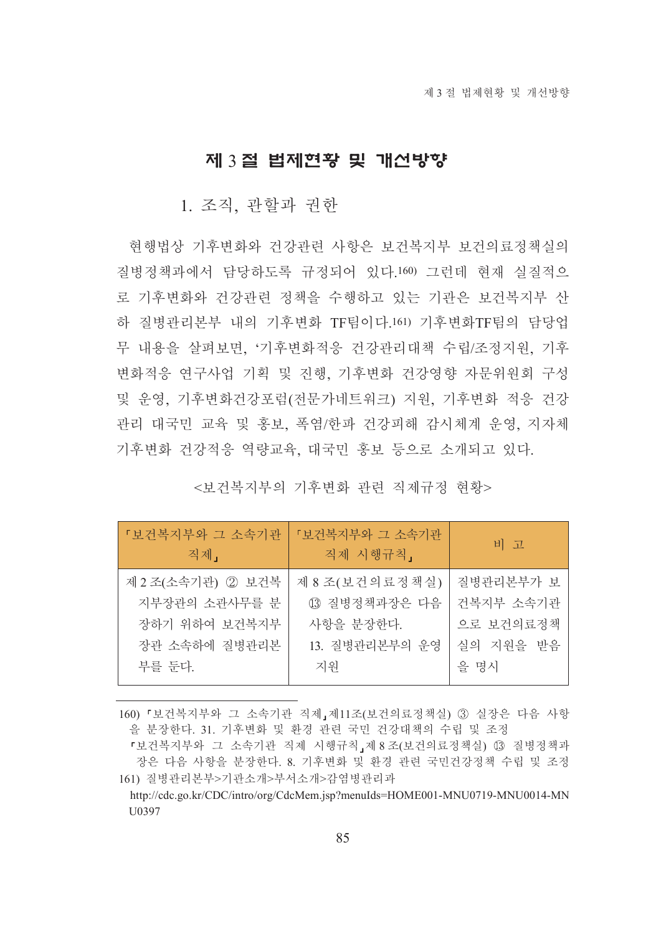## 제 3 절 법제현황 및 개선방향

### 1. 조직, 관할과 권한

현행법상 기후변화와 건강관련 사항은 보건복지부 보건의료정책실의 질병정책과에서 담당하도록 규정되어 있다.160) 그런데 현재 실질적으 로 기후변화와 건강관련 정책을 수행하고 있는 기관은 보건복지부 산 하 질병관리본부 내의 기후변화 TF팀이다 161) 기후변화TF팀의 담당업 무 내용을 살펴보면 '기후변화적응 건강관리대책 수립/조정지원 기후 변화적응 연구사업 기획 및 진행, 기후변화 건강영향 자문위워회 구성 및 운영, 기후변화건강포럼(전문가네트워크) 지원, 기후변화 적응 건강 관리 대국민 교육 및 홍보, 폭염/한파 건강피해 감시체계 운영, 지자체 기후변화 건강적응 역량교육, 대국민 홍보 등으로 소개되고 있다.

### <보건복지부의 기후변화 관련 직제규정 현황>

| 「보건복지부와 그 소속기관<br>직제」 | 「보건복지부와 그 소속기관<br>직제 시행규칙, | 비 고       |
|-----------------------|----------------------------|-----------|
| 제 2 조(소속기관) ② 보건복     | 제 8조(보건의료정책실)              | 질병관리본부가 보 |
| 지부장관의 소관사무를 분         | (3) 질병정책과장은 다음             | 건복지부 소속기관 |
| 장하기 위하여 보건복지부         | 사항을 분장한다.                  | 으로 보건의료정책 |
| 장관 소속하에 질병관리본         | 13. 질병관리본부의 운영             | 실의 지원을 받음 |
| 부를 둔다.                | 지워                         | 을 명시      |

160) 『보건복지부와 그 소속기관 직제』제11조(보건의료정책실) 3 실장은 다음 사항 을 분장한다. 31. 기후변화 및 환경 관련 국민 건강대책의 수립 및 조정

『보건복지부와 그 소속기관 직제 시행규칙』제8조(보건의료정책실) 3 질병정책과 장은 다음 사항을 분장한다. 8. 기후변화 및 환경 관련 국민건강정책 수립 및 조정 161) 질병관리본부>기관소개>부서소개>감염병관리과

http://cdc.go.kr/CDC/intro/org/CdcMem.jsp?menuIds=HOME001-MNU0719-MNU0014-MN U0397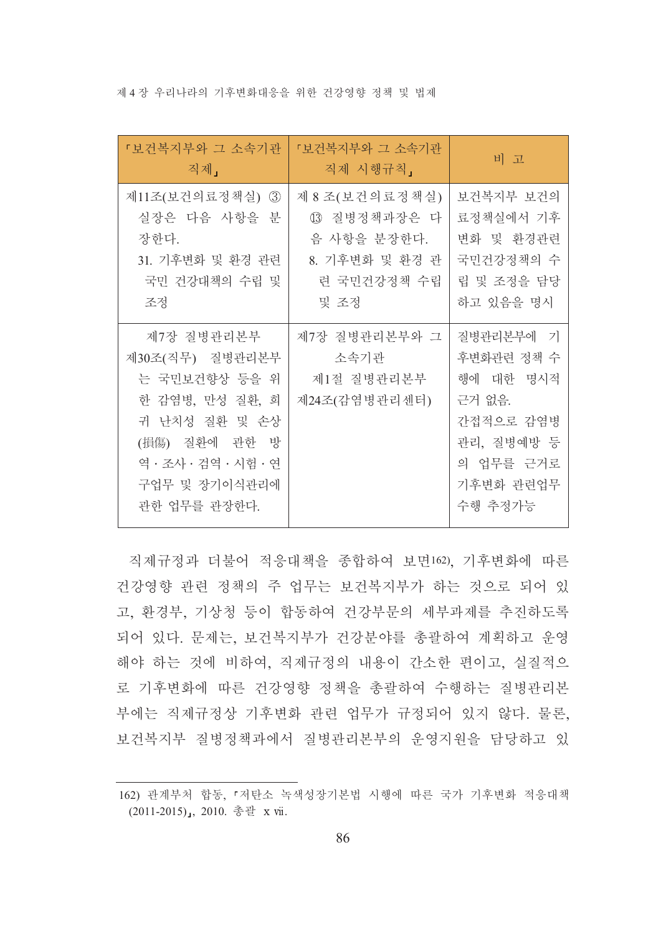제 4 장 우리나라의 기후변화대응을 위한 건강영향 정책 및 법제

| 「보건복지부와 그 소속기관<br>직제」                                                                                                                                        | 「보건복지부와 그 소속기관<br>직제 시행규칙,                                                             | 비 고                                                                                                            |
|--------------------------------------------------------------------------------------------------------------------------------------------------------------|----------------------------------------------------------------------------------------|----------------------------------------------------------------------------------------------------------------|
| 제11조(보건의료정책실)<br>$\circledS$<br>실장은 다음 사항을 분<br>장한다.<br>31. 기후변화 및 환경 관련<br>국민 건강대책의 수립 및<br>조정                                                              | 제 8 조(보건의료정책실)<br>13 질병정책과장은 다<br>음 사항을 분장한다.<br>8. 기후변화 및 환경 관<br>련 국민건강정책 수립<br>및 조정 | 보건복지부 보건의<br>료정책실에서 기후<br>변화 및 환경관련<br>국민건강정책의 수<br>립 및 조정을 담당<br>하고 있음을 명시                                    |
| 제7장 질병관리본부<br>제30조(직무) 질병관리본부<br>는 국민보건향상 등을 위<br>한 감염병, 만성 질환, 희<br>귀 난치성 질환 및 손상<br>(損傷) 질환에 관한 방<br>역 · 조사 · 검역 · 시험 · 연<br>구업무 및 장기이식관리에<br>관한 업무를 관장한다. | 제7장 질병관리본부와 그<br>소속기관<br>제1절 질병관리본부<br>제24조(감염병관리센터)                                   | 질병관리본부에 기<br>후변화관련 정책 수<br>행에 대한 명시적<br>근거 없음.<br>간접적으로 감염병<br>관리, 질병예방 등<br>의 업무를 근거로<br>기후변화 관련업무<br>수행 추정가능 |

직제규정과 더불어 적응대책을 종합하여 보면162), 기후변화에 따른 건강영향 관련 정책의 주 업무는 보건복지부가 하는 것으로 되어 있 고, 환경부, 기상청 등이 합동하여 건강부문의 세부과제를 추진하도록 되어 있다. 문제는, 보건복지부가 건강분야를 총괄하여 계획하고 운영 해야 하는 것에 비하여, 직제규정의 내용이 간소한 편이고, 실질적으 로 기후변화에 따른 건강영향 정책을 총괄하여 수행하는 질병관리본 부에는 직제규정상 기후변화 관련 업무가 규정되어 있지 않다. 물론, 보건복지부 질병정책과에서 질병관리본부의 운영지원을 담당하고 있

<sup>162)</sup> 관계부처 합동, 『저탄소 녹색성장기본법 시행에 따른 국가 기후변화 적응대책 (2011-2015), 2010. 총괄 x vii.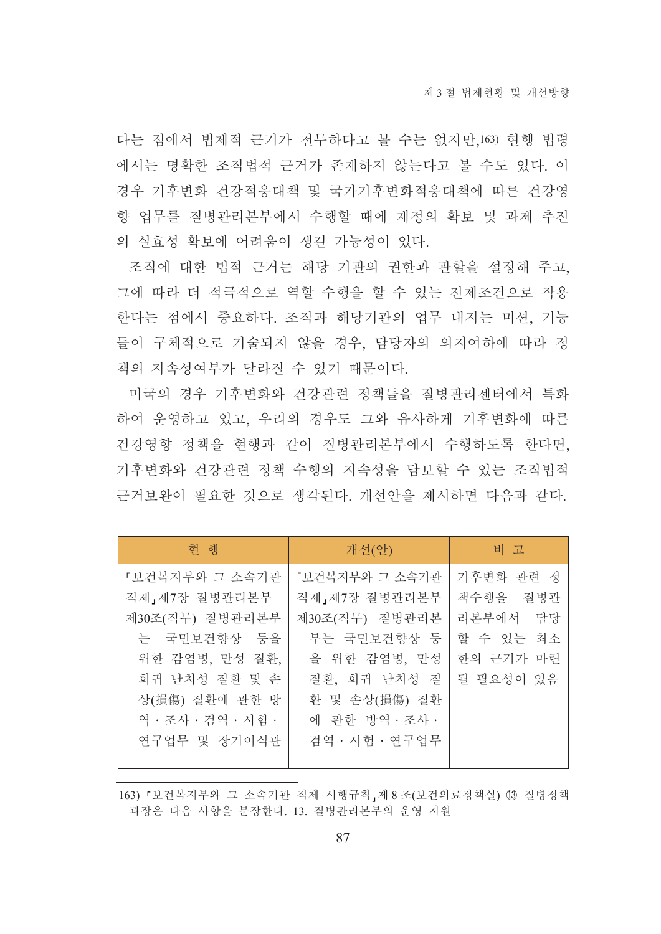다는 점에서 법제적 근거가 전무하다고 볼 수는 없지만,163) 현행 법령 에서는 명확한 조직법적 근거가 존재하지 않는다고 볼 수도 있다. 이 경우 기후변화 건강적응대책 및 국가기후변화적응대책에 따른 건강영 향 업무를 질병관리본부에서 수행할 때에 재정의 확보 및 과제 추진 의 실효성 확보에 어려움이 생길 가능성이 있다.

조직에 대한 법적 근거는 해당 기관의 권한과 관할을 설정해 주고, 그에 따라 더 적극적으로 역할 수행을 할 수 있는 전제조건으로 작용 한다는 점에서 중요하다. 조직과 해당기관의 업무 내지는 미션, 기능 들이 구체적으로 기술되지 않을 경우, 담당자의 의지여하에 따라 정 책의 지속성여부가 달라질 수 있기 때문이다.

미국의 경우 기후변화와 건강관련 정책들을 질병관리센터에서 특화 하여 운영하고 있고, 우리의 경우도 그와 유사하게 기후변화에 따른 건강영향 정책을 현행과 같이 질병관리본부에서 수행하도록 한다면, 기후변화와 건강관련 정책 수행의 지속성을 담보할 수 있는 조직법적 근거보와이 필요한 것으로 생각된다. 개선안을 제시하면 다음과 같다.

| 현 행                | 개선(안)          | 비 고       |
|--------------------|----------------|-----------|
| 『보건복지부와 그 소속기관     | 『보건복지부와 그 소속기관 | 기후변화 관련 정 |
| 직제」제7장 질병관리본부      | 직제」제7장 질병관리본부  | 책수행을 질병관  |
| 제30조(직무) 질병관리본부    | 제30조(직무) 질병관리본 | 리본부에서 담당  |
| 는 국민보건향상 등을        | 부는 국민보건향상 등    | 할 수 있는 최소 |
| 위한 감염병, 만성 질환,     | 을 위한 감염병, 만성   | 한의 근거가 마련 |
| 희귀 난치성 질환 및 손      | 질환, 희귀 난치성 질   | 될 필요성이 있음 |
| 상(損傷) 질환에 관한 방     | 환 및 손상(損傷) 질환  |           |
| 역 · 조사 · 검역 · 시험 · | 에 관한 방역 · 조사 · |           |
| 연구업무 및 장기이식관       | 검역 · 시험 · 연구업무 |           |
|                    |                |           |

<sup>163) 『</sup>보건복지부와 그 소속기관 직제 시행규칙』제 8 조(보건의료정책실) 13 질병정책 과장은 다음 사항을 분장한다. 13. 질병관리본부의 운영 지원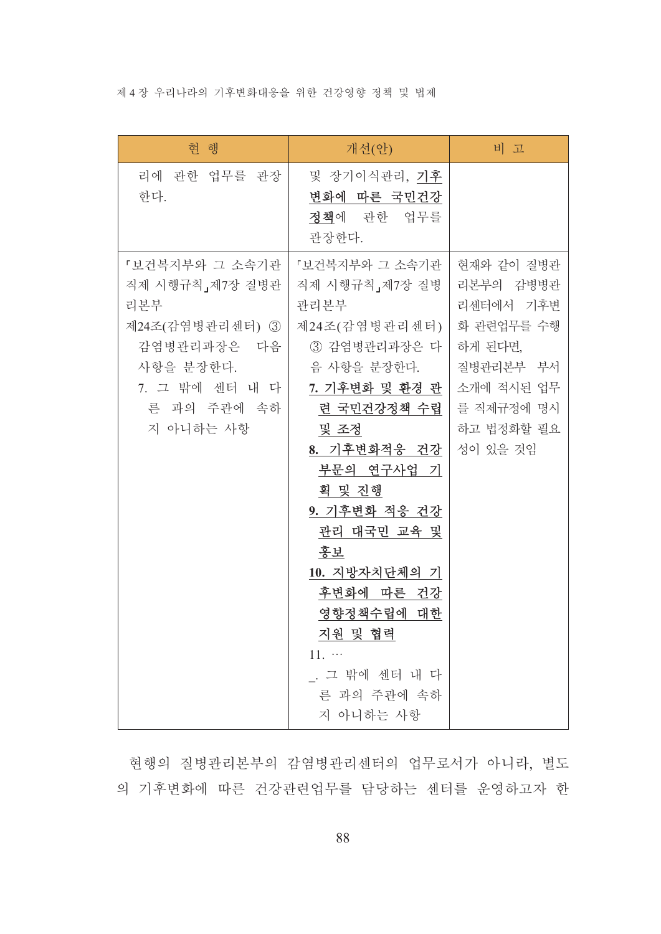### 제 4 장 우리나라의 기후변화대응을 위한 건강영향 정책 및 법제

| 현 행                                                                                                                                   | 개선(안)                                                                                                                                                                                                                                                                                                                                          | 비고                                                                                                                               |
|---------------------------------------------------------------------------------------------------------------------------------------|------------------------------------------------------------------------------------------------------------------------------------------------------------------------------------------------------------------------------------------------------------------------------------------------------------------------------------------------|----------------------------------------------------------------------------------------------------------------------------------|
| 리에 관한 업무를 관장<br>한다.                                                                                                                   | 및 장기이식관리, <b>기후</b><br>변화에 따른 국민건강<br>정책에 관한 업무를<br>관장한다.                                                                                                                                                                                                                                                                                      |                                                                                                                                  |
| 『보건복지부와 그 소속기관<br>직제 시행규칙」제7장 질병관<br>리본부<br>제24조(감염병관리센터) ③<br>감염병관리과장은 다음<br>사항을 분장한다.<br>7. 그 밖에 센터 내 다<br>른 과의 주관에 속하<br>지 아니하는 사항 | 『보건복지부와 그 소속기관<br>직제 시행규칙, 제7장 질병<br>관리본부<br>제24조(감염병관리센터)<br>③ 감염병관리과장은 다<br>음 사항을 분장한다.<br>7. 기후변화 및 환경 관<br>련 국민건강정책 수립<br>및 조정<br>8. 기후변화적응 건강<br>부문의 연구사업 기<br>획 및 진행<br>9. 기후변화 적응 건강<br>관리 대국민 교육 및<br>홍보<br>10. 지방자치단체의 기<br>후변화에 따른 건강<br>영향정책수립에 대한<br><u>지원 및 협력</u><br>$11.$ $\cdots$<br>. 그 밖에 센터 내 다<br>른 과의 주관에 속하<br>지 아니하는 사항 | 현재와 같이 질병관<br>리본부의 감병병관<br>리센터에서 기후변<br>화 관련업무를 수행<br>하게 된다면,<br>질병관리본부 부서<br>소개에 적시된 업무<br>를 직제규정에 명시<br>하고 법정화할 필요<br>성이 있을 것임 |

현행의 질병관리본부의 감염병관리센터의 업무로서가 아니라, 별도 의 기후변화에 따른 건강관련업무를 담당하는 센터를 운영하고자 한

88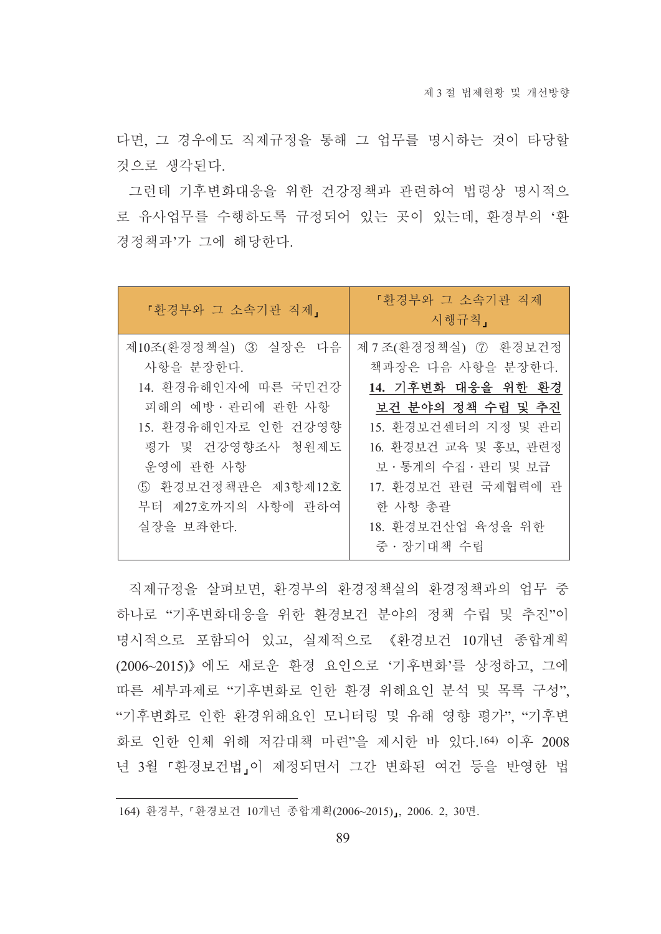다면, 그 경우에도 직제규정을 통해 그 업무를 명시하는 것이 타당할 것으로 생각된다.

그런데 기후변화대응을 위한 건강정책과 관련하여 법령상 명시적으 로 유사업무를 수행하도록 규정되어 있는 곳이 있는데, 환경부의 '환 경정책과'가 그에 해당한다.

| 「환경부와 그 소속기관 직제」                                                                                                                                                                                | 『환경부와 그 소속기관 직제<br>시행규칙」                                                                                                                                                                                           |
|-------------------------------------------------------------------------------------------------------------------------------------------------------------------------------------------------|--------------------------------------------------------------------------------------------------------------------------------------------------------------------------------------------------------------------|
| 제10조(환경정책실) 3 실장은 다음<br>사항을 분장한다.<br>14. 환경유해인자에 따른 국민건강<br>피해의 예방 · 관리에 관한 사항<br>15. 환경유해인자로 인한 건강영향<br>평가 및 건강영향조사 청원제도<br>운영에 관한 사항<br>5 환경보건정책관은 제3항제12호<br>부터 제27호까지의 사항에 관하여<br>실장을 보좌한다. | 제 7조(환경정책실) 7 환경보건정<br>책과장은 다음 사항을 분장한다.<br>14. 기후변화 대응을 위한 환경<br>보건 분야의 정책 수립 및 추진<br>15. 환경보건센터의 지정 및 관리<br>16. 환경보건 교육 및 홍보, 관련정<br>보 · 통계의 수집 · 관리 및 보급<br>17. 환경보건 관련 국제협력에 관<br>한 사항 총괄<br>18. 환경보건산업 육성을 위한 |
|                                                                                                                                                                                                 | 중 · 장기대책 수립                                                                                                                                                                                                        |

직제규정을 살펴보면, 환경부의 환경정책실의 환경정책과의 업무 중 하나로 "기후변화대응을 위한 화경보건 분야의 정책 수립 및 추진"이 명시적으로 포함되어 있고, 실제적으로 《환경보건 10개년 종합계획 (2006~2015)》에도 새로운 화경 요인으로 '기후변화'를 상정하고, 그에 따른 세부과제로 "기후변화로 인한 환경 위해요인 분석 및 목록 구성". "기후변화로 인한 환경위해요인 모니터링 및 유해 영향 평가", "기후변 화로 인한 인체 위해 저감대책 마련"을 제시한 바 있다.164) 이후 2008 년 3월 『화경보건법』이 제정되면서 그간 변화된 여건 등을 반영한 법

<sup>164)</sup> 환경부, 『환경보건 10개년 종합계획(2006~2015)』, 2006. 2, 30면.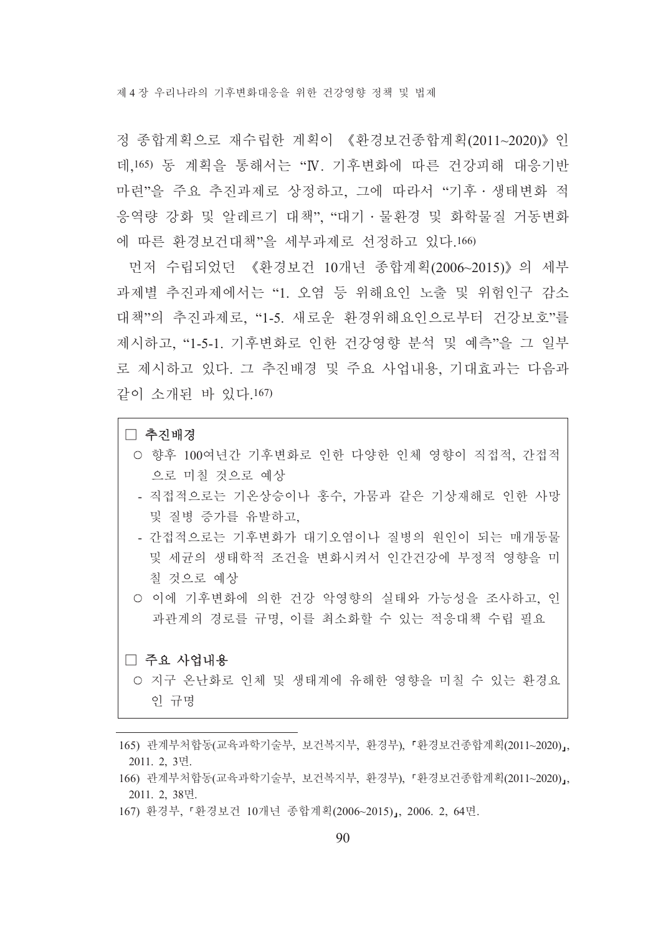제 4 장 우리나라의 기후변화대응을 위하 건강영향 정책 및 법제

정 종합계획으로 재수립한 계획이 《환경보건종합계획(2011~2020)》인 데 165) 동 계획을 통해서는 "N. 기후변화에 따른 건강피해 대응기반 마련"을 주요 추진과제로 상정하고, 그에 따라서 "기후 · 생태변화 적 응역량 강화 및 알레르기 대책", "대기 · 물환경 및 화학물질 거동변화 에 따른 환경보건대책"을 세부과제로 선정하고 있다.166)

먼저 수립되었던 《환경보건 10개년 종합계획(2006~2015)》의 세부 과제별 추진과제에서는 "1. 오염 등 위해요인 노출 및 위험인구 감소 대책"의 추진과제로, "1-5. 새로운 환경위해요인으로부터 건강보호"를 제시하고, "1-5-1. 기후변화로 인한 건강영향 분석 및 예측"을 그 일부 로 제시하고 있다. 그 추진배경 및 주요 사업내용, 기대효과는 다음과 같이 소개된 바 있다.167)

### □ 추진배경

- 향후 100여년간 기후변화로 인한 다양한 인체 영향이 직접적, 간접적 으로 미칠 것으로 예상
- 직접적으로는 기온상승이나 홍수, 가뭄과 같은 기상재해로 인한 사망 및 질병 증가를 유발하고.
- 간접적으로는 기후변화가 대기오염이나 질병의 워인이 되는 매개동물 및 세규의 생태학적 조건을 변화시켜서 인가거강에 부정적 영향을 미 칠 것으로 예상
- 이에 기후변화에 의한 건강 악영향의 실태와 가능성을 조사하고, 인 과관계의 경로를 규명, 이를 최소화할 수 있는 적응대책 수립 필요

#### □ 주요 사업내용

- 지구 온난화로 인체 및 생태계에 유해한 영향을 미칠 수 있는 환경요 인 규명
- 165) 관계부처합동(교육과학기술부, 보건복지부, 환경부), 『환경보건종합계획(2011~2020)』, 2011. 2. 3면.
- 166) 관계부처합동(교육과학기술부, 보건복지부, 환경부), 『환경보건종합계획(2011~2020)』, 2011. 2, 38면.
- 167) 환경부, 『환경보건 10개년 종합계획(2006~2015)』, 2006. 2, 64면.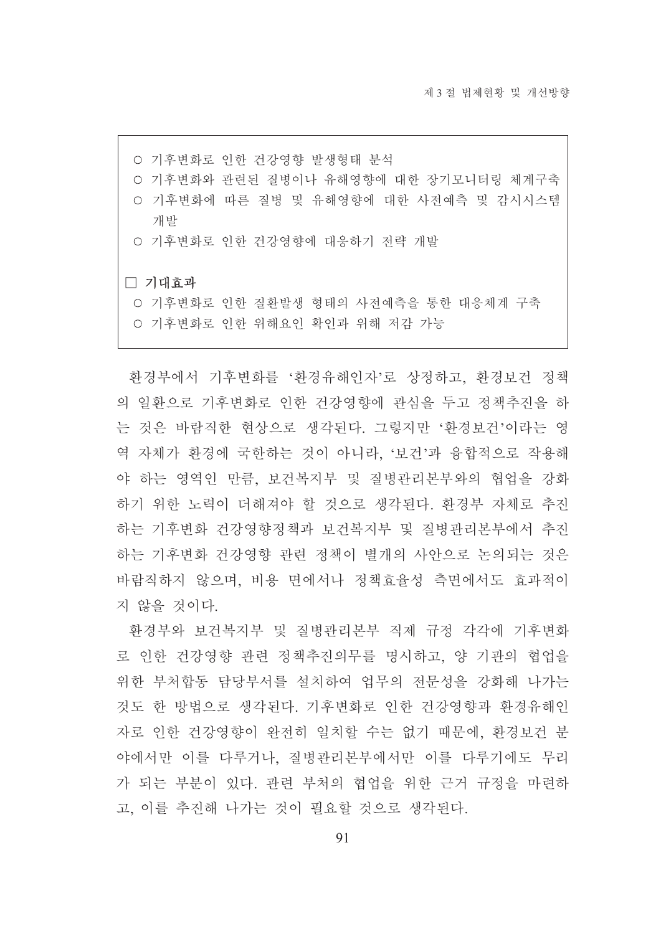- 기후변화로 인한 건강영향 발생형태 분석
- 기후변화와 관련된 질병이나 유해영향에 대한 장기모니터링 체계구축
- 기후변화에 따른 질병 및 유해영향에 대한 사전예측 및 감시시스템 개발
- 기후변화로 인한 건강영향에 대응하기 전략 개발

#### □ 기대효과

○ 기후변화로 인한 질환발생 형태의 사전예측을 통한 대응체계 구축 ○ 기후변화로 인한 위해요인 확인과 위해 저감 가능

환경부에서 기후변화를 '환경유해인자'로 상정하고, 환경보건 정책 의 일환으로 기후변화로 인한 건강영향에 관심을 두고 정책추진을 하 는 것은 바람직한 현상으로 생각된다. 그렇지만 '환경보건'이라는 영 역 자체가 환경에 국한하는 것이 아니라, '보건'과 융합적으로 작용해 야 하는 영역인 만큼, 보건복지부 및 질병관리본부와의 협업을 강화 하기 위한 노력이 더해져야 할 것으로 생각되다. 화경부 자체로 추진 하는 기후변화 건강영향정책과 보건복지부 및 질병관리본부에서 추진 하는 기후변화 건강영향 관련 정책이 별개의 사안으로 논의되는 것은 바람직하지 않으며, 비용 면에서나 정책효율성 측면에서도 효과적이 지 않을 것이다.

환경부와 보건복지부 및 질병관리본부 직제 규정 각각에 기후변화 로 인한 건강영향 관련 정책추진의무를 명시하고, 양 기관의 협업을 위한 부처합동 담당부서를 설치하여 업무의 전문성을 강화해 나가는 것도 한 방법으로 생각된다. 기후변화로 인한 건강영향과 환경유해인 자로 인한 건강영향이 완전히 일치할 수는 없기 때문에, 환경보건 분 야에서만 이를 다루거나. 질병관리본부에서만 이를 다루기에도 무리 가 되는 부분이 있다. 관련 부처의 협업을 위한 근거 규정을 마련하 고 이를 추진해 나가는 것이 필요할 것으로 생각된다.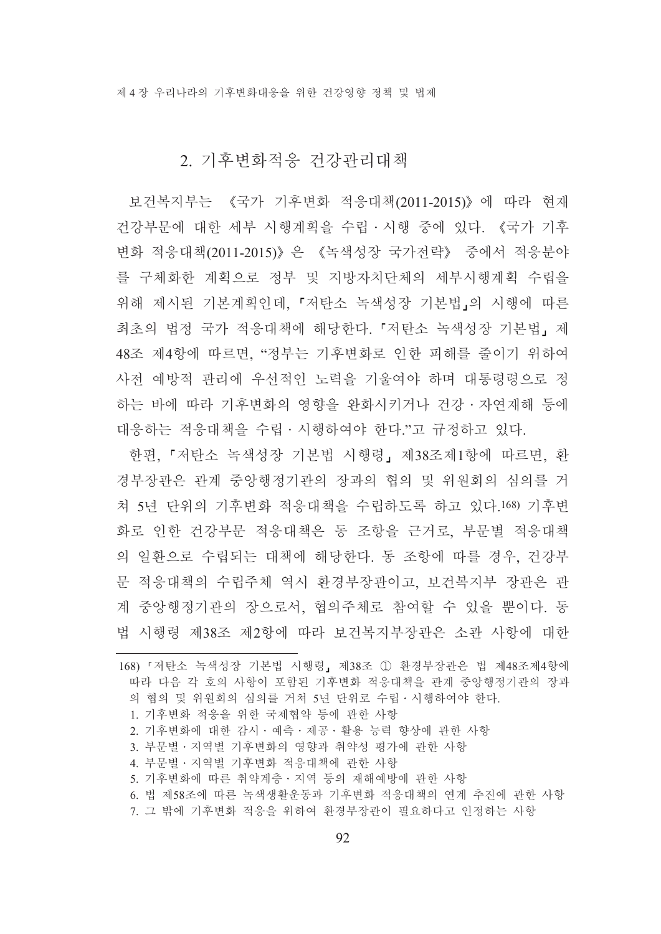## 2. 기후변화적응 건강관리대책

보건복지부는 《국가 기후변화 적응대책(2011-2015)》에 따라 현재 건강부문에 대한 세부 시행계획을 수립 · 시행 중에 있다. 《국가 기후 변화 적응대책(2011-2015)》은 《녹색성장 국가전략》 중에서 적응분야 를 구체화한 계획으로 정부 및 지방자치단체의 세부시행계획 수립을 위해 제시된 기본계획인데, 「저탄소 녹색성장 기본법」의 시행에 따른 최초의 법정 국가 적응대책에 해당한다. 「저탄소 녹색성장 기본법, 제 48조 제4항에 따르면, "정부는 기후변화로 인한 피해를 줄이기 위하여 사전 예방적 관리에 우선적인 노력을 기울여야 하며 대통령령으로 정 하는 바에 따라 기후변화의 영향을 완화시키거나 건강·자연재해 등에 대응하는 적응대책을 수립 • 시행하여야 한다."고 규정하고 있다.

한편, 『저탄소 녹색성장 기본법 시행령』 제38조제1항에 따르면, 환 경부장관은 관계 중앙행정기관의 장과의 협의 및 위원회의 심의를 거 쳐 5년 단위의 기후변화 적응대책을 수립하도록 하고 있다.168) 기후변 화로 인한 건강부문 적응대책은 동 조항을 근거로 부문별 적응대책 의 일환으로 수립되는 대책에 해당한다. 동 조항에 따를 경우, 건강부 문 적응대책의 수립주체 역시 환경부장관이고, 보건복지부 장관은 관 계 중앙행정기관의 장으로서, 협의주체로 참여할 수 있을 뿐이다. 동 법 시행령 제38조 제2항에 따라 보건복지부장관은 소관 사항에 대한

1. 기후변화 적응을 위한 국제협약 등에 관한 사항

- 3. 부문별 · 지역별 기후변화의 영향과 취약성 평가에 관한 사항
- 4. 부문별 · 지역별 기후변화 적응대책에 관한 사항
- 5. 기후변화에 따른 취약계층 · 지역 등의 재해예방에 관한 사항
- 6. 법 제58조에 따른 녹색생활운동과 기후변화 적응대책의 연계 추진에 관한 사항

<sup>168) 『</sup>저탄소 녹색성장 기본법 시행령』제38조 ① 환경부장관은 법 제48조제4항에 따라 다음 각 호의 사항이 포함된 기후변화 적응대책을 관계 중앙행정기관의 장과 의 협의 및 위워회의 심의를 거쳐 5년 단위로 수립 · 시행하여야 한다.

<sup>2.</sup> 기후변화에 대한 감시·예측·제공·활용 능력 향상에 관한 사항

<sup>7.</sup> 그 밖에 기후변화 적응을 위하여 환경부장관이 필요하다고 인정하는 사항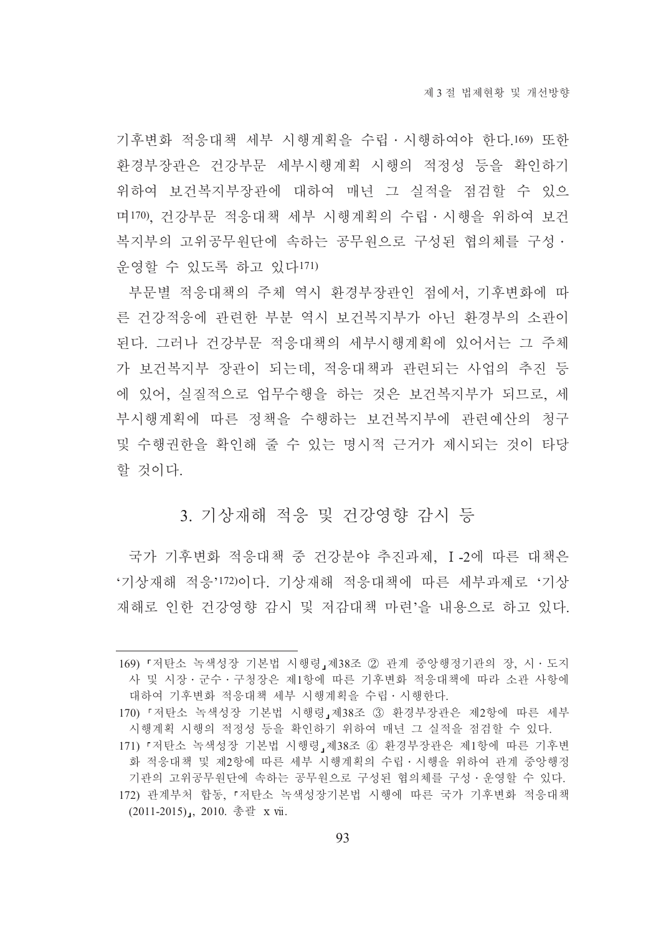기후변화 적응대책 세부 시행계획을 수립 · 시행하여야 한다.169) 또한 화경부장관은 건강부문 세부시행계획 시행의 적정성 등을 확인하기 위하여 보건복지부장관에 대하여 매년 그 실적을 점검할 수 있으 며170), 건강부문 적응대책 세부 시행계획의 수립 · 시행을 위하여 보건 복지부의 고위공무워단에 속하는 공무워으로 구성된 협의체를 구성 · 운영할 수 있도록 하고 있다171)

부문별 적응대책의 주체 역시 환경부장관인 점에서, 기후변화에 따 른 건강적응에 관련한 부분 역시 보건복지부가 아닌 환경부의 소관이 된다. 그러나 건강부문 적응대책의 세부시행계획에 있어서는 그 주체 가 보건복지부 장관이 되는데, 적응대책과 관련되는 사업의 추진 등 에 있어, 실질적으로 업무수행을 하는 것은 보건복지부가 되므로, 세 부시행계획에 따른 정책을 수행하는 보거복지부에 과려예사의 청구 및 수행권한을 확인해 줄 수 있는 명시적 근거가 제시되는 것이 타당 할 것이다.

## 3. 기상재해 적응 및 건강영향 감시 등

국가 기후변화 적응대책 중 건강분야 추진과제. I-2에 따른 대책은 '기상재해 적응'172)이다. 기상재해 적응대책에 따른 세부과제로 '기상 재해로 인한 건강영향 감시 및 저감대책 마련'을 내용으로 하고 있다.

<sup>169) 『</sup>저탄소 녹색성장 기본법 시행령』제38조 ② 관계 중앙행정기관의 장, 시·도지 사 및 시장 · 군수 · 구청장은 제1항에 따른 기후변화 적응대책에 따라 소관 사항에 대하여 기후변화 적응대책 세부 시행계획을 수립ㆍ시행한다.

<sup>170) 『</sup> 저 탄 소 녹색성장 기본법 시행령』제38조 3 환경부장관은 제2항에 따른 세부 시행계획 시행의 적정성 등을 확인하기 위하여 매년 그 실적을 점검할 수 있다.

<sup>171) 『</sup>저탄소 녹색성장 기본법 시행령』제38조 4 환경부장관은 제1항에 따른 기후변 화 적응대책 및 제2항에 따른 세부 시행계획의 수립 · 시행을 위하여 관계 중앙행정 기관의 고위공무워단에 속하는 공무원으로 구성된 협의체를 구성 · 운영할 수 있다. 172) 관계부처 합동. 『저탄소 녹색성장기본법 시행에 따른 국가 기후변화 적응대책 (2011-2015), 2010. 총괄 x vii.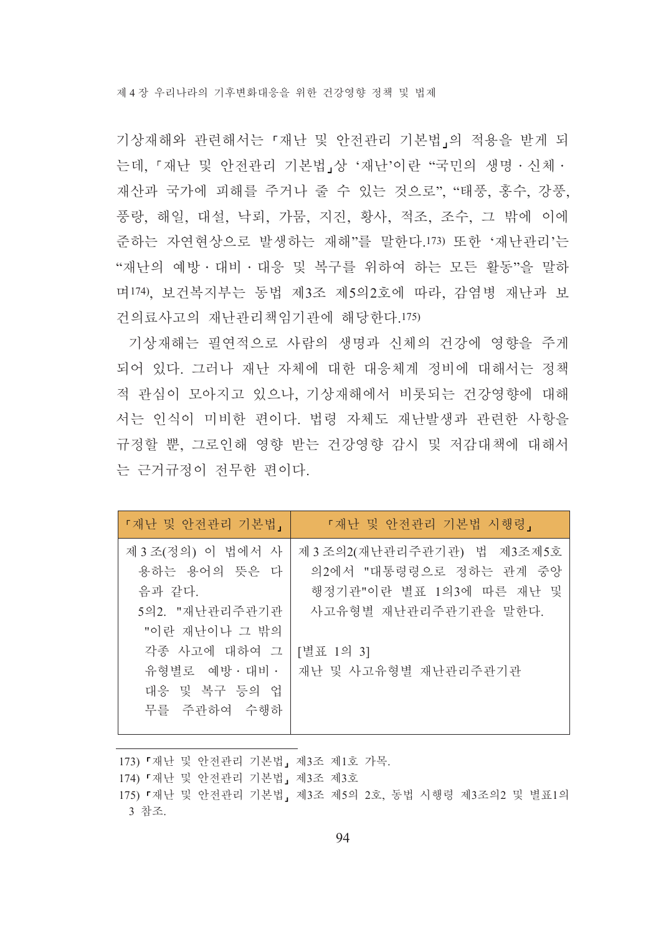기상재해와 관련해서는 「재난 및 안전관리 기본법」의 적용을 받게 되 는데, 『재난 및 안전관리 기본법』상 '재난'이란 "국민의 생명 · 신체 · 재산과 국가에 피해를 주거나 줄 수 있는 것으로", "태풍, 홍수, 강풍, 풍랑, 해일, 대설, 낙뢰, 가뭄, 지진, 황사, 적조, 조수, 그 밖에 이에 준하는 자연현상으로 발생하는 재해"를 말한다.173) 또한 '재난관리'는 "재난의 예방 · 대비 · 대응 및 복구를 위하여 하는 모든 활동"을 말하 며174). 보건복지부는 동법 제3조 제5의2호에 따라, 감염병 재난과 보 건의료사고의 재난관리책임기관에 해당한다.175)

기상재해는 필연적으로 사람의 생명과 신체의 건강에 영향을 주게 되어 있다. 그러나 재난 자체에 대한 대응체계 정비에 대해서는 정책 적 관심이 모아지고 있으나, 기상재해에서 비롯되는 건강영향에 대해 서는 인식이 미비한 편이다. 법령 자체도 재나발생과 과려한 사항을 규정할 뿐 그로인해 영향 받는 건강영향 감시 및 저감대책에 대해서 는 근거규정이 전무한 편이다.

| 「재난 및 안전관리 기본법」                                                                                                                                | 『재난 및 안전관리 기본법 시행령』                                                                                                                             |
|------------------------------------------------------------------------------------------------------------------------------------------------|-------------------------------------------------------------------------------------------------------------------------------------------------|
| 제 3조(정의) 이 법에서 사<br>용하는 용어의 뜻은 다<br>음과 같다.<br>5의2. "재난관리주관기관<br>"이란 재난이나 그 밖의<br>각종 사고에 대하여 그<br>유형별로 예방 · 대비 ·<br>대응 및 복구 등의 업<br>무를 주관하여 수행하 | 제 3 조의 2 (재난관리주관기관) 법 제 3조제 5호<br>의2에서 "대통령령으로 정하는 관계 중앙<br>행정기관"이란 별표 1의3에 따른 재난 및<br>사고유형별 재난관리주관기관을 말한다.<br>[별표 1의 3]<br>재난 및 사고유형별 재난관리주관기관 |

173) 「재난 및 안전관리 기본법」 제3조 제1호 가목. 174) 『재난 및 안전관리 기본법』 제3조 제3호 175) 『재난 및 안전관리 기본법』 제3조 제5의 2호, 동법 시행령 제3조의2 및 별표1의 3 참조.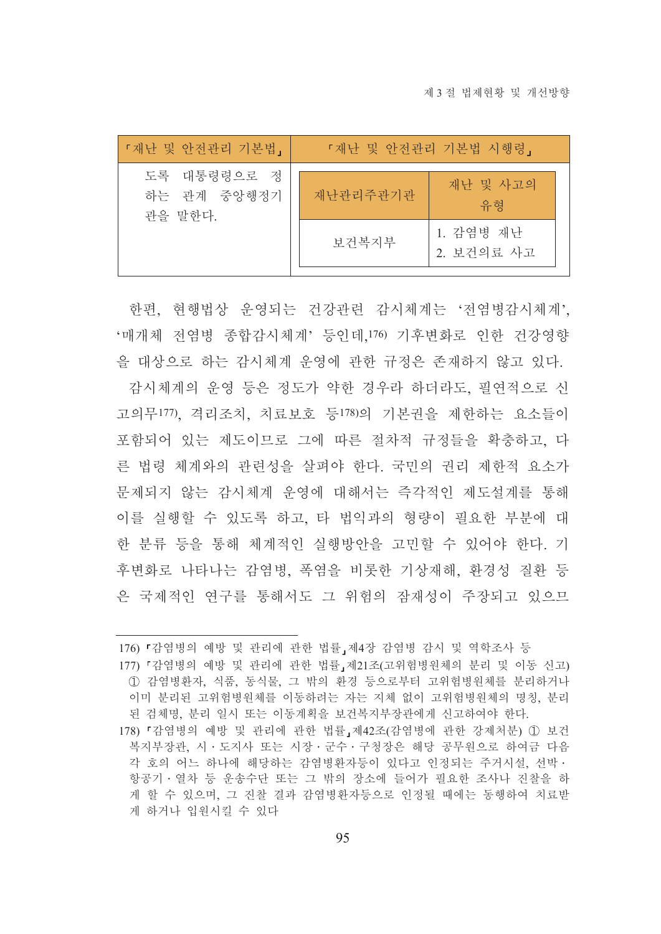| 「재난 및 안전관리 기본법」                       | 『재난 및 안전관리 기본법 시행령』 |                         |
|---------------------------------------|---------------------|-------------------------|
| 도록 대통령령으로 정<br>하는 관계 중앙행정기<br>관을 말한다. | 재난관리주관기관            | 재난 및 사고의<br>유형          |
|                                       | 보건복지부               | 1. 감염병 재난<br>2. 보건의료 사고 |

한편, 현행법상 운영되는 건강관련 감시체계는 '전염병감시체계' '매개체 전염병 종합감시체계' 등이데 176) 기후변화로 이한 거강영향

을 대상으로 하는 감시체계 운영에 관한 규정은 존재하지 않고 있다. 감시체계의 운영 등은 정도가 약한 경우라 하더라도, 필연적으로 신 고의무177). 격리조치, 치료보호 등178)의 기본권을 제한하는 요소들이 포함되어 있는 제도이므로 그에 따른 절차적 규정들을 확충하고 다 른 법령 체계와의 관련성을 살펴야 한다. 국민의 권리 제한적 요소가 문제되지 않는 감시체계 우영에 대해서는 즉각적인 제도설계를 통해 이를 실행할 수 있도록 하고, 타 법익과의 형량이 필요한 부분에 대 한 분류 등을 통해 체계적인 실행방안을 고민할 수 있어야 한다. 기 후변화로 나타나는 감염병. 폭염을 비롯한 기상재해. 화경성 질화 등 은 국제적인 연구를 통해서도 그 위험의 잠재성이 주장되고 있으므

176) 『감염병의 예방 및 관리에 관한 법률』제4장 감염병 감시 및 역학조사 등

177) 『감염병의 예방 및 관리에 관한 법률, 제21조(고위험병원체의 분리 및 이동 신고) ① 감염병화자. 식품, 동식물, 그 밖의 환경 등으로부터 고위험병위체를 분리하거나 이미 분리된 고위험병원체를 이동하려는 자는 지체 없이 고위험병원체의 명칭, 분리 된 검체명 부리 일시 또는 이동계획을 보건복지부장관에게 신고하여야 하다

<sup>178) 『</sup>감염병의 예방 및 관리에 관한 법률』제42조(감염병에 관한 강제처분) ① 보건 복지부장관, 시·도지사 또는 시장·군수·구청장은 해당 공무원으로 하여금 다음 각 호의 어느 하나에 해당하는 감염병화자등이 있다고 인정되는 주거시설 선박 · 항공기·열차 등 운송수단 또는 그 밖의 장소에 들어가 필요한 조사나 진찰을 하 게 할 수 있으며, 그 진찰 결과 감염병환자등으로 인정될 때에는 동행하여 치료받 게 하거나 입원시킬 수 있다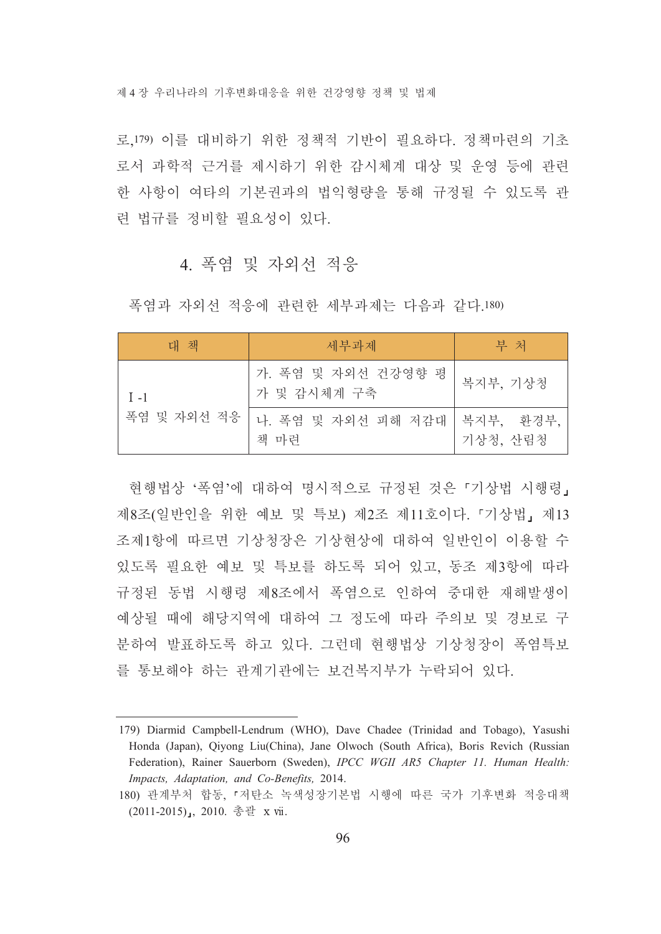제 4 장 우리나라의 기후변화대응을 위하 건강영향 정책 및 법제

로 179) 이를 대비하기 위한 정책적 기반이 필요하다. 정책마련의 기초 로서 과학적 근거를 제시하기 위한 감시체계 대상 및 운영 등에 관련 한 사항이 여타의 기본권과의 법익형량을 통해 규정될 수 있도록 관 련 법규를 정비할 필요성이 있다.

## 4. 폭염 및 자외선 적응

폭염과 자외선 적응에 관련한 세부과제는 다음과 같다.180)

| 대 책         | 세부과제                                 | 부 처      |
|-------------|--------------------------------------|----------|
| $I - 1$     | 가. 폭염 및 자외선 건강영향 평<br>가 및 감시체계 구축    | 복지부, 기상청 |
| 폭염 및 자외선 적응 | 나. 폭염 및 자외선 피해 저감대 국지부, 환경부.<br>책 마련 | 기상청, 산림청 |

현행법상 '폭염'에 대하여 명시적으로 규정된 것은 『기상법 시행령』 제8조(일반인을 위한 예보 및 특보) 제2조 제11호이다. 「기상법」제13 조제1항에 따르면 기상청장은 기상현상에 대하여 일반인이 이용할 수 있도록 필요한 예보 및 특보를 하도록 되어 있고, 동조 제3항에 따라 규정된 동법 시행령 제8조에서 폭염으로 인하여 중대한 재해발생이 예상될 때에 해당지역에 대하여 그 정도에 따라 주의보 및 경보로 구 분하여 발표하도록 하고 있다. 그런데 현행법상 기상청장이 폭염특보 를 통보해야 하는 관계기관에는 보건복지부가 누락되어 있다.

<sup>179)</sup> Diarmid Campbell-Lendrum (WHO), Dave Chadee (Trinidad and Tobago), Yasushi Honda (Japan), Qiyong Liu(China), Jane Olwoch (South Africa), Boris Revich (Russian Federation), Rainer Sauerborn (Sweden), IPCC WGII AR5 Chapter 11. Human Health: Impacts, Adaptation, and Co-Benefits, 2014.

<sup>180)</sup> 관계부처 합동, 『저탄소 녹색성장기본법 시행에 따른 국가 기후변화 적응대책 (2011-2015), 2010. 총괄 x vii.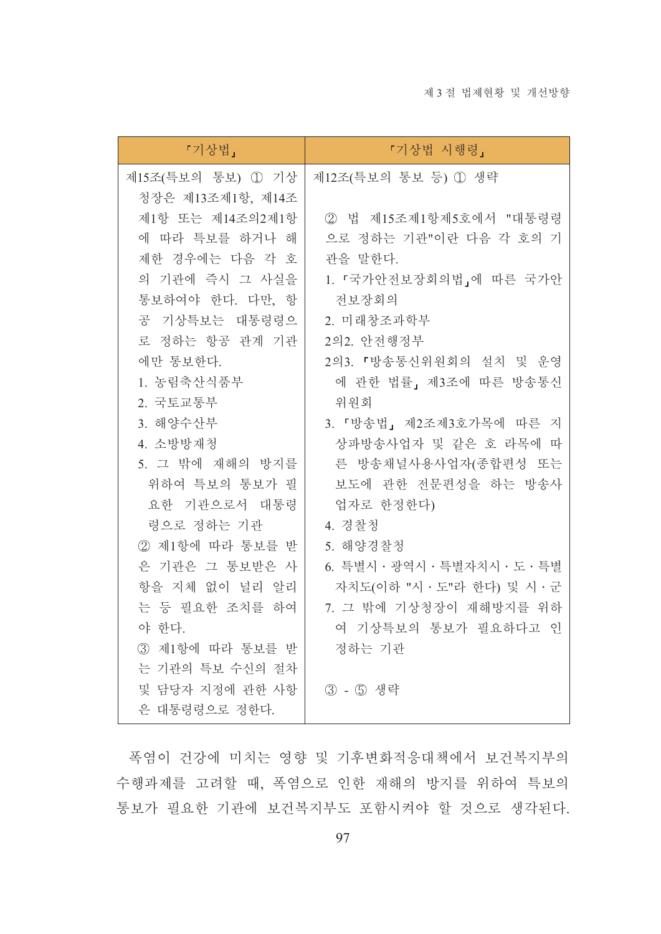| 『기상법 시행령』                                                    |
|--------------------------------------------------------------|
| 제12조(특보의 통보 등) 1 생략                                          |
|                                                              |
| ② 법 제15조제1항제5호에서 "대통령령                                       |
| 으로 정하는 기관"이란 다음 각 호의 기                                       |
| 관을 말한다.                                                      |
| 1. 『국가안전보장회의법』에 따른 국가안                                       |
| 전보장회의                                                        |
| 2. 미래창조과학부                                                   |
| 2의2. 안전행정부                                                   |
| 2의3. 『방송통신위원회의 설치 및 운영                                       |
| 에 관한 법률, 제3조에 따른 방송통신                                        |
| 위원회                                                          |
| 3. 「방송법」 제2조제3호가목에 따른 지                                      |
| 상파방송사업자 및 같은 호 라목에 따                                         |
| 른 방송채널사용사업자(종합편성 또는                                          |
| 보도에 관한 전문편성을 하는 방송사                                          |
| 업자로 한정한다)                                                    |
| 4. 경찰청                                                       |
| 5. 해양경찰청                                                     |
| 6. 특별시 · 광역시 · 특별자치시 · 도 · 특별<br>자치도(이하 "시 · 도"라 한다) 및 시 · 군 |
| 7. 그 밖에 기상청장이 재해방지를 위하                                       |
| 여 기상특보의 통보가 필요하다고 인                                          |
| 정하는 기관                                                       |
|                                                              |
| ③ - ⑤ 생략                                                     |
|                                                              |
|                                                              |

폭염이 건강에 미치는 영향 및 기후변화적응대책에서 보건복지부의 수행과제를 고려할 때, 폭염으로 인한 재해의 방지를 위하여 특보의 통보가 필요한 기관에 보건복지부도 포함시켜야 할 것으로 생각된다.

97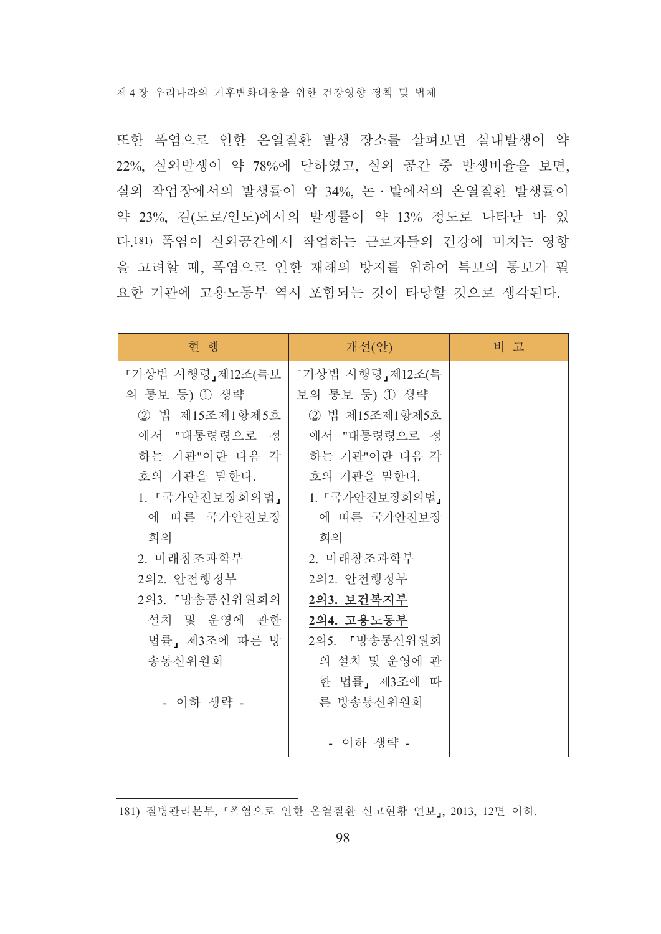또한 폭염으로 인한 온열질환 발생 장소를 살펴보면 실내발생이 약 22%, 실외발생이 약 78%에 달하였고, 실외 공간 중 발생비율을 보면, 실외 작업장에서의 발생률이 약 34%. 논 · 밭에서의 온열질환 발생률이 약 23%, 길(도로/인도)에서의 발생률이 약 13% 정도로 나타난 바 있 다.181) 폭염이 실외공간에서 작업하는 근로자들의 건강에 미치는 영향 을 고려할 때, 폭염으로 인한 재해의 방지를 위하여 특보의 통보가 필 요한 기관에 고용노동부 역시 포함되는 것이 타당할 것으로 생각된다.

| 혀 행              | 개선(안)           | 비고 |
|------------------|-----------------|----|
| 『기상법 시행령』제12조(특보 | 『기상법 시행령』제12조(특 |    |
| 의 통보 등) ① 생략     | 보의 통보 등) ① 생략   |    |
| ② 법 제15조제1항제5호   | 2 법 제15조제1항제5호  |    |
| 에서 "대통령령으로 정     | 에서 "대통령령으로 정    |    |
| 하는 기관"이란 다음 각    | 하는 기관"이란 다음 각   |    |
| 호의 기관을 말한다.      | 호의 기관을 말한다.     |    |
| 1. 『국가안전보장회의법』   | 1. 『국가안전보장회의법』  |    |
| 에 따른 국가안전보장      | 에 따른 국가안전보장     |    |
| 회의               | 회의              |    |
| 2. 미래창조과학부       | 2. 미래창조과학부      |    |
| 2의2. 안전행정부       | 2의2. 안전행정부      |    |
| 2의3. 『방송통신위원회의   | 2의3. 보건복지부      |    |
| 설치 및 운영에 관한      | 2의4. 고용노동부      |    |
| 법률」 제3조에 따른 방    | 2의5. 『방송통신위원회   |    |
| 송통신위원회           | 의 설치 및 운영에 관    |    |
|                  | 한 법률」 제3조에 따    |    |
| - 이하 생략 -        | 른 방송통신위원회       |    |
|                  |                 |    |
|                  | - 이하 생략 -       |    |

181) 질병관리본부, 『폭염으로 인한 온열질환 신고현황 연보』, 2013, 12면 이하.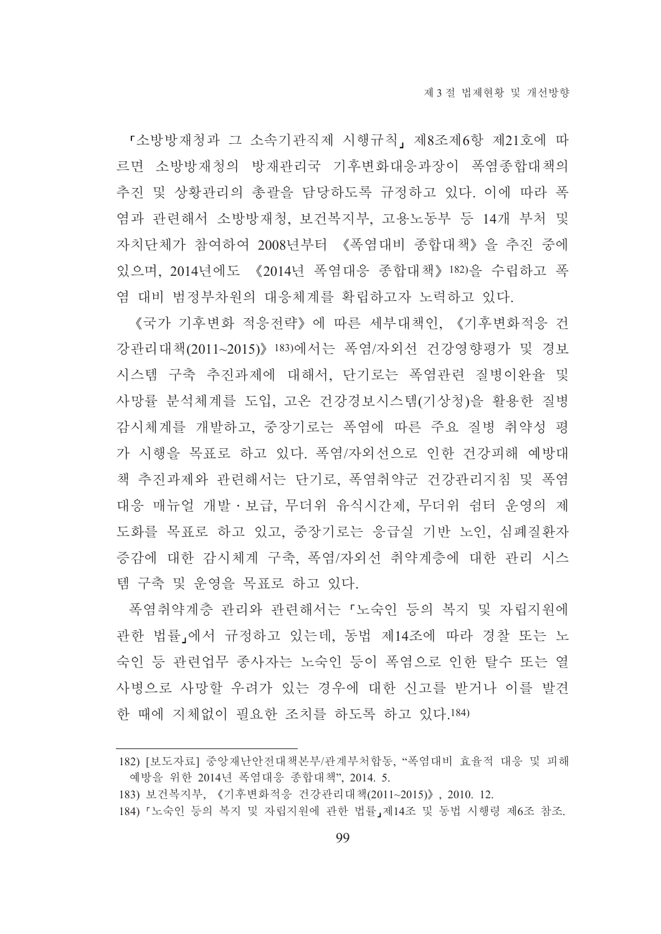『소방방재청과 그 소속기관직제 시행규칙, 제8조제6항 제21호에 따 르면 소방방재청의 방재관리국 기후변화대응과장이 폭염종합대책의 추진 및 상황관리의 총괄을 담당하도록 규정하고 있다. 이에 따라 폭 염과 관련해서 소방방재청, 보건복지부, 고용노동부 등 14개 부처 및 자치단체가 참여하여 2008년부터 《폭염대비 종합대책》을 추진 중에 있으며, 2014년에도 《2014년 폭염대응 종합대책》 182)을 수립하고 폭 염 대비 범정부차원의 대응체계를 확립하고자 노력하고 있다.

《국가 기후변화 적응전략》에 따른 세부대책인. 《기후변화적응 건 강관리대책(2011~2015)》 183)에서는 폭염/자외선 건강영향평가 및 경보 시스템 구축 추진과제에 대해서. 단기로는 폭염관련 질병이완율 및 사망률 분석체계를 도입, 고온 건강경보시스템(기상청)을 활용한 질병 감시체계를 개발하고, 중장기로는 폭염에 따른 주요 질병 취약성 평 가 시행을 목표로 하고 있다. 폭역/자외선으로 인한 건강피해 예방대 책 추진과제와 관련해서는 단기로, 폭염취약군 건강관리지침 및 폭염 대응 매뉴얼 개발 • 보급, 무더위 유식시간제, 무더위 쉼터 운영의 제 도화를 목표로 하고 있고, 중장기로는 응급실 기반 노인, 심폐질환자 증감에 대한 감시체계 구축, 폭염/자외선 취약계층에 대한 관리 시스 템 구축 및 운영을 목표로 하고 있다.

폭염취약계층 관리와 관련해서는 「노숙인 등의 복지 및 자립지원에 관한 법률」에서 규정하고 있는데, 동법 제14조에 따라 경찰 또는 노 숙인 등 관련업무 종사자는 노숙인 등이 폭염으로 인한 탈수 또는 열 사병으로 사망할 우려가 있는 경우에 대한 신고를 받거나 이를 발견 한 때에 지체없이 필요한 조치를 하도록 하고 있다.184)

<sup>182) [</sup>보도자료] 중앙재난아저대책본부/관계부처함동. "폭염대비 효율적 대응 및 피해 예방을 위한 2014년 폭염대응 종합대책", 2014. 5.

<sup>183)</sup> 보건복지부, 《기후변화적응 건강관리대책(2011~2015)》, 2010. 12.

<sup>184) 『</sup>노숙인 등의 복지 및 자립지원에 관한 법률』제14조 및 동법 시행령 제6조 참조.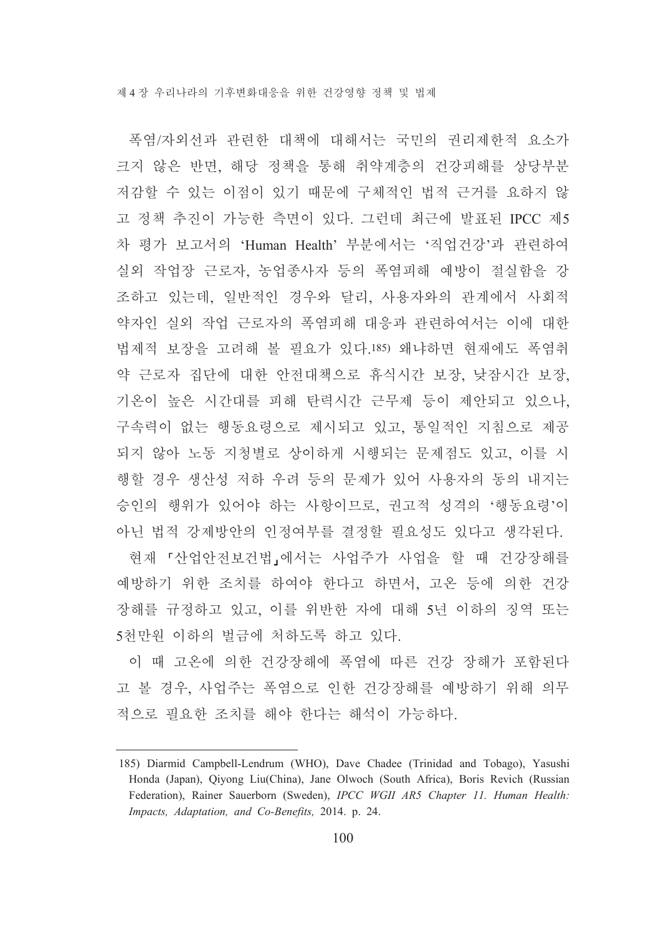폭염/자외선과 관련한 대책에 대해서는 국민의 권리제한적 요소가 크지 않은 반면, 해당 정책을 통해 취약계층의 건강피해를 상당부분 저감할 수 있는 이점이 있기 때문에 구체적인 법적 근거를 요하지 않 고 정책 추진이 가능한 측면이 있다. 그런데 최근에 발표된 IPCC 제5 차 평가 보고서의 'Human Health' 부분에서는 '직업건강'과 관련하여 실외 작업장 근로자, 농업종사자 등의 폭염피해 예방이 절실함을 강 조하고 있는데, 일반적인 경우와 달리, 사용자와의 관계에서 사회적 약자인 실외 작업 근로자의 폭염피해 대응과 관련하여서는 이에 대한 법제적 보장을 고려해 볼 필요가 있다.185) 왜냐하면 현재에도 폭염취 약 근로자 집단에 대한 안전대책으로 휴식시간 보장, 낮잠시간 보장, 기온이 높은 시간대를 피해 탄력시간 근무제 등이 제안되고 있으나, 구속력이 없는 행동요령으로 제시되고 있고, 통일적인 지침으로 제공 되지 않아 노동 지청별로 상이하게 시행되는 문제점도 있고, 이를 시 행할 경우 생산성 저하 우려 등의 문제가 있어 사용자의 동의 내지는 승인의 행위가 있어야 하는 사항이므로, 권고적 성격의 '행동요령'이 아닌 법적 강제방안의 인정여부를 결정할 필요성도 있다고 생각된다.

현재 『산업안전보건법』에서는 사업주가 사업을 할 때 건강장해를 예방하기 위한 조치를 하여야 한다고 하면서, 고온 등에 의한 건강 장해를 규정하고 있고, 이를 위반한 자에 대해 5년 이하의 징역 또는 5천만원 이하의 벌금에 처하도록 하고 있다.

이 때 고온에 의한 건강장해에 폭염에 따른 건강 장해가 포함된다 고 볼 경우, 사업주는 폭염으로 인한 건강장해를 예방하기 위해 의무 적으로 필요한 조치를 해야 한다는 해석이 가능하다.

<sup>185)</sup> Diarmid Campbell-Lendrum (WHO), Dave Chadee (Trinidad and Tobago), Yasushi Honda (Japan), Qiyong Liu(China), Jane Olwoch (South Africa), Boris Revich (Russian Federation), Rainer Sauerborn (Sweden), IPCC WGII AR5 Chapter 11. Human Health: Impacts, Adaptation, and Co-Benefits, 2014. p. 24.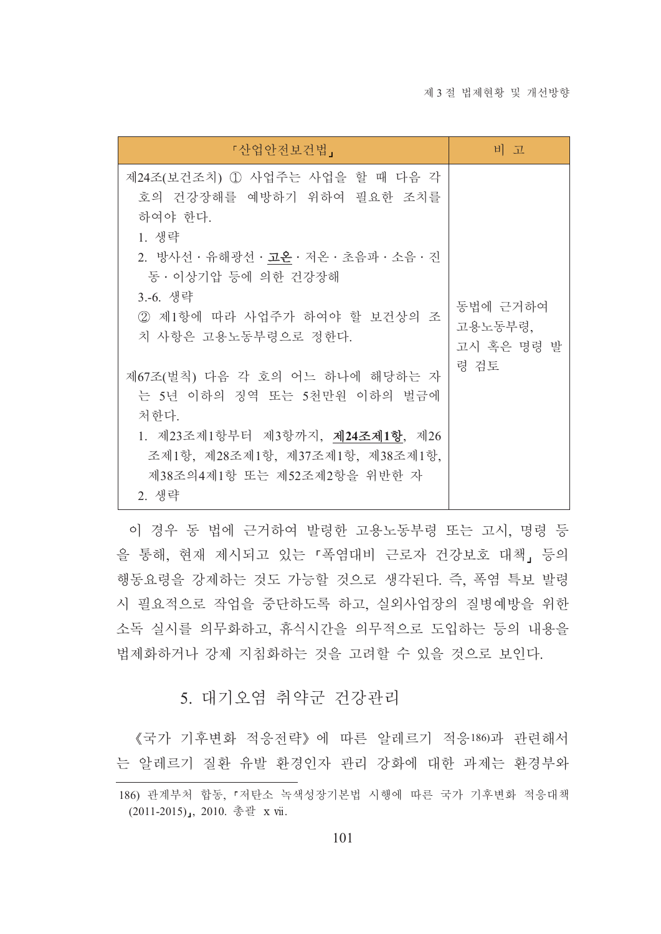| 『산업안전보건법』                                                                                                                                                                                                                 | 비 고                               |
|---------------------------------------------------------------------------------------------------------------------------------------------------------------------------------------------------------------------------|-----------------------------------|
| 제24조(보건조치) ① 사업주는 사업을 할 때 다음 각<br>호의 건강장해를 예방하기 위하여 필요한 조치를<br>하여야 한다.<br>1. 생략<br>2. 방사선 · 유해광선 · <b>고온</b> · 저온 · 초음파 · 소음 · 진<br>동 · 이상기압 등에 의한 건강장해<br>3.-6. 생략<br>2 제1항에 따라 사업주가 하여야 할 보건상의 조<br>치 사항은 고용노동부령으로 정한다. | 동법에 근거하여<br>고용노동부령,<br>고시 혹은 명령 발 |
| 제67조(벌칙) 다음 각 호의 어느 하나에 해당하는 자<br>는 5년 이하의 징역 또는 5천만원 이하의 벌금에<br>처한다.<br>1. 제23조제1항부터 제3항까지, 제24조제1항, 제26<br>조제1항, 제28조제1항, 제37조제1항, 제38조제1항,<br>제38조의4제1항 또는 제52조제2항을 위반한 자<br>2. 생략                                     | 령 검토                              |

이 경우 동 법에 근거하여 발령한 고용노동부령 또는 고시, 명령 등 을 통해, 현재 제시되고 있는 「폭염대비 근로자 건강보호 대책」 등의 행동요령을 강제하는 것도 가능할 것으로 생각된다. 즉, 폭염 특보 발령 시 필요적으로 작업을 중단하도록 하고, 실외사업장의 질병예방을 위한 소독 실시를 의무화하고, 휴식시간을 의무적으로 도입하는 등의 내용을 법제화하거나 강제 지침화하는 것을 고려할 수 있을 것으로 보인다.

### 5. 대기오염 취약군 건강관리

《국가 기후변화 적응전략》에 따른 알레르기 적응186)과 관련해서 는 알레르기 질환 유발 환경인자 관리 강화에 대한 과제는 환경부와

<sup>186)</sup> 관계부처 합동, 『저탄소 녹색성장기본법 시행에 따른 국가 기후변화 적응대책 (2011-2015), 2010. 총괄 x vii.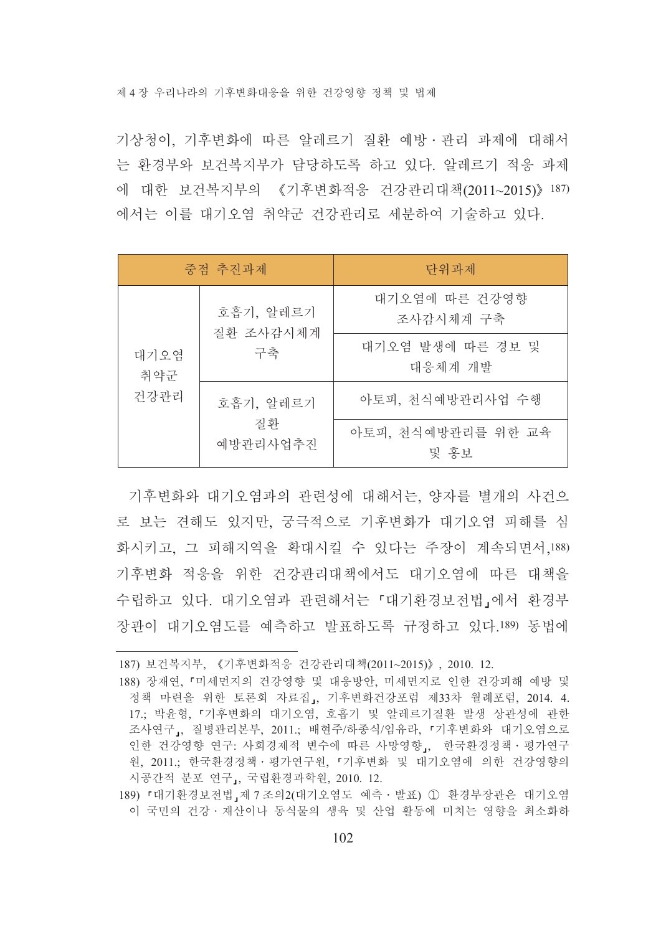제 4 장 우리나라의 기후변화대응을 위하 거강영향 정책 및 법제

기상청이 기후변화에 따른 알레르기 질화 예방 · 과리 과제에 대해서 는 환경부와 보건복지부가 담당하도록 하고 있다. 알레르기 적응 과제 에 대한 보건복지부의 《기후변화적응 건강관리대책(2011~2015)》 187) 에서는 이를 대기오염 취약군 건강관리로 세분하여 기술하고 있다.

|                                             | 중점 추진과제                     | 다위과제             |
|---------------------------------------------|-----------------------------|------------------|
| 호흡기, 알레르기<br>질환 조사감시체계<br>구축<br>대기오염<br>취약군 | 대기오염에 따른 건강영향<br>조사감시체계 구축  |                  |
|                                             | 대기오염 발생에 따른 경보 및<br>대응체계 개발 |                  |
| 건강관리                                        | 호흡기, 알레르기                   | 아토피, 천식예방관리사업 수행 |
| 질화<br>예방관리사업추진                              | 아토피, 천식예방관리를 위한 교육<br>및 홍보  |                  |

기후변화와 대기오염과의 관련성에 대해서는, 양자를 별개의 사건으 로 보는 견해도 있지만, 궁극적으로 기후변화가 대기오염 피해를 심 화시키고, 그 피해지역을 확대시킬 수 있다는 주장이 계속되면서,188) 기후변화 적응을 위한 건강관리대책에서도 대기오염에 따른 대책을 수립하고 있다. 대기오염과 관련해서는 「대기환경보전법」에서 환경부 장관이 대기오염도를 예측하고 발표하도록 규정하고 있다.189) 동법에

<sup>187)</sup> 보건복지부, 《기후변화적응 건강관리대책(2011~2015)》, 2010. 12.

<sup>188)</sup> 장재연, 『미세먼지의 건강영향 및 대응방안, 미세면지로 인한 건강피해 예방 및 정책 마련을 위한 토론회 자료집, 기후변화건강포럼 제33차 월례포럼, 2014. 4. 17.; 박윤형, 『기후변화의 대기오염, 호흡기 및 알레르기질환 발생 상관성에 관한 조사연구」, 질병관리본부, 2011.; 배현주/하종식/임유라, 『기후변화와 대기오염으로 인한 건강영향 연구: 사회경제적 변수에 따른 사망영향』, 한국환경정책 · 평가연구 원, 2011.; 한국환경정책 · 평가연구원, 『기후변화 및 대기오염에 의한 건강영향의 시공간적 분포 연구』, 국립환경과학원, 2010. 12.

<sup>189) 『</sup>대기환경보전법』제 7 조의2(대기오염도 예측 · 발표) ① 환경부장관은 대기오염 이 국민의 건강 · 재산이나 동식물의 생육 및 산업 활동에 미치는 영향을 최소화하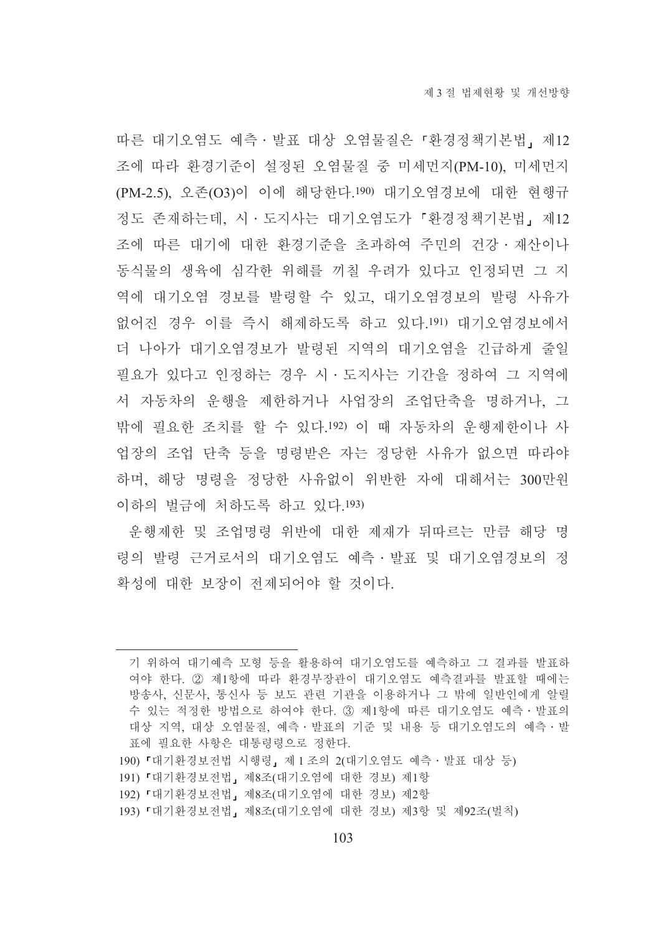따른 대기오염도 예측 · 발표 대상 오염물질은 『환경정책기본법, 제12 조에 따라 화경기주이 설정된 오염물질 중 미세먼지(PM-10). 미세먼지 (PM-2.5), 오존(O3)이 이에 해당한다.190) 대기오염경보에 대한 현행규 정도 존재하는데, 시 · 도지사는 대기오염도가 『환경정책기본법』 제12 조에 따른 대기에 대한 환경기준을 초과하여 주민의 건강 · 재산이나 동식물의 생육에 심각한 위해를 끼칠 우려가 있다고 인정되면 그 지 역에 대기오염 경보를 발령할 수 있고, 대기오염경보의 발령 사유가 없어진 경우 이를 즉시 해제하도록 하고 있다.191) 대기오염경보에서 더 나아가 대기오염경보가 발령된 지역의 대기오염을 긴급하게 줄일 필요가 있다고 인정하는 경우 시 · 도지사는 기간을 정하여 그 지역에 서 자동차의 운행을 제한하거나 사업장의 조업단축을 명하거나, 그 밖에 필요한 조치를 할 수 있다.192) 이 때 자동차의 운행제한이나 사 업장의 조업 단축 등을 명령받은 자는 정당한 사유가 없으면 따라야 하며, 해당 명령을 정당한 사유없이 위반한 자에 대해서는 300만원 이하의 벌금에 처하도록 하고 있다.193)

운행제한 및 조업명령 위반에 대한 제재가 뒤따르는 만큼 해당 명 령의 발령 근거로서의 대기오염도 예측·발표 및 대기오염경보의 정 확성에 대한 보장이 전제되어야 할 것이다.

190) 『대기환경보전법 시행령』제1조의 2(대기오염도 예측 · 발표 대상 등)

기 위하여 대기예측 모형 등을 활용하여 대기오염도를 예측하고 그 결과를 발표하 여야 한다. ② 제1항에 따라 환경부장관이 대기오염도 예측결과를 발표할 때에는 방송사, 신문사, 통신사 등 보도 관련 기관을 이용하거나 그 밖에 일반인에게 알릴 수 있는 적정한 방법으로 하여야 한다. ③ 제1항에 따른 대기오염도 예측 · 발표의 대상 지역, 대상 오염물질, 예측 · 발표의 기준 및 내용 등 대기오염도의 예측 · 발 표에 필요한 사항은 대통령령으로 정한다.

<sup>191) 『</sup>대기환경보전법』제8조(대기오염에 대한 경보) 제1항

<sup>192) 『</sup>대기환경보전법』제8조(대기오염에 대한 경보) 제2항

<sup>193) 『</sup>대기환경보전법』제8조(대기오염에 대한 경보) 제3항 및 제92조(벌칙)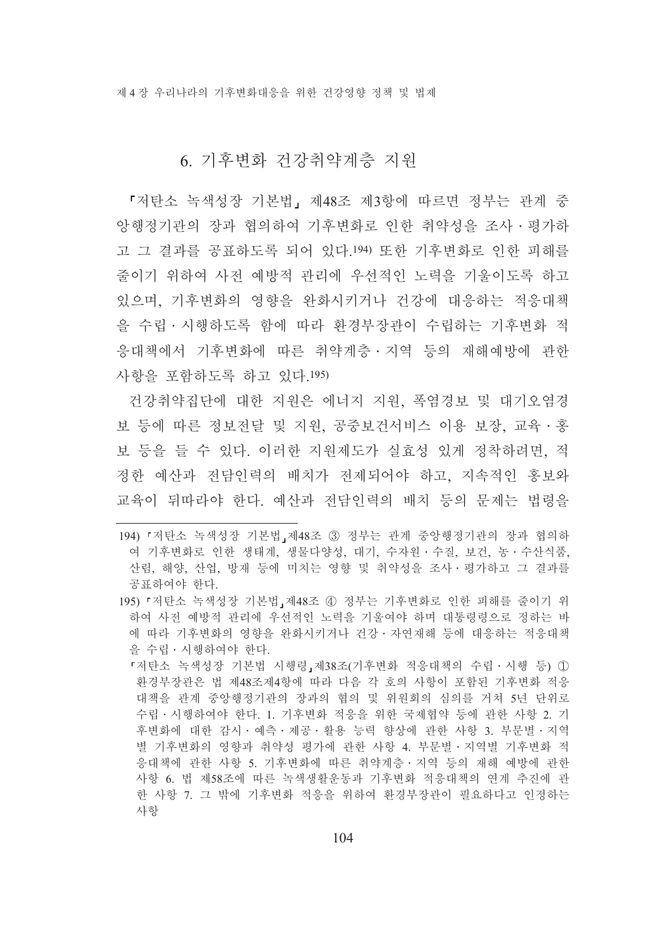## 6. 기후변화 건강취약계층 지워

『저탄소 녹색성장 기본법, 제48조 제3항에 따르면 정부는 관계 중 앙행정기관의 장과 협의하여 기후변화로 인한 취약성을 조사 · 평가하 고 그 결과를 공표하도록 되어 있다.194) 또한 기후변화로 인한 피해를 줄이기 위하여 사전 예방적 관리에 우선적인 노력을 기울이도록 하고 있으며, 기후변화의 영향을 완화시키거나 건강에 대응하는 적응대책 을 수립 · 시행하도록 함에 따라 화경부장과이 수립하는 기후변화 적 응대책에서 기후변화에 따른 취약계층 · 지역 등의 재해예방에 과하 사항을 포함하도록 하고 있다.195)

건강취약집단에 대한 지원은 에너지 지원, 폭염경보 및 대기오염경 보 등에 따른 정보전달 및 지워, 공중보건서비스 이용 보장, 교육 · 홍 보 등을 들 수 있다. 이러한 지원제도가 실효성 있게 정착하려면, 적 정한 예산과 전담인력의 배치가 전제되어야 하고, 지속적인 홍보와 교육이 뒤따라야 한다. 예산과 전담인력의 배치 등의 문제는 법령을

195) 『저탄소 녹색성장 기본법』제48조 4 정부는 기후변화로 인한 피해를 줄이기 위 하여 사전 예방적 관리에 우선적인 노력을 기울여야 하며 대통령령으로 정하는 바 에 따라 기후변화의 영향을 완화시키거나 건강·자연재해 등에 대응하는 적응대책 을 수립 · 시행하여야 한다.

『저탄소 녹색성장 기본법 시행령,제38조(기후변화 적응대책의 수립·시행 등) ① 환경부장관은 법 제48조제4항에 따라 다음 각 호의 사항이 포함된 기후변화 적응 대책을 관계 중앙행정기관의 장과의 협의 및 위원회의 심의를 거쳐 5년 단위로 수립 · 시행하여야 한다. 1. 기후변화 적응을 위한 국제협약 등에 관한 사항 2. 기 후변화에 대한 감시·예측·제공·활용 능력 향상에 관한 사항 3. 부문별·지역 별 기후변화의 영향과 취약성 평가에 관한 사항 4. 부문별 · 지역별 기후변화 적 응대책에 관한 사항 5. 기후변화에 따른 취약계층 · 지역 등의 재해 예방에 관한 사항 6. 법 제58조에 따른 녹색생활운동과 기후변화 적응대책의 연계 추진에 관 한 사항 7. 그 밖에 기후변화 적응을 위하여 환경부장관이 필요하다고 인정하는 사항

<sup>194) 『</sup>저탄소 녹색성장 기본법』제48조 ③ 정부는 관계 중앙행정기관의 장과 협의하 여 기후변화로 인한 생태계, 생물다양성, 대기, 수자원 · 수질, 보건, 농 · 수산식품, 산림, 해양, 산업, 방재 등에 미치는 영향 및 취약성을 조사 · 평가하고 그 결과를 공표하여야 한다.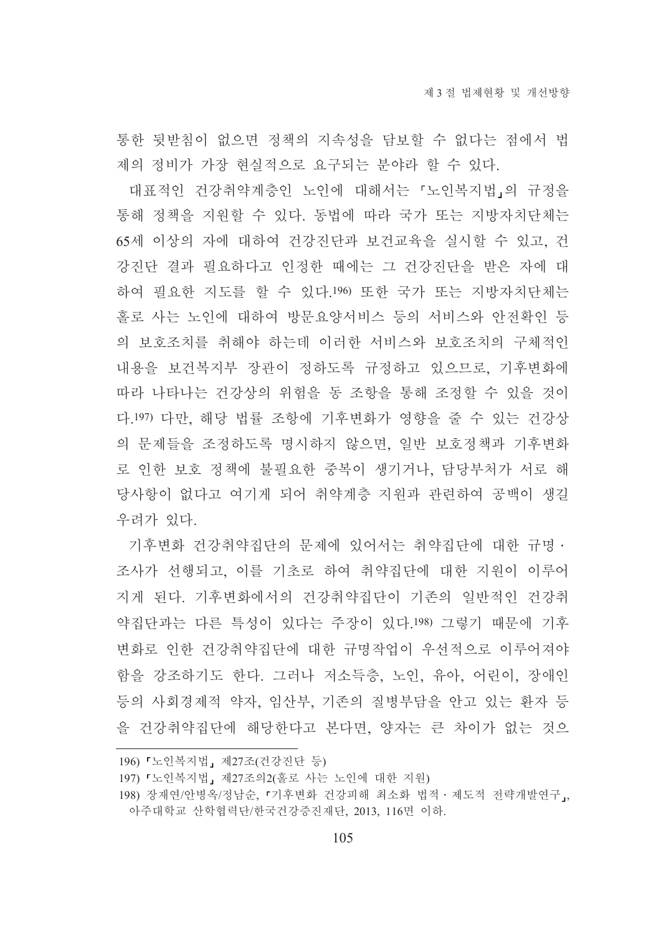통한 뒷받침이 없으면 정책의 지속성을 담보할 수 없다는 점에서 법 제의 정비가 가장 현실적으로 요구되는 분야라 할 수 있다.

대표적인 건강취약계층인 노인에 대해서는 『노인복지법,의 규정을 통해 정책을 지원할 수 있다. 동법에 따라 국가 또는 지방자치단체는 65세 이상의 자에 대하여 건강진단과 보건교육을 실시할 수 있고, 건 강진단 결과 필요하다고 인정한 때에는 그 건강진단을 받은 자에 대 하여 필요한 지도를 할 수 있다.196) 또한 국가 또는 지방자치단체는 홀로 사는 노인에 대하여 방문요양서비스 등의 서비스와 안전확인 등 의 보호조치를 취해야 하는데 이러한 서비스와 보호조치의 구체적인 내용을 보건복지부 장관이 정하도록 규정하고 있으므로, 기후변화에 따라 나타나는 건강상의 위험을 동 조항을 통해 조정할 수 있을 것이 다.197) 다만, 해당 법률 조항에 기후변화가 영향을 줄 수 있는 건강상 의 문제들을 조정하도록 명시하지 않으면, 일반 보호정책과 기후변화 로 인한 보호 정책에 불필요한 중복이 생기거나. 담당부처가 서로 해 당사항이 없다고 여기게 되어 취약계층 지원과 관련하여 공백이 생길 우려가 있다.

기후변화 건강취약집단의 문제에 있어서는 취약집단에 대한 규명ㆍ 조사가 선행되고, 이를 기초로 하여 취약집단에 대한 지원이 이루어 지게 된다. 기후변화에서의 건강취약집단이 기존의 일반적인 건강취 약집단과는 다른 특성이 있다는 주장이 있다.!98) 그렇기 때문에 기후 변화로 이하 거강취약집단에 대한 규명작업이 우선적으로 이루어져야 함을 강조하기도 한다. 그러나 저소득층, 노인, 유아, 어린이, 장애인 등의 사회경제적 약자, 임산부, 기존의 질병부담을 안고 있는 환자 등 을 건강취약집단에 해당한다고 본다면. 양자는 큰 차이가 없는 것으

<sup>196) 『</sup>노인복지법』 제27조(건강진단 등)

<sup>197) 『</sup>노인복지법』제27조의2(홀로 사는 노인에 대한 지워)

<sup>198)</sup> 장재연/안병옥/정남순, 『기후변화 건강피해 최소화 법적 · 제도적 전략개발연구, 아주대학교 산학협력단/한국건강증진재단, 2013, 116면 이하.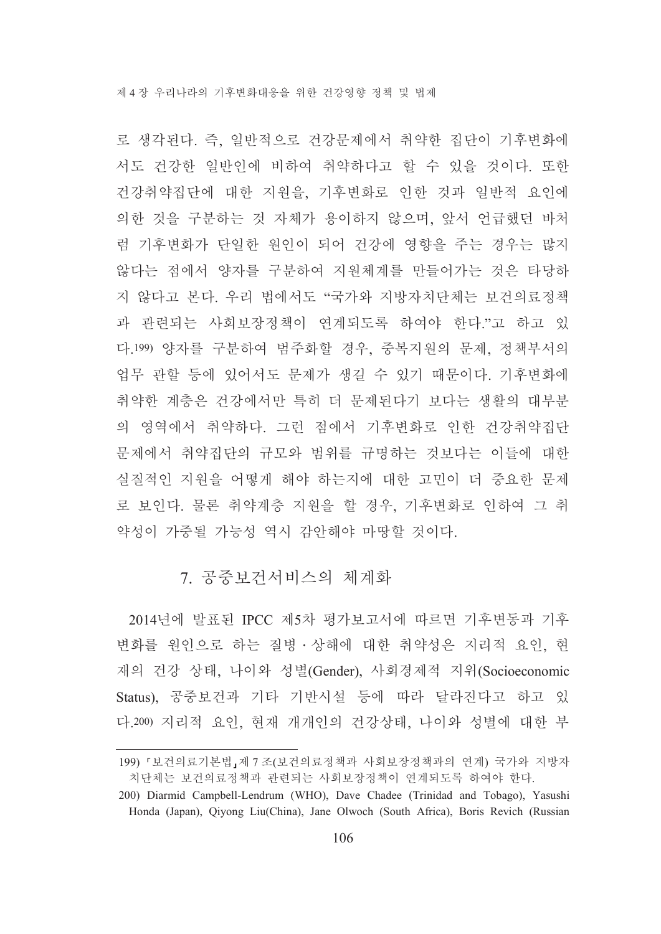로 생각된다. 즉, 일반적으로 건강문제에서 취약한 집단이 기후변화에 서도 건강한 일반인에 비하여 취약하다고 할 수 있을 것이다. 또한 건강취약집단에 대한 지원을, 기후변화로 인한 것과 일반적 요인에 의한 것을 구분하는 것 자체가 용이하지 않으며, 앞서 언급했던 바처 럼 기후변화가 단일한 원인이 되어 건강에 영향을 주는 경우는 많지 않다는 점에서 양자를 구분하여 지원체계를 만들어가는 것은 타당하 지 않다고 본다. 우리 법에서도 "국가와 지방자치단체는 보건의료정책 과 관련되는 사회보장정책이 연계되도록 하여야 한다."고 하고 있 다.199) 양자를 구분하여 범주화할 경우, 중복지원의 문제, 정책부서의 업무 관할 등에 있어서도 문제가 생길 수 있기 때문이다. 기후변화에 취약한 계층은 건강에서만 특히 더 문제된다기 보다는 생활의 대부분 의 영역에서 취약하다. 그런 점에서 기후변화로 인한 건강취약집단 문제에서 취약집단의 규모와 범위를 규명하는 것보다는 이들에 대한 실질적인 지워을 어떻게 해야 하는지에 대한 고민이 더 중요한 문제 로 보인다. 물론 취약계층 지워을 할 경우, 기후변화로 인하여 그 취 약성이 가중될 가능성 역시 감아해야 마땅할 것이다.

### 7. 공중보건서비스의 체계화

2014년에 발표된 IPCC 제5차 평가보고서에 따르면 기후변동과 기후 변화를 원인으로 하는 질병 상해에 대한 취약성은 지리적 요인, 현 재의 건강 상태, 나이와 성별(Gender), 사회경제적 지위(Socioeconomic Status). 공중보건과 기타 기반시설 등에 따라 달라진다고 하고 있 다.200) 지리적 요인, 현재 개개인의 건강상태, 나이와 성별에 대한 부

<sup>199) 『</sup>보건의료기본법』제7조(보건의료정책과 사회보장정책과의 연계) 국가와 지방자 치단체는 보건의료정책과 관련되는 사회보장정책이 연계되도록 하여야 한다.

<sup>200)</sup> Diarmid Campbell-Lendrum (WHO), Dave Chadee (Trinidad and Tobago), Yasushi Honda (Japan), Qiyong Liu(China), Jane Olwoch (South Africa), Boris Revich (Russian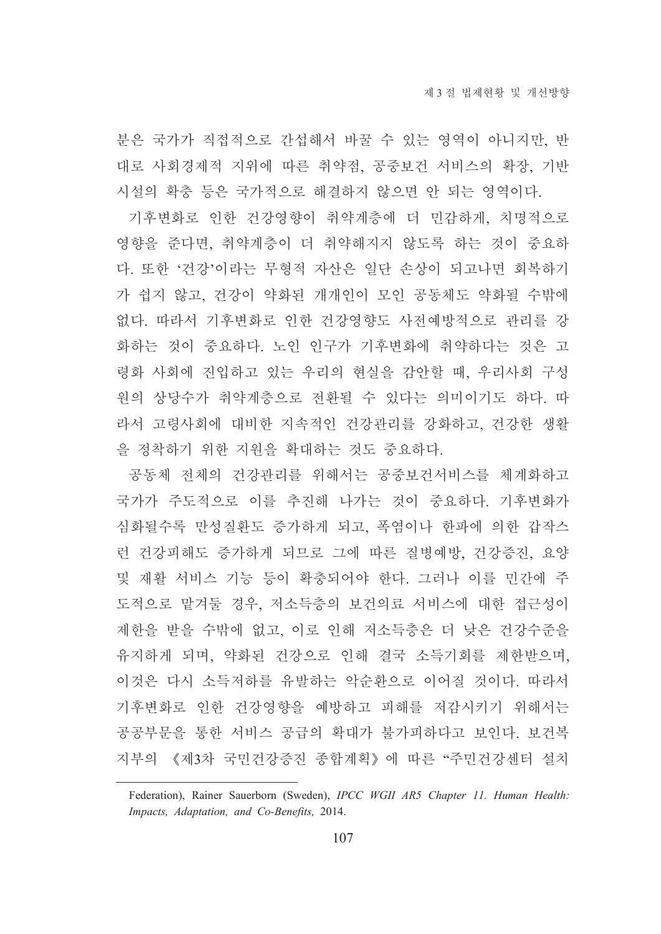분은 국가가 직접적으로 간섭해서 바꿀 수 있는 영역이 아니지만, 반 대로 사회경제적 지위에 따른 취약점, 공중보건 서비스의 확장, 기반 시설의 확충 등은 국가적으로 해결하지 않으면 안 되는 영역이다.

기후변화로 인한 건강영향이 취약계층에 더 민감하게, 치명적으로 영향을 준다면, 취약계층이 더 취약해지지 않도록 하는 것이 중요하 다. 또한 '건강'이라는 무형적 자산은 일단 손상이 되고나면 회복하기 가 쉽지 않고, 건강이 약화된 개개인이 모인 공동체도 약화될 수밖에 없다. 따라서 기후변화로 인한 건강영향도 사전예방적으로 관리를 강 화하는 것이 중요하다. 노인 인구가 기후변화에 취약하다는 것은 고 령화 사회에 진입하고 있는 우리의 현실을 감안할 때, 우리사회 구성 원의 상당수가 취약계층으로 전환될 수 있다는 의미이기도 하다. 따 라서 고령사회에 대비한 지속적인 건강관리를 강화하고, 건강한 생활 을 정착하기 위한 지원을 확대하는 것도 중요하다.

공동체 전체의 건강관리를 위해서는 공중보건서비스를 체계화하고 국가가 주도적으로 이를 추진해 나가는 것이 중요하다. 기후변화가 심화될수록 만성질환도 증가하게 되고, 폭염이나 한파에 의한 갑작스 런 건강피해도 증가하게 되므로 그에 따른 질병예방, 건강증진, 요양 및 재활 서비스 기능 등이 확충되어야 한다. 그러나 이를 민간에 주 도적으로 맡겨둘 경우, 저소득층의 보건의료 서비스에 대한 접근성이 제한을 받을 수밖에 없고, 이로 인해 저소득층은 더 낮은 건강수준을 유지하게 되며, 약화된 건강으로 인해 결국 소득기회를 제한받으며, 이것은 다시 소득저하를 유발하는 악순환으로 이어질 것이다. 따라서 기후변화로 인한 건강영향을 예방하고 피해를 저감시키기 위해서는 공공부문을 통한 서비스 공급의 확대가 불가피하다고 보인다. 보건복 지부의 《제3차 국민건강증진 종합계획》에 따른 "주민건강센터 설치

Federation), Rainer Sauerborn (Sweden), IPCC WGII AR5 Chapter 11. Human Health: Impacts, Adaptation, and Co-Benefits, 2014.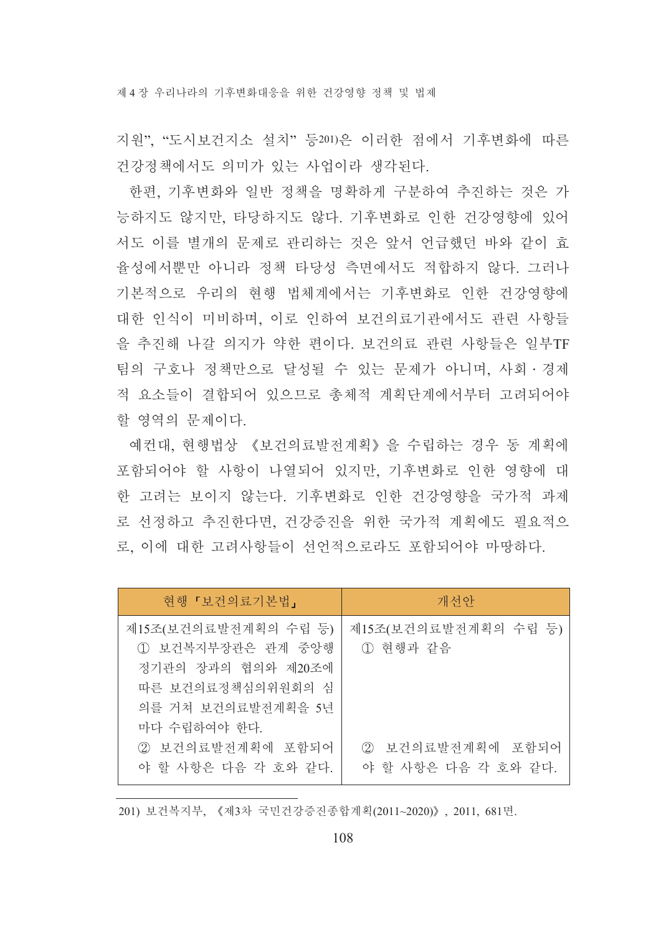제 4 장 우리나라의 기후변화대응을 위한 건강영향 정책 및 법제

지원". "도시보건지소 설치" 등201)은 이러한 점에서 기후변화에 따른 건강정책에서도 의미가 있는 사업이라 생각된다.

한편, 기후변화와 일반 정책을 명확하게 구분하여 추진하는 것은 가 능하지도 않지만, 타당하지도 않다. 기후변화로 인한 건강영향에 있어 서도 이를 별개의 문제로 관리하는 것은 앞서 언급했던 바와 같이 효 율성에서뿐만 아니라 정책 타당성 측면에서도 적합하지 않다. 그러나 기본적으로 우리의 현행 법체계에서는 기후변화로 인한 건강영향에 대한 인식이 미비하며, 이로 인하여 보건의료기관에서도 관련 사항들 을 추진해 나갈 의지가 약한 편이다. 보건의료 관련 사항들은 일부TF 팀의 구호나 정책만으로 달성될 수 있는 문제가 아니며. 사회·경제 적 요소들이 결합되어 있으므로 총체적 계획단계에서부터 고려되어야 할 영역의 문제이다.

예컨대. 현행법상 《보건의료발전계획》을 수립하는 경우 동 계획에 포함되어야 할 사항이 나열되어 있지만, 기후변화로 이한 영향에 대 한 고려는 보이지 않는다. 기후변화로 인한 건강영향을 국가적 과제 로 선정하고 추진한다면, 건강증진을 위한 국가적 계획에도 필요적으 로. 이에 대한 고려사항들이 서어적으로라도 포함되어야 마땅하다.

| 현행「보건의료기본법」                                                                                                                 | 개선안                                     |
|-----------------------------------------------------------------------------------------------------------------------------|-----------------------------------------|
| 제15조(보건의료발전계획의 수립 등)<br>1) 보건복지부장관은 관계 중앙행<br>정기관의 장과의 협의와 제20조에<br>따른 보건의료정책심의위원회의 심<br>의를 거쳐 보건의료발전계획을 5년<br>마다 수립하여야 한다. | 제15조(보건의료발전계획의 수립 등)<br>1 현행과 같음        |
| 2 보건의료발전계획에 포함되어<br>야 할 사항은 다음 각 호와 같다.                                                                                     | ② 보건의료발전계획에 포함되어<br>야 할 사항은 다음 각 호와 같다. |

201) 보건복지부, 《제3차 국민건강증진종합계획(2011~2020)》, 2011, 681면.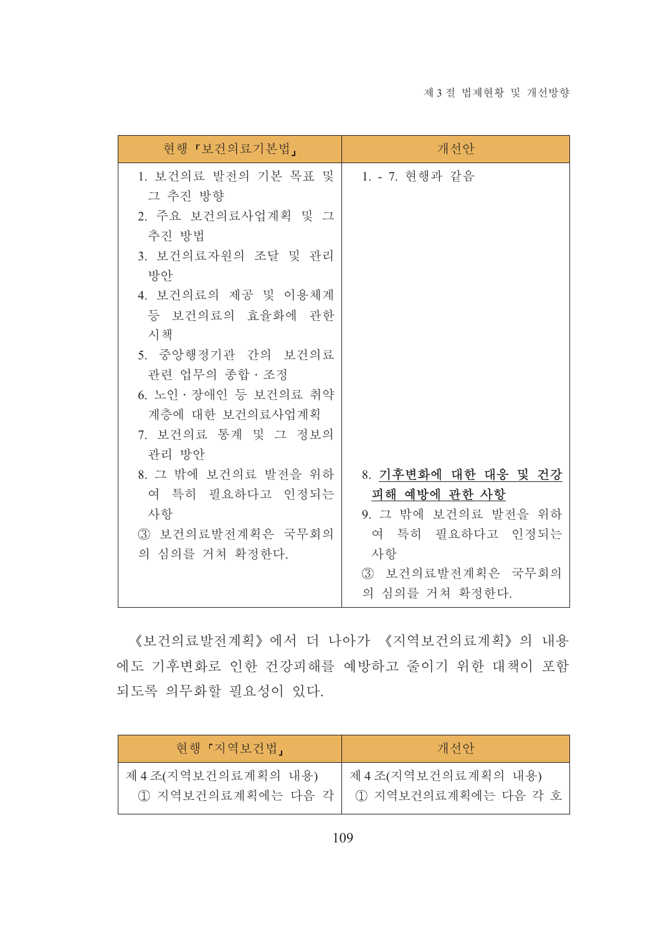| 현행 『보건의료기본법』                                                                                                                                                                                                                                       | 개선안                                                                                                                       |
|----------------------------------------------------------------------------------------------------------------------------------------------------------------------------------------------------------------------------------------------------|---------------------------------------------------------------------------------------------------------------------------|
| 1. 보건의료 발전의 기본 목표 및 <br>그 추진 방향<br>2. 주요 보건의료사업계획 및 그<br>추진 방법<br>3. 보건의료자원의 조달 및 관리<br>방안<br>4. 보건의료의 제공 및 이용체계<br>등 보건의료의 효율화에 관한<br>시책<br>5. 중앙행정기관 간의 보건의료<br>관련 업무의 종합 · 조정<br>6. 노인 · 장애인 등 보건의료 취약<br>계층에 대한 보건의료사업계획<br>7. 보건의료 통계 및 그 정보의 | 1. - 7. 현행과 같음                                                                                                            |
| 관리 방안<br>8. 그 밖에 보건의료 발전을 위하<br>여 특히 필요하다고 인정되는<br>사항<br>3 보건의료발전계획은 국무회의<br>의 심의를 거쳐 확정한다.                                                                                                                                                        | 8. 기후변화에 대한 대응 및 건강<br>피해 예방에 관한 사항<br>9. 그 밖에 보건의료 발전을 위하<br>여 특히 필요하다고 인정되는<br>사항<br>3 보건의료발전계획은 국무회의<br>의 심의를 거쳐 확정한다. |

《보건의료발전계획》에서 더 나아가 《지역보건의료계획》의 내용 에도 기후변화로 인한 건강피해를 예방하고 줄이기 위한 대책이 포함 되도록 의무화할 필요성이 있다.

| 현행 『지역보건법』          | 개선안                  |
|---------------------|----------------------|
| 제 4 조(지역보건의료계획의 내용) | 제 4조(지역보건의료계획의 내용)   |
| ① 지역보건의료계획에는 다음 각   | 1) 지역보건의료계획에는 다음 각 호 |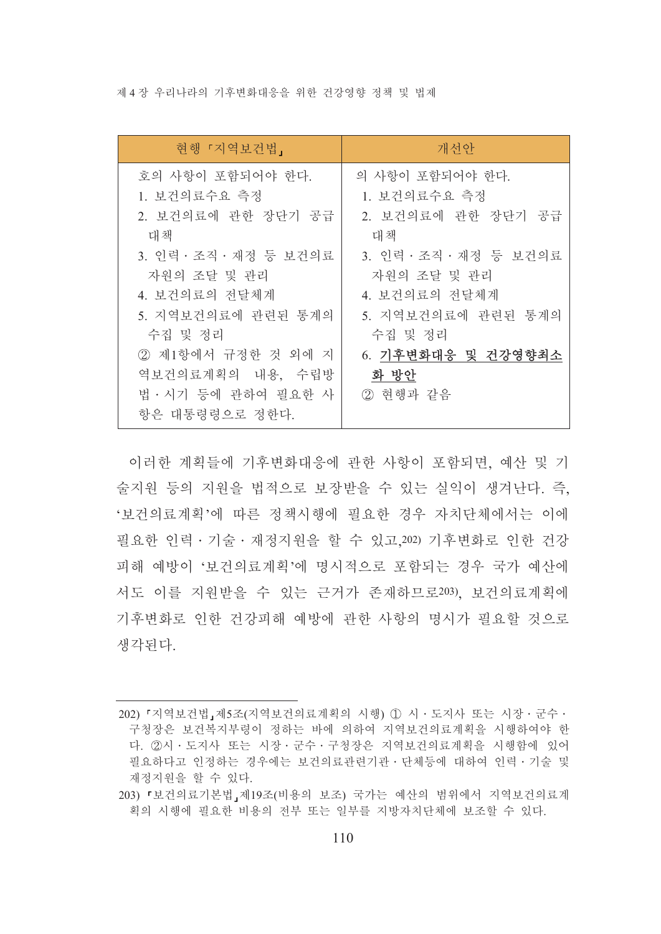제 4 장 우리나라의 기후변화대응을 위하 건강영향 정책 및 법제

| 현행 『지역보건법』                                                                                                                                                                                                               | 개선안                                                                                                                                                                                              |
|--------------------------------------------------------------------------------------------------------------------------------------------------------------------------------------------------------------------------|--------------------------------------------------------------------------------------------------------------------------------------------------------------------------------------------------|
| 호의 사항이 포함되어야 한다.<br>1. 보건의료수요 측정<br>2. 보건의료에 관한 장단기 공급<br>대책<br>3. 인력 · 조직 · 재정 등 보건의료<br>자원의 조달 및 관리<br>4. 보건의료의 전달체계<br>5. 지역보건의료에 관련된 통계의<br>수집 및 정리<br>2 제1항에서 규정한 것 외에 지<br>역보건의료계획의 내용, 수립방<br>법 · 시기 등에 관하여 필요한 사 | 의 사항이 포함되어야 한다.<br>1. 보건의료수요 측정<br>2. 보건의료에 관한 장단기 공급<br>대책<br>3. 인력 · 조직 · 재정 등 보건의료<br>자원의 조달 및 관리<br>4. 보건의료의 전달체계<br>5. 지역보건의료에 관련된 통계의<br>수집 및 정리<br>6. 기후변화대응 및 건강영향최소<br>화 방안<br>2 현행과 같음 |
| 항은 대통령령으로 정한다.                                                                                                                                                                                                           |                                                                                                                                                                                                  |

이러한 계획들에 기후변화대응에 관한 사항이 포함되면. 예산 및 기 술지원 등의 지원을 법적으로 보장받을 수 있는 실익이 생겨난다. 즉, '보건의료계획'에 따른 정책시행에 필요한 경우 자치단체에서는 이에 필요한 인력 · 기술 · 재정지워을 할 수 있고 202) 기후변화로 인한 건강 피해 예방이 '보건의료계획'에 명시적으로 포함되는 경우 국가 예산에 서도 이를 지워받을 수 있는 근거가 존재하므로203). 보건의료계획에 기후변화로 인한 건강피해 예방에 관한 사항의 명시가 필요할 것으로 생각된다.

<sup>202) 『</sup>지역보건법』제5조(지역보건의료계획의 시행) ① 시 · 도지사 또는 시장 · 군수 · 구청장은 보건복지부령이 정하는 바에 의하여 지역보건의료계획을 시행하여야 한 다. 2시 · 도지사 또는 시장 · 군수 · 구청장은 지역보건의료계획을 시행함에 있어 필요하다고 인정하는 경우에는 보건의료관련기관 · 단체등에 대하여 인력 · 기술 및 재정지원을 할 수 있다.

<sup>203) 「</sup>보건의료기본법」제19조(비용의 보조) 국가는 예산의 범위에서 지역보건의료계 획의 시행에 필요한 비용의 전부 또는 일부를 지방자치단체에 보조할 수 있다.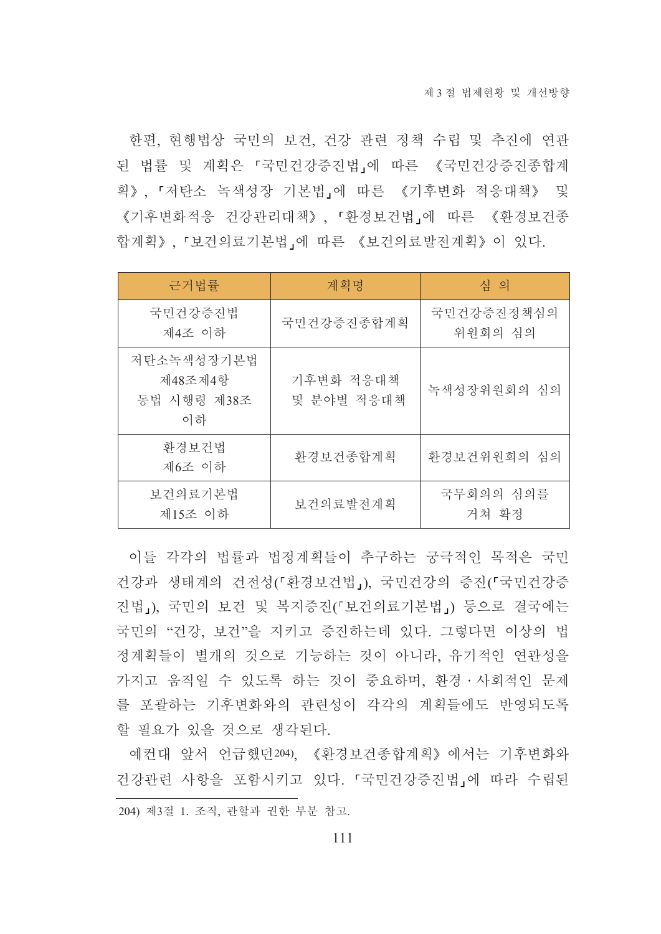한편, 현행법상 국민의 보건, 건강 관련 정책 수립 및 추진에 연관 된 법률 및 계획은 『국민건강증진법』에 따른 《국민건강증진종합계 획》, 『저탄소 녹색성장 기본법』에 따른 《기후변화 적응대책》 및 《기후변화적응 건강관리대책》, 「환경보건법」에 따른 《환경보건종 합계획》, 「보건의료기본법」에 따른 《보건의료발전계획》이 있다.

| 근거법률                                       | 계획명                     | 심 의                   |
|--------------------------------------------|-------------------------|-----------------------|
| 국민건강증진법<br>제4조 이하                          | 국민건강증진종합계획              | 국민건강증진정책심의<br>위원회의 심의 |
| 저탄소녹색성장기본법<br>제48조제4항<br>동법 시행령 제38조<br>이하 | 기후변화 적응대책<br>및 분야별 적응대책 | 녹색성장위원회의 심의           |
| 환경보건법<br>제6조 이하                            | 환경보건종합계획                | 환경보건위원회의 심의           |
| 보건의료기본법<br>제15조 이하                         | 보건의료발전계획                | 국무회의의 심의를<br>거쳐 확정    |

이들 각각의 법률과 법정계획들이 추구하는 궁극적인 목적은 국민 건강과 생태계의 건전성(「환경보건법」). 국민건강의 증진(「국민건강증 진법」), 국민의 보건 및 복지증진(「보건의료기본법」) 등으로 결국에는 국민의 "건강. 보건"을 지키고 증진하는데 있다. 그렇다면 이상의 법 정계획들이 별개의 것으로 기능하는 것이 아니라. 유기적인 연관성을 가지고 움직일 수 있도록 하는 것이 중요하며, 화경 · 사회적인 문제 를 포괄하는 기후변화와의 관련성이 각각의 계획들에도 반영되도록 할 필요가 있을 것으로 생각된다.

예컨대 앞서 언급했던204). 《환경보건종합계획》에서는 기후변화와 건강관련 사항을 포함시키고 있다. 『국민건강증진법』에 따라 수립된 204) 제3절 1. 조직, 관할과 권한 부분 참고.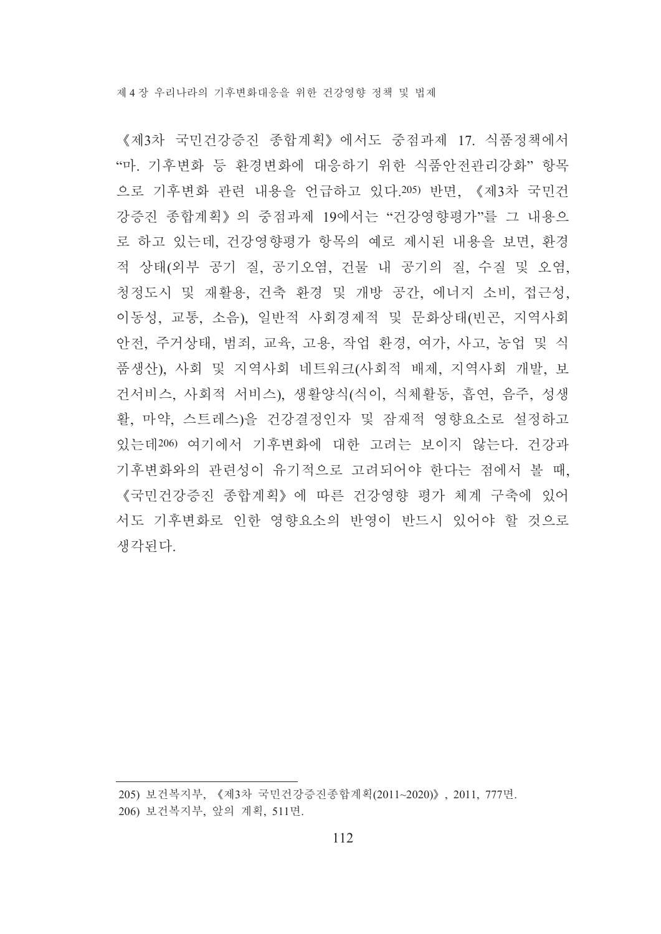《제3차 국민건강증진 종합계획》에서도 중점과제 17. 식품정책에서 "마. 기후변화 등 환경변화에 대응하기 위한 식품안전관리강화" 항목 으로 기후변화 관련 내용을 언급하고 있다.205) 반면, 《제3차 국민건 강증진 종합계획》의 중점과제 19에서는 "건강영향평가"를 그 내용으 로 하고 있는데, 건강영향평가 항목의 예로 제시된 내용을 보면, 환경 적 상태(외부 공기 질, 공기오염, 건물 내 공기의 질, 수질 및 오염, 청정도시 및 재활용, 건축 환경 및 개방 공간, 에너지 소비, 접근성, 이동성, 교통, 소음), 일반적 사회경제적 및 문화상태(빈곤, 지역사회 안전, 주거상태, 범죄, 교육, 고용, 작업 환경, 여가, 사고, 농업 및 식 품생산), 사회 및 지역사회 네트워크(사회적 배제, 지역사회 개발, 보 건서비스, 사회적 서비스), 생활양식(식이, 식체활동, 흡연, 음주, 성생 활, 마약, 스트레스)을 건강결정인자 및 잠재적 영향요소로 설정하고 있는데206) 여기에서 기후변화에 대한 고려는 보이지 않는다. 건강과 기후변화와의 관련성이 유기적으로 고려되어야 한다는 점에서 볼 때, 《국민건강증진 종합계획》에 따른 건강영향 평가 체계 구축에 있어 서도 기후변화로 인한 영향요소의 반영이 반드시 있어야 할 것으로 생각된다.

<sup>205)</sup> 보건복지부, 《제3차 국민건강증진종합계획(2011~2020)》, 2011, 777면. 206) 보건복지부, 앞의 계획, 511면.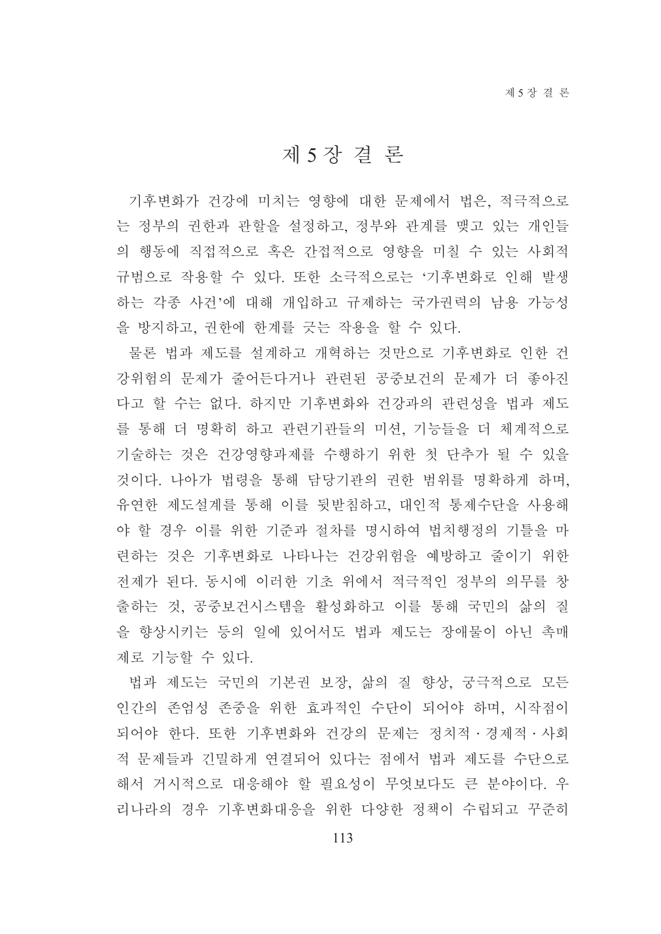# 제 5 장결론

기후변화가 건강에 미치는 영향에 대한 문제에서 법은, 적극적으로 는 정부의 권한과 관할을 설정하고, 정부와 관계를 맺고 있는 개인들 의 행동에 직접적으로 혹은 간접적으로 영향을 미칠 수 있는 사회적 규범으로 작용할 수 있다. 또한 소극적으로는 '기후변화로 인해 발생 하는 각종 사건'에 대해 개입하고 규제하는 국가권력의 남용 가능성 을 방지하고, 권한에 한계를 긋는 작용을 할 수 있다.

물론 법과 제도를 설계하고 개혁하는 것만으로 기후변화로 인한 건 강위험의 문제가 줄어든다거나 관련된 공중보건의 문제가 더 좋아진 다고 할 수는 없다. 하지만 기후변화와 건강과의 관련성을 법과 제도 를 통해 더 명확히 하고 관련기관들의 미션, 기능들을 더 체계적으로 기술하는 것은 건강영향과제를 수행하기 위한 첫 단추가 될 수 있을 것이다. 나아가 법령을 통해 담당기관의 권한 범위를 명확하게 하며. 유연한 제도설계를 통해 이를 뒷받침하고, 대인적 통제수단을 사용해 야 할 경우 이를 위한 기준과 절차를 명시하여 법치행정의 기틀을 마 련하는 것은 기후변화로 나타나는 건강위험을 예방하고 줄이기 위한 전제가 된다. 동시에 이러한 기초 위에서 적극적이 정부의 의무를 창 출하는 것. 공중보건시스템을 활성화하고 이를 통해 국민의 삶의 질 을 향상시키는 등의 일에 있어서도 법과 제도는 장애물이 아닌 촉매 제로 기능할 수 있다.

법과 제도는 국민의 기본권 보장, 삶의 질 향상, 궁극적으로 모든 인간의 존엄성 존중을 위한 효과적인 수단이 되어야 하며, 시작점이 되어야 한다. 또한 기후변화와 건강의 문제는 정치적 경제적 사회 적 문제들과 긴밀하게 연결되어 있다는 점에서 법과 제도를 수단으로 해서 거시적으로 대응해야 할 필요성이 무엇보다도 큰 분야이다. 우 리나라의 경우 기후변화대응을 위한 다양한 정책이 수립되고 꾸준히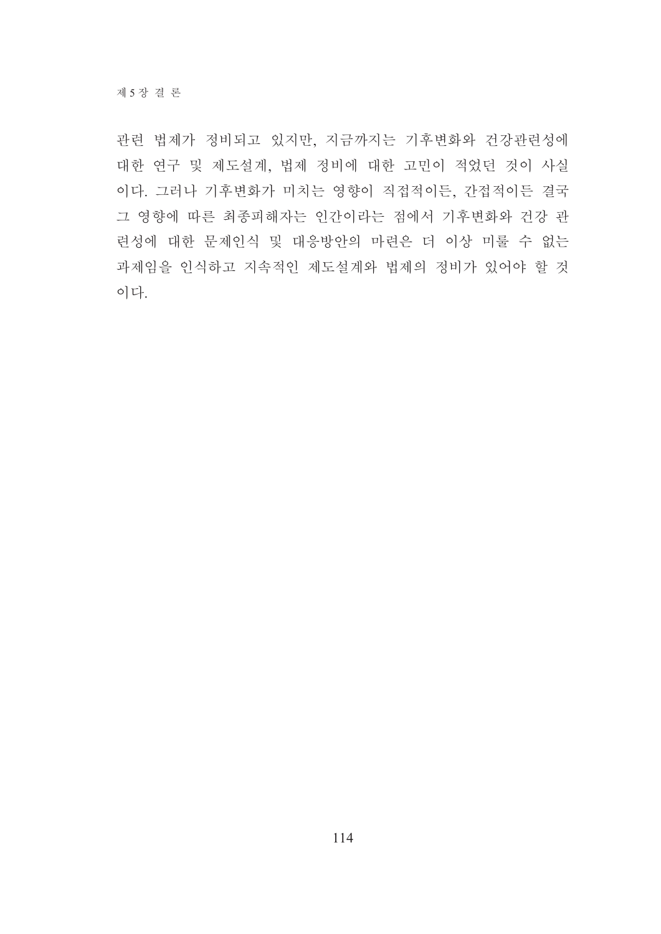관련 법제가 정비되고 있지만, 지금까지는 기후변화와 건강관련성에 대한 연구 및 제도설계, 법제 정비에 대한 고민이 적었던 것이 사실 이다. 그러나 기후변화가 미치는 영향이 직접적이든, 간접적이든 결국 그 영향에 따른 최종피해자는 인간이라는 점에서 기후변화와 건강 관 련성에 대한 문제인식 및 대응방안의 마련은 더 이상 미룰 수 없는 과제임을 인식하고 지속적인 제도설계와 법제의 정비가 있어야 할 것 이다.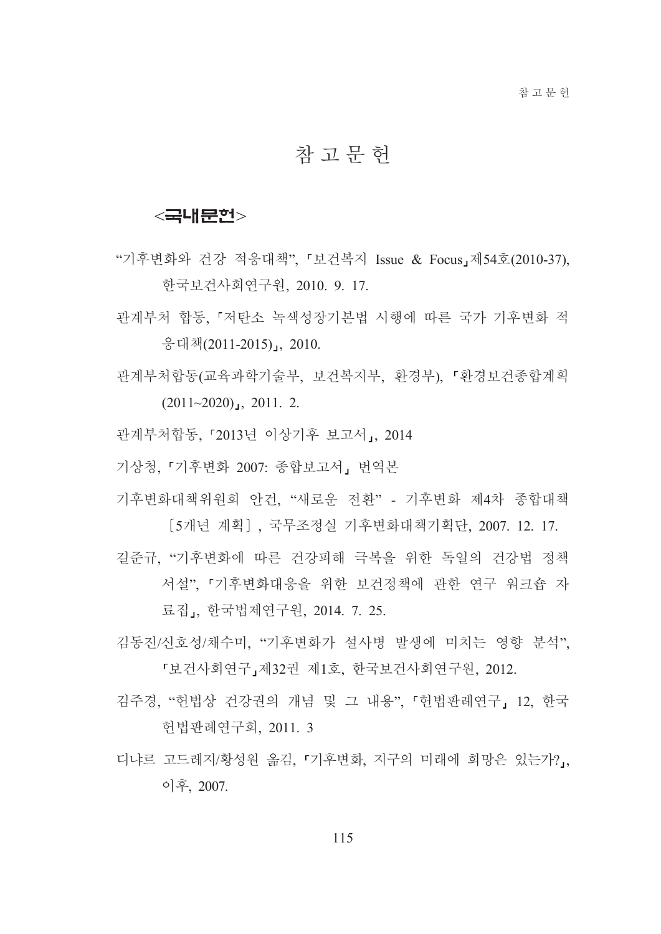## 참 고 무 헌

### <국내문헌>

- "기후변화와 건강 적응대책", 『보건복지 Issue & Focus』제54호(2010-37), 한국보건사회연구원, 2010, 9, 17.
- 관계부처 합동, 『저탄소 녹색성장기본법 시행에 따른 국가 기후변화 적 응대책(2011-2015)』, 2010.
- 관계부처합동(교육과학기술부, 보건복지부, 환경부), 「환경보건종합계획  $(2011~2020)$ , 2011. 2.
- 관계부처합동, 「2013년 이상기후 보고서」, 2014

기상청. 『기후변화 2007: 종합보고서, 번역본

- 기후변화대책위원회 안건, "새로운 전환" 기후변화 제4차 종합대책 [5개년 계획]. 국무조정실 기후변화대책기획단, 2007, 12, 17,
- 길준규, "기후변화에 따른 건강피해 극복을 위한 독일의 건강법 정책 서설". 「기후변화대응을 위한 보건정책에 관한 연구 워크숍 자 료집」, 한국법제연구원, 2014. 7. 25.
- 김동진/신호성/채수미. "기후변화가 설사병 발생에 미치는 영향 분석", 「보건사회연구」제32권 제1호, 한국보건사회연구원, 2012.
- 김주경, "헌법상 건강권의 개념 및 그 내용", 「헌법판례연구」 12, 한국 헌법판례연구회, 2011. 3
- 디냐르 고드레지/황성원 옮김 「기후변화, 지구의 미래에 희망은 있는가?」 이후, 2007.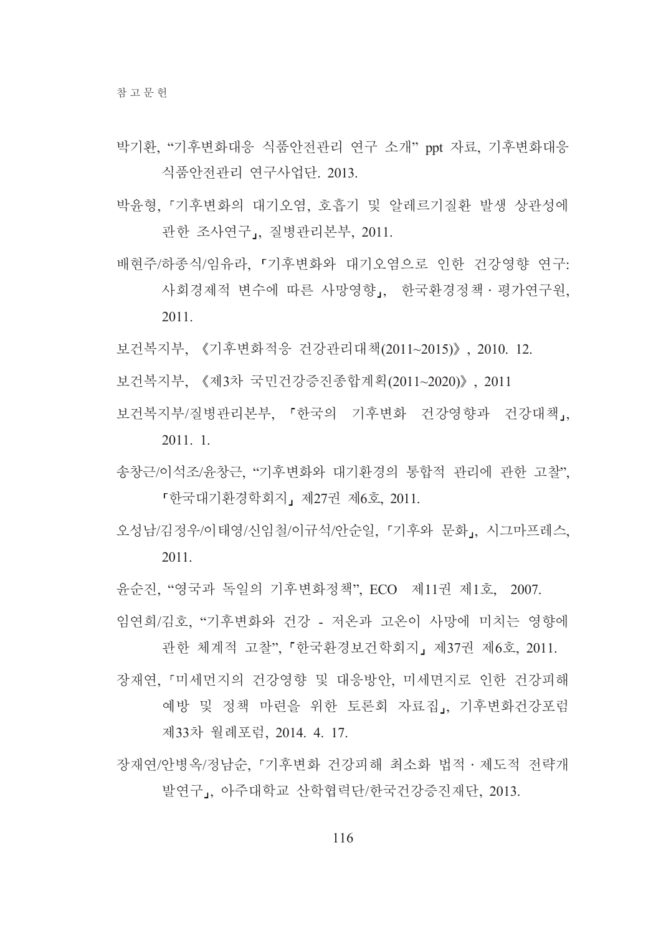- 박기환, "기후변화대응 식품안전관리 연구 소개" ppt 자료, 기후변화대응 식품안전관리 연구사업단. 2013.
- 박유형 『기후변화의 대기오염, 호흡기 및 알레르기질화 발생 상관성에 관한 조사연구」, 질병관리본부, 2011.
- 배현주/하종식/임유라. 『기후변화와 대기오염으로 인한 건강영향 연구: 사회경제적 변수에 따른 사망영향, 한국환경정책 · 평가연구원, 2011.
- 보건복지부. 《기후변화적응 건강관리대책(2011~2015)》, 2010, 12.
- 보건복지부, 《제3차 국민건강증진종합계획(2011~2020)》, 2011
- 보건복지부/질병관리본부. 「한국의 기후변화 건강영향과 건강대책,  $2011.1$
- 송창근/이석조/윤창근, "기후변화와 대기환경의 통합적 관리에 관한 고찰", 『한국대기화경학회지』제27권 제6호 2011.
- 오성남/김정우/이태영/신임철/이규석/안순일, 『기후와 문화』, 시그마프레스,  $2011$
- 윤순진, "영국과 독일의 기후변화정책", ECO 제11권 제1호, 2007.
- 임연희/김호. "기후변화와 건강 저온과 고온이 사망에 미치는 영향에 관한 체계적 고찰", 「한국환경보건학회지」 제37권 제6호, 2011.
- 장재연 『미세먼지의 건강영향 및 대응방안 미세면지로 인한 건강피해 예방 및 정책 마련을 위한 토론회 자료집」, 기후변화건강포럼 제33차 월례포럼, 2014. 4. 17.
- 장재연/아병옥/정남순 『기후변화 건강피해 최소화 법적 · 제도적 전략개 발여구, 아주대학교 산학협력단/한국건강증진재단, 2013.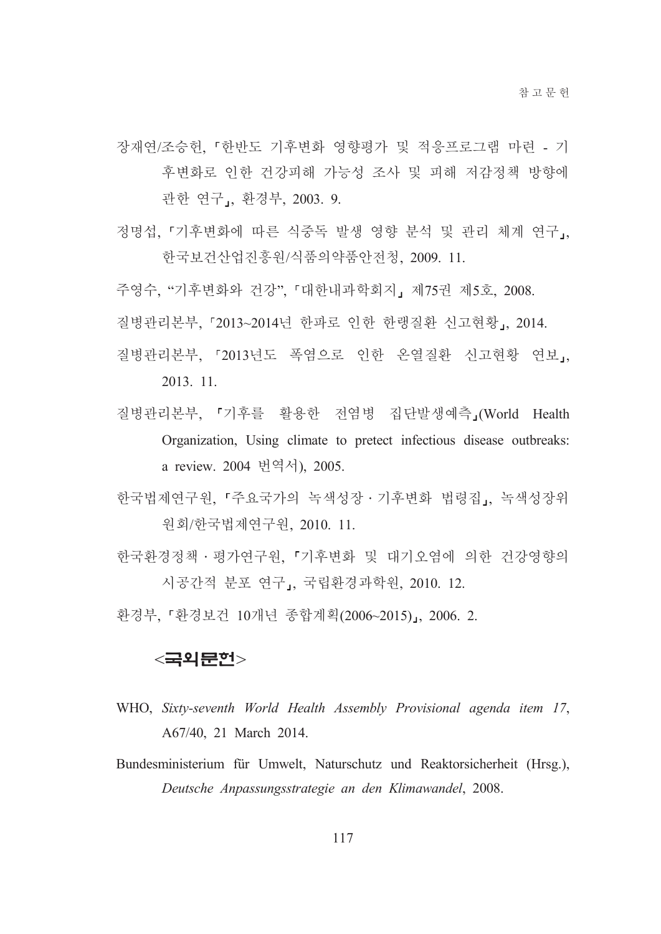장재연/조승헌, 『한반도 기후변화 영향평가 및 적응프로그램 마련 - 기 후변화로 인한 건강피해 가능성 조사 및 피해 저감정책 방향에 관한 연구,, 환경부, 2003. 9.

- 정명섭, 『기후변화에 따른 식중독 발생 영향 분석 및 관리 체계 연구』, 한국보건산업진흥워/식품의약품안전청, 2009. 11.
- 주영수, "기후변화와 건강", 「대한내과학회지」제75권 제5호, 2008.
- 질병관리본부, 「2013~2014년 한파로 인한 한랭질환 신고현황」, 2014.
- 질병관리본부, 「2013년도 폭염으로 인한 온열질환 신고현황 연보, 2013. 11.
- 질병관리본부, 「기후를 활용한 전염병 집단발생예측」(World Health Organization, Using climate to pretect infectious disease outbreaks: a review. 2004 번역서), 2005.
- 한국법제연구워. 「주요국가의 녹색성장 · 기후변화 법령집, 녹색성장위 원회/한국법제연구원, 2010. 11.
- 한국화경정책 · 평가연구워. 「기후변화 및 대기오염에 의한 건강영향의 시공간적 분포 연구」, 국립환경과학원, 2010. 12.

환경부, 『환경보건 10개년 종합계획(2006~2015)』, 2006. 2.

#### <국외문헌>

- WHO, Sixty-seventh World Health Assembly Provisional agenda item 17, A67/40, 21 March 2014.
- Bundesministerium für Umwelt, Naturschutz und Reaktorsicherheit (Hrsg.), Deutsche Anpassungsstrategie an den Klimawandel, 2008.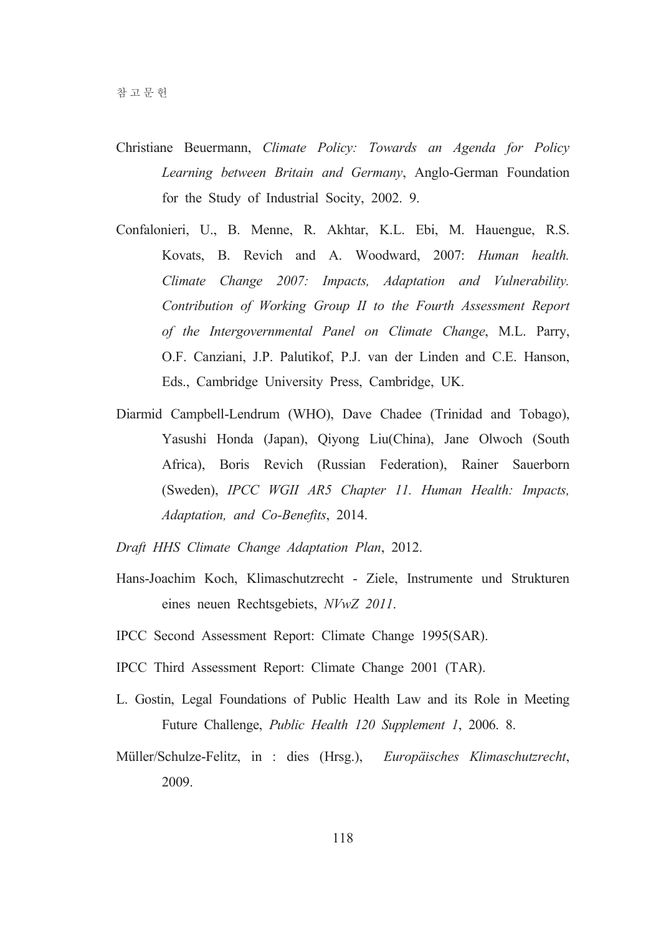- Christiane Beuermann, Climate Policy: Towards an Agenda for Policy Learning between Britain and Germany, Anglo-German Foundation for the Study of Industrial Socity, 2002. 9.
- Confalonieri, U., B. Menne, R. Akhtar, K.L. Ebi, M. Hauengue, R.S. Kovats, B. Revich and A. Woodward, 2007: Human health. Climate Change 2007: Impacts, Adaptation and Vulnerability. Contribution of Working Group II to the Fourth Assessment Report of the Intergovernmental Panel on Climate Change, M.L. Parry, O.F. Canziani, J.P. Palutikof, P.J. van der Linden and C.E. Hanson, Eds., Cambridge University Press, Cambridge, UK.
- Diarmid Campbell-Lendrum (WHO), Dave Chadee (Trinidad and Tobago), Yasushi Honda (Japan), Qiyong Liu(China), Jane Olwoch (South Africa), Boris Revich (Russian Federation), Rainer Sauerborn (Sweden), IPCC WGII AR5 Chapter 11. Human Health: Impacts, Adaptation, and Co-Benefits, 2014.
- Draft HHS Climate Change Adaptation Plan, 2012.
- Hans-Joachim Koch, Klimaschutzrecht Ziele, Instrumente und Strukturen eines neuen Rechtsgebiets, NVwZ 2011.
- IPCC Second Assessment Report: Climate Change 1995(SAR).
- IPCC Third Assessment Report: Climate Change 2001 (TAR).
- L. Gostin, Legal Foundations of Public Health Law and its Role in Meeting Future Challenge, Public Health 120 Supplement 1, 2006. 8.
- Müller/Schulze-Felitz, in : dies (Hrsg.), Europäisches Klimaschutzrecht, 2009.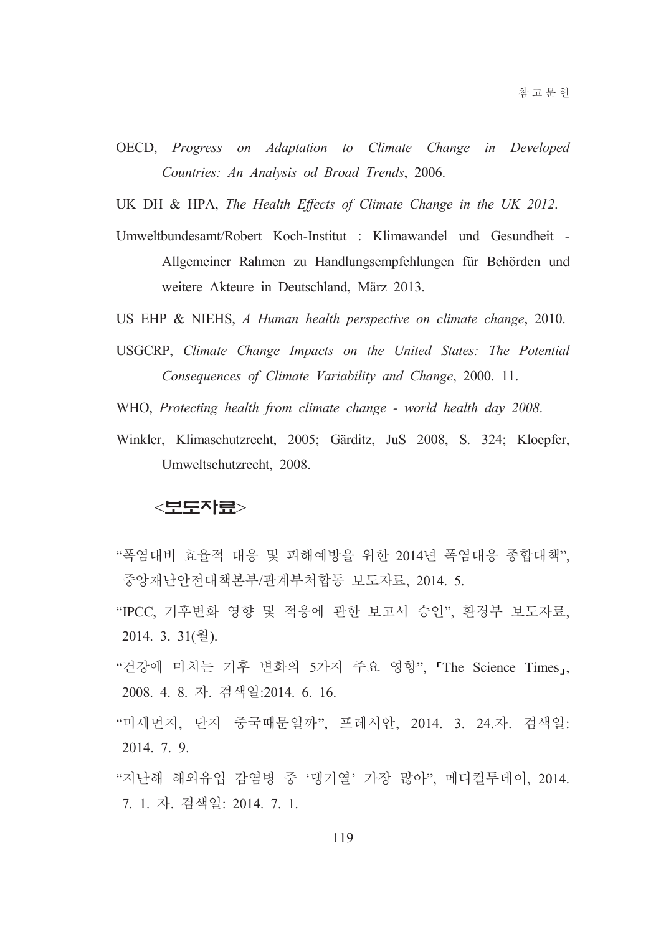- OECD, Progress on Adaptation to Climate Change in Developed Countries: An Analysis od Broad Trends, 2006.
- UK DH & HPA, The Health Effects of Climate Change in the UK 2012.
- Umweltbundesamt/Robert Koch-Institut : Klimawandel und Gesundheit -Allgemeiner Rahmen zu Handlungsempfehlungen für Behörden und weitere Akteure in Deutschland, März 2013.
- US EHP & NIEHS, A Human health perspective on climate change, 2010.
- USGCRP, Climate Change Impacts on the United States: The Potential Consequences of Climate Variability and Change, 2000. 11.
- WHO, Protecting health from climate change world health day 2008.
- Winkler, Klimaschutzrecht, 2005; Gärditz, JuS 2008, S. 324; Kloepfer, Umweltschutzrecht, 2008.

#### <보도자료>

- "폭염대비 효율적 대응 및 피해예방을 위한 2014년 폭염대응 종합대책". 중앙재난안전대책본부/관계부처합동 보도자료, 2014. 5.
- "IPCC, 기후변화 영향 및 적응에 관한 보고서 승인", 환경부 보도자료, 2014. 3. 31(월).
- "건강에 미치는 기후 변화의 5가지 주요 영향", 'The Science Times」, 2008. 4. 8. 자. 검색일:2014. 6. 16.
- "미세먼지, 단지 중국때문일까", 프레시안, 2014. 3. 24.자. 검색일: 2014. 7. 9.
- "지난해 해외유입 감염병 중 '뎅기열' 가장 많아". 메디컬투데이. 2014. 7. 1. 자. 검색일: 2014. 7. 1.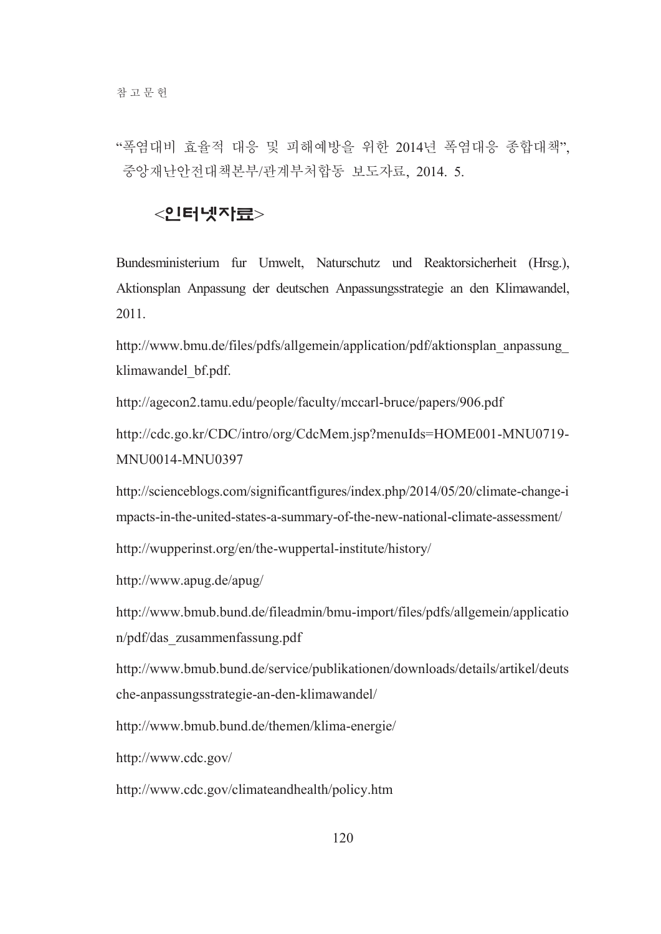"폭염대비 효율적 대응 및 피해예방을 위한 2014년 폭염대응 종합대책". 중앙재난아저대책본부/관계부처함동 보도자료 2014 5

### <인터넷자류>

Bundesministerium fur Umwelt, Naturschutz und Reaktorsicherheit (Hrsg.), Aktionsplan Anpassung der deutschen Anpassungsstrategie an den Klimawandel, 2011.

http://www.bmu.de/files/pdfs/allgemein/application/pdf/aktionsplan anpassung klimawandel bf.pdf.

http://agecon2.tamu.edu/people/faculty/mccarl-bruce/papers/906.pdf

http://cdc.go.kr/CDC/intro/org/CdcMem.jsp?menuIds=HOME001-MNU0719-MNU0014-MNU0397

http://scienceblogs.com/significantfigures/index.php/2014/05/20/climate-change-i mpacts-in-the-united-states-a-summary-of-the-new-national-climate-assessment/

http://wupperinst.org/en/the-wuppertal-institute/history/

http://www.apug.de/apug/

http://www.bmub.bund.de/fileadmin/bmu-import/files/pdfs/allgemein/applicatio n/pdf/das zusammenfassung.pdf

http://www.bmub.bund.de/service/publikationen/downloads/details/artikel/deuts che-anpassungsstrategie-an-den-klimawandel/

http://www.bmub.bund.de/themen/klima-energie/

http://www.cdc.gov/

http://www.cdc.gov/climateandhealth/policy.htm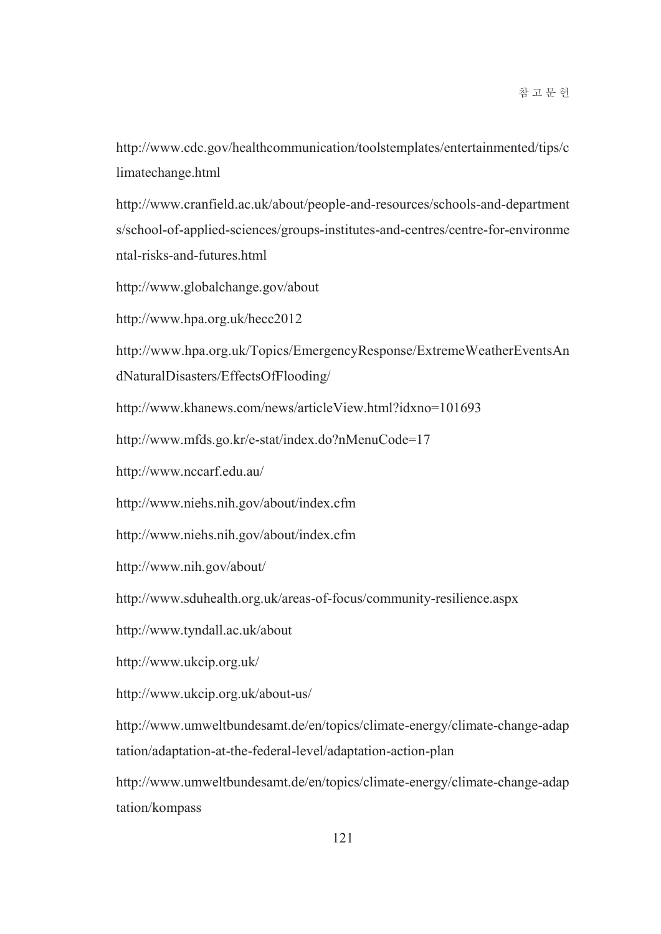http://www.cdc.gov/healthcommunication/toolstemplates/entertainmented/tips/c limatechange.html

http://www.cranfield.ac.uk/about/people-and-resources/schools-and-department s/school-of-applied-sciences/groups-institutes-and-centres/centre-for-environme ntal-risks-and-futures.html

http://www.globalchange.gov/about

http://www.hpa.org.uk/hecc2012

http://www.hpa.org.uk/Topics/EmergencyResponse/ExtremeWeatherEventsAn dNaturalDisasters/EffectsOfFlooding/

http://www.khanews.com/news/articleView.html?idxno=101693

http://www.mfds.go.kr/e-stat/index.do?nMenuCode=17

http://www.nccarf.edu.au/

http://www.niehs.nih.gov/about/index.cfm

http://www.niehs.nih.gov/about/index.cfm

http://www.nih.gov/about/

http://www.sduhealth.org.uk/areas-of-focus/community-resilience.aspx

http://www.tyndall.ac.uk/about

http://www.ukcip.org.uk/

http://www.ukcip.org.uk/about-us/

http://www.umweltbundesamt.de/en/topics/climate-energy/climate-change-adap tation/adaptation-at-the-federal-level/adaptation-action-plan

http://www.umweltbundesamt.de/en/topics/climate-energy/climate-change-adap tation/kompass